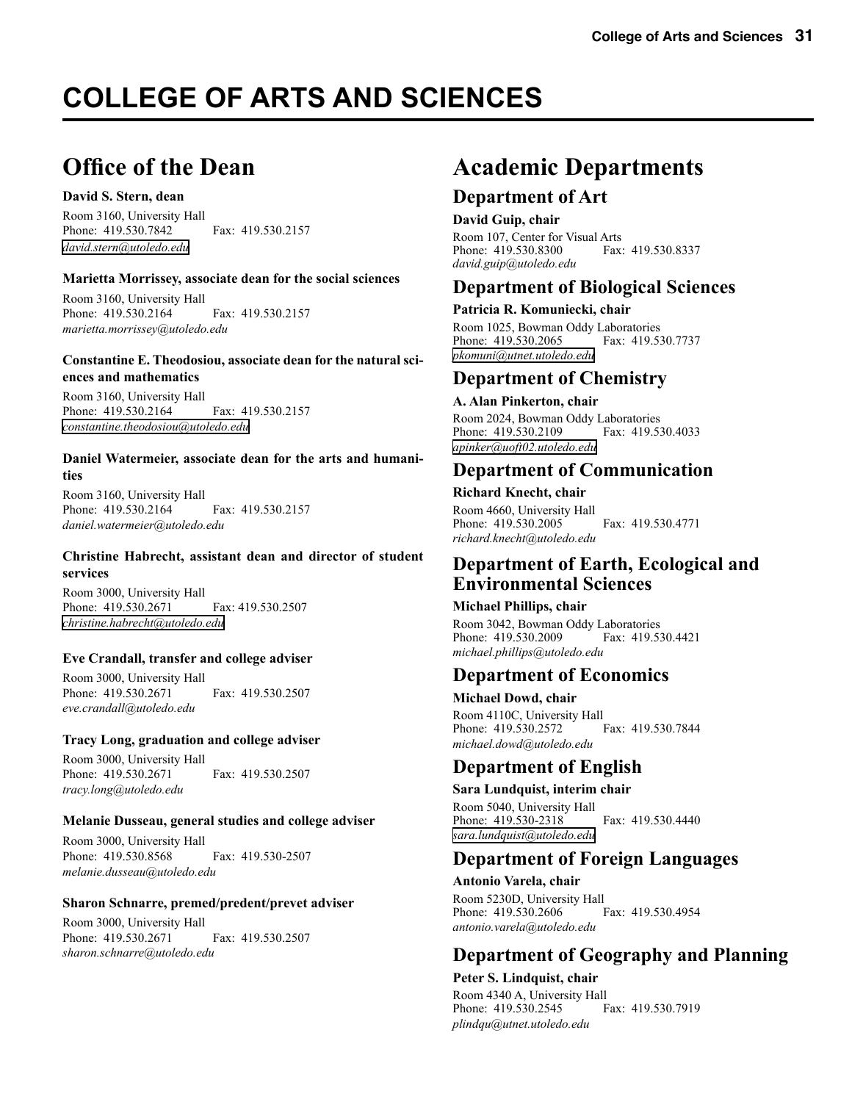# **COLLEGE OF ARTS AND SCIENCES**

# **Office of the Dean**

#### **David S. Stern, dean**

Room 3160, University Hall Phone: 419.530.7842 Fax: 419.530.2157 *[david.stern@utoledo.edu](mailto:dstern@utnet.utoledo.edu)*

#### **Marietta Morrissey, associate dean for the social sciences**

Room 3160, University Hall Phone: 419.530.2164 Fax: 419.530.2157 *marietta.morrissey@utoledo.edu*

#### **Constantine E. Theodosiou, associate dean for the natural sciences and mathematics**

Room 3160, University Hall Phone: 419.530.2164 Fax: 419.530.2157 *[constantine.theodosiou@utoledo.edu](mailto:ctheodo@utnet.utoledo.edu)*

#### **Daniel Watermeier, associate dean for the arts and humanities**

Room 3160, University Hall Phone: 419.530.2164 Fax: 419.530.2157 *daniel.watermeier@utoledo.edu*

#### **Christine Habrecht, assistant dean and director of student services**

Room 3000, University Hall Phone: 419.530.2671 Fax: 419.530.2507 *[christine.habrecht@utoledo.edu](mailto:chabrec@utnet.utoledo.edu)*

#### **Eve Crandall, transfer and college adviser**

Room 3000, University Hall Phone: 419.530.2671 Fax: 419.530.2507 *eve.crandall@utoledo.edu*

#### **Tracy Long, graduation and college adviser**

Room 3000, University Hall Phone: 419.530.2671 Fax: 419.530.2507 *tracy.long@utoledo.edu*

#### **Melanie Dusseau, general studies and college adviser**

Room 3000, University Hall Phone: 419.530.8568 Fax: 419.530-2507 *melanie.dusseau@utoledo.edu*

#### **Sharon Schnarre, premed/predent/prevet adviser**

Room 3000, University Hall Phone: 419.530.2671 Fax: 419.530.2507 *sharon.schnarre@utoledo.edu*

# **Academic Departments**

### **Department of Art**

#### **David Guip, chair**

Room 107, Center for Visual Arts<br>Phone: 419.530.8300 Fax: 419.530.8337 Phone: 419.530.8300 *david.guip@utoledo.edu*

### **Department of Biological Sciences**

#### **Patricia R. Komuniecki, chair**

Room 1025, Bowman Oddy Laboratories Phone: 419.530.2065 Fax: 419.530.7737 *[pkomuni@utnet.utoledo.edu](mailto:pkomuni@utnet.utoledo.edu)*

### **Department of Chemistry**

#### **A. Alan Pinkerton, chair**

Room 2024, Bowman Oddy Laboratories<br>Phone: 419.530.2109 Fax: 419.530.4033 Phone: 419.530.2109 *[apinker@uoft02.utoledo.edu](mailto:apinker@uoft02.utoledo.edu)*

### **Department of Communication**

#### **Richard Knecht, chair**

Room 4660, University Hall Phone: 419.530.2005 Fax: 419.530.4771 *richard.knecht@utoledo.edu*

### **Department of Earth, Ecological and Environmental Sciences**

#### **Michael Phillips, chair**

Room 3042, Bowman Oddy Laboratories<br>Phone: 419.530.2009 Fax: 419.530.4421 Phone: 419.530.2009 *michael.phillips@utoledo.edu*

### **Department of Economics**

**Michael Dowd, chair** Room 4110C, University Hall<br>Phone: 419.530.2572 Fax: 419.530.7844 Phone: 419.530.2572 *michael.dowd@utoledo.edu*

### **Department of English**

#### **Sara Lundquist, interim chair**

Room 5040, University Hall Phone: 419.530-2318 Fax: 419.530.4440 *[sara.lundquist@utoledo.edu](mailto:samir.abu-absi@utoledo.edu)*

### **Department of Foreign Languages**

**Antonio Varela, chair** Room 5230D, University Hall<br>Phone: 419.530.2606 Fax: 419.530.4954 Phone: 419.530.2606 *antonio.varela@utoledo.edu*

# **Department of Geography and Planning**

#### **Peter S. Lindquist, chair**

Room 4340 A, University Hall Phone: 419.530.2545 Fax: 419.530.7919 *plindqu@utnet.utoledo.edu*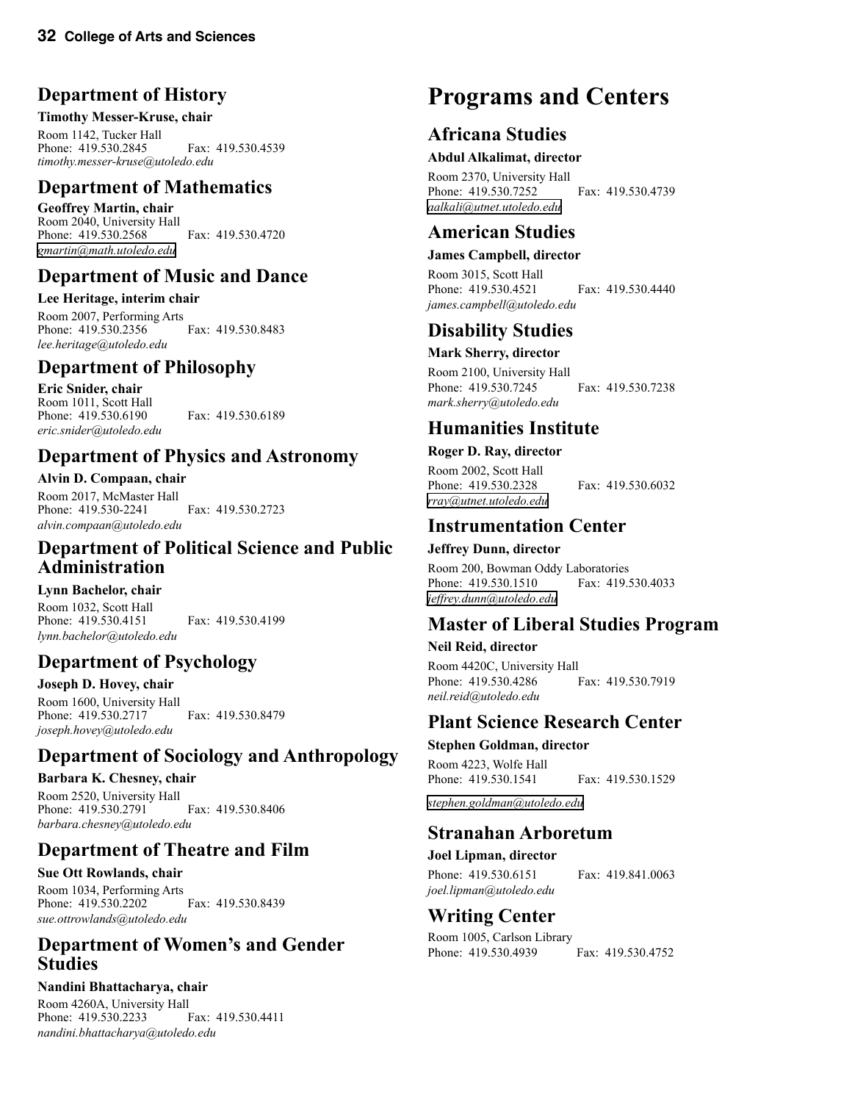# **Department of History**

#### **Timothy Messer-Kruse, chair**

Room 1142, Tucker Hall Phone: 419.530.2845 Fax: 419.530.4539 *timothy.messer-kruse@utoledo.edu*

# **Department of Mathematics**

**Geoffrey Martin, chair** Room 2040, University Hall Phone: 419.530.2568 Fax: 419.530.4720 *[gmartin@math.utoledo.edu](mailto:elin@math.utoledo.edu)*

# **Department of Music and Dance**

#### **Lee Heritage, interim chair**

Room 2007, Performing Arts Phone: 419.530.2356 Fax: 419.530.8483 *lee.heritage@utoledo.edu*

# **Department of Philosophy**

**Eric Snider, chair** Room 1011, Scott Hall Phone: 419.530.6190 Fax: 419.530.6189 *eric.snider@utoledo.edu*

# **Department of Physics and Astronomy**

**Alvin D. Compaan, chair** Room 2017, McMaster Hall Phone: 419.530-2241 Fax: 419.530.2723 *alvin.compaan@utoledo.edu*

# **Department of Political Science and Public Administration**

### **Lynn Bachelor, chair**

Room 1032, Scott Hall Phone: 419.530.4151 Fax: 419.530.4199 *lynn.bachelor@utoledo.edu*

# **Department of Psychology**

**Joseph D. Hovey, chair** Room 1600, University Hall Phone: 419.530.2717 Fax: 419.530.8479 *joseph.hovey@utoledo.edu*

# **Department of Sociology and Anthropology**

# **Barbara K. Chesney, chair**

Room 2520, University Hall Phone: 419.530.2791 Fax: 419.530.8406 *barbara.chesney@utoledo.edu*

# **Department of Theatre and Film**

**Sue Ott Rowlands, chair** Room 1034, Performing Arts Phone: 419.530.2202 Fax: 419.530.8439 *sue.ottrowlands@utoledo.edu*

# **Department of Women's and Gender Studies**

### **Nandini Bhattacharya, chair**

Room 4260A, University Hall<br>Phone: 419.530.2233 Fax: 419.530.4411 Phone: 419.530.2233 *nandini.bhattacharya@utoledo.edu*

# **Programs and Centers**

# **Africana Studies**

#### **Abdul Alkalimat, director**

Room 2370, University Hall Phone: 419.530.7252 Fax: 419.530.4739 *[aalkali@utnet.utoledo.edu](mailto:aalkali@utnet.utoledo.edu)*

# **American Studies**

#### **James Campbell, director**

Room 3015, Scott Hall Phone: 419.530.4521 Fax: 419.530.4440 *james.campbell@utoledo.edu*

### **Disability Studies**

#### **Mark Sherry, director**

Room 2100, University Hall Phone: 419.530.7245 Fax: 419.530.7238 *mark.sherry@utoledo.edu*

# **Humanities Institute**

#### **Roger D. Ray, director** Room 2002, Scott Hall

Phone: 419.530.2328 Fax: 419.530.6032 *[rray@utnet.utoledo.edu](mailto:rray@utnet.utoledo.edu)*

# **Instrumentation Center**

#### **Jeffrey Dunn, director**

Room 200, Bowman Oddy Laboratories Phone: 419.530.1510 Fax: 419.530.4033 *[jeffrey.dunn@utoledo.edu](mailto:Jeffrey.Dunn@utoledo.edu)*

# **Master of Liberal Studies Program**

#### **Neil Reid, director**

Room 4420C, University Hall Phone: 419.530.4286 Fax: 419.530.7919 *neil.reid@utoledo.edu*

# **Plant Science Research Center**

#### **Stephen Goldman, director**

Room 4223, Wolfe Hall Phone: 419.530.1541 Fax: 419.530.1529

*[stephen.goldman@utoledo.edu](mailto:Stephen.Goldman@utoledo.edu)*

# **Stranahan Arboretum**

#### **Joel Lipman, director**

Phone: 419.530.6151 Fax: 419.841.0063 *joel.lipman@utoledo.edu*

### **Writing Center**

Room 1005, Carlson Library Phone: 419.530.4939 Fax: 419.530.4752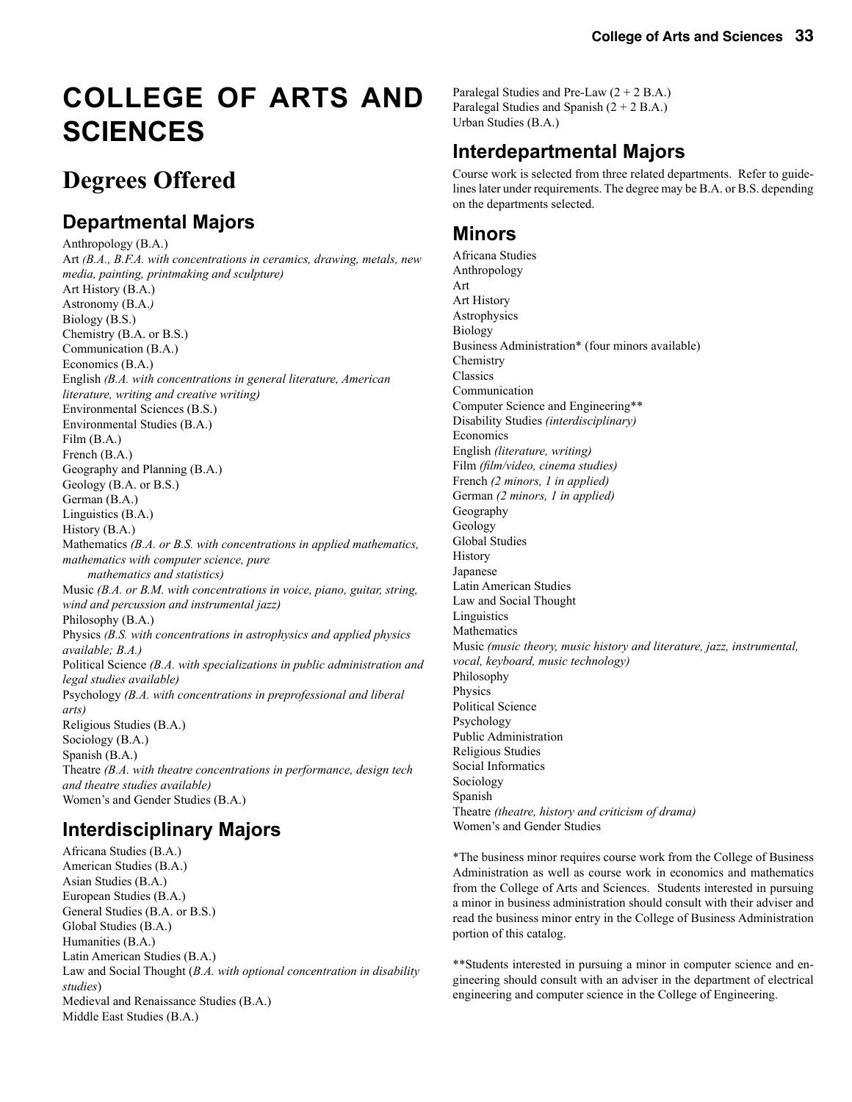# **COLLEGE OF ARTS AND SCIENCES**

# **Degrees Offered**

# **Departmental Majors**

Anthropology (B.A.) Art *(B.A., B.F.A. with concentrations in ceramics, drawing, metals, new media, painting, printmaking and sculpture)* Art History (B.A.) Astronomy (B.A.*)* Biology (B.S.) Chemistry (B.A. or B.S.) Communication (B.A.) Economics (B.A.) English *(B.A. with concentrations in general literature, American literature, writing and creative writing)* Environmental Sciences (B.S.) Environmental Studies (B.A.) Film (B.A.) French (B.A.) Geography and Planning (B.A.) Geology (B.A. or B.S.) German (B.A.) Linguistics (B.A.) History (B.A.) Mathematics *(B.A. or B.S. with concentrations in applied mathematics, mathematics with computer science, pure mathematics and statistics)* Music *(B.A. or B.M. with concentrations in voice, piano, guitar, string, wind and percussion and instrumental jazz)* Philosophy (B.A.) Physics *(B.S. with concentrations in astrophysics and applied physics available; B.A.)* Political Science *(B.A. with specializations in public administration and legal studies available)* Psychology *(B.A. with concentrations in preprofessional and liberal arts)* Religious Studies (B.A.) Sociology (B.A.) Spanish (B.A.) Theatre *(B.A. with theatre concentrations in performance, design tech and theatre studies available)* Women's and Gender Studies (B.A.)

# **Interdisciplinary Majors**

Africana Studies (B.A.) American Studies (B.A.) Asian Studies (B.A.) European Studies (B.A.) General Studies (B.A. or B.S.) Global Studies (B.A.) Humanities (B.A.) Latin American Studies (B.A.) Law and Social Thought (*B.A. with optional concentration in disability studies*) Medieval and Renaissance Studies (B.A.) Middle East Studies (B.A.)

Paralegal Studies and Pre-Law  $(2 + 2 B.A.)$ Paralegal Studies and Spanish (2 + 2 B.A.) Urban Studies (B.A.)

# **Interdepartmental Majors**

Course work is selected from three related departments. Refer to guidelines later under requirements. The degree may be B.A. or B.S. depending on the departments selected.

# **Minors**

Africana Studies Anthropology Art Art History Astrophysics Biology Business Administration\* (four minors available) Chemistry Classics Communication Computer Science and Engineering\*\* Disability Studies *(interdisciplinary)* Economics English *(literature, writing)* Film *(film/video, cinema studies)* French *(2 minors, 1 in applied)* German *(2 minors, 1 in applied)* Geography Geology Global Studies History Japanese Latin American Studies Law and Social Thought Linguistics Mathematics Music *(music theory, music history and literature, jazz, instrumental, vocal, keyboard, music technology)* Philosophy Physics Political Science Psychology Public Administration Religious Studies Social Informatics Sociology Spanish Theatre *(theatre, history and criticism of drama)* Women's and Gender Studies

\*The business minor requires course work from the College of Business Administration as well as course work in economics and mathematics from the College of Arts and Sciences. Students interested in pursuing a minor in business administration should consult with their adviser and read the business minor entry in the College of Business Administration portion of this catalog.

\*\*Students interested in pursuing a minor in computer science and engineering should consult with an adviser in the department of electrical engineering and computer science in the College of Engineering.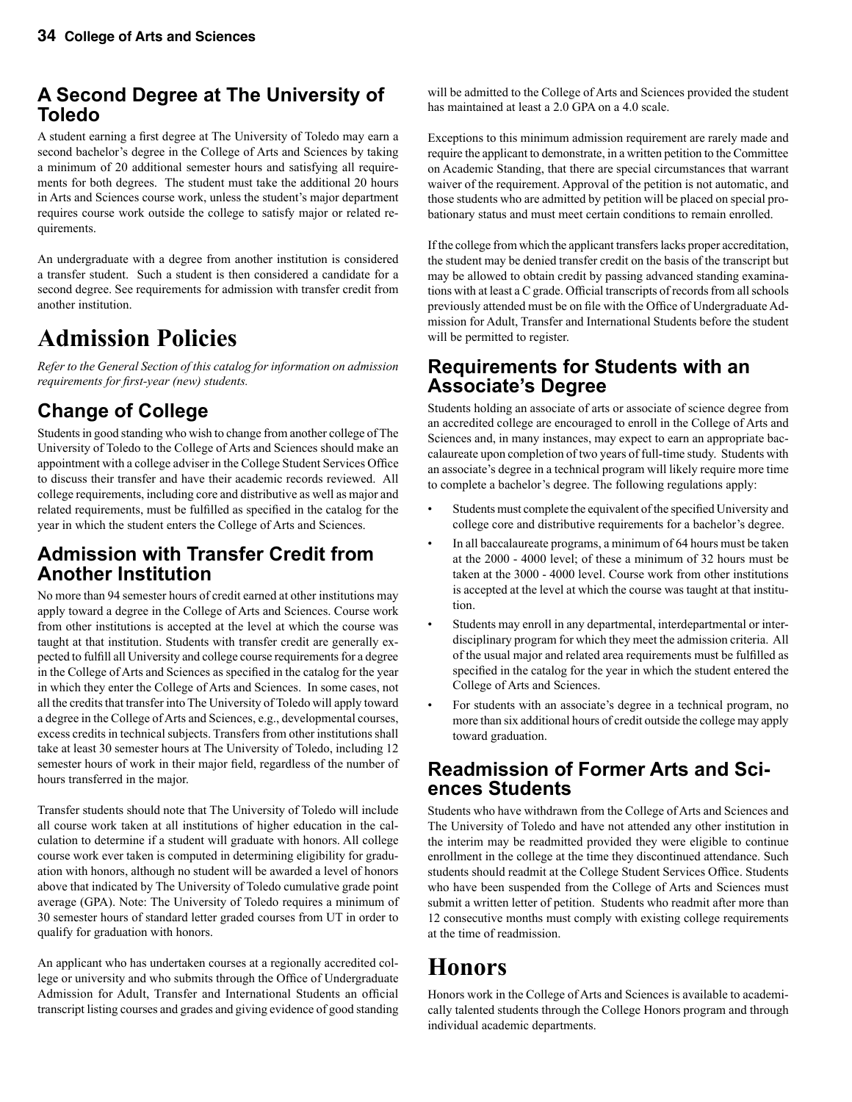# **A Second Degree at The University of Toledo**

A student earning a first degree at The University of Toledo may earn a second bachelor's degree in the College of Arts and Sciences by taking a minimum of 20 additional semester hours and satisfying all requirements for both degrees. The student must take the additional 20 hours in Arts and Sciences course work, unless the student's major department requires course work outside the college to satisfy major or related requirements.

An undergraduate with a degree from another institution is considered a transfer student. Such a student is then considered a candidate for a second degree. See requirements for admission with transfer credit from another institution.

# **Admission Policies**

*Refer to the General Section of this catalog for information on admission requirements for first-year (new) students.*

# **Change of College**

Students in good standing who wish to change from another college of The University of Toledo to the College of Arts and Sciences should make an appointment with a college adviser in the College Student Services Office to discuss their transfer and have their academic records reviewed. All college requirements, including core and distributive as well as major and related requirements, must be fulfilled as specified in the catalog for the year in which the student enters the College of Arts and Sciences.

# **Admission with Transfer Credit from Another Institution**

No more than 94 semester hours of credit earned at other institutions may apply toward a degree in the College of Arts and Sciences. Course work from other institutions is accepted at the level at which the course was taught at that institution. Students with transfer credit are generally expected to fulfill all University and college course requirements for a degree in the College of Arts and Sciences as specified in the catalog for the year in which they enter the College of Arts and Sciences. In some cases, not all the credits that transfer into The University of Toledo will apply toward a degree in the College of Arts and Sciences, e.g., developmental courses, excess credits in technical subjects. Transfers from other institutions shall take at least 30 semester hours at The University of Toledo, including 12 semester hours of work in their major field, regardless of the number of hours transferred in the major.

Transfer students should note that The University of Toledo will include all course work taken at all institutions of higher education in the calculation to determine if a student will graduate with honors. All college course work ever taken is computed in determining eligibility for graduation with honors, although no student will be awarded a level of honors above that indicated by The University of Toledo cumulative grade point average (GPA). Note: The University of Toledo requires a minimum of 30 semester hours of standard letter graded courses from UT in order to qualify for graduation with honors.

An applicant who has undertaken courses at a regionally accredited college or university and who submits through the Office of Undergraduate Admission for Adult, Transfer and International Students an official transcript listing courses and grades and giving evidence of good standing

will be admitted to the College of Arts and Sciences provided the student has maintained at least a 2.0 GPA on a 4.0 scale.

Exceptions to this minimum admission requirement are rarely made and require the applicant to demonstrate, in a written petition to the Committee on Academic Standing, that there are special circumstances that warrant waiver of the requirement. Approval of the petition is not automatic, and those students who are admitted by petition will be placed on special probationary status and must meet certain conditions to remain enrolled.

If the college from which the applicant transfers lacks proper accreditation, the student may be denied transfer credit on the basis of the transcript but may be allowed to obtain credit by passing advanced standing examinations with at least a C grade. Official transcripts of records from all schools previously attended must be on file with the Office of Undergraduate Admission for Adult, Transfer and International Students before the student will be permitted to register.

### **Requirements for Students with an Associate's Degree**

Students holding an associate of arts or associate of science degree from an accredited college are encouraged to enroll in the College of Arts and Sciences and, in many instances, may expect to earn an appropriate baccalaureate upon completion of two years of full-time study. Students with an associate's degree in a technical program will likely require more time to complete a bachelor's degree. The following regulations apply:

- Students must complete the equivalent of the specified University and college core and distributive requirements for a bachelor's degree.
- In all baccalaureate programs, a minimum of 64 hours must be taken at the 2000 - 4000 level; of these a minimum of 32 hours must be taken at the 3000 - 4000 level. Course work from other institutions is accepted at the level at which the course was taught at that institution.
- Students may enroll in any departmental, interdepartmental or interdisciplinary program for which they meet the admission criteria. All of the usual major and related area requirements must be fulfilled as specified in the catalog for the year in which the student entered the College of Arts and Sciences.
- For students with an associate's degree in a technical program, no more than six additional hours of credit outside the college may apply toward graduation.

### **Readmission of Former Arts and Sciences Students**

Students who have withdrawn from the College of Arts and Sciences and The University of Toledo and have not attended any other institution in the interim may be readmitted provided they were eligible to continue enrollment in the college at the time they discontinued attendance. Such students should readmit at the College Student Services Office. Students who have been suspended from the College of Arts and Sciences must submit a written letter of petition. Students who readmit after more than 12 consecutive months must comply with existing college requirements at the time of readmission.

# **Honors**

Honors work in the College of Arts and Sciences is available to academically talented students through the College Honors program and through individual academic departments.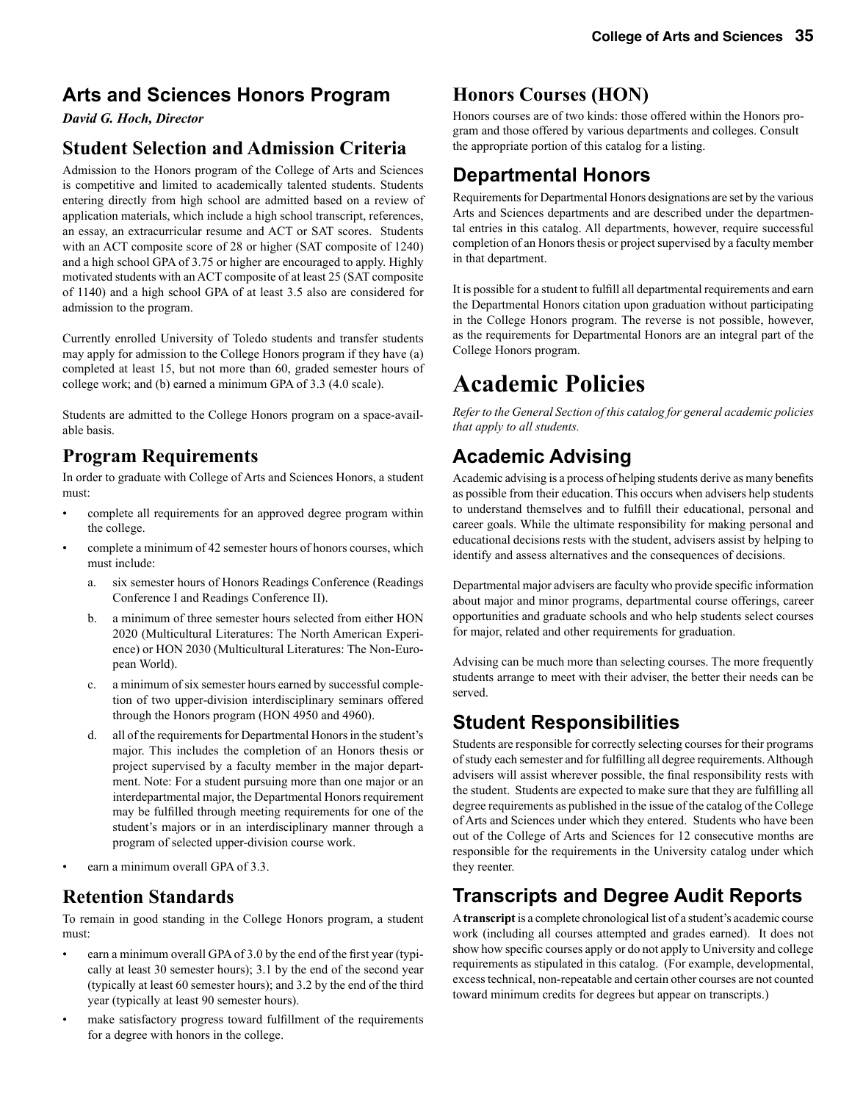# **Arts and Sciences Honors Program**

*David G. Hoch, Director*

# **Student Selection and Admission Criteria**

Admission to the Honors program of the College of Arts and Sciences is competitive and limited to academically talented students. Students entering directly from high school are admitted based on a review of application materials, which include a high school transcript, references, an essay, an extracurricular resume and ACT or SAT scores. Students with an ACT composite score of 28 or higher (SAT composite of 1240) and a high school GPA of 3.75 or higher are encouraged to apply. Highly motivated students with an ACT composite of at least 25 (SAT composite of 1140) and a high school GPA of at least 3.5 also are considered for admission to the program.

Currently enrolled University of Toledo students and transfer students may apply for admission to the College Honors program if they have (a) completed at least 15, but not more than 60, graded semester hours of college work; and (b) earned a minimum GPA of 3.3 (4.0 scale).

Students are admitted to the College Honors program on a space-available basis.

### **Program Requirements**

In order to graduate with College of Arts and Sciences Honors, a student must:

- complete all requirements for an approved degree program within the college.
- complete a minimum of 42 semester hours of honors courses, which must include:
	- a. six semester hours of Honors Readings Conference (Readings Conference I and Readings Conference II).
	- b. a minimum of three semester hours selected from either HON 2020 (Multicultural Literatures: The North American Experience) or HON 2030 (Multicultural Literatures: The Non-European World).
	- c. a minimum of six semester hours earned by successful completion of two upper-division interdisciplinary seminars offered through the Honors program (HON 4950 and 4960).
	- d. all of the requirements for Departmental Honors in the student's major. This includes the completion of an Honors thesis or project supervised by a faculty member in the major department. Note: For a student pursuing more than one major or an interdepartmental major, the Departmental Honors requirement may be fulfilled through meeting requirements for one of the student's majors or in an interdisciplinary manner through a program of selected upper-division course work.
- earn a minimum overall GPA of 3.3.

### **Retention Standards**

To remain in good standing in the College Honors program, a student must:

- earn a minimum overall GPA of 3.0 by the end of the first year (typically at least 30 semester hours); 3.1 by the end of the second year (typically at least 60 semester hours); and 3.2 by the end of the third year (typically at least 90 semester hours).
- make satisfactory progress toward fulfillment of the requirements for a degree with honors in the college.

# **Honors Courses (HON)**

Honors courses are of two kinds: those offered within the Honors program and those offered by various departments and colleges. Consult the appropriate portion of this catalog for a listing.

# **Departmental Honors**

Requirements for Departmental Honors designations are set by the various Arts and Sciences departments and are described under the departmental entries in this catalog. All departments, however, require successful completion of an Honors thesis or project supervised by a faculty member in that department.

It is possible for a student to fulfill all departmental requirements and earn the Departmental Honors citation upon graduation without participating in the College Honors program. The reverse is not possible, however, as the requirements for Departmental Honors are an integral part of the College Honors program.

# **Academic Policies**

*Refer to the General Section of this catalog for general academic policies that apply to all students.*

# **Academic Advising**

Academic advising is a process of helping students derive as many benefits as possible from their education. This occurs when advisers help students to understand themselves and to fulfill their educational, personal and career goals. While the ultimate responsibility for making personal and educational decisions rests with the student, advisers assist by helping to identify and assess alternatives and the consequences of decisions.

Departmental major advisers are faculty who provide specific information about major and minor programs, departmental course offerings, career opportunities and graduate schools and who help students select courses for major, related and other requirements for graduation.

Advising can be much more than selecting courses. The more frequently students arrange to meet with their adviser, the better their needs can be served.

# **Student Responsibilities**

Students are responsible for correctly selecting courses for their programs of study each semester and for fulfilling all degree requirements. Although advisers will assist wherever possible, the final responsibility rests with the student. Students are expected to make sure that they are fulfilling all degree requirements as published in the issue of the catalog of the College of Arts and Sciences under which they entered. Students who have been out of the College of Arts and Sciences for 12 consecutive months are responsible for the requirements in the University catalog under which they reenter.

# **Transcripts and Degree Audit Reports**

A **transcript** is a complete chronological list of a student's academic course work (including all courses attempted and grades earned). It does not show how specific courses apply or do not apply to University and college requirements as stipulated in this catalog. (For example, developmental, excess technical, non-repeatable and certain other courses are not counted toward minimum credits for degrees but appear on transcripts.)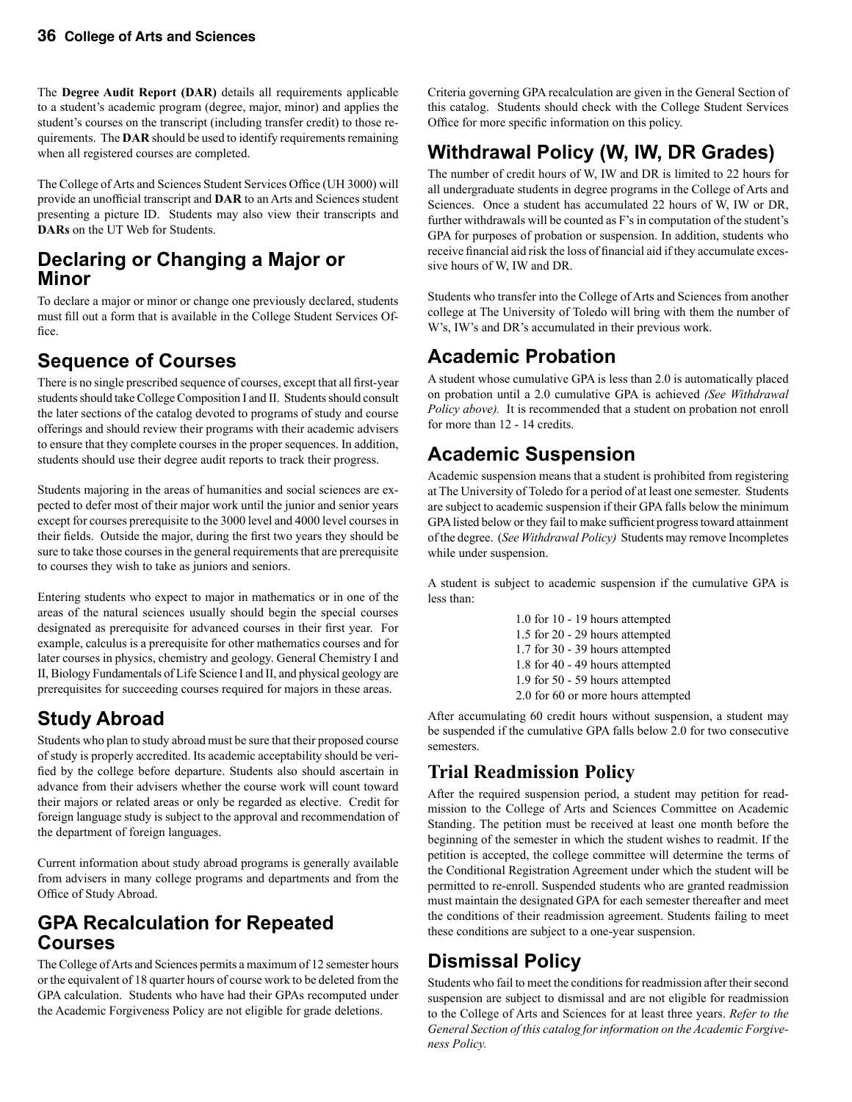The **Degree Audit Report (DAR)** details all requirements applicable to a student's academic program (degree, major, minor) and applies the student's courses on the transcript (including transfer credit) to those requirements. The **DAR** should be used to identify requirements remaining when all registered courses are completed.

The College of Arts and Sciences Student Services Office (UH 3000) will provide an unofficial transcript and **DAR** to an Arts and Sciences student presenting a picture ID. Students may also view their transcripts and **DARs** on the UT Web for Students.

# **Declaring or Changing a Major or Minor**

To declare a major or minor or change one previously declared, students must fill out a form that is available in the College Student Services Office.

# **Sequence of Courses**

There is no single prescribed sequence of courses, except that all first-year students should take College Composition I and II. Students should consult the later sections of the catalog devoted to programs of study and course offerings and should review their programs with their academic advisers to ensure that they complete courses in the proper sequences. In addition, students should use their degree audit reports to track their progress.

Students majoring in the areas of humanities and social sciences are expected to defer most of their major work until the junior and senior years except for courses prerequisite to the 3000 level and 4000 level courses in their fields. Outside the major, during the first two years they should be sure to take those courses in the general requirements that are prerequisite to courses they wish to take as juniors and seniors.

Entering students who expect to major in mathematics or in one of the areas of the natural sciences usually should begin the special courses designated as prerequisite for advanced courses in their first year. For example, calculus is a prerequisite for other mathematics courses and for later courses in physics, chemistry and geology. General Chemistry I and II, Biology Fundamentals of Life Science I and II, and physical geology are prerequisites for succeeding courses required for majors in these areas.

# **Study Abroad**

Students who plan to study abroad must be sure that their proposed course of study is properly accredited. Its academic acceptability should be verified by the college before departure. Students also should ascertain in advance from their advisers whether the course work will count toward their majors or related areas or only be regarded as elective. Credit for foreign language study is subject to the approval and recommendation of the department of foreign languages.

Current information about study abroad programs is generally available from advisers in many college programs and departments and from the Office of Study Abroad.

# **GPA Recalculation for Repeated Courses**

The College of Arts and Sciences permits a maximum of 12 semester hours or the equivalent of 18 quarter hours of course work to be deleted from the GPA calculation. Students who have had their GPAs recomputed under the Academic Forgiveness Policy are not eligible for grade deletions.

Criteria governing GPA recalculation are given in the General Section of this catalog. Students should check with the College Student Services Office for more specific information on this policy.

# **Withdrawal Policy (W, IW, DR Grades)**

The number of credit hours of W, IW and DR is limited to 22 hours for all undergraduate students in degree programs in the College of Arts and Sciences. Once a student has accumulated 22 hours of W, IW or DR, further withdrawals will be counted as F's in computation of the student's GPA for purposes of probation or suspension. In addition, students who receive financial aid risk the loss of financial aid if they accumulate excessive hours of W, IW and DR.

Students who transfer into the College of Arts and Sciences from another college at The University of Toledo will bring with them the number of W's, IW's and DR's accumulated in their previous work.

# **Academic Probation**

A student whose cumulative GPA is less than 2.0 is automatically placed on probation until a 2.0 cumulative GPA is achieved *(See Withdrawal Policy above).* It is recommended that a student on probation not enroll for more than 12 - 14 credits.

# **Academic Suspension**

Academic suspension means that a student is prohibited from registering at The University of Toledo for a period of at least one semester. Students are subject to academic suspension if their GPA falls below the minimum GPA listed below or they fail to make sufficient progress toward attainment of the degree. (*See Withdrawal Policy)* Students may remove Incompletes while under suspension.

A student is subject to academic suspension if the cumulative GPA is less than:

> 1.0 for 10 - 19 hours attempted 1.5 for 20 - 29 hours attempted 1.7 for 30 - 39 hours attempted 1.8 for 40 - 49 hours attempted 1.9 for 50 - 59 hours attempted 2.0 for 60 or more hours attempted

After accumulating 60 credit hours without suspension, a student may be suspended if the cumulative GPA falls below 2.0 for two consecutive semesters.

# **Trial Readmission Policy**

After the required suspension period, a student may petition for readmission to the College of Arts and Sciences Committee on Academic Standing. The petition must be received at least one month before the beginning of the semester in which the student wishes to readmit. If the petition is accepted, the college committee will determine the terms of the Conditional Registration Agreement under which the student will be permitted to re-enroll. Suspended students who are granted readmission must maintain the designated GPA for each semester thereafter and meet the conditions of their readmission agreement. Students failing to meet these conditions are subject to a one-year suspension.

# **Dismissal Policy**

Students who fail to meet the conditions for readmission after their second suspension are subject to dismissal and are not eligible for readmission to the College of Arts and Sciences for at least three years. *Refer to the General Section of this catalog for information on the Academic Forgiveness Policy.*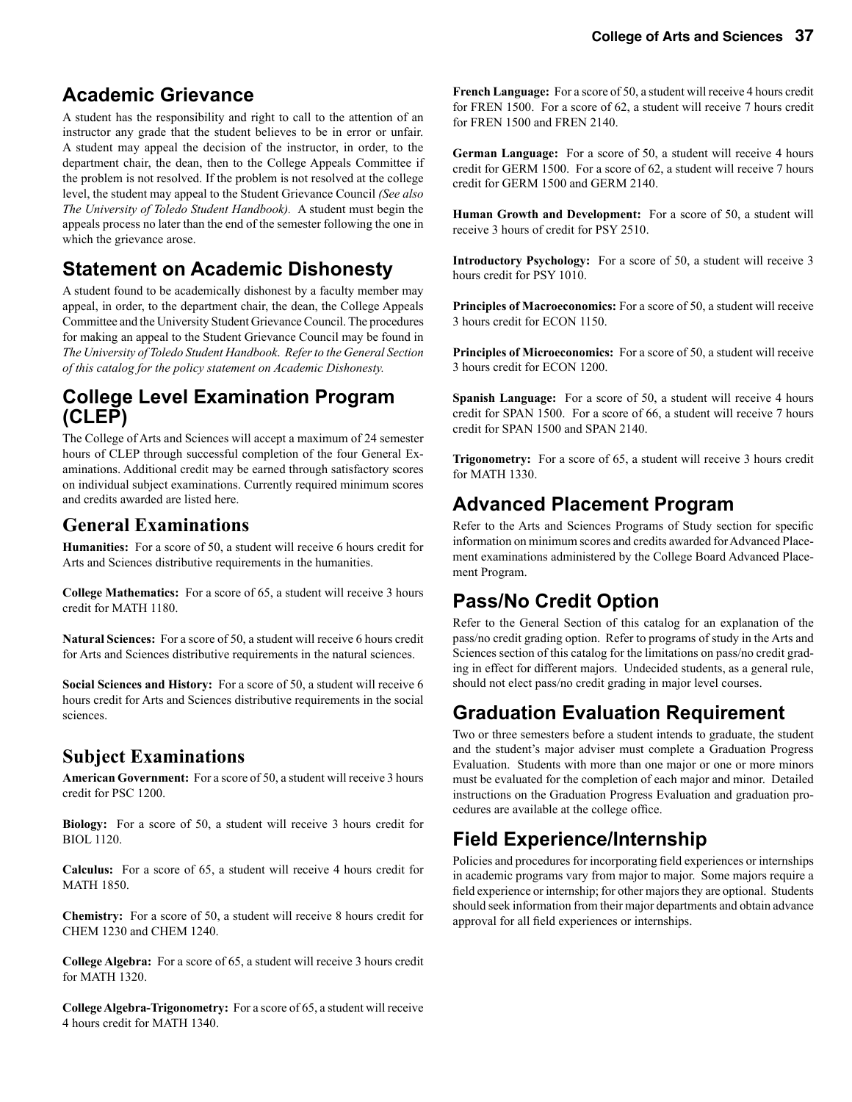# **Academic Grievance**

A student has the responsibility and right to call to the attention of an instructor any grade that the student believes to be in error or unfair. A student may appeal the decision of the instructor, in order, to the department chair, the dean, then to the College Appeals Committee if the problem is not resolved. If the problem is not resolved at the college level, the student may appeal to the Student Grievance Council *(See also The University of Toledo Student Handbook).* A student must begin the appeals process no later than the end of the semester following the one in which the grievance arose.

# **Statement on Academic Dishonesty**

A student found to be academically dishonest by a faculty member may appeal, in order, to the department chair, the dean, the College Appeals Committee and the University Student Grievance Council. The procedures for making an appeal to the Student Grievance Council may be found in *The University of Toledo Student Handbook*. *Refer to the General Section of this catalog for the policy statement on Academic Dishonesty.*

# **College Level Examination Program (CLEP)**

The College of Arts and Sciences will accept a maximum of 24 semester hours of CLEP through successful completion of the four General Examinations. Additional credit may be earned through satisfactory scores on individual subject examinations. Currently required minimum scores and credits awarded are listed here.

# **General Examinations**

**Humanities:** For a score of 50, a student will receive 6 hours credit for Arts and Sciences distributive requirements in the humanities.

**College Mathematics:** For a score of 65, a student will receive 3 hours credit for MATH 1180.

**Natural Sciences:** For a score of 50, a student will receive 6 hours credit for Arts and Sciences distributive requirements in the natural sciences.

**Social Sciences and History:** For a score of 50, a student will receive 6 hours credit for Arts and Sciences distributive requirements in the social sciences.

# **Subject Examinations**

**American Government:** For a score of 50, a student will receive 3 hours credit for PSC 1200.

**Biology:** For a score of 50, a student will receive 3 hours credit for BIOL 1120.

**Calculus:** For a score of 65, a student will receive 4 hours credit for MATH 1850.

**Chemistry:** For a score of 50, a student will receive 8 hours credit for CHEM 1230 and CHEM 1240.

**College Algebra:** For a score of 65, a student will receive 3 hours credit for MATH 1320.

**College Algebra-Trigonometry:** For a score of 65, a student will receive 4 hours credit for MATH 1340.

**French Language:** For a score of 50, a student will receive 4 hours credit for FREN 1500. For a score of 62, a student will receive 7 hours credit for FREN 1500 and FREN 2140.

**German Language:** For a score of 50, a student will receive 4 hours credit for GERM 1500. For a score of 62, a student will receive 7 hours credit for GERM 1500 and GERM 2140.

**Human Growth and Development:** For a score of 50, a student will receive 3 hours of credit for PSY 2510.

**Introductory Psychology:** For a score of 50, a student will receive 3 hours credit for PSY 1010.

**Principles of Macroeconomics:** For a score of 50, a student will receive 3 hours credit for ECON 1150.

**Principles of Microeconomics:** For a score of 50, a student will receive 3 hours credit for ECON 1200.

**Spanish Language:** For a score of 50, a student will receive 4 hours credit for SPAN 1500. For a score of 66, a student will receive 7 hours credit for SPAN 1500 and SPAN 2140.

**Trigonometry:** For a score of 65, a student will receive 3 hours credit for MATH 1330.

# **Advanced Placement Program**

Refer to the Arts and Sciences Programs of Study section for specific information on minimum scores and credits awarded for Advanced Placement examinations administered by the College Board Advanced Placement Program.

# **Pass/No Credit Option**

Refer to the General Section of this catalog for an explanation of the pass/no credit grading option. Refer to programs of study in the Arts and Sciences section of this catalog for the limitations on pass/no credit grading in effect for different majors. Undecided students, as a general rule, should not elect pass/no credit grading in major level courses.

# **Graduation Evaluation Requirement**

Two or three semesters before a student intends to graduate, the student and the student's major adviser must complete a Graduation Progress Evaluation. Students with more than one major or one or more minors must be evaluated for the completion of each major and minor. Detailed instructions on the Graduation Progress Evaluation and graduation procedures are available at the college office.

# **Field Experience/Internship**

Policies and procedures for incorporating field experiences or internships in academic programs vary from major to major. Some majors require a field experience or internship; for other majors they are optional. Students should seek information from their major departments and obtain advance approval for all field experiences or internships.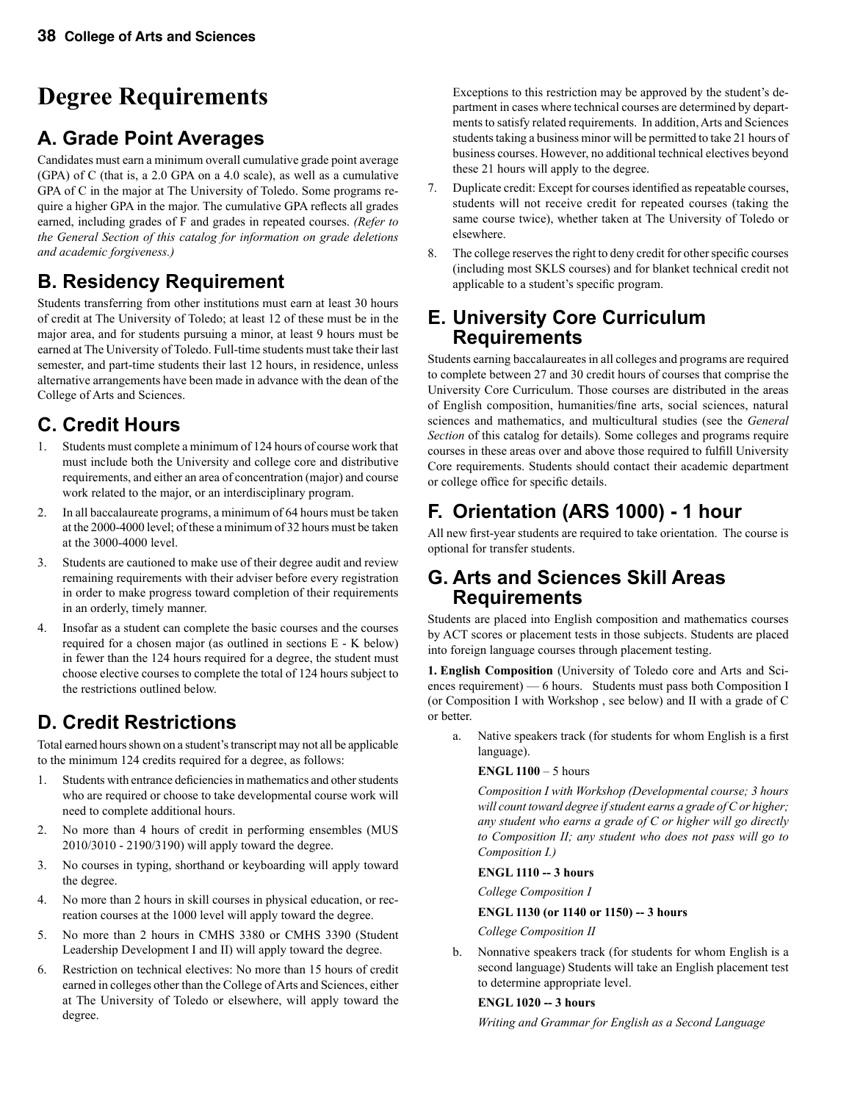# **Degree Requirements**

# **A. Grade Point Averages**

Candidates must earn a minimum overall cumulative grade point average (GPA) of C (that is, a 2.0 GPA on a 4.0 scale), as well as a cumulative GPA of C in the major at The University of Toledo. Some programs require a higher GPA in the major. The cumulative GPA reflects all grades earned, including grades of F and grades in repeated courses. *(Refer to the General Section of this catalog for information on grade deletions and academic forgiveness.)*

# **B. Residency Requirement**

Students transferring from other institutions must earn at least 30 hours of credit at The University of Toledo; at least 12 of these must be in the major area, and for students pursuing a minor, at least 9 hours must be earned at The University of Toledo. Full-time students must take their last semester, and part-time students their last 12 hours, in residence, unless alternative arrangements have been made in advance with the dean of the College of Arts and Sciences.

# **C. Credit Hours**

- 1. Students must complete a minimum of 124 hours of course work that must include both the University and college core and distributive requirements, and either an area of concentration (major) and course work related to the major, or an interdisciplinary program.
- 2. In all baccalaureate programs, a minimum of 64 hours must be taken at the 2000-4000 level; of these a minimum of 32 hours must be taken at the 3000-4000 level.
- 3. Students are cautioned to make use of their degree audit and review remaining requirements with their adviser before every registration in order to make progress toward completion of their requirements in an orderly, timely manner.
- 4. Insofar as a student can complete the basic courses and the courses required for a chosen major (as outlined in sections E - K below) in fewer than the 124 hours required for a degree, the student must choose elective courses to complete the total of 124 hours subject to the restrictions outlined below.

# **D. Credit Restrictions**

Total earned hours shown on a student's transcript may not all be applicable to the minimum 124 credits required for a degree, as follows:

- 1. Students with entrance deficiencies in mathematics and other students who are required or choose to take developmental course work will need to complete additional hours.
- 2. No more than 4 hours of credit in performing ensembles (MUS 2010/3010 - 2190/3190) will apply toward the degree.
- 3. No courses in typing, shorthand or keyboarding will apply toward the degree.
- 4. No more than 2 hours in skill courses in physical education, or recreation courses at the 1000 level will apply toward the degree.
- 5. No more than 2 hours in CMHS 3380 or CMHS 3390 (Student Leadership Development I and II) will apply toward the degree.
- 6. Restriction on technical electives: No more than 15 hours of credit earned in colleges other than the College of Arts and Sciences, either at The University of Toledo or elsewhere, will apply toward the degree.

Exceptions to this restriction may be approved by the student's department in cases where technical courses are determined by departments to satisfy related requirements. In addition, Arts and Sciences students taking a business minor will be permitted to take 21 hours of business courses. However, no additional technical electives beyond these 21 hours will apply to the degree.

- 7. Duplicate credit: Except for courses identified as repeatable courses, students will not receive credit for repeated courses (taking the same course twice), whether taken at The University of Toledo or elsewhere.
- 8. The college reserves the right to deny credit for other specific courses (including most SKLS courses) and for blanket technical credit not applicable to a student's specific program.

### **E. University Core Curriculum Requirements**

Students earning baccalaureates in all colleges and programs are required to complete between 27 and 30 credit hours of courses that comprise the University Core Curriculum. Those courses are distributed in the areas of English composition, humanities/fine arts, social sciences, natural sciences and mathematics, and multicultural studies (see the *General Section* of this catalog for details). Some colleges and programs require courses in these areas over and above those required to fulfill University Core requirements. Students should contact their academic department or college office for specific details.

# **F. Orientation (ARS 1000) - 1 hour**

All new first-year students are required to take orientation. The course is optional for transfer students.

### **G. Arts and Sciences Skill Areas Requirements**

Students are placed into English composition and mathematics courses by ACT scores or placement tests in those subjects. Students are placed into foreign language courses through placement testing.

**1. English Composition** (University of Toledo core and Arts and Sciences requirement) — 6 hours. Students must pass both Composition I (or Composition I with Workshop , see below) and II with a grade of C or better.

a. Native speakers track (for students for whom English is a first language).

**ENGL 1100** – 5 hours

 *Composition I with Workshop (Developmental course; 3 hours will count toward degree if student earns a grade of C or higher; any student who earns a grade of C or higher will go directly to Composition II; any student who does not pass will go to Composition I.)*

#### **ENGL 1110 -- 3 hours**

*College Composition I*

#### **ENGL 1130 (or 1140 or 1150) -- 3 hours**

*College Composition II*

b. Nonnative speakers track (for students for whom English is a second language) Students will take an English placement test to determine appropriate level.

#### **ENGL 1020 -- 3 hours**

*Writing and Grammar for English as a Second Language*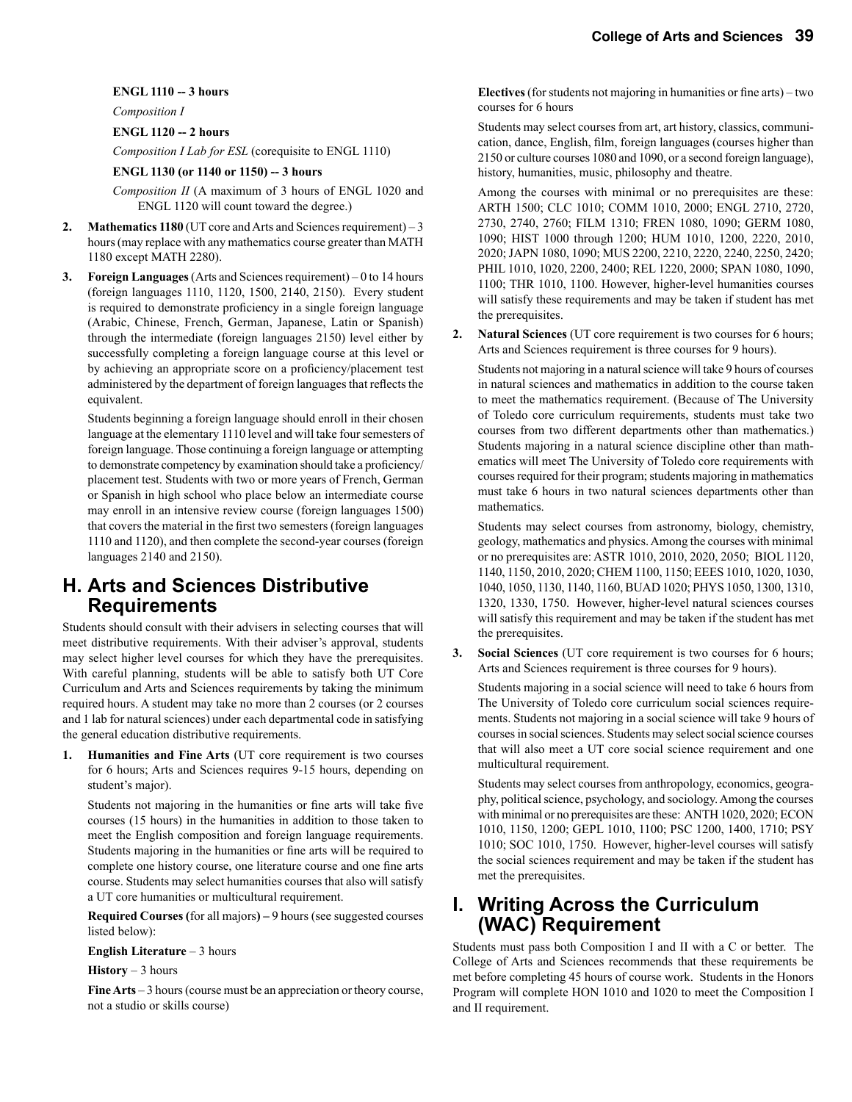#### **ENGL 1110 -- 3 hours**

*Composition I* 

#### **ENGL 1120 -- 2 hours**

*Composition I Lab for ESL* (corequisite to ENGL 1110)

#### **ENGL 1130 (or 1140 or 1150) -- 3 hours**

*Composition II* (A maximum of 3 hours of ENGL 1020 and ENGL 1120 will count toward the degree.)

- **2. Mathematics 1180** (UT core and Arts and Sciences requirement) 3 hours (may replace with any mathematics course greater than MATH 1180 except MATH 2280).
- **3. Foreign Languages** (Arts and Sciences requirement) 0 to 14 hours (foreign languages 1110, 1120, 1500, 2140, 2150). Every student is required to demonstrate proficiency in a single foreign language (Arabic, Chinese, French, German, Japanese, Latin or Spanish) through the intermediate (foreign languages 2150) level either by successfully completing a foreign language course at this level or by achieving an appropriate score on a proficiency/placement test administered by the department of foreign languages that reflects the equivalent.

 Students beginning a foreign language should enroll in their chosen language at the elementary 1110 level and will take four semesters of foreign language. Those continuing a foreign language or attempting to demonstrate competency by examination should take a proficiency/ placement test. Students with two or more years of French, German or Spanish in high school who place below an intermediate course may enroll in an intensive review course (foreign languages 1500) that covers the material in the first two semesters (foreign languages 1110 and 1120), and then complete the second-year courses (foreign languages 2140 and 2150).

### **H. Arts and Sciences Distributive Requirements**

Students should consult with their advisers in selecting courses that will meet distributive requirements. With their adviser's approval, students may select higher level courses for which they have the prerequisites. With careful planning, students will be able to satisfy both UT Core Curriculum and Arts and Sciences requirements by taking the minimum required hours. A student may take no more than 2 courses (or 2 courses and 1 lab for natural sciences) under each departmental code in satisfying the general education distributive requirements.

**1. Humanities and Fine Arts** (UT core requirement is two courses for 6 hours; Arts and Sciences requires 9-15 hours, depending on student's major).

 Students not majoring in the humanities or fine arts will take five courses (15 hours) in the humanities in addition to those taken to meet the English composition and foreign language requirements. Students majoring in the humanities or fine arts will be required to complete one history course, one literature course and one fine arts course. Students may select humanities courses that also will satisfy a UT core humanities or multicultural requirement.

 **Required Courses (**for all majors**) –** 9 hours (see suggested courses listed below):

 **English Literature** – 3 hours

 **History** – 3 hours

 **Fine Arts** – 3 hours (course must be an appreciation or theory course, not a studio or skills course)

 **Electives** (for students not majoring in humanities or fine arts) – two courses for 6 hours

 Students may select courses from art, art history, classics, communication, dance, English, film, foreign languages (courses higher than 2150 or culture courses 1080 and 1090, or a second foreign language), history, humanities, music, philosophy and theatre.

 Among the courses with minimal or no prerequisites are these: ARTH 1500; CLC 1010; COMM 1010, 2000; ENGL 2710, 2720, 2730, 2740, 2760; FILM 1310; FREN 1080, 1090; GERM 1080, 1090; HIST 1000 through 1200; HUM 1010, 1200, 2220, 2010, 2020; JAPN 1080, 1090; MUS 2200, 2210, 2220, 2240, 2250, 2420; PHIL 1010, 1020, 2200, 2400; REL 1220, 2000; SPAN 1080, 1090, 1100; THR 1010, 1100. However, higher-level humanities courses will satisfy these requirements and may be taken if student has met the prerequisites.

**2. Natural Sciences** (UT core requirement is two courses for 6 hours; Arts and Sciences requirement is three courses for 9 hours).

Students not majoring in a natural science will take 9 hours of courses in natural sciences and mathematics in addition to the course taken to meet the mathematics requirement. (Because of The University of Toledo core curriculum requirements, students must take two courses from two different departments other than mathematics.) Students majoring in a natural science discipline other than mathematics will meet The University of Toledo core requirements with courses required for their program; students majoring in mathematics must take 6 hours in two natural sciences departments other than mathematics.

Students may select courses from astronomy, biology, chemistry, geology, mathematics and physics. Among the courses with minimal or no prerequisites are: ASTR 1010, 2010, 2020, 2050; BIOL 1120, 1140, 1150, 2010, 2020; CHEM 1100, 1150; EEES 1010, 1020, 1030, 1040, 1050, 1130, 1140, 1160, BUAD 1020; PHYS 1050, 1300, 1310, 1320, 1330, 1750. However, higher-level natural sciences courses will satisfy this requirement and may be taken if the student has met the prerequisites.

**3. Social Sciences** (UT core requirement is two courses for 6 hours; Arts and Sciences requirement is three courses for 9 hours).

Students majoring in a social science will need to take 6 hours from The University of Toledo core curriculum social sciences requirements. Students not majoring in a social science will take 9 hours of courses in social sciences. Students may select social science courses that will also meet a UT core social science requirement and one multicultural requirement.

Students may select courses from anthropology, economics, geography, political science, psychology, and sociology. Among the courses with minimal or no prerequisites are these: ANTH 1020, 2020; ECON 1010, 1150, 1200; GEPL 1010, 1100; PSC 1200, 1400, 1710; PSY 1010; SOC 1010, 1750. However, higher-level courses will satisfy the social sciences requirement and may be taken if the student has met the prerequisites.

### **I. Writing Across the Curriculum (WAC) Requirement**

Students must pass both Composition I and II with a C or better. The College of Arts and Sciences recommends that these requirements be met before completing 45 hours of course work. Students in the Honors Program will complete HON 1010 and 1020 to meet the Composition I and II requirement.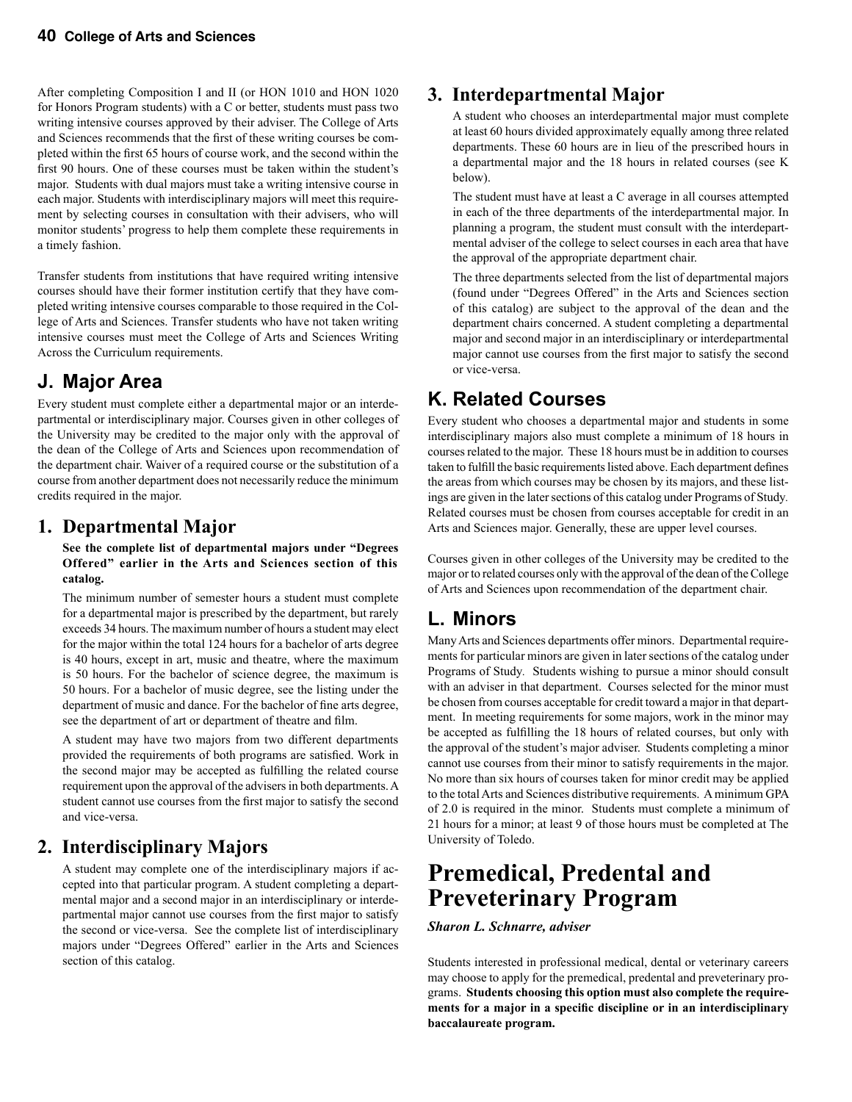After completing Composition I and II (or HON 1010 and HON 1020 for Honors Program students) with a C or better, students must pass two writing intensive courses approved by their adviser. The College of Arts and Sciences recommends that the first of these writing courses be completed within the first 65 hours of course work, and the second within the first 90 hours. One of these courses must be taken within the student's major. Students with dual majors must take a writing intensive course in each major. Students with interdisciplinary majors will meet this requirement by selecting courses in consultation with their advisers, who will monitor students' progress to help them complete these requirements in a timely fashion.

Transfer students from institutions that have required writing intensive courses should have their former institution certify that they have completed writing intensive courses comparable to those required in the College of Arts and Sciences. Transfer students who have not taken writing intensive courses must meet the College of Arts and Sciences Writing Across the Curriculum requirements.

# **J. Major Area**

Every student must complete either a departmental major or an interdepartmental or interdisciplinary major. Courses given in other colleges of the University may be credited to the major only with the approval of the dean of the College of Arts and Sciences upon recommendation of the department chair. Waiver of a required course or the substitution of a course from another department does not necessarily reduce the minimum credits required in the major.

# **1. Departmental Major**

 **See the complete list of departmental majors under "Degrees Offered" earlier in the Arts and Sciences section of this catalog.**

The minimum number of semester hours a student must complete for a departmental major is prescribed by the department, but rarely exceeds 34 hours. The maximum number of hours a student may elect for the major within the total 124 hours for a bachelor of arts degree is 40 hours, except in art, music and theatre, where the maximum is 50 hours. For the bachelor of science degree, the maximum is 50 hours. For a bachelor of music degree, see the listing under the department of music and dance. For the bachelor of fine arts degree, see the department of art or department of theatre and film.

 A student may have two majors from two different departments provided the requirements of both programs are satisfied. Work in the second major may be accepted as fulfilling the related course requirement upon the approval of the advisers in both departments. A student cannot use courses from the first major to satisfy the second and vice-versa.

# **2. Interdisciplinary Majors**

A student may complete one of the interdisciplinary majors if accepted into that particular program. A student completing a departmental major and a second major in an interdisciplinary or interdepartmental major cannot use courses from the first major to satisfy the second or vice-versa. See the complete list of interdisciplinary majors under "Degrees Offered" earlier in the Arts and Sciences section of this catalog.

# **3. Interdepartmental Major**

A student who chooses an interdepartmental major must complete at least 60 hours divided approximately equally among three related departments. These 60 hours are in lieu of the prescribed hours in a departmental major and the 18 hours in related courses (see K below).

The student must have at least a C average in all courses attempted in each of the three departments of the interdepartmental major. In planning a program, the student must consult with the interdepartmental adviser of the college to select courses in each area that have the approval of the appropriate department chair.

The three departments selected from the list of departmental majors (found under "Degrees Offered" in the Arts and Sciences section of this catalog) are subject to the approval of the dean and the department chairs concerned. A student completing a departmental major and second major in an interdisciplinary or interdepartmental major cannot use courses from the first major to satisfy the second or vice-versa.

# **K. Related Courses**

Every student who chooses a departmental major and students in some interdisciplinary majors also must complete a minimum of 18 hours in courses related to the major. These 18 hours must be in addition to courses taken to fulfill the basic requirements listed above. Each department defines the areas from which courses may be chosen by its majors, and these listings are given in the later sections of this catalog under Programs of Study*.* Related courses must be chosen from courses acceptable for credit in an Arts and Sciences major. Generally, these are upper level courses.

Courses given in other colleges of the University may be credited to the major or to related courses only with the approval of the dean of the College of Arts and Sciences upon recommendation of the department chair.

# **L. Minors**

Many Arts and Sciences departments offer minors. Departmental requirements for particular minors are given in later sections of the catalog under Programs of Study*.* Students wishing to pursue a minor should consult with an adviser in that department. Courses selected for the minor must be chosen from courses acceptable for credit toward a major in that department. In meeting requirements for some majors, work in the minor may be accepted as fulfilling the 18 hours of related courses, but only with the approval of the student's major adviser. Students completing a minor cannot use courses from their minor to satisfy requirements in the major. No more than six hours of courses taken for minor credit may be applied to the total Arts and Sciences distributive requirements. A minimum GPA of 2.0 is required in the minor. Students must complete a minimum of 21 hours for a minor; at least 9 of those hours must be completed at The University of Toledo.

# **Premedical, Predental and Preveterinary Program**

*Sharon L. Schnarre, adviser*

Students interested in professional medical, dental or veterinary careers may choose to apply for the premedical, predental and preveterinary programs. **Students choosing this option must also complete the requirements for a major in a specific discipline or in an interdisciplinary baccalaureate program.**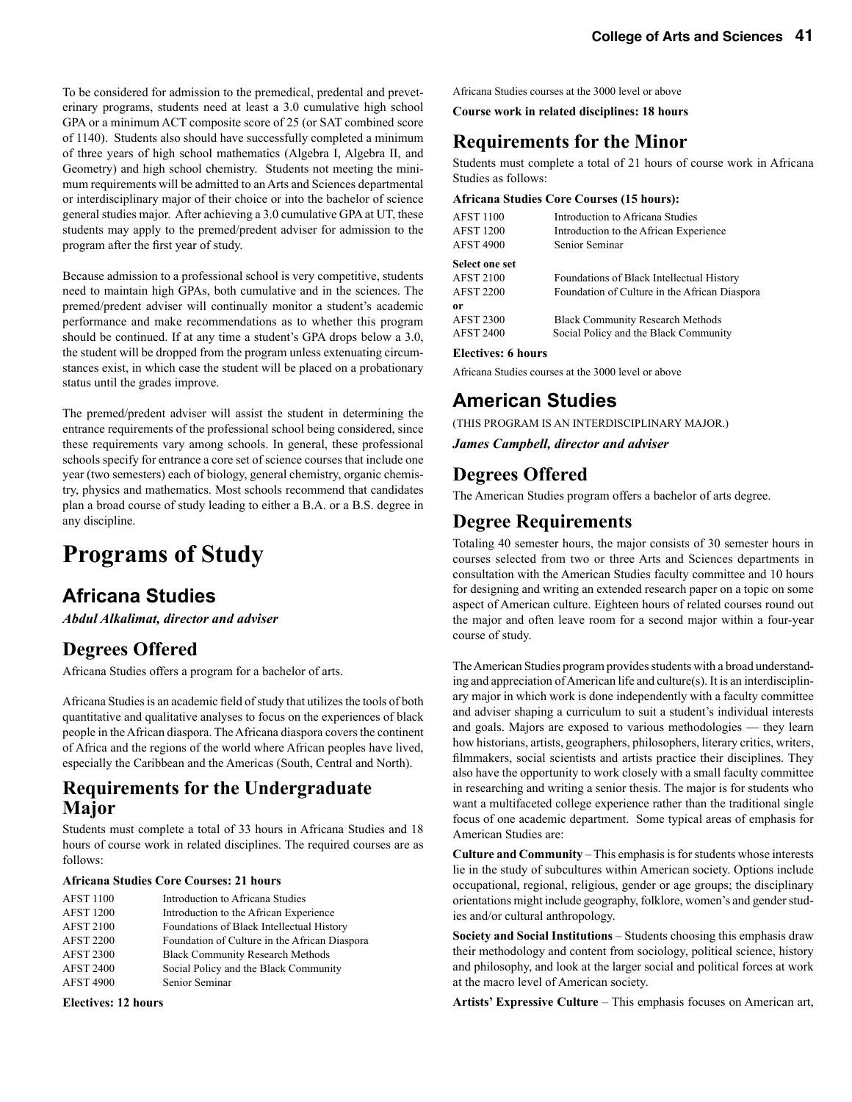To be considered for admission to the premedical, predental and preveterinary programs, students need at least a 3.0 cumulative high school GPA or a minimum ACT composite score of 25 (or SAT combined score of 1140). Students also should have successfully completed a minimum of three years of high school mathematics (Algebra I, Algebra II, and Geometry) and high school chemistry. Students not meeting the minimum requirements will be admitted to an Arts and Sciences departmental or interdisciplinary major of their choice or into the bachelor of science general studies major. After achieving a 3.0 cumulative GPA at UT, these students may apply to the premed/predent adviser for admission to the program after the first year of study.

Because admission to a professional school is very competitive, students need to maintain high GPAs, both cumulative and in the sciences. The premed/predent adviser will continually monitor a student's academic performance and make recommendations as to whether this program should be continued. If at any time a student's GPA drops below a 3.0, the student will be dropped from the program unless extenuating circumstances exist, in which case the student will be placed on a probationary status until the grades improve.

The premed/predent adviser will assist the student in determining the entrance requirements of the professional school being considered, since these requirements vary among schools. In general, these professional schools specify for entrance a core set of science courses that include one year (two semesters) each of biology, general chemistry, organic chemistry, physics and mathematics. Most schools recommend that candidates plan a broad course of study leading to either a B.A. or a B.S. degree in any discipline.

# **Programs of Study**

# **Africana Studies**

*Abdul Alkalimat, director and adviser*

# **Degrees Offered**

Africana Studies offers a program for a bachelor of arts.

Africana Studies is an academic field of study that utilizes the tools of both quantitative and qualitative analyses to focus on the experiences of black people in the African diaspora. The Africana diaspora covers the continent of Africa and the regions of the world where African peoples have lived, especially the Caribbean and the Americas (South, Central and North).

### **Requirements for the Undergraduate Major**

Students must complete a total of 33 hours in Africana Studies and 18 hours of course work in related disciplines. The required courses are as follows:

#### **Africana Studies Core Courses: 21 hours**

| <b>AFST 1100</b> | Introduction to Africana Studies              |
|------------------|-----------------------------------------------|
| <b>AFST 1200</b> | Introduction to the African Experience        |
| <b>AFST 2100</b> | Foundations of Black Intellectual History     |
| <b>AFST 2200</b> | Foundation of Culture in the African Diaspora |
| <b>AFST 2300</b> | <b>Black Community Research Methods</b>       |
| <b>AFST 2400</b> | Social Policy and the Black Community         |
| <b>AFST 4900</b> | Senior Seminar                                |

**Electives: 12 hours**

Africana Studies courses at the 3000 level or above

**Course work in related disciplines: 18 hours**

### **Requirements for the Minor**

Students must complete a total of 21 hours of course work in Africana Studies as follows:

#### **Africana Studies Core Courses (15 hours):**

| <b>AFST 1100</b>      | Introduction to Africana Studies              |  |
|-----------------------|-----------------------------------------------|--|
| <b>AFST 1200</b>      | Introduction to the African Experience        |  |
| <b>AFST 4900</b>      | Senior Seminar                                |  |
| <b>Select one set</b> |                                               |  |
| <b>AFST 2100</b>      | Foundations of Black Intellectual History     |  |
| <b>AFST 2200</b>      | Foundation of Culture in the African Diaspora |  |
| 0r                    |                                               |  |
| <b>AFST 2300</b>      | <b>Black Community Research Methods</b>       |  |
| <b>AFST 2400</b>      | Social Policy and the Black Community         |  |
|                       |                                               |  |

#### **Electives: 6 hours**

Africana Studies courses at the 3000 level or above

# **American Studies**

(THIS PROGRAM IS AN INTERDISCIPLINARY MAJOR.)

*James Campbell, director and adviser*

# **Degrees Offered**

The American Studies program offers a bachelor of arts degree.

# **Degree Requirements**

Totaling 40 semester hours, the major consists of 30 semester hours in courses selected from two or three Arts and Sciences departments in consultation with the American Studies faculty committee and 10 hours for designing and writing an extended research paper on a topic on some aspect of American culture. Eighteen hours of related courses round out the major and often leave room for a second major within a four-year course of study.

The American Studies program provides students with a broad understanding and appreciation of American life and culture(s). It is an interdisciplinary major in which work is done independently with a faculty committee and adviser shaping a curriculum to suit a student's individual interests and goals. Majors are exposed to various methodologies — they learn how historians, artists, geographers, philosophers, literary critics, writers, filmmakers, social scientists and artists practice their disciplines. They also have the opportunity to work closely with a small faculty committee in researching and writing a senior thesis. The major is for students who want a multifaceted college experience rather than the traditional single focus of one academic department. Some typical areas of emphasis for American Studies are:

**Culture and Community** – This emphasis is for students whose interests lie in the study of subcultures within American society. Options include occupational, regional, religious, gender or age groups; the disciplinary orientations might include geography, folklore, women's and gender studies and/or cultural anthropology.

**Society and Social Institutions** – Students choosing this emphasis draw their methodology and content from sociology, political science, history and philosophy, and look at the larger social and political forces at work at the macro level of American society.

**Artists' Expressive Culture** – This emphasis focuses on American art,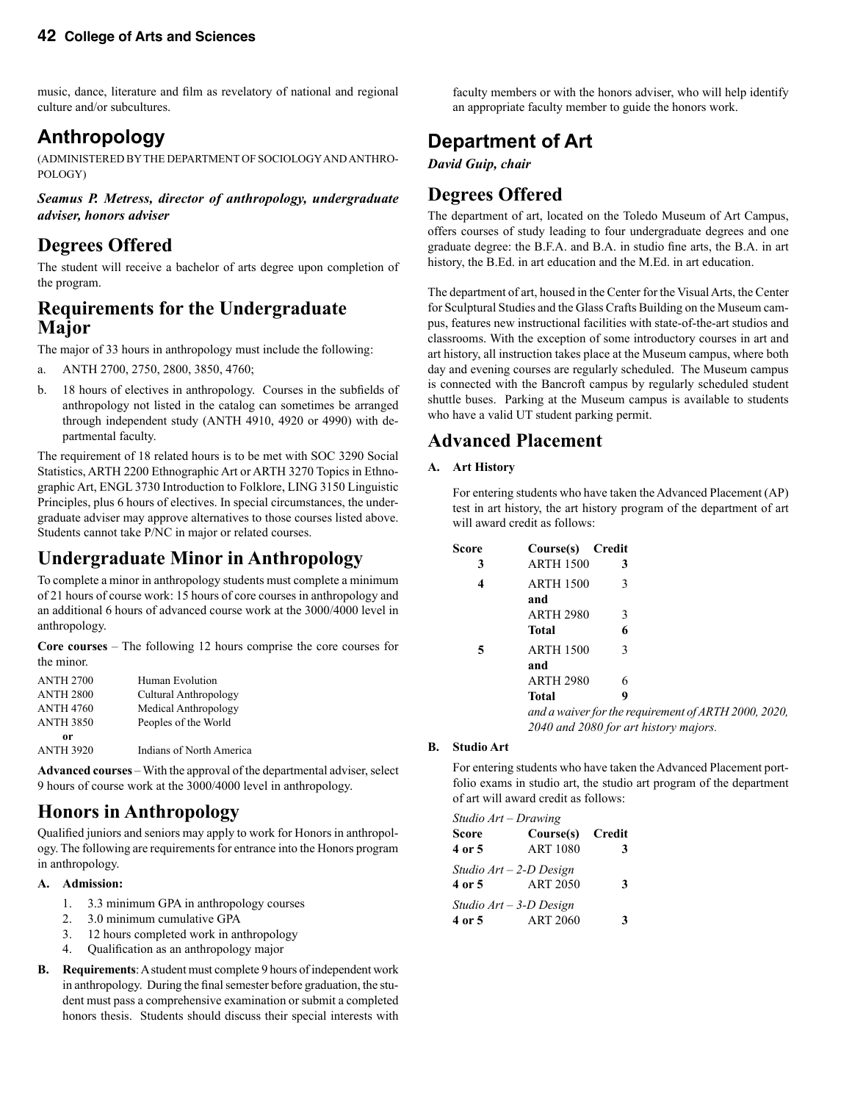music, dance, literature and film as revelatory of national and regional culture and/or subcultures.

# **Anthropology**

(ADMINISTERED BY THE DEPARTMENT OF SOCIOLOGY AND ANTHRO-POLOGY)

*Seamus P. Metress, director of anthropology, undergraduate adviser, honors adviser*

# **Degrees Offered**

The student will receive a bachelor of arts degree upon completion of the program.

### **Requirements for the Undergraduate Major**

The major of 33 hours in anthropology must include the following:

- a. ANTH 2700, 2750, 2800, 3850, 4760;
- b. 18 hours of electives in anthropology. Courses in the subfields of anthropology not listed in the catalog can sometimes be arranged through independent study (ANTH 4910, 4920 or 4990) with departmental faculty.

The requirement of 18 related hours is to be met with SOC 3290 Social Statistics, ARTH 2200 Ethnographic Art or ARTH 3270 Topics in Ethnographic Art, ENGL 3730 Introduction to Folklore, LING 3150 Linguistic Principles, plus 6 hours of electives. In special circumstances, the undergraduate adviser may approve alternatives to those courses listed above. Students cannot take P/NC in major or related courses.

# **Undergraduate Minor in Anthropology**

To complete a minor in anthropology students must complete a minimum of 21 hours of course work: 15 hours of core courses in anthropology and an additional 6 hours of advanced course work at the 3000/4000 level in anthropology.

**Core courses** – The following 12 hours comprise the core courses for the minor.

| <b>ANTH 2700</b> | Human Evolution          |
|------------------|--------------------------|
| <b>ANTH 2800</b> | Cultural Anthropology    |
| <b>ANTH 4760</b> | Medical Anthropology     |
| <b>ANTH 3850</b> | Peoples of the World     |
| or               |                          |
| <b>ANTH 3920</b> | Indians of North America |

**Advanced courses** – With the approval of the departmental adviser, select 9 hours of course work at the 3000/4000 level in anthropology.

# **Honors in Anthropology**

Qualified juniors and seniors may apply to work for Honors in anthropology. The following are requirements for entrance into the Honors program in anthropology.

#### **A. Admission:**

- 1. 3.3 minimum GPA in anthropology courses
- 2. 3.0 minimum cumulative GPA
- 3. 12 hours completed work in anthropology
- 4. Qualification as an anthropology major
- **B. Requirements**: A student must complete 9 hours of independent work in anthropology. During the final semester before graduation, the student must pass a comprehensive examination or submit a completed honors thesis. Students should discuss their special interests with

faculty members or with the honors adviser, who will help identify an appropriate faculty member to guide the honors work.

# **Department of Art**

*David Guip, chair*

# **Degrees Offered**

The department of art, located on the Toledo Museum of Art Campus, offers courses of study leading to four undergraduate degrees and one graduate degree: the B.F.A. and B.A. in studio fine arts, the B.A. in art history, the B.Ed. in art education and the M.Ed. in art education.

The department of art, housed in the Center for the Visual Arts, the Center for Sculptural Studies and the Glass Crafts Building on the Museum campus, features new instructional facilities with state-of-the-art studios and classrooms. With the exception of some introductory courses in art and art history, all instruction takes place at the Museum campus, where both day and evening courses are regularly scheduled. The Museum campus is connected with the Bancroft campus by regularly scheduled student shuttle buses. Parking at the Museum campus is available to students who have a valid UT student parking permit.

### **Advanced Placement**

#### **A. Art History**

For entering students who have taken the Advanced Placement (AP) test in art history, the art history program of the department of art will award credit as follows:

| Score | Course(s) Credit         |   |
|-------|--------------------------|---|
| 3     | <b>ARTH 1500</b>         | 3 |
| 4     | <b>ARTH 1500</b>         | 3 |
|       | and                      |   |
|       | <b>ARTH 2980</b>         | 3 |
|       | <b>Total</b>             | 6 |
| 5     | <b>ARTH 1500</b>         | 3 |
|       | and                      |   |
|       | <b>ARTH 2980</b>         | 6 |
|       | Total                    | 9 |
|       | and a waiver for the red |   |

*and a waiver for the requirement of ARTH 2000, 2020, 2040 and 2080 for art history majors.*

#### **B. Studio Art**

For entering students who have taken the Advanced Placement portfolio exams in studio art, the studio art program of the department of art will award credit as follows:

| Studio Art – Drawing |                           |        |
|----------------------|---------------------------|--------|
| <b>Score</b>         | Course(s)                 | Credit |
| 4 or 5               | <b>ART 1080</b>           | 3      |
|                      | Studio $Art - 2-D$ Design |        |
| 4 or 5               | <b>ART 2050</b>           | 3      |
|                      | Studio $Art - 3-D$ Design |        |
| 4 or 5               | <b>ART 2060</b>           | 3      |
|                      |                           |        |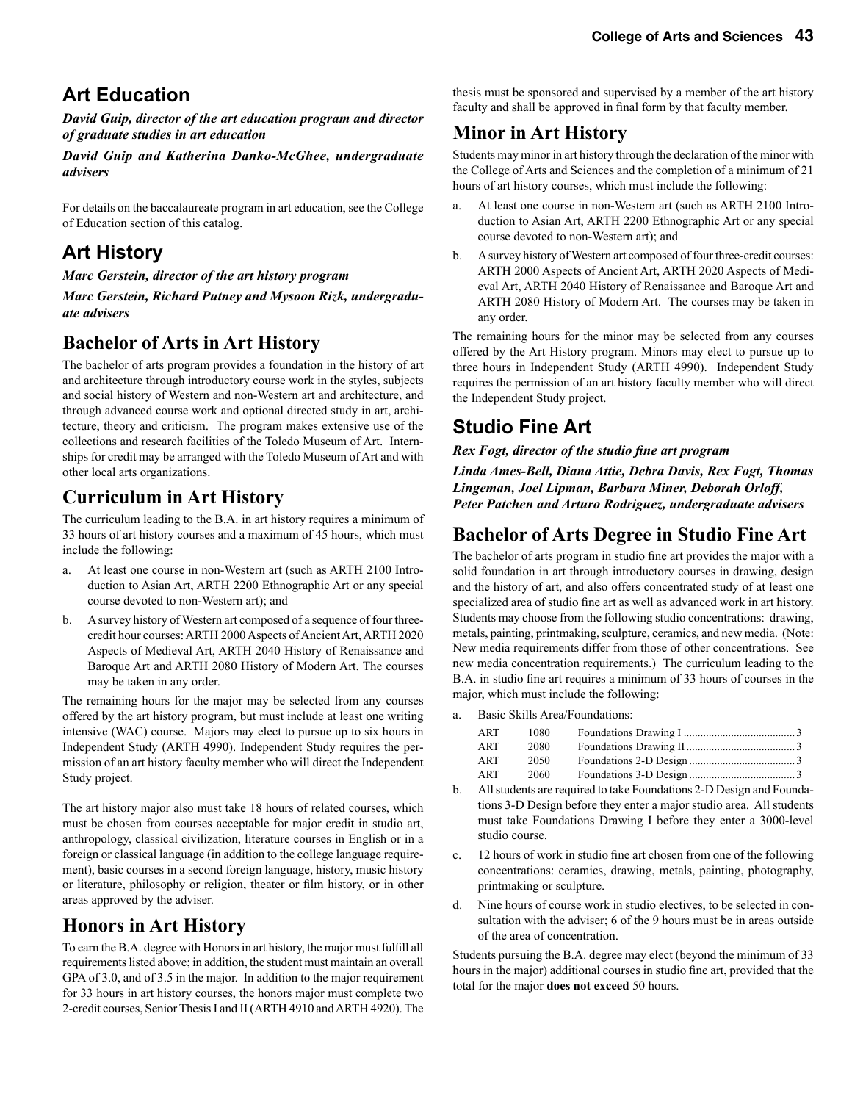# **Art Education**

*David Guip, director of the art education program and director of graduate studies in art education* 

*David Guip and Katherina Danko-McGhee, undergraduate advisers*

For details on the baccalaureate program in art education, see the College of Education section of this catalog.

# **Art History**

*Marc Gerstein, director of the art history program* 

*Marc Gerstein, Richard Putney and Mysoon Rizk, undergraduate advisers*

# **Bachelor of Arts in Art History**

The bachelor of arts program provides a foundation in the history of art and architecture through introductory course work in the styles, subjects and social history of Western and non-Western art and architecture, and through advanced course work and optional directed study in art, architecture, theory and criticism. The program makes extensive use of the collections and research facilities of the Toledo Museum of Art. Internships for credit may be arranged with the Toledo Museum of Art and with other local arts organizations.

# **Curriculum in Art History**

The curriculum leading to the B.A. in art history requires a minimum of 33 hours of art history courses and a maximum of 45 hours, which must include the following:

- a. At least one course in non-Western art (such as ARTH 2100 Introduction to Asian Art, ARTH 2200 Ethnographic Art or any special course devoted to non-Western art); and
- b. A survey history of Western art composed of a sequence of four threecredit hour courses: ARTH 2000 Aspects of Ancient Art, ARTH 2020 Aspects of Medieval Art, ARTH 2040 History of Renaissance and Baroque Art and ARTH 2080 History of Modern Art. The courses may be taken in any order.

The remaining hours for the major may be selected from any courses offered by the art history program, but must include at least one writing intensive (WAC) course. Majors may elect to pursue up to six hours in Independent Study (ARTH 4990). Independent Study requires the permission of an art history faculty member who will direct the Independent Study project.

The art history major also must take 18 hours of related courses, which must be chosen from courses acceptable for major credit in studio art, anthropology, classical civilization, literature courses in English or in a foreign or classical language (in addition to the college language requirement), basic courses in a second foreign language, history, music history or literature, philosophy or religion, theater or film history, or in other areas approved by the adviser.

# **Honors in Art History**

To earn the B.A. degree with Honors in art history, the major must fulfill all requirements listed above; in addition, the student must maintain an overall GPA of 3.0, and of 3.5 in the major. In addition to the major requirement for 33 hours in art history courses, the honors major must complete two 2-credit courses, Senior Thesis I and II (ARTH 4910 and ARTH 4920). The thesis must be sponsored and supervised by a member of the art history faculty and shall be approved in final form by that faculty member.

# **Minor in Art History**

Students may minor in art history through the declaration of the minor with the College of Arts and Sciences and the completion of a minimum of 21 hours of art history courses, which must include the following:

- a. At least one course in non-Western art (such as ARTH 2100 Introduction to Asian Art, ARTH 2200 Ethnographic Art or any special course devoted to non-Western art); and
- b. A survey history of Western art composed of four three-credit courses: ARTH 2000 Aspects of Ancient Art, ARTH 2020 Aspects of Medieval Art, ARTH 2040 History of Renaissance and Baroque Art and ARTH 2080 History of Modern Art. The courses may be taken in any order.

The remaining hours for the minor may be selected from any courses offered by the Art History program. Minors may elect to pursue up to three hours in Independent Study (ARTH 4990). Independent Study requires the permission of an art history faculty member who will direct the Independent Study project.

# **Studio Fine Art**

*Rex Fogt, director of the studio fine art program*

*Linda Ames-Bell, Diana Attie, Debra Davis, Rex Fogt, Thomas Lingeman, Joel Lipman, Barbara Miner, Deborah Orloff, Peter Patchen and Arturo Rodriguez, undergraduate advisers*

# **Bachelor of Arts Degree in Studio Fine Art**

The bachelor of arts program in studio fine art provides the major with a solid foundation in art through introductory courses in drawing, design and the history of art, and also offers concentrated study of at least one specialized area of studio fine art as well as advanced work in art history. Students may choose from the following studio concentrations: drawing, metals, painting, printmaking, sculpture, ceramics, and new media. (Note: New media requirements differ from those of other concentrations. See new media concentration requirements.) The curriculum leading to the B.A. in studio fine art requires a minimum of 33 hours of courses in the major, which must include the following:

a. Basic Skills Area/Foundations:

| ART | 1080 |  |
|-----|------|--|
| ART | 2080 |  |
| ART | 2050 |  |
| ART | 2060 |  |

- b. All students are required to take Foundations 2-D Design and Foundations 3-D Design before they enter a major studio area. All students must take Foundations Drawing I before they enter a 3000-level studio course.
- c. 12 hours of work in studio fine art chosen from one of the following concentrations: ceramics, drawing, metals, painting, photography, printmaking or sculpture.
- d. Nine hours of course work in studio electives, to be selected in consultation with the adviser; 6 of the 9 hours must be in areas outside of the area of concentration.

Students pursuing the B.A. degree may elect (beyond the minimum of 33 hours in the major) additional courses in studio fine art, provided that the total for the major **does not exceed** 50 hours.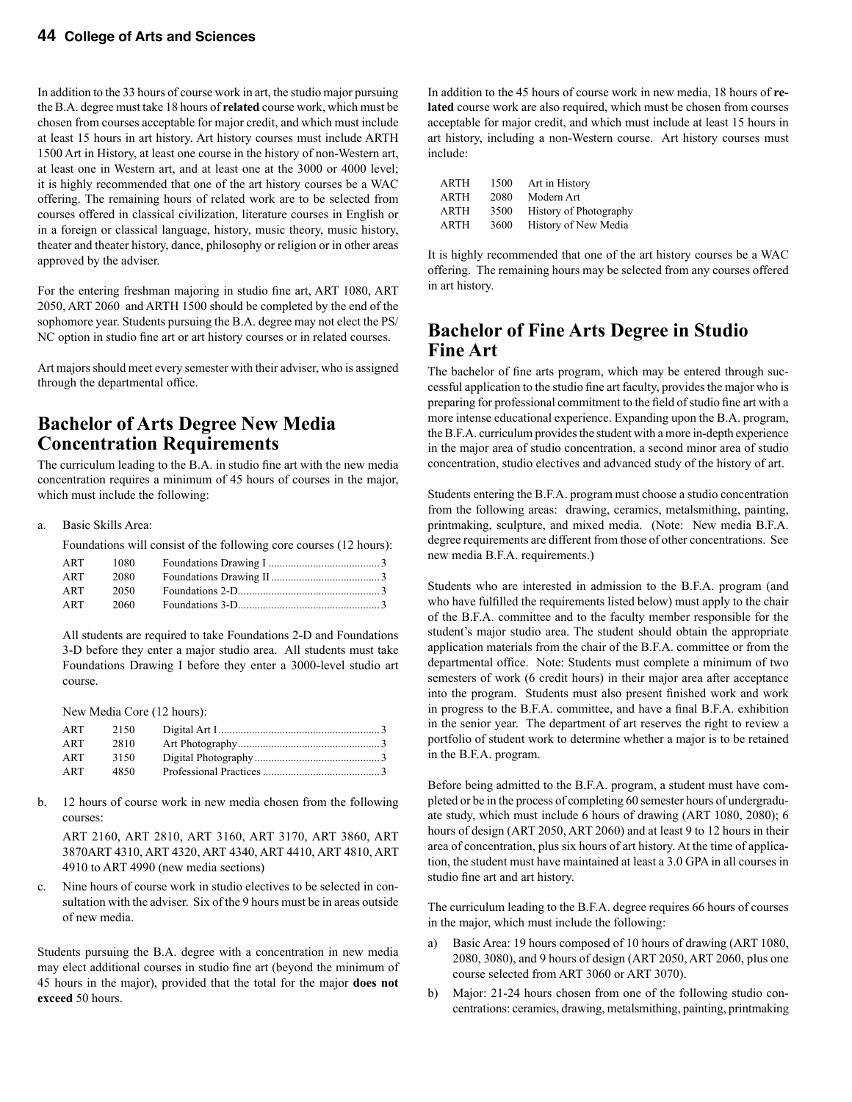In addition to the 33 hours of course work in art, the studio major pursuing the B.A. degree must take 18 hours of **related** course work, which must be chosen from courses acceptable for major credit, and which must include at least 15 hours in art history. Art history courses must include ARTH 1500 Art in History, at least one course in the history of non-Western art, at least one in Western art, and at least one at the 3000 or 4000 level; it is highly recommended that one of the art history courses be a WAC offering. The remaining hours of related work are to be selected from courses offered in classical civilization, literature courses in English or in a foreign or classical language, history, music theory, music history, theater and theater history, dance, philosophy or religion or in other areas approved by the adviser.

For the entering freshman majoring in studio fine art, ART 1080, ART 2050, ART 2060 and ARTH 1500 should be completed by the end of the sophomore year. Students pursuing the B.A. degree may not elect the PS/ NC option in studio fine art or art history courses or in related courses.

Art majors should meet every semester with their adviser, who is assigned through the departmental office.

### **Bachelor of Arts Degree New Media Concentration Requirements**

The curriculum leading to the B.A. in studio fine art with the new media concentration requires a minimum of 45 hours of courses in the major, which must include the following:

#### a. Basic Skills Area:

Foundations will consist of the following core courses (12 hours):

| ART | 1080 |  |
|-----|------|--|
| ART | 2080 |  |
| ART | 2050 |  |
| ART | 2060 |  |

All students are required to take Foundations 2-D and Foundations 3-D before they enter a major studio area. All students must take Foundations Drawing I before they enter a 3000-level studio art course.

New Media Core (12 hours):

| ART | 2150 |  |
|-----|------|--|
| ART | 2810 |  |
| ART | 3150 |  |
| ART | 4850 |  |

b. 12 hours of course work in new media chosen from the following courses:

 ART 2160, ART 2810, ART 3160, ART 3170, ART 3860, ART 3870ART 4310, ART 4320, ART 4340, ART 4410, ART 4810, ART 4910 to ART 4990 (new media sections)

c. Nine hours of course work in studio electives to be selected in consultation with the adviser. Six of the 9 hours must be in areas outside of new media.

Students pursuing the B.A. degree with a concentration in new media may elect additional courses in studio fine art (beyond the minimum of 45 hours in the major), provided that the total for the major **does not exceed** 50 hours.

In addition to the 45 hours of course work in new media, 18 hours of **related** course work are also required, which must be chosen from courses acceptable for major credit, and which must include at least 15 hours in art history, including a non-Western course. Art history courses must include:

| 1500 | Art in History         |
|------|------------------------|
| 2080 | Modern Art             |
| 3500 | History of Photography |
| 3600 | History of New Media   |
|      |                        |

It is highly recommended that one of the art history courses be a WAC offering. The remaining hours may be selected from any courses offered in art history.

### **Bachelor of Fine Arts Degree in Studio Fine Art**

The bachelor of fine arts program, which may be entered through successful application to the studio fine art faculty, provides the major who is preparing for professional commitment to the field of studio fine art with a more intense educational experience. Expanding upon the B.A. program, the B.F.A. curriculum provides the student with a more in-depth experience in the major area of studio concentration, a second minor area of studio concentration, studio electives and advanced study of the history of art.

Students entering the B.F.A. program must choose a studio concentration from the following areas: drawing, ceramics, metalsmithing, painting, printmaking, sculpture, and mixed media. (Note: New media B.F.A. degree requirements are different from those of other concentrations. See new media B.F.A. requirements.)

Students who are interested in admission to the B.F.A. program (and who have fulfilled the requirements listed below) must apply to the chair of the B.F.A. committee and to the faculty member responsible for the student's major studio area. The student should obtain the appropriate application materials from the chair of the B.F.A. committee or from the departmental office. Note: Students must complete a minimum of two semesters of work (6 credit hours) in their major area after acceptance into the program. Students must also present finished work and work in progress to the B.F.A. committee, and have a final B.F.A. exhibition in the senior year. The department of art reserves the right to review a portfolio of student work to determine whether a major is to be retained in the B.F.A. program.

Before being admitted to the B.F.A. program, a student must have completed or be in the process of completing 60 semester hours of undergraduate study, which must include 6 hours of drawing (ART 1080, 2080); 6 hours of design (ART 2050, ART 2060) and at least 9 to 12 hours in their area of concentration, plus six hours of art history. At the time of application, the student must have maintained at least a 3.0 GPA in all courses in studio fine art and art history.

The curriculum leading to the B.F.A. degree requires 66 hours of courses in the major, which must include the following:

- a) Basic Area: 19 hours composed of 10 hours of drawing (ART 1080, 2080, 3080), and 9 hours of design (ART 2050, ART 2060, plus one course selected from ART 3060 or ART 3070).
- b) Major: 21-24 hours chosen from one of the following studio concentrations: ceramics, drawing, metalsmithing, painting, printmaking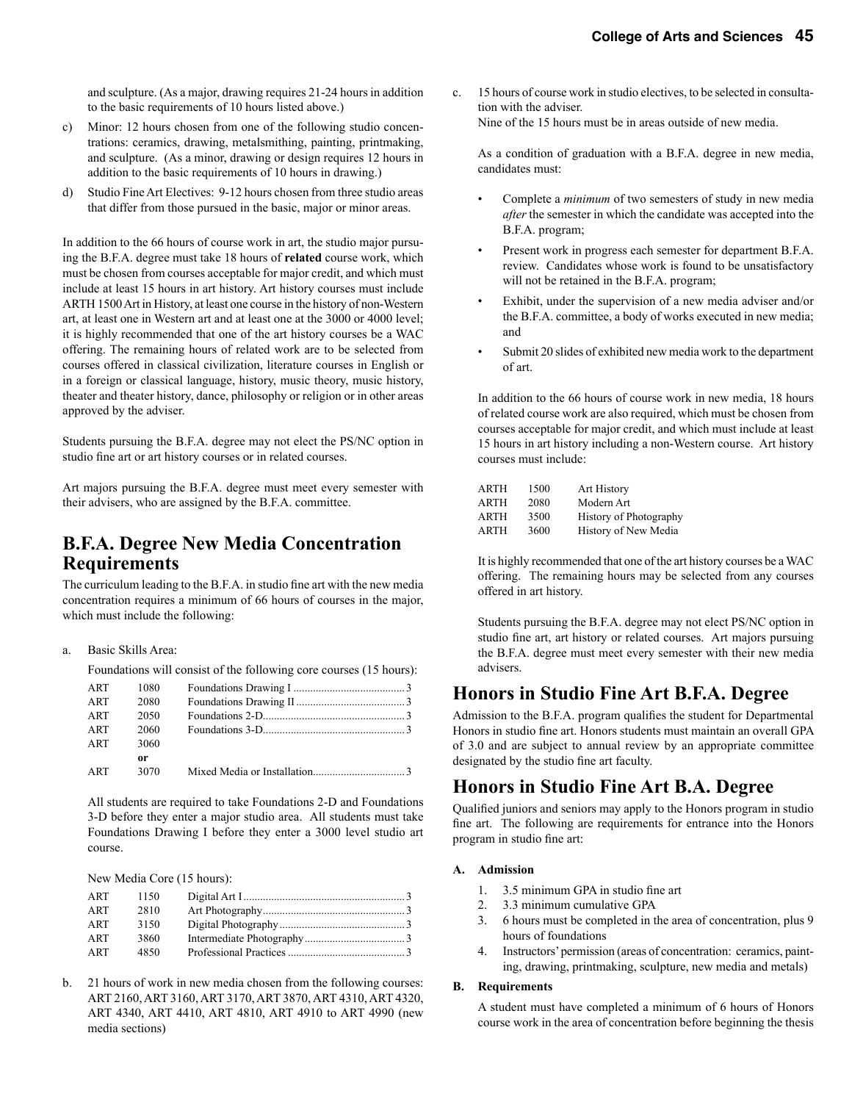and sculpture. (As a major, drawing requires 21-24 hours in addition to the basic requirements of 10 hours listed above.)

- c) Minor: 12 hours chosen from one of the following studio concentrations: ceramics, drawing, metalsmithing, painting, printmaking, and sculpture. (As a minor, drawing or design requires 12 hours in addition to the basic requirements of 10 hours in drawing.)
- d) Studio Fine Art Electives: 9-12 hours chosen from three studio areas that differ from those pursued in the basic, major or minor areas.

In addition to the 66 hours of course work in art, the studio major pursuing the B.F.A. degree must take 18 hours of **related** course work, which must be chosen from courses acceptable for major credit, and which must include at least 15 hours in art history. Art history courses must include ARTH 1500 Art in History, at least one course in the history of non-Western art, at least one in Western art and at least one at the 3000 or 4000 level; it is highly recommended that one of the art history courses be a WAC offering. The remaining hours of related work are to be selected from courses offered in classical civilization, literature courses in English or in a foreign or classical language, history, music theory, music history, theater and theater history, dance, philosophy or religion or in other areas approved by the adviser.

Students pursuing the B.F.A. degree may not elect the PS/NC option in studio fine art or art history courses or in related courses.

Art majors pursuing the B.F.A. degree must meet every semester with their advisers, who are assigned by the B.F.A. committee.

### **B.F.A. Degree New Media Concentration Requirements**

The curriculum leading to the B.F.A. in studio fine art with the new media concentration requires a minimum of 66 hours of courses in the major, which must include the following:

#### a. Basic Skills Area:

Foundations will consist of the following core courses (15 hours):

| ART | 1080 |  |
|-----|------|--|
| ART | 2080 |  |
| ART | 2050 |  |
| ART | 2060 |  |
| ART | 3060 |  |
|     | or   |  |
| ART | 3070 |  |

All students are required to take Foundations 2-D and Foundations 3-D before they enter a major studio area. All students must take Foundations Drawing I before they enter a 3000 level studio art course.

New Media Core (15 hours):

| ART | 1150 |  |
|-----|------|--|
| ART | 2810 |  |
| ART | 3150 |  |
| ART | 3860 |  |
| ART | 4850 |  |

b. 21 hours of work in new media chosen from the following courses: ART 2160, ART 3160, ART 3170, ART 3870, ART 4310, ART 4320, ART 4340, ART 4410, ART 4810, ART 4910 to ART 4990 (new media sections)

c. 15 hours of course work in studio electives, to be selected in consultation with the adviser. Nine of the 15 hours must be in areas outside of new media.

As a condition of graduation with a B.F.A. degree in new media, candidates must:

- Complete a *minimum* of two semesters of study in new media *after* the semester in which the candidate was accepted into the B.F.A. program;
- Present work in progress each semester for department B.F.A. review. Candidates whose work is found to be unsatisfactory will not be retained in the B.F.A. program;
- Exhibit, under the supervision of a new media adviser and/or the B.F.A. committee, a body of works executed in new media; and
- Submit 20 slides of exhibited new media work to the department of art.

In addition to the 66 hours of course work in new media, 18 hours of related course work are also required, which must be chosen from courses acceptable for major credit, and which must include at least 15 hours in art history including a non-Western course. Art history courses must include:

| <b>ARTH</b> | 1500 | Art History                   |
|-------------|------|-------------------------------|
| <b>ARTH</b> | 2080 | Modern Art                    |
| <b>ARTH</b> | 3500 | <b>History of Photography</b> |
| <b>ARTH</b> | 3600 | History of New Media          |

It is highly recommended that one of the art history courses be a WAC offering. The remaining hours may be selected from any courses offered in art history.

Students pursuing the B.F.A. degree may not elect PS/NC option in studio fine art, art history or related courses. Art majors pursuing the B.F.A. degree must meet every semester with their new media advisers.

### **Honors in Studio Fine Art B.F.A. Degree**

Admission to the B.F.A. program qualifies the student for Departmental Honors in studio fine art. Honors students must maintain an overall GPA of 3.0 and are subject to annual review by an appropriate committee designated by the studio fine art faculty.

### **Honors in Studio Fine Art B.A. Degree**

Qualified juniors and seniors may apply to the Honors program in studio fine art. The following are requirements for entrance into the Honors program in studio fine art:

#### **A. Admission**

- 1. 3.5 minimum GPA in studio fine art
- 2. 3.3 minimum cumulative GPA
- 3. 6 hours must be completed in the area of concentration, plus 9 hours of foundations
- 4. Instructors' permission (areas of concentration: ceramics, painting, drawing, printmaking, sculpture, new media and metals)

#### **B. Requirements**

A student must have completed a minimum of 6 hours of Honors course work in the area of concentration before beginning the thesis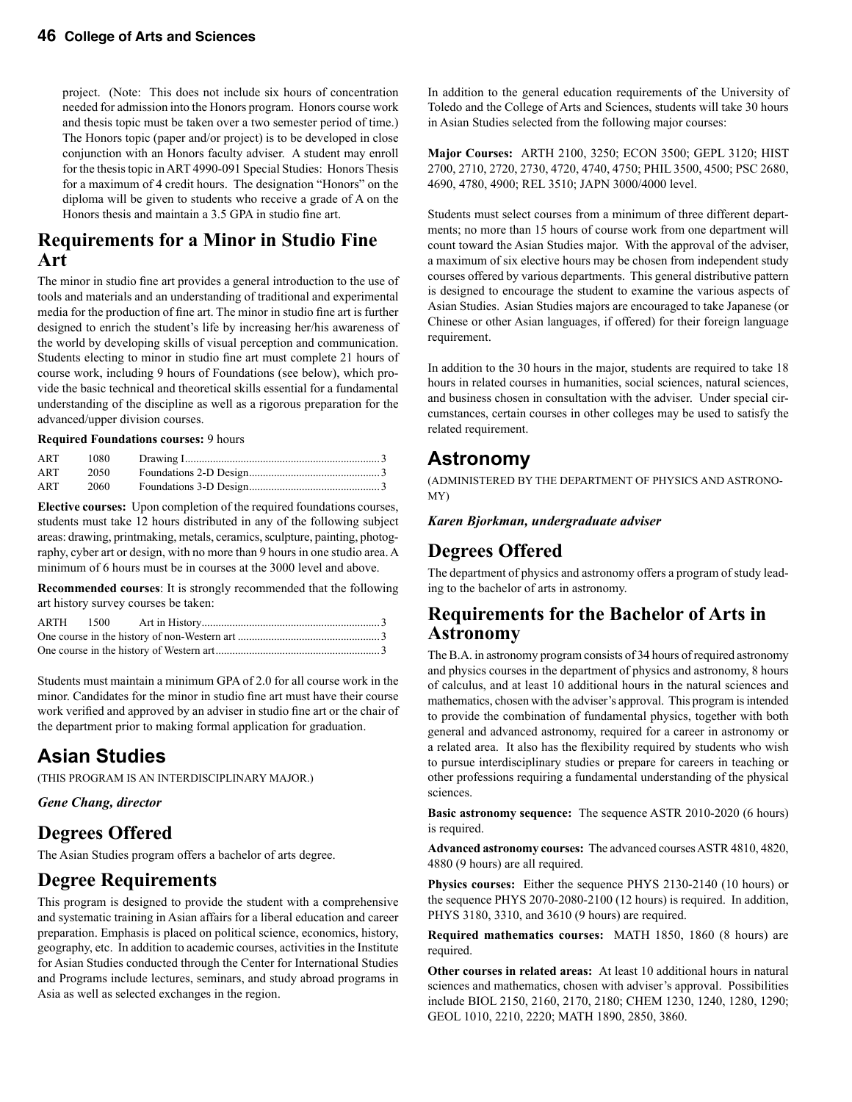project. (Note: This does not include six hours of concentration needed for admission into the Honors program. Honors course work and thesis topic must be taken over a two semester period of time.) The Honors topic (paper and/or project) is to be developed in close conjunction with an Honors faculty adviser. A student may enroll for the thesis topic in ART 4990-091 Special Studies: Honors Thesis for a maximum of 4 credit hours. The designation "Honors" on the diploma will be given to students who receive a grade of A on the Honors thesis and maintain a 3.5 GPA in studio fine art.

### **Requirements for a Minor in Studio Fine Art**

The minor in studio fine art provides a general introduction to the use of tools and materials and an understanding of traditional and experimental media for the production of fine art. The minor in studio fine art is further designed to enrich the student's life by increasing her/his awareness of the world by developing skills of visual perception and communication. Students electing to minor in studio fine art must complete 21 hours of course work, including 9 hours of Foundations (see below), which provide the basic technical and theoretical skills essential for a fundamental understanding of the discipline as well as a rigorous preparation for the advanced/upper division courses.

#### **Required Foundations courses:** 9 hours

| ART | 1080 |  |
|-----|------|--|
| ART | 2050 |  |
| ART | 2060 |  |

**Elective courses:** Upon completion of the required foundations courses, students must take 12 hours distributed in any of the following subject areas: drawing, printmaking, metals, ceramics, sculpture, painting, photography, cyber art or design, with no more than 9 hours in one studio area. A minimum of 6 hours must be in courses at the 3000 level and above.

**Recommended courses**: It is strongly recommended that the following art history survey courses be taken:

Students must maintain a minimum GPA of 2.0 for all course work in the minor. Candidates for the minor in studio fine art must have their course work verified and approved by an adviser in studio fine art or the chair of the department prior to making formal application for graduation.

# **Asian Studies**

(THIS PROGRAM IS AN INTERDISCIPLINARY MAJOR.)

*Gene Chang, director* 

# **Degrees Offered**

The Asian Studies program offers a bachelor of arts degree.

# **Degree Requirements**

This program is designed to provide the student with a comprehensive and systematic training in Asian affairs for a liberal education and career preparation. Emphasis is placed on political science, economics, history, geography, etc. In addition to academic courses, activities in the Institute for Asian Studies conducted through the Center for International Studies and Programs include lectures, seminars, and study abroad programs in Asia as well as selected exchanges in the region.

In addition to the general education requirements of the University of Toledo and the College of Arts and Sciences, students will take 30 hours in Asian Studies selected from the following major courses:

**Major Courses:** ARTH 2100, 3250; ECON 3500; GEPL 3120; HIST 2700, 2710, 2720, 2730, 4720, 4740, 4750; PHIL 3500, 4500; PSC 2680, 4690, 4780, 4900; REL 3510; JAPN 3000/4000 level.

Students must select courses from a minimum of three different departments; no more than 15 hours of course work from one department will count toward the Asian Studies major. With the approval of the adviser, a maximum of six elective hours may be chosen from independent study courses offered by various departments. This general distributive pattern is designed to encourage the student to examine the various aspects of Asian Studies. Asian Studies majors are encouraged to take Japanese (or Chinese or other Asian languages, if offered) for their foreign language requirement.

In addition to the 30 hours in the major, students are required to take 18 hours in related courses in humanities, social sciences, natural sciences, and business chosen in consultation with the adviser. Under special circumstances, certain courses in other colleges may be used to satisfy the related requirement.

### **Astronomy**

(ADMINISTERED BY THE DEPARTMENT OF PHYSICS AND ASTRONO-MY)

*Karen Bjorkman, undergraduate adviser*

# **Degrees Offered**

The department of physics and astronomy offers a program of study leading to the bachelor of arts in astronomy.

### **Requirements for the Bachelor of Arts in Astronomy**

The B.A. in astronomy program consists of 34 hours of required astronomy and physics courses in the department of physics and astronomy, 8 hours of calculus, and at least 10 additional hours in the natural sciences and mathematics, chosen with the adviser's approval. This program is intended to provide the combination of fundamental physics, together with both general and advanced astronomy, required for a career in astronomy or a related area. It also has the flexibility required by students who wish to pursue interdisciplinary studies or prepare for careers in teaching or other professions requiring a fundamental understanding of the physical sciences.

**Basic astronomy sequence:**The sequence ASTR 2010-2020 (6 hours) is required.

**Advanced astronomy courses:**The advanced courses ASTR 4810, 4820, 4880 (9 hours) are all required.

**Physics courses:**Either the sequence PHYS 2130-2140 (10 hours) or the sequence PHYS 2070-2080-2100 (12 hours) is required. In addition, PHYS 3180, 3310, and 3610 (9 hours) are required.

**Required mathematics courses:**MATH 1850, 1860 (8 hours) are required.

**Other courses in related areas:**At least 10 additional hours in natural sciences and mathematics, chosen with adviser's approval. Possibilities include BIOL 2150, 2160, 2170, 2180; CHEM 1230, 1240, 1280, 1290; GEOL 1010, 2210, 2220; MATH 1890, 2850, 3860.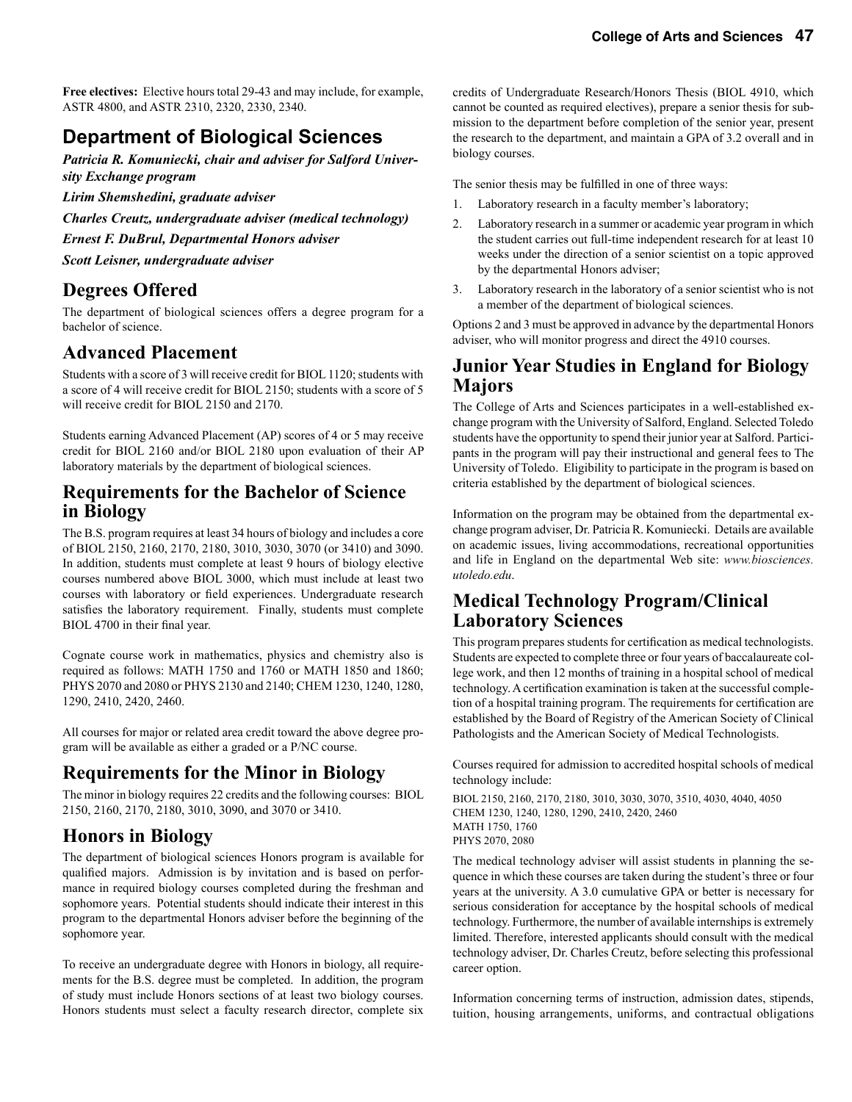**Free electives:** Elective hours total 29-43 and may include, for example, ASTR 4800, and ASTR 2310, 2320, 2330, 2340.

# **Department of Biological Sciences**

*Patricia R. Komuniecki, chair and adviser for Salford University Exchange program* 

*Lirim Shemshedini, graduate adviser*

*Charles Creutz, undergraduate adviser (medical technology)*

*Ernest F. DuBrul, Departmental Honors adviser*

*Scott Leisner, undergraduate adviser* 

# **Degrees Offered**

The department of biological sciences offers a degree program for a bachelor of science.

### **Advanced Placement**

Students with a score of 3 will receive credit for BIOL 1120; students with a score of 4 will receive credit for BIOL 2150; students with a score of 5 will receive credit for BIOL 2150 and 2170.

Students earning Advanced Placement (AP) scores of 4 or 5 may receive credit for BIOL 2160 and/or BIOL 2180 upon evaluation of their AP laboratory materials by the department of biological sciences.

### **Requirements for the Bachelor of Science in Biology**

The B.S. program requires at least 34 hours of biology and includes a core of BIOL 2150, 2160, 2170, 2180, 3010, 3030, 3070 (or 3410) and 3090. In addition, students must complete at least 9 hours of biology elective courses numbered above BIOL 3000, which must include at least two courses with laboratory or field experiences. Undergraduate research satisfies the laboratory requirement. Finally, students must complete BIOL 4700 in their final year.

Cognate course work in mathematics, physics and chemistry also is required as follows: MATH 1750 and 1760 or MATH 1850 and 1860; PHYS 2070 and 2080 or PHYS 2130 and 2140; CHEM 1230, 1240, 1280, 1290, 2410, 2420, 2460.

All courses for major or related area credit toward the above degree program will be available as either a graded or a P/NC course.

### **Requirements for the Minor in Biology**

The minor in biology requires 22 credits and the following courses: BIOL 2150, 2160, 2170, 2180, 3010, 3090, and 3070 or 3410.

# **Honors in Biology**

The department of biological sciences Honors program is available for qualified majors. Admission is by invitation and is based on performance in required biology courses completed during the freshman and sophomore years. Potential students should indicate their interest in this program to the departmental Honors adviser before the beginning of the sophomore year.

To receive an undergraduate degree with Honors in biology, all requirements for the B.S. degree must be completed. In addition, the program of study must include Honors sections of at least two biology courses. Honors students must select a faculty research director, complete six

credits of Undergraduate Research/Honors Thesis (BIOL 4910, which cannot be counted as required electives), prepare a senior thesis for submission to the department before completion of the senior year, present the research to the department, and maintain a GPA of 3.2 overall and in biology courses.

The senior thesis may be fulfilled in one of three ways:

- 1. Laboratory research in a faculty member's laboratory;
- 2. Laboratory research in a summer or academic year program in which the student carries out full-time independent research for at least 10 weeks under the direction of a senior scientist on a topic approved by the departmental Honors adviser;
- 3. Laboratory research in the laboratory of a senior scientist who is not a member of the department of biological sciences.

Options 2 and 3 must be approved in advance by the departmental Honors adviser, who will monitor progress and direct the 4910 courses.

### **Junior Year Studies in England for Biology Majors**

The College of Arts and Sciences participates in a well-established exchange program with the University of Salford, England. Selected Toledo students have the opportunity to spend their junior year at Salford. Participants in the program will pay their instructional and general fees to The University of Toledo. Eligibility to participate in the program is based on criteria established by the department of biological sciences.

Information on the program may be obtained from the departmental exchange program adviser, Dr. Patricia R. Komuniecki. Details are available on academic issues, living accommodations, recreational opportunities and life in England on the departmental Web site: *www.biosciences. utoledo.edu*.

### **Medical Technology Program/Clinical Laboratory Sciences**

This program prepares students for certification as medical technologists. Students are expected to complete three or four years of baccalaureate college work, and then 12 months of training in a hospital school of medical technology. A certification examination is taken at the successful completion of a hospital training program. The requirements for certification are established by the Board of Registry of the American Society of Clinical Pathologists and the American Society of Medical Technologists.

Courses required for admission to accredited hospital schools of medical technology include:

BIOL 2150, 2160, 2170, 2180, 3010, 3030, 3070, 3510, 4030, 4040, 4050 CHEM 1230, 1240, 1280, 1290, 2410, 2420, 2460 MATH 1750, 1760 PHYS 2070, 2080

The medical technology adviser will assist students in planning the sequence in which these courses are taken during the student's three or four years at the university. A 3.0 cumulative GPA or better is necessary for serious consideration for acceptance by the hospital schools of medical technology. Furthermore, the number of available internships is extremely limited. Therefore, interested applicants should consult with the medical technology adviser, Dr. Charles Creutz, before selecting this professional career option.

Information concerning terms of instruction, admission dates, stipends, tuition, housing arrangements, uniforms, and contractual obligations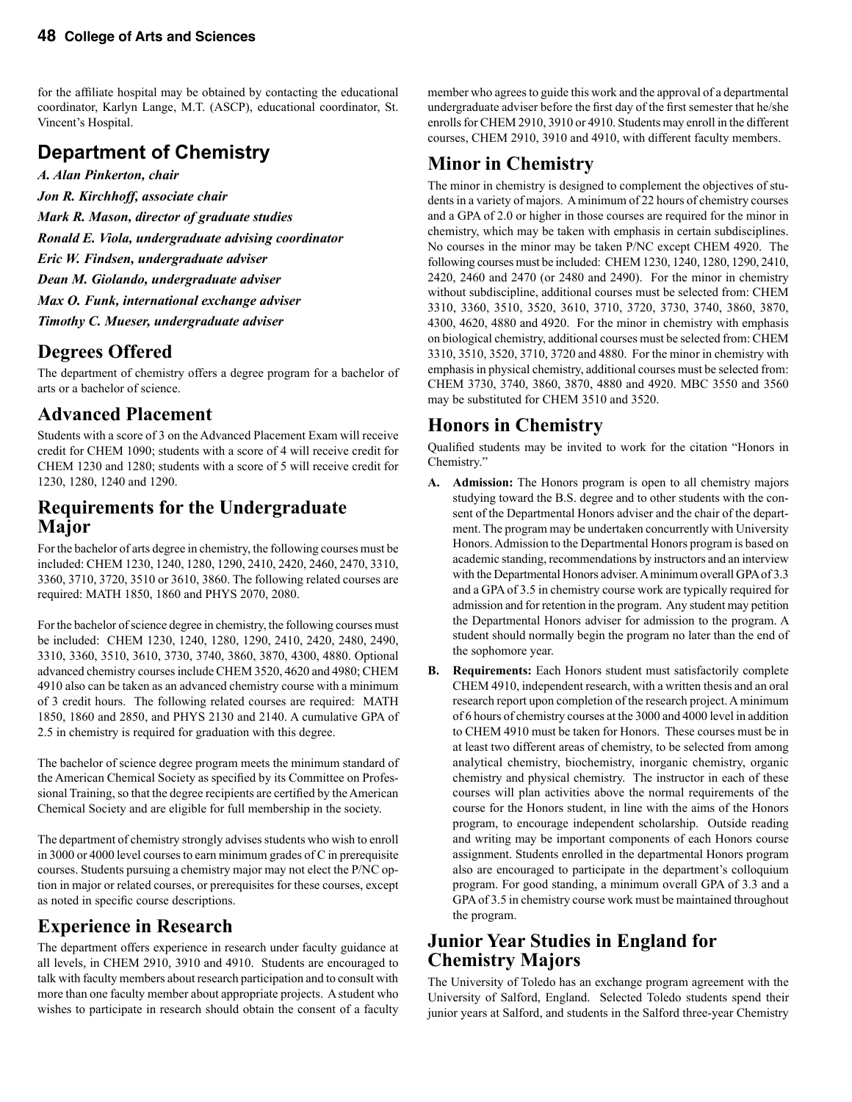for the affiliate hospital may be obtained by contacting the educational coordinator, Karlyn Lange, M.T. (ASCP), educational coordinator, St. Vincent's Hospital.

# **Department of Chemistry**

*A. Alan Pinkerton, chair*

*Jon R. Kirchhoff, associate chair Mark R. Mason, director of graduate studies Ronald E. Viola, undergraduate advising coordinator Eric W. Findsen, undergraduate adviser Dean M. Giolando, undergraduate adviser*

*Max O. Funk, international exchange adviser*

*Timothy C. Mueser, undergraduate adviser*

# **Degrees Offered**

The department of chemistry offers a degree program for a bachelor of arts or a bachelor of science.

### **Advanced Placement**

Students with a score of 3 on the Advanced Placement Exam will receive credit for CHEM 1090; students with a score of 4 will receive credit for CHEM 1230 and 1280; students with a score of 5 will receive credit for 1230, 1280, 1240 and 1290.

### **Requirements for the Undergraduate Major**

For the bachelor of arts degree in chemistry, the following courses must be included: CHEM 1230, 1240, 1280, 1290, 2410, 2420, 2460, 2470, 3310, 3360, 3710, 3720, 3510 or 3610, 3860. The following related courses are required: MATH 1850, 1860 and PHYS 2070, 2080.

For the bachelor of science degree in chemistry, the following courses must be included: CHEM 1230, 1240, 1280, 1290, 2410, 2420, 2480, 2490, 3310, 3360, 3510, 3610, 3730, 3740, 3860, 3870, 4300, 4880. Optional advanced chemistry courses include CHEM 3520, 4620 and 4980; CHEM 4910 also can be taken as an advanced chemistry course with a minimum of 3 credit hours. The following related courses are required: MATH 1850, 1860 and 2850, and PHYS 2130 and 2140. A cumulative GPA of 2.5 in chemistry is required for graduation with this degree.

The bachelor of science degree program meets the minimum standard of the American Chemical Society as specified by its Committee on Professional Training, so that the degree recipients are certified by the American Chemical Society and are eligible for full membership in the society.

The department of chemistry strongly advises students who wish to enroll in 3000 or 4000 level courses to earn minimum grades of C in prerequisite courses. Students pursuing a chemistry major may not elect the P/NC option in major or related courses, or prerequisites for these courses, except as noted in specific course descriptions.

# **Experience in Research**

The department offers experience in research under faculty guidance at all levels, in CHEM 2910, 3910 and 4910. Students are encouraged to talk with faculty members about research participation and to consult with more than one faculty member about appropriate projects. A student who wishes to participate in research should obtain the consent of a faculty

member who agrees to guide this work and the approval of a departmental undergraduate adviser before the first day of the first semester that he/she enrolls for CHEM 2910, 3910 or 4910. Students may enroll in the different courses, CHEM 2910, 3910 and 4910, with different faculty members.

# **Minor in Chemistry**

The minor in chemistry is designed to complement the objectives of students in a variety of majors. A minimum of 22 hours of chemistry courses and a GPA of 2.0 or higher in those courses are required for the minor in chemistry, which may be taken with emphasis in certain subdisciplines. No courses in the minor may be taken P/NC except CHEM 4920. The following courses must be included: CHEM 1230, 1240, 1280, 1290, 2410, 2420, 2460 and 2470 (or 2480 and 2490). For the minor in chemistry without subdiscipline, additional courses must be selected from: CHEM 3310, 3360, 3510, 3520, 3610, 3710, 3720, 3730, 3740, 3860, 3870, 4300, 4620, 4880 and 4920. For the minor in chemistry with emphasis on biological chemistry, additional courses must be selected from: CHEM 3310, 3510, 3520, 3710, 3720 and 4880. For the minor in chemistry with emphasis in physical chemistry, additional courses must be selected from: CHEM 3730, 3740, 3860, 3870, 4880 and 4920. MBC 3550 and 3560 may be substituted for CHEM 3510 and 3520.

### **Honors in Chemistry**

Qualified students may be invited to work for the citation "Honors in Chemistry."

- **A. Admission:** The Honors program is open to all chemistry majors studying toward the B.S. degree and to other students with the consent of the Departmental Honors adviser and the chair of the department. The program may be undertaken concurrently with University Honors. Admission to the Departmental Honors program is based on academic standing, recommendations by instructors and an interview with the Departmental Honors adviser. A minimum overall GPA of 3.3 and a GPA of 3.5 in chemistry course work are typically required for admission and for retention in the program. Any student may petition the Departmental Honors adviser for admission to the program. A student should normally begin the program no later than the end of the sophomore year.
- **B. Requirements:** Each Honors student must satisfactorily complete CHEM 4910, independent research, with a written thesis and an oral research report upon completion of the research project. A minimum of 6 hours of chemistry courses at the 3000 and 4000 level in addition to CHEM 4910 must be taken for Honors. These courses must be in at least two different areas of chemistry, to be selected from among analytical chemistry, biochemistry, inorganic chemistry, organic chemistry and physical chemistry. The instructor in each of these courses will plan activities above the normal requirements of the course for the Honors student, in line with the aims of the Honors program, to encourage independent scholarship. Outside reading and writing may be important components of each Honors course assignment. Students enrolled in the departmental Honors program also are encouraged to participate in the department's colloquium program. For good standing, a minimum overall GPA of 3.3 and a GPA of 3.5 in chemistry course work must be maintained throughout the program.

### **Junior Year Studies in England for Chemistry Majors**

The University of Toledo has an exchange program agreement with the University of Salford, England. Selected Toledo students spend their junior years at Salford, and students in the Salford three-year Chemistry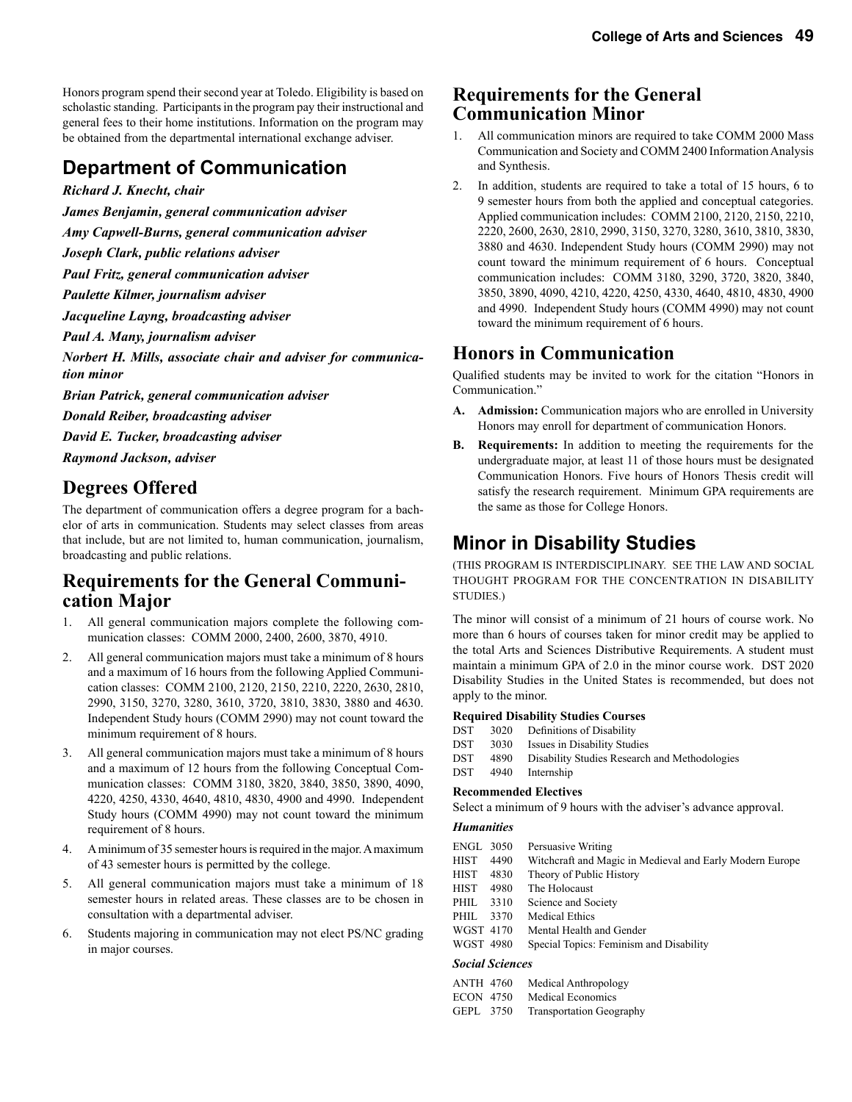Honors program spend their second year at Toledo. Eligibility is based on scholastic standing. Participants in the program pay their instructional and general fees to their home institutions. Information on the program may be obtained from the departmental international exchange adviser.

# **Department of Communication**

*Richard J. Knecht, chair*

*James Benjamin, general communication adviser*

*Amy Capwell-Burns, general communication adviser*

*Joseph Clark, public relations adviser*

*Paul Fritz, general communication adviser*

*Paulette Kilmer, journalism adviser*

*Jacqueline Layng, broadcasting adviser*

*Paul A. Many, journalism adviser*

*Norbert H. Mills, associate chair and adviser for communication minor*

*Brian Patrick, general communication adviser*

*Donald Reiber, broadcasting adviser*

*David E. Tucker, broadcasting adviser*

*Raymond Jackson, adviser*

# **Degrees Offered**

The department of communication offers a degree program for a bachelor of arts in communication. Students may select classes from areas that include, but are not limited to, human communication, journalism, broadcasting and public relations.

# **Requirements for the General Communi- cation Major**

- 1. All general communication majors complete the following communication classes: COMM 2000, 2400, 2600, 3870, 4910.
- 2. All general communication majors must take a minimum of 8 hours and a maximum of 16 hours from the following Applied Communication classes: COMM 2100, 2120, 2150, 2210, 2220, 2630, 2810, 2990, 3150, 3270, 3280, 3610, 3720, 3810, 3830, 3880 and 4630. Independent Study hours (COMM 2990) may not count toward the minimum requirement of 8 hours.
- 3. All general communication majors must take a minimum of 8 hours and a maximum of 12 hours from the following Conceptual Communication classes: COMM 3180, 3820, 3840, 3850, 3890, 4090, 4220, 4250, 4330, 4640, 4810, 4830, 4900 and 4990. Independent Study hours (COMM 4990) may not count toward the minimum requirement of 8 hours.
- 4. A minimum of 35 semester hours is required in the major. A maximum of 43 semester hours is permitted by the college.
- 5. All general communication majors must take a minimum of 18 semester hours in related areas. These classes are to be chosen in consultation with a departmental adviser.
- 6. Students majoring in communication may not elect PS/NC grading in major courses.

### **Requirements for the General Communication Minor**

- All communication minors are required to take COMM 2000 Mass Communication and Society and COMM 2400 Information Analysis and Synthesis.
- 2. In addition, students are required to take a total of 15 hours, 6 to 9 semester hours from both the applied and conceptual categories. Applied communication includes: COMM 2100, 2120, 2150, 2210, 2220, 2600, 2630, 2810, 2990, 3150, 3270, 3280, 3610, 3810, 3830, 3880 and 4630. Independent Study hours (COMM 2990) may not count toward the minimum requirement of 6 hours. Conceptual communication includes: COMM 3180, 3290, 3720, 3820, 3840, 3850, 3890, 4090, 4210, 4220, 4250, 4330, 4640, 4810, 4830, 4900 and 4990. Independent Study hours (COMM 4990) may not count toward the minimum requirement of 6 hours.

# **Honors in Communication**

Qualified students may be invited to work for the citation "Honors in Communication."

- **A. Admission:** Communication majors who are enrolled in University Honors may enroll for department of communication Honors.
- **B. Requirements:** In addition to meeting the requirements for the undergraduate major, at least 11 of those hours must be designated Communication Honors. Five hours of Honors Thesis credit will satisfy the research requirement. Minimum GPA requirements are the same as those for College Honors.

# **Minor in Disability Studies**

(THIS PROGRAM IS INTERDISCIPLINARY. SEE THE LAW AND SOCIAL THOUGHT PROGRAM FOR THE CONCENTRATION IN DISABILITY STUDIES.)

The minor will consist of a minimum of 21 hours of course work. No more than 6 hours of courses taken for minor credit may be applied to the total Arts and Sciences Distributive Requirements. A student must maintain a minimum GPA of 2.0 in the minor course work. DST 2020 Disability Studies in the United States is recommended, but does not apply to the minor.

#### **Required Disability Studies Courses**

| DST | 3020 | Definitions of Disability                     |
|-----|------|-----------------------------------------------|
| DST | 3030 | Issues in Disability Studies                  |
| DST | 4890 | Disability Studies Research and Methodologies |
| DST | 4940 | Internship                                    |

#### **Recommended Electives**

Select a minimum of 9 hours with the adviser's advance approval.

#### *Humanities*

| ENGL 3050 |                 | Persuasive Writing                                       |
|-----------|-----------------|----------------------------------------------------------|
| HIST      | 4490            | Witchcraft and Magic in Medieval and Early Modern Europe |
| HIST      | 4830            | Theory of Public History                                 |
| HIST      | 4980            | The Holocaust                                            |
| PHIL      | 3310            | Science and Society                                      |
| PHIL      | 3370            | <b>Medical Ethics</b>                                    |
| WGST 4170 |                 | Mental Health and Gender                                 |
| WGST 4980 |                 | Special Topics: Feminism and Disability                  |
|           | Social Sciences |                                                          |

| <b>ANTH 4760</b> | Medical Anthropology |  |
|------------------|----------------------|--|
| <b>ECON 4750</b> | Medical Economics    |  |
|                  |                      |  |

GEPL 3750 Transportation Geography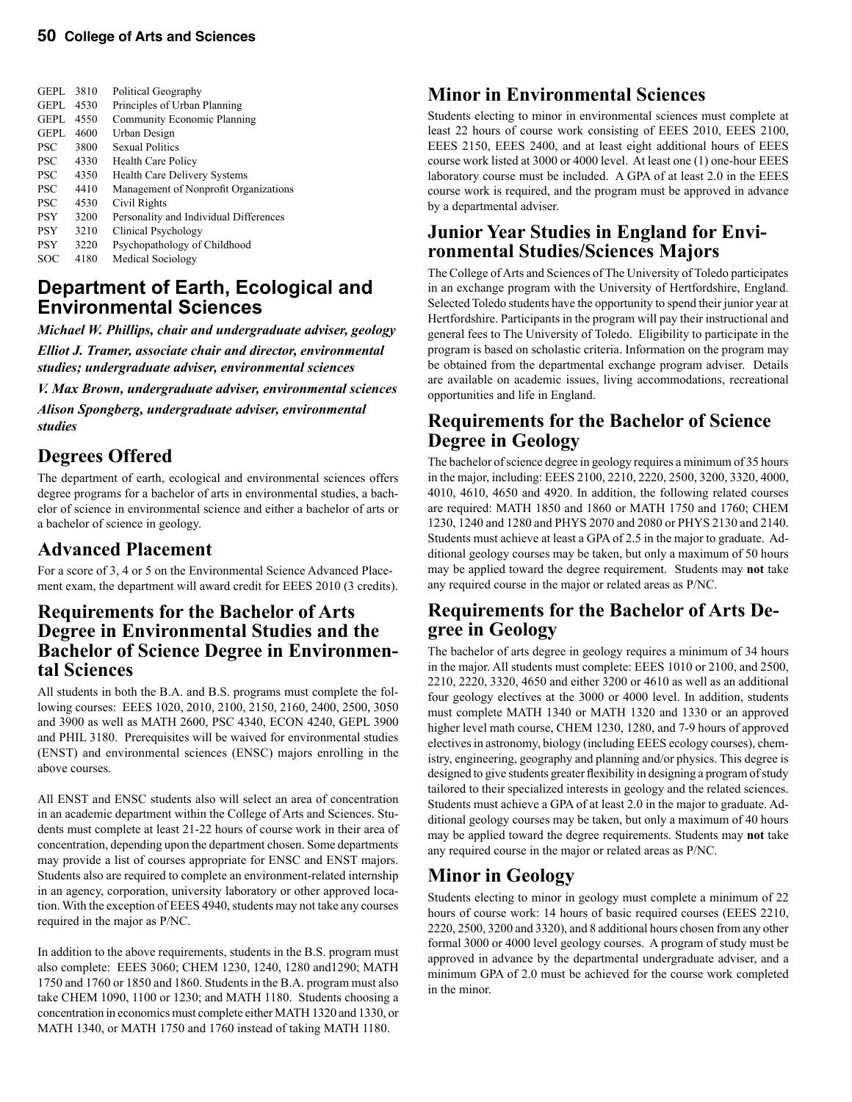| <b>GEPL</b> | 3810 | Political Geography                    |
|-------------|------|----------------------------------------|
| <b>GEPL</b> | 4530 | Principles of Urban Planning           |
| <b>GEPL</b> | 4550 | <b>Community Economic Planning</b>     |
| <b>GEPL</b> | 4600 | Urban Design                           |
| <b>PSC</b>  | 3800 | <b>Sexual Politics</b>                 |
| <b>PSC</b>  | 4330 | <b>Health Care Policy</b>              |
| <b>PSC</b>  | 4350 | Health Care Delivery Systems           |
| <b>PSC</b>  | 4410 | Management of Nonprofit Organizations  |
| <b>PSC</b>  | 4530 | Civil Rights                           |
| <b>PSY</b>  | 3200 | Personality and Individual Differences |
| <b>PSY</b>  | 3210 | Clinical Psychology                    |
| <b>PSY</b>  | 3220 | Psychopathology of Childhood           |
| SOC         | 4180 | Medical Sociology                      |
|             |      |                                        |

# **Department of Earth, Ecological and Environmental Sciences**

*Michael W. Phillips, chair and undergraduate adviser, geology*

*Elliot J. Tramer, associate chair and director, environmental studies; undergraduate adviser, environmental sciences*

*V. Max Brown, undergraduate adviser, environmental sciences*

*Alison Spongberg, undergraduate adviser, environmental studies*

# **Degrees Offered**

The department of earth, ecological and environmental sciences offers degree programs for a bachelor of arts in environmental studies, a bachelor of science in environmental science and either a bachelor of arts or a bachelor of science in geology.

### **Advanced Placement**

For a score of 3, 4 or 5 on the Environmental Science Advanced Placement exam, the department will award credit for EEES 2010 (3 credits).

# **Requirements for the Bachelor of Arts Degree in Environmental Studies and the Bachelor of Science Degree in Environmen- tal Sciences**

All students in both the B.A. and B.S. programs must complete the following courses: EEES 1020, 2010, 2100, 2150, 2160, 2400, 2500, 3050 and 3900 as well as MATH 2600, PSC 4340, ECON 4240, GEPL 3900 and PHIL 3180. Prerequisites will be waived for environmental studies (ENST) and environmental sciences (ENSC) majors enrolling in the above courses.

All ENST and ENSC students also will select an area of concentration in an academic department within the College of Arts and Sciences. Students must complete at least 21-22 hours of course work in their area of concentration, depending upon the department chosen. Some departments may provide a list of courses appropriate for ENSC and ENST majors. Students also are required to complete an environment-related internship in an agency, corporation, university laboratory or other approved location. With the exception of EEES 4940, students may not take any courses required in the major as P/NC.

In addition to the above requirements, students in the B.S. program must also complete: EEES 3060; CHEM 1230, 1240, 1280 and1290; MATH 1750 and 1760 or 1850 and 1860. Students in the B.A. program must also take CHEM 1090, 1100 or 1230; and MATH 1180. Students choosing a concentration in economics must complete either MATH 1320 and 1330, or MATH 1340, or MATH 1750 and 1760 instead of taking MATH 1180.

# **Minor in Environmental Sciences**

Students electing to minor in environmental sciences must complete at least 22 hours of course work consisting of EEES 2010, EEES 2100, EEES 2150, EEES 2400, and at least eight additional hours of EEES course work listed at 3000 or 4000 level. At least one (1) one-hour EEES laboratory course must be included. A GPA of at least 2.0 in the EEES course work is required, and the program must be approved in advance by a departmental adviser.

# **Junior Year Studies in England for Envi- ronmental Studies/Sciences Majors**

The College of Arts and Sciences of The University of Toledo participates in an exchange program with the University of Hertfordshire, England. Selected Toledo students have the opportunity to spend their junior year at Hertfordshire. Participants in the program will pay their instructional and general fees to The University of Toledo. Eligibility to participate in the program is based on scholastic criteria. Information on the program may be obtained from the departmental exchange program adviser. Details are available on academic issues, living accommodations, recreational opportunities and life in England.

# **Requirements for the Bachelor of Science Degree in Geology**

The bachelor of science degree in geology requires a minimum of 35 hours in the major, including: EEES 2100, 2210, 2220, 2500, 3200, 3320, 4000, 4010, 4610, 4650 and 4920. In addition, the following related courses are required: MATH 1850 and 1860 or MATH 1750 and 1760; CHEM 1230, 1240 and 1280 and PHYS 2070 and 2080 or PHYS 2130 and 2140. Students must achieve at least a GPA of 2.5 in the major to graduate. Additional geology courses may be taken, but only a maximum of 50 hours may be applied toward the degree requirement. Students may **not** take any required course in the major or related areas as P/NC.

### **Requirements for the Bachelor of Arts Degree in Geology**

The bachelor of arts degree in geology requires a minimum of 34 hours in the major. All students must complete: EEES 1010 or 2100, and 2500, 2210, 2220, 3320, 4650 and either 3200 or 4610 as well as an additional four geology electives at the 3000 or 4000 level. In addition, students must complete MATH 1340 or MATH 1320 and 1330 or an approved higher level math course, CHEM 1230, 1280, and 7-9 hours of approved electives in astronomy, biology (including EEES ecology courses), chemistry, engineering, geography and planning and/or physics. This degree is designed to give students greater flexibility in designing a program of study tailored to their specialized interests in geology and the related sciences. Students must achieve a GPA of at least 2.0 in the major to graduate. Additional geology courses may be taken, but only a maximum of 40 hours may be applied toward the degree requirements. Students may **not** take any required course in the major or related areas as P/NC.

# **Minor in Geology**

Students electing to minor in geology must complete a minimum of 22 hours of course work: 14 hours of basic required courses (EEES 2210, 2220, 2500, 3200 and 3320), and 8 additional hours chosen from any other formal 3000 or 4000 level geology courses. A program of study must be approved in advance by the departmental undergraduate adviser, and a minimum GPA of 2.0 must be achieved for the course work completed in the minor.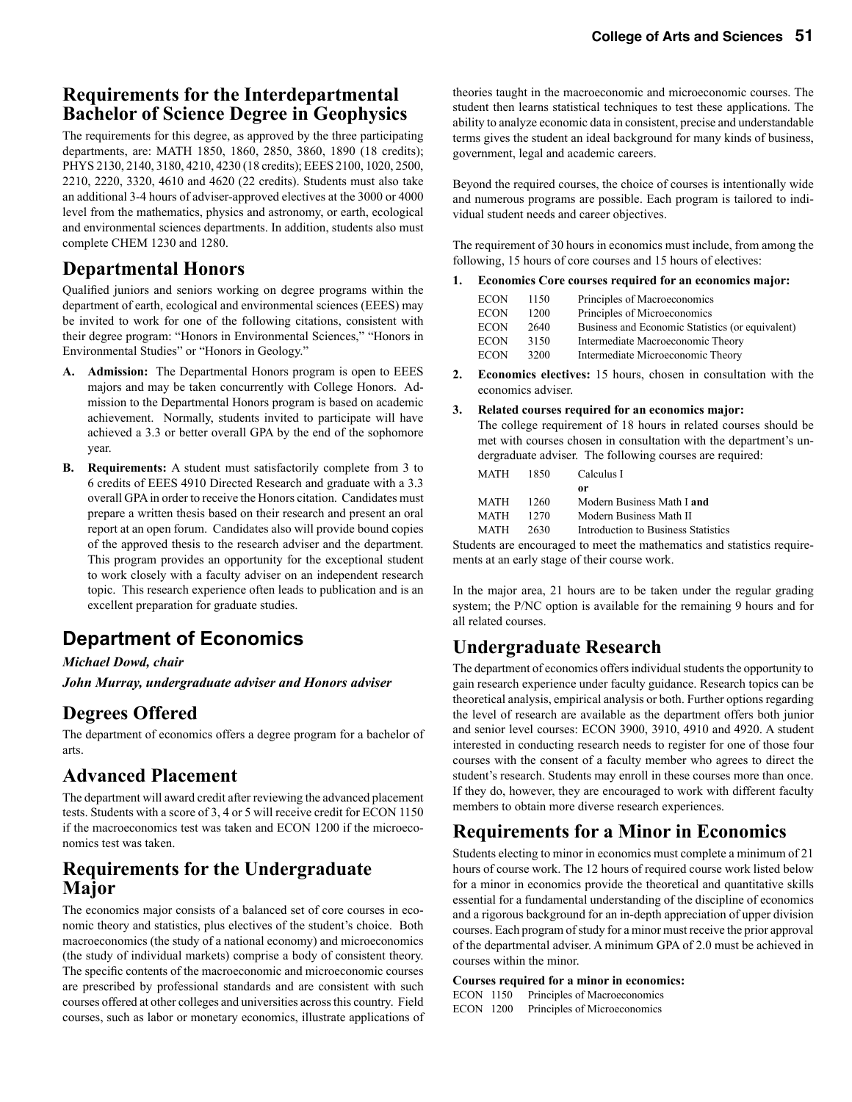# **Requirements for the Interdepartmental Bachelor of Science Degree in Geophysics**

The requirements for this degree, as approved by the three participating departments, are: MATH 1850, 1860, 2850, 3860, 1890 (18 credits); PHYS 2130, 2140, 3180, 4210, 4230 (18 credits); EEES 2100, 1020, 2500, 2210, 2220, 3320, 4610 and 4620 (22 credits). Students must also take an additional 3-4 hours of adviser-approved electives at the 3000 or 4000 level from the mathematics, physics and astronomy, or earth, ecological and environmental sciences departments. In addition, students also must complete CHEM 1230 and 1280.

### **Departmental Honors**

Qualified juniors and seniors working on degree programs within the department of earth, ecological and environmental sciences (EEES) may be invited to work for one of the following citations, consistent with their degree program: "Honors in Environmental Sciences," "Honors in Environmental Studies" or "Honors in Geology."

- **A. Admission:** The Departmental Honors program is open to EEES majors and may be taken concurrently with College Honors. Admission to the Departmental Honors program is based on academic achievement. Normally, students invited to participate will have achieved a 3.3 or better overall GPA by the end of the sophomore year.
- **B. Requirements:** A student must satisfactorily complete from 3 to 6 credits of EEES 4910 Directed Research and graduate with a 3.3 overall GPA in order to receive the Honors citation. Candidates must prepare a written thesis based on their research and present an oral report at an open forum. Candidates also will provide bound copies of the approved thesis to the research adviser and the department. This program provides an opportunity for the exceptional student to work closely with a faculty adviser on an independent research topic. This research experience often leads to publication and is an excellent preparation for graduate studies.

# **Department of Economics**

#### *Michael Dowd, chair*

*John Murray, undergraduate adviser and Honors adviser*

### **Degrees Offered**

The department of economics offers a degree program for a bachelor of arts.

# **Advanced Placement**

The department will award credit after reviewing the advanced placement tests. Students with a score of 3, 4 or 5 will receive credit for ECON 1150 if the macroeconomics test was taken and ECON 1200 if the microeconomics test was taken.

### **Requirements for the Undergraduate Major**

The economics major consists of a balanced set of core courses in economic theory and statistics, plus electives of the student's choice. Both macroeconomics (the study of a national economy) and microeconomics (the study of individual markets) comprise a body of consistent theory. The specific contents of the macroeconomic and microeconomic courses are prescribed by professional standards and are consistent with such courses offered at other colleges and universities across this country. Field courses, such as labor or monetary economics, illustrate applications of

theories taught in the macroeconomic and microeconomic courses. The student then learns statistical techniques to test these applications. The ability to analyze economic data in consistent, precise and understandable terms gives the student an ideal background for many kinds of business, government, legal and academic careers.

Beyond the required courses, the choice of courses is intentionally wide and numerous programs are possible. Each program is tailored to individual student needs and career objectives.

The requirement of 30 hours in economics must include, from among the following, 15 hours of core courses and 15 hours of electives:

**1. Economics Core courses required for an economics major:**

| <b>ECON</b> | 1150 | Principles of Macroeconomics                     |
|-------------|------|--------------------------------------------------|
| <b>ECON</b> | 1200 | Principles of Microeconomics                     |
| <b>ECON</b> | 2640 | Business and Economic Statistics (or equivalent) |
| <b>ECON</b> | 3150 | Intermediate Macroeconomic Theory                |
| <b>ECON</b> | 3200 | Intermediate Microeconomic Theory                |
|             |      |                                                  |

- **2. Economics electives:** 15 hours, chosen in consultation with the economics adviser.
- **3. Related courses required for an economics major:**

The college requirement of 18 hours in related courses should be met with courses chosen in consultation with the department's undergraduate adviser. The following courses are required:

| 1850. | Calculus I                          |  |
|-------|-------------------------------------|--|
|       | or                                  |  |
| 1260  | Modern Business Math I and          |  |
| 12.70 | Modern Business Math II             |  |
| 2630  | Introduction to Business Statistics |  |
|       |                                     |  |

Students are encouraged to meet the mathematics and statistics requirements at an early stage of their course work.

In the major area, 21 hours are to be taken under the regular grading system; the P/NC option is available for the remaining 9 hours and for all related courses.

# **Undergraduate Research**

The department of economics offers individual students the opportunity to gain research experience under faculty guidance. Research topics can be theoretical analysis, empirical analysis or both. Further options regarding the level of research are available as the department offers both junior and senior level courses: ECON 3900, 3910, 4910 and 4920. A student interested in conducting research needs to register for one of those four courses with the consent of a faculty member who agrees to direct the student's research. Students may enroll in these courses more than once. If they do, however, they are encouraged to work with different faculty members to obtain more diverse research experiences.

# **Requirements for a Minor in Economics**

Students electing to minor in economics must complete a minimum of 21 hours of course work. The 12 hours of required course work listed below for a minor in economics provide the theoretical and quantitative skills essential for a fundamental understanding of the discipline of economics and a rigorous background for an in-depth appreciation of upper division courses. Each program of study for a minor must receive the prior approval of the departmental adviser. A minimum GPA of 2.0 must be achieved in courses within the minor.

**Courses required for a minor in economics:**

ECON 1150 Principles of Macroeconomics ECON 1200 Principles of Microeconomics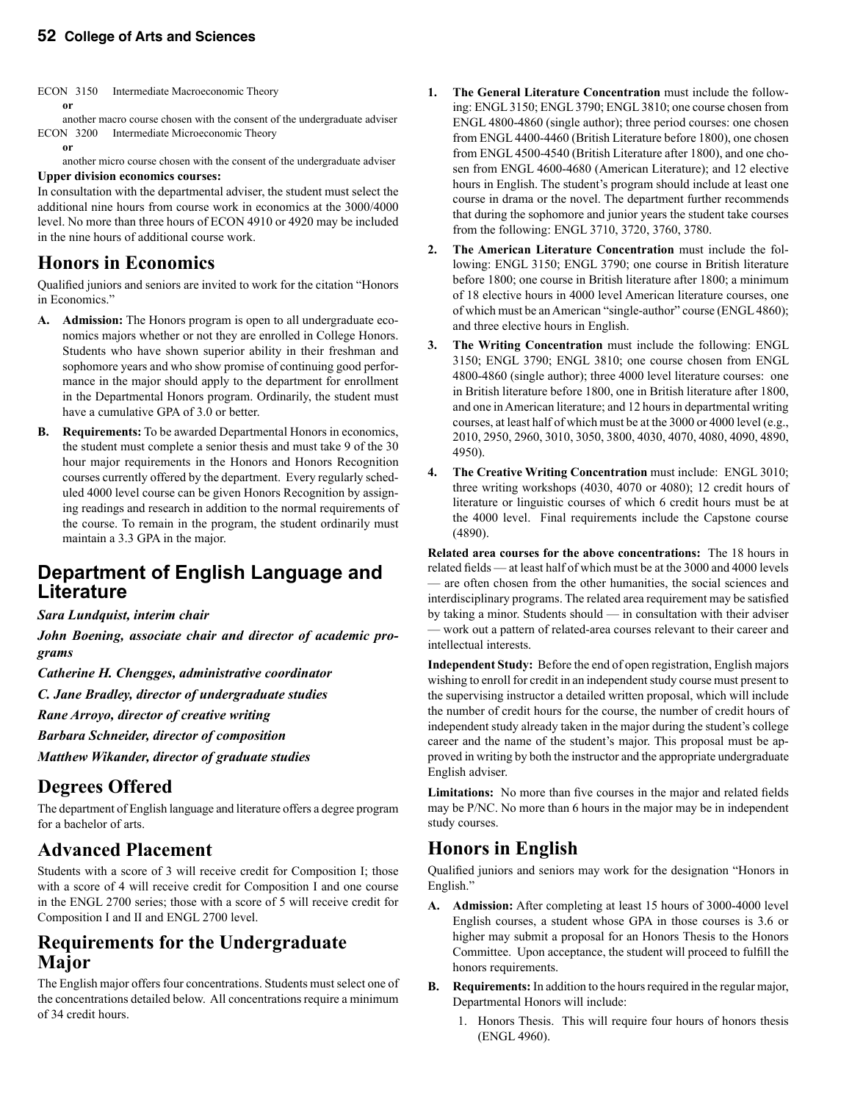ECON 3150 Intermediate Macroeconomic Theory  **or**

 another macro course chosen with the consent of the undergraduate adviser ECON 3200 Intermediate Microeconomic Theory

 **or**

another micro course chosen with the consent of the undergraduate adviser

#### **Upper division economics courses:**

In consultation with the departmental adviser, the student must select the additional nine hours from course work in economics at the 3000/4000 level. No more than three hours of ECON 4910 or 4920 may be included in the nine hours of additional course work.

# **Honors in Economics**

Qualified juniors and seniors are invited to work for the citation "Honors in Economics."

- **A. Admission:** The Honors program is open to all undergraduate economics majors whether or not they are enrolled in College Honors. Students who have shown superior ability in their freshman and sophomore years and who show promise of continuing good performance in the major should apply to the department for enrollment in the Departmental Honors program. Ordinarily, the student must have a cumulative GPA of 3.0 or better.
- **B. Requirements:** To be awarded Departmental Honors in economics, the student must complete a senior thesis and must take 9 of the 30 hour major requirements in the Honors and Honors Recognition courses currently offered by the department. Every regularly scheduled 4000 level course can be given Honors Recognition by assigning readings and research in addition to the normal requirements of the course. To remain in the program, the student ordinarily must maintain a 3.3 GPA in the major.

# **Department of English Language and Literature**

#### *Sara Lundquist, interim chair*

*John Boening, associate chair and director of academic programs*

*Catherine H. Chengges, administrative coordinator*

*C. Jane Bradley, director of undergraduate studies*

*Rane Arroyo, director of creative writing*

*Barbara Schneider, director of composition*

*Matthew Wikander, director of graduate studies* 

# **Degrees Offered**

The department of English language and literature offers a degree program for a bachelor of arts.

# **Advanced Placement**

Students with a score of 3 will receive credit for Composition I; those with a score of 4 will receive credit for Composition I and one course in the ENGL 2700 series; those with a score of 5 will receive credit for Composition I and II and ENGL 2700 level.

### **Requirements for the Undergraduate Major**

The English major offers four concentrations. Students must select one of the concentrations detailed below. All concentrations require a minimum of 34 credit hours.

- **1. The General Literature Concentration** must include the following: ENGL 3150; ENGL 3790; ENGL 3810; one course chosen from ENGL 4800-4860 (single author); three period courses: one chosen from ENGL 4400-4460 (British Literature before 1800), one chosen from ENGL 4500-4540 (British Literature after 1800), and one chosen from ENGL 4600-4680 (American Literature); and 12 elective hours in English. The student's program should include at least one course in drama or the novel. The department further recommends that during the sophomore and junior years the student take courses from the following: ENGL 3710, 3720, 3760, 3780.
- **2. The American Literature Concentration** must include the following: ENGL 3150; ENGL 3790; one course in British literature before 1800; one course in British literature after 1800; a minimum of 18 elective hours in 4000 level American literature courses, one of which must be an American "single-author" course (ENGL 4860); and three elective hours in English.
- **3. The Writing Concentration** must include the following: ENGL 3150; ENGL 3790; ENGL 3810; one course chosen from ENGL 4800-4860 (single author); three 4000 level literature courses: one in British literature before 1800, one in British literature after 1800, and one in American literature; and 12 hours in departmental writing courses, at least half of which must be at the 3000 or 4000 level (e.g., 2010, 2950, 2960, 3010, 3050, 3800, 4030, 4070, 4080, 4090, 4890, 4950).
- **4. The Creative Writing Concentration** must include: ENGL 3010; three writing workshops (4030, 4070 or 4080); 12 credit hours of literature or linguistic courses of which 6 credit hours must be at the 4000 level. Final requirements include the Capstone course (4890).

**Related area courses for the above concentrations:** The 18 hours in related fields — at least half of which must be at the 3000 and 4000 levels — are often chosen from the other humanities, the social sciences and interdisciplinary programs. The related area requirement may be satisfied by taking a minor. Students should — in consultation with their adviser — work out a pattern of related-area courses relevant to their career and intellectual interests.

**Independent Study:** Before the end of open registration, English majors wishing to enroll for credit in an independent study course must present to the supervising instructor a detailed written proposal, which will include the number of credit hours for the course, the number of credit hours of independent study already taken in the major during the student's college career and the name of the student's major. This proposal must be approved in writing by both the instructor and the appropriate undergraduate English adviser.

**Limitations:** No more than five courses in the major and related fields may be P/NC. No more than 6 hours in the major may be in independent study courses.

# **Honors in English**

Qualified juniors and seniors may work for the designation "Honors in English."

- **A. Admission:** After completing at least 15 hours of 3000-4000 level English courses, a student whose GPA in those courses is 3.6 or higher may submit a proposal for an Honors Thesis to the Honors Committee. Upon acceptance, the student will proceed to fulfill the honors requirements.
- **B. Requirements:** In addition to the hours required in the regular major, Departmental Honors will include:
	- 1. Honors Thesis. This will require four hours of honors thesis (ENGL 4960).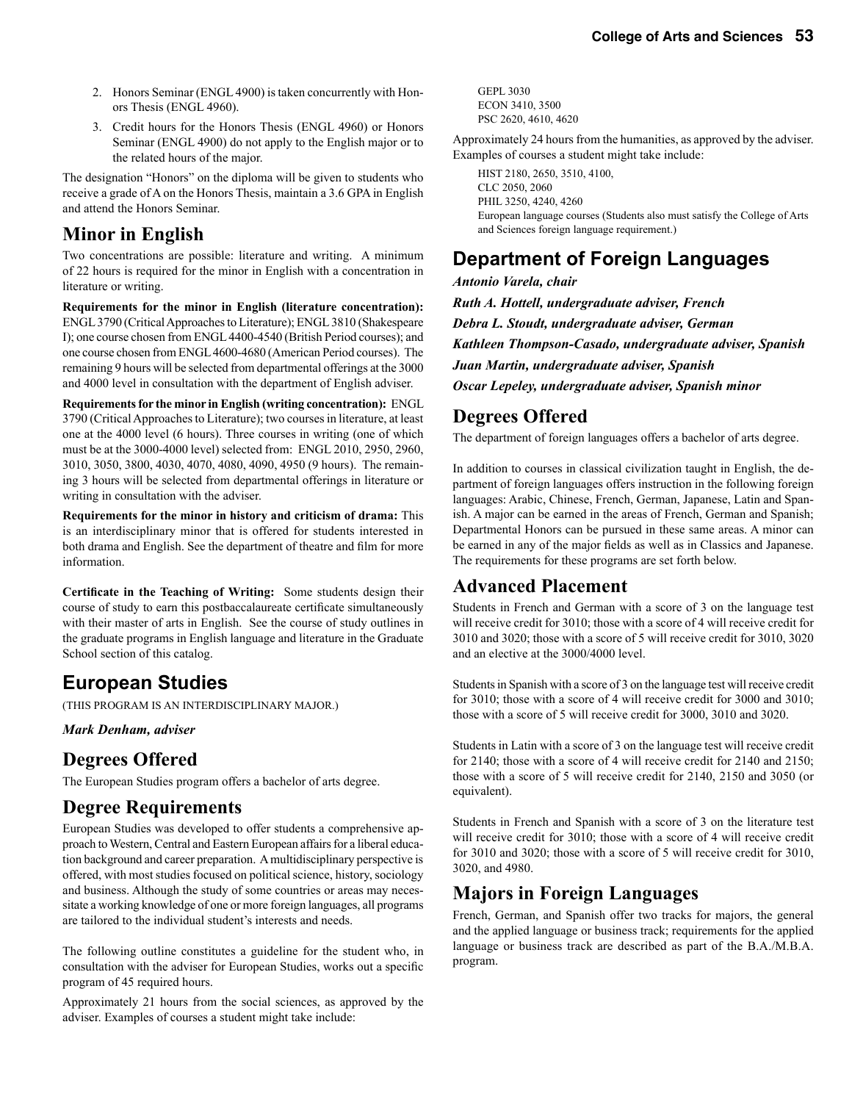- 2. Honors Seminar (ENGL 4900) is taken concurrently with Honors Thesis (ENGL 4960).
- 3. Credit hours for the Honors Thesis (ENGL 4960) or Honors Seminar (ENGL 4900) do not apply to the English major or to the related hours of the major.

The designation "Honors" on the diploma will be given to students who receive a grade of A on the Honors Thesis, maintain a 3.6 GPA in English and attend the Honors Seminar.

### **Minor in English**

Two concentrations are possible: literature and writing. A minimum of 22 hours is required for the minor in English with a concentration in literature or writing.

**Requirements for the minor in English (literature concentration):** ENGL 3790 (Critical Approaches to Literature); ENGL 3810 (Shakespeare I); one course chosen from ENGL 4400-4540 (British Period courses); and one course chosen from ENGL 4600-4680 (American Period courses). The remaining 9 hours will be selected from departmental offerings at the 3000 and 4000 level in consultation with the department of English adviser.

**Requirements for the minor in English (writing concentration):** ENGL 3790 (Critical Approaches to Literature); two courses in literature, at least one at the 4000 level (6 hours). Three courses in writing (one of which must be at the 3000-4000 level) selected from: ENGL 2010, 2950, 2960, 3010, 3050, 3800, 4030, 4070, 4080, 4090, 4950 (9 hours). The remaining 3 hours will be selected from departmental offerings in literature or writing in consultation with the adviser.

**Requirements for the minor in history and criticism of drama:** This is an interdisciplinary minor that is offered for students interested in both drama and English. See the department of theatre and film for more information.

**Certificate in the Teaching of Writing:** Some students design their course of study to earn this postbaccalaureate certificate simultaneously with their master of arts in English. See the course of study outlines in the graduate programs in English language and literature in the Graduate School section of this catalog.

# **European Studies**

(THIS PROGRAM IS AN INTERDISCIPLINARY MAJOR.)

*Mark Denham, adviser*

# **Degrees Offered**

The European Studies program offers a bachelor of arts degree.

# **Degree Requirements**

European Studies was developed to offer students a comprehensive approach to Western, Central and Eastern European affairs for a liberal education background and career preparation. A multidisciplinary perspective is offered, with most studies focused on political science, history, sociology and business. Although the study of some countries or areas may necessitate a working knowledge of one or more foreign languages, all programs are tailored to the individual student's interests and needs.

The following outline constitutes a guideline for the student who, in consultation with the adviser for European Studies, works out a specific program of 45 required hours.

Approximately 21 hours from the social sciences, as approved by the adviser. Examples of courses a student might take include:

GEPL 3030 ECON 3410, 3500 PSC 2620, 4610, 4620

Approximately 24 hours from the humanities, as approved by the adviser. Examples of courses a student might take include:

HIST 2180, 2650, 3510, 4100, CLC 2050, 2060 PHIL 3250, 4240, 4260 European language courses (Students also must satisfy the College of Arts and Sciences foreign language requirement.)

# **Department of Foreign Languages**

*Antonio Varela, chair Ruth A. Hottell, undergraduate adviser, French Debra L. Stoudt, undergraduate adviser, German Kathleen Thompson-Casado, undergraduate adviser, Spanish Juan Martin, undergraduate adviser, Spanish Oscar Lepeley, undergraduate adviser, Spanish minor*

# **Degrees Offered**

The department of foreign languages offers a bachelor of arts degree.

In addition to courses in classical civilization taught in English, the department of foreign languages offers instruction in the following foreign languages: Arabic, Chinese, French, German, Japanese, Latin and Spanish. A major can be earned in the areas of French, German and Spanish; Departmental Honors can be pursued in these same areas. A minor can be earned in any of the major fields as well as in Classics and Japanese. The requirements for these programs are set forth below.

### **Advanced Placement**

Students in French and German with a score of 3 on the language test will receive credit for 3010; those with a score of 4 will receive credit for 3010 and 3020; those with a score of 5 will receive credit for 3010, 3020 and an elective at the 3000/4000 level.

Students in Spanish with a score of 3 on the language test will receive credit for 3010; those with a score of 4 will receive credit for 3000 and 3010; those with a score of 5 will receive credit for 3000, 3010 and 3020.

Students in Latin with a score of 3 on the language test will receive credit for 2140; those with a score of 4 will receive credit for 2140 and 2150; those with a score of 5 will receive credit for 2140, 2150 and 3050 (or equivalent).

Students in French and Spanish with a score of 3 on the literature test will receive credit for 3010; those with a score of 4 will receive credit for 3010 and 3020; those with a score of 5 will receive credit for 3010, 3020, and 4980.

# **Majors in Foreign Languages**

French, German, and Spanish offer two tracks for majors, the general and the applied language or business track; requirements for the applied language or business track are described as part of the B.A./M.B.A. program.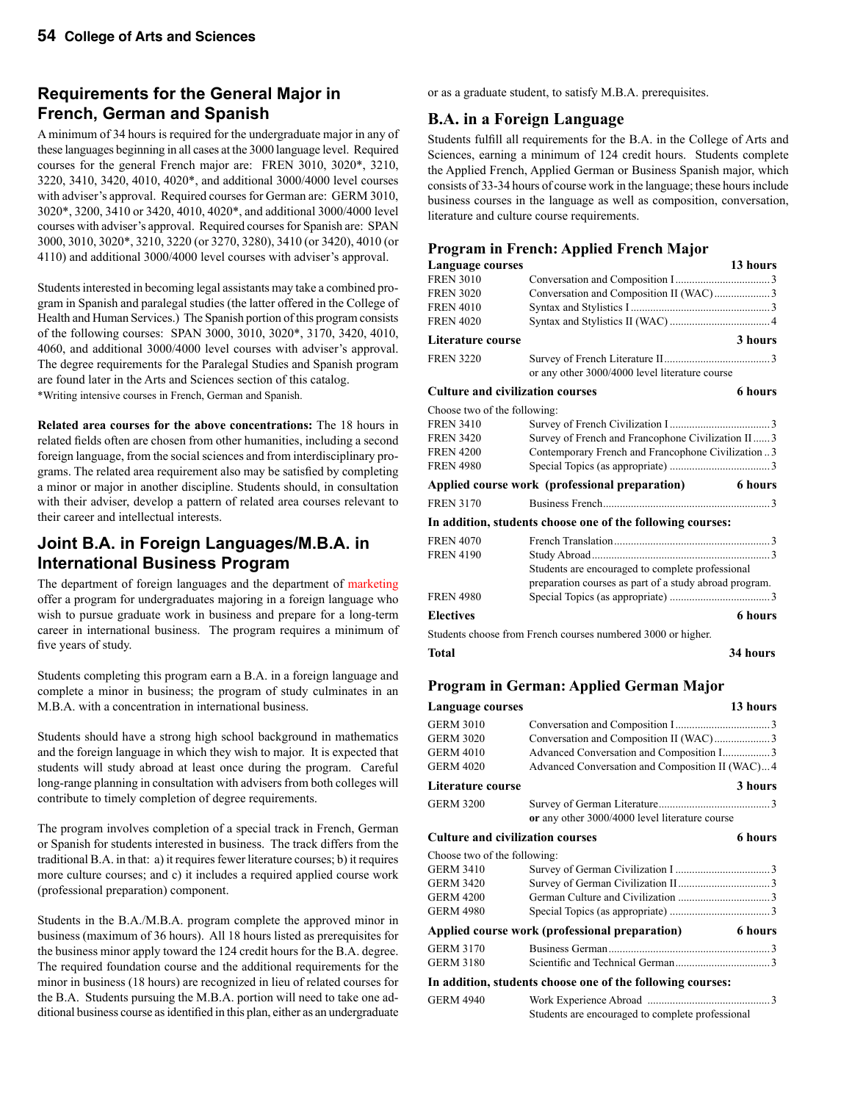### **Requirements for the General Major in French, German and Spanish**

A minimum of 34 hours is required for the undergraduate major in any of these languages beginning in all cases at the 3000 language level. Required courses for the general French major are: FREN 3010, 3020\*, 3210, 3220, 3410, 3420, 4010, 4020\*, and additional 3000/4000 level courses with adviser's approval. Required courses for German are: GERM 3010, 3020\*, 3200, 3410 or 3420, 4010, 4020\*, and additional 3000/4000 level courses with adviser's approval. Required courses for Spanish are: SPAN 3000, 3010, 3020\*, 3210, 3220 (or 3270, 3280), 3410 (or 3420), 4010 (or 4110) and additional 3000/4000 level courses with adviser's approval.

Students interested in becoming legal assistants may take a combined program in Spanish and paralegal studies (the latter offered in the College of Health and Human Services.) The Spanish portion of this program consists of the following courses: SPAN 3000, 3010, 3020\*, 3170, 3420, 4010, 4060, and additional 3000/4000 level courses with adviser's approval. The degree requirements for the Paralegal Studies and Spanish program are found later in the Arts and Sciences section of this catalog. \*Writing intensive courses in French, German and Spanish.

**Related area courses for the above concentrations:** The 18 hours in related fields often are chosen from other humanities, including a second foreign language, from the social sciences and from interdisciplinary programs. The related area requirement also may be satisfied by completing a minor or major in another discipline. Students should, in consultation with their adviser, develop a pattern of related area courses relevant to their career and intellectual interests.

### **Joint B.A. in Foreign Languages/M.B.A. in International Business Program**

The department of foreign languages and the department of marketing offer a program for undergraduates majoring in a foreign language who wish to pursue graduate work in business and prepare for a long-term career in international business. The program requires a minimum of five years of study.

Students completing this program earn a B.A. in a foreign language and complete a minor in business; the program of study culminates in an M.B.A. with a concentration in international business.

Students should have a strong high school background in mathematics and the foreign language in which they wish to major. It is expected that students will study abroad at least once during the program. Careful long-range planning in consultation with advisers from both colleges will contribute to timely completion of degree requirements.

The program involves completion of a special track in French, German or Spanish for students interested in business. The track differs from the traditional B.A. in that: a) it requires fewer literature courses; b) it requires more culture courses; and c) it includes a required applied course work (professional preparation) component.

Students in the B.A./M.B.A. program complete the approved minor in business (maximum of 36 hours). All 18 hours listed as prerequisites for the business minor apply toward the 124 credit hours for the B.A. degree. The required foundation course and the additional requirements for the minor in business (18 hours) are recognized in lieu of related courses for the B.A. Students pursuing the M.B.A. portion will need to take one additional business course as identified in this plan, either as an undergraduate or as a graduate student, to satisfy M.B.A. prerequisites.

### **B.A. in a Foreign Language**

Students fulfill all requirements for the B.A. in the College of Arts and Sciences, earning a minimum of 124 credit hours. Students complete the Applied French, Applied German or Business Spanish major, which consists of 33-34 hours of course work in the language; these hours include business courses in the language as well as composition, conversation, literature and culture course requirements.

#### **Program in French: Applied French Major**

| Language courses                        |                                                                                                            | 13 hours       |
|-----------------------------------------|------------------------------------------------------------------------------------------------------------|----------------|
| <b>FREN 3010</b>                        |                                                                                                            |                |
| <b>FREN 3020</b>                        | Conversation and Composition II (WAC)3                                                                     |                |
| <b>FREN 4010</b>                        |                                                                                                            |                |
| <b>FREN 4020</b>                        |                                                                                                            |                |
| Literature course                       |                                                                                                            | 3 hours        |
| <b>FREN 3220</b>                        | or any other 3000/4000 level literature course                                                             |                |
| <b>Culture and civilization courses</b> |                                                                                                            | <b>6</b> hours |
| Choose two of the following:            |                                                                                                            |                |
| <b>FREN 3410</b>                        |                                                                                                            |                |
| <b>FREN 3420</b>                        | Survey of French and Francophone Civilization II 3                                                         |                |
| <b>FREN 4200</b>                        | Contemporary French and Francophone Civilization 3                                                         |                |
| <b>FREN 4980</b>                        |                                                                                                            |                |
|                                         | Applied course work (professional preparation)                                                             | 6 hours        |
| <b>FREN 3170</b>                        |                                                                                                            |                |
|                                         | In addition, students choose one of the following courses:                                                 |                |
| <b>FREN 4070</b>                        |                                                                                                            |                |
| <b>FREN 4190</b>                        |                                                                                                            |                |
|                                         | Students are encouraged to complete professional<br>preparation courses as part of a study abroad program. |                |
| <b>FREN 4980</b>                        |                                                                                                            |                |
| <b>Electives</b>                        |                                                                                                            | <b>6</b> hours |
|                                         | Students choose from French courses numbered 3000 or higher.                                               |                |
| Total                                   |                                                                                                            | 34 hours       |

#### **Program in German: Applied German Major**

| Language courses                        |                                                            | 13 hours |
|-----------------------------------------|------------------------------------------------------------|----------|
| <b>GERM 3010</b>                        |                                                            |          |
| <b>GERM 3020</b>                        | Conversation and Composition II (WAC)3                     |          |
| <b>GERM 4010</b>                        |                                                            |          |
| <b>GERM 4020</b>                        | Advanced Conversation and Composition II (WAC)4            |          |
| Literature course                       |                                                            | 3 hours  |
| <b>GERM 3200</b>                        |                                                            |          |
|                                         | or any other 3000/4000 level literature course             |          |
| <b>Culture and civilization courses</b> |                                                            | 6 hours  |
| Choose two of the following:            |                                                            |          |
| <b>GERM 3410</b>                        |                                                            |          |
| <b>GERM 3420</b>                        |                                                            |          |
| <b>GERM 4200</b>                        |                                                            |          |
| <b>GERM 4980</b>                        |                                                            |          |
|                                         | Applied course work (professional preparation)             | 6 hours  |
| <b>GERM 3170</b>                        |                                                            |          |
| <b>GERM 3180</b>                        |                                                            |          |
|                                         | In addition, students choose one of the following courses: |          |
| <b>GERM 4940</b>                        |                                                            |          |
|                                         | Students are encouraged to complete professional           |          |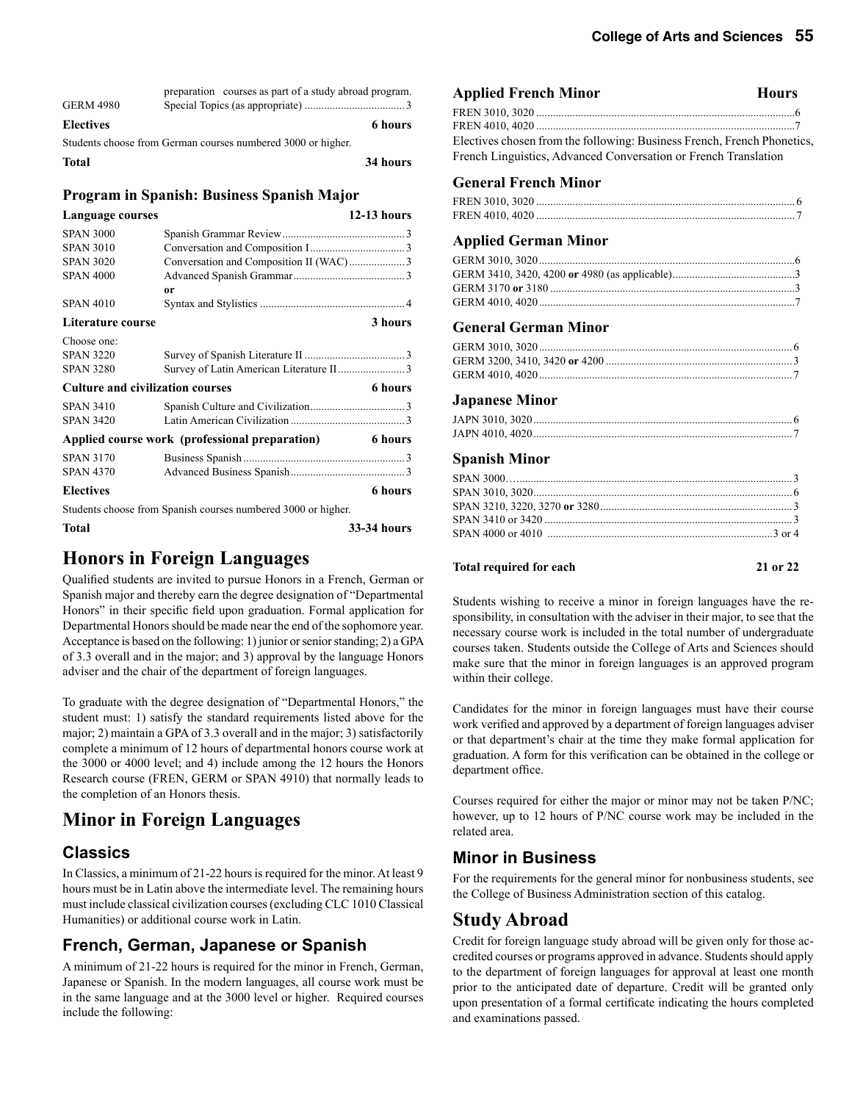| <b>GERM 4980</b> | preparation courses as part of a study abroad program.       |          |
|------------------|--------------------------------------------------------------|----------|
| <b>Electives</b> |                                                              | 6 hours  |
|                  | Students choose from German courses numbered 3000 or higher. |          |
| <b>Total</b>     |                                                              | 34 hours |

#### **Program in Spanish: Business Spanish Major**

| Language courses                        |                                                               | $12-13$ hours |
|-----------------------------------------|---------------------------------------------------------------|---------------|
| <b>SPAN 3000</b>                        |                                                               |               |
| <b>SPAN 3010</b>                        |                                                               |               |
| <b>SPAN 3020</b>                        |                                                               |               |
| <b>SPAN 4000</b>                        |                                                               |               |
|                                         | 0r                                                            |               |
| <b>SPAN 4010</b>                        |                                                               |               |
| Literature course                       |                                                               | 3 hours       |
| Choose one:                             |                                                               |               |
| <b>SPAN 3220</b>                        |                                                               |               |
| <b>SPAN 3280</b>                        |                                                               |               |
| <b>Culture and civilization courses</b> |                                                               | 6 hours       |
| <b>SPAN 3410</b>                        |                                                               |               |
| <b>SPAN 3420</b>                        |                                                               |               |
|                                         | Applied course work (professional preparation)                | 6 hours       |
| <b>SPAN 3170</b>                        |                                                               |               |
| <b>SPAN 4370</b>                        |                                                               |               |
| <b>Electives</b>                        |                                                               | 6 hours       |
|                                         | Students choose from Spanish courses numbered 3000 or higher. |               |
| <b>Total</b>                            |                                                               | 33-34 hours   |

# **Honors in Foreign Languages**

Qualified students are invited to pursue Honors in a French, German or Spanish major and thereby earn the degree designation of "Departmental Honors" in their specific field upon graduation. Formal application for Departmental Honors should be made near the end of the sophomore year. Acceptance is based on the following: 1) junior or senior standing; 2) a GPA of 3.3 overall and in the major; and 3) approval by the language Honors adviser and the chair of the department of foreign languages.

To graduate with the degree designation of "Departmental Honors," the student must: 1) satisfy the standard requirements listed above for the major; 2) maintain a GPA of 3.3 overall and in the major; 3) satisfactorily complete a minimum of 12 hours of departmental honors course work at the 3000 or 4000 level; and 4) include among the 12 hours the Honors Research course (FREN, GERM or SPAN 4910) that normally leads to the completion of an Honors thesis.

# **Minor in Foreign Languages**

### **Classics**

In Classics, a minimum of 21-22 hours is required for the minor. At least 9 hours must be in Latin above the intermediate level. The remaining hours must include classical civilization courses (excluding CLC 1010 Classical Humanities) or additional course work in Latin.

### **French, German, Japanese or Spanish**

A minimum of 21-22 hours is required for the minor in French, German, Japanese or Spanish. In the modern languages, all course work must be in the same language and at the 3000 level or higher. Required courses include the following:

### Applied French Minor **Hours**

| Electives chosen from the following: Business French, French Phonetics, |  |
|-------------------------------------------------------------------------|--|
| French Linguistics, Advanced Conversation or French Translation         |  |

#### **General French Minor**

#### **Applied German Minor**

#### **General German Minor**

#### **Japanese Minor**

#### **Spanish Minor**

#### Total required for each 21 or 22

Students wishing to receive a minor in foreign languages have the responsibility, in consultation with the adviser in their major, to see that the necessary course work is included in the total number of undergraduate courses taken. Students outside the College of Arts and Sciences should make sure that the minor in foreign languages is an approved program within their college.

Candidates for the minor in foreign languages must have their course work verified and approved by a department of foreign languages adviser or that department's chair at the time they make formal application for graduation. A form for this verification can be obtained in the college or department office.

Courses required for either the major or minor may not be taken P/NC; however, up to 12 hours of P/NC course work may be included in the related area.

### **Minor in Business**

For the requirements for the general minor for nonbusiness students, see the College of Business Administration section of this catalog.

### **Study Abroad**

Credit for foreign language study abroad will be given only for those accredited courses or programs approved in advance. Students should apply to the department of foreign languages for approval at least one month prior to the anticipated date of departure. Credit will be granted only upon presentation of a formal certificate indicating the hours completed and examinations passed.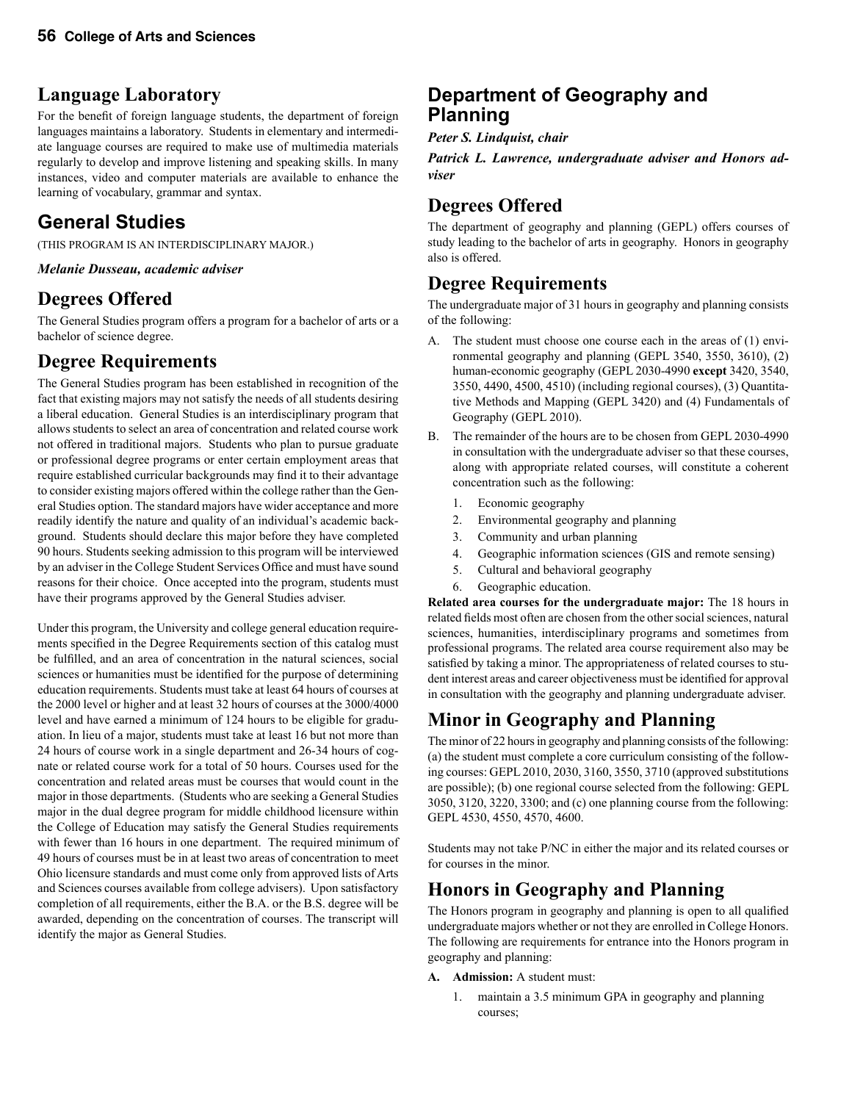# **Language Laboratory**

For the benefit of foreign language students, the department of foreign languages maintains a laboratory. Students in elementary and intermediate language courses are required to make use of multimedia materials regularly to develop and improve listening and speaking skills. In many instances, video and computer materials are available to enhance the learning of vocabulary, grammar and syntax.

# **General Studies**

(THIS PROGRAM IS AN INTERDISCIPLINARY MAJOR.)

*Melanie Dusseau, academic adviser*

# **Degrees Offered**

The General Studies program offers a program for a bachelor of arts or a bachelor of science degree.

# **Degree Requirements**

The General Studies program has been established in recognition of the fact that existing majors may not satisfy the needs of all students desiring a liberal education. General Studies is an interdisciplinary program that allows students to select an area of concentration and related course work not offered in traditional majors. Students who plan to pursue graduate or professional degree programs or enter certain employment areas that require established curricular backgrounds may find it to their advantage to consider existing majors offered within the college rather than the General Studies option. The standard majors have wider acceptance and more readily identify the nature and quality of an individual's academic background. Students should declare this major before they have completed 90 hours. Students seeking admission to this program will be interviewed by an adviser in the College Student Services Office and must have sound reasons for their choice. Once accepted into the program, students must have their programs approved by the General Studies adviser.

Under this program, the University and college general education requirements specified in the Degree Requirements section of this catalog must be fulfilled, and an area of concentration in the natural sciences, social sciences or humanities must be identified for the purpose of determining education requirements. Students must take at least 64 hours of courses at the 2000 level or higher and at least 32 hours of courses at the 3000/4000 level and have earned a minimum of 124 hours to be eligible for graduation. In lieu of a major, students must take at least 16 but not more than 24 hours of course work in a single department and 26-34 hours of cognate or related course work for a total of 50 hours. Courses used for the concentration and related areas must be courses that would count in the major in those departments. (Students who are seeking a General Studies major in the dual degree program for middle childhood licensure within the College of Education may satisfy the General Studies requirements with fewer than 16 hours in one department. The required minimum of 49 hours of courses must be in at least two areas of concentration to meet Ohio licensure standards and must come only from approved lists of Arts and Sciences courses available from college advisers). Upon satisfactory completion of all requirements, either the B.A. or the B.S. degree will be awarded, depending on the concentration of courses. The transcript will identify the major as General Studies.

### **Department of Geography and Planning**

*Peter S. Lindquist, chair*

*Patrick L. Lawrence, undergraduate adviser and Honors adviser*

# **Degrees Offered**

The department of geography and planning (GEPL) offers courses of study leading to the bachelor of arts in geography. Honors in geography also is offered.

# **Degree Requirements**

The undergraduate major of 31 hours in geography and planning consists of the following:

- A. The student must choose one course each in the areas of (1) environmental geography and planning (GEPL 3540, 3550, 3610), (2) human-economic geography (GEPL 2030-4990 **except** 3420, 3540, 3550, 4490, 4500, 4510) (including regional courses), (3) Quantitative Methods and Mapping (GEPL 3420) and (4) Fundamentals of Geography (GEPL 2010).
- B. The remainder of the hours are to be chosen from GEPL 2030-4990 in consultation with the undergraduate adviser so that these courses, along with appropriate related courses, will constitute a coherent concentration such as the following:
	- 1. Economic geography
	- 2. Environmental geography and planning
	- 3. Community and urban planning
	- 4. Geographic information sciences (GIS and remote sensing)
	- 5. Cultural and behavioral geography
	- 6. Geographic education.

**Related area courses for the undergraduate major:** The 18 hours in related fields most often are chosen from the other social sciences, natural sciences, humanities, interdisciplinary programs and sometimes from professional programs. The related area course requirement also may be satisfied by taking a minor. The appropriateness of related courses to student interest areas and career objectiveness must be identified for approval in consultation with the geography and planning undergraduate adviser.

# **Minor in Geography and Planning**

The minor of 22 hours in geography and planning consists of the following: (a) the student must complete a core curriculum consisting of the following courses: GEPL 2010, 2030, 3160, 3550, 3710 (approved substitutions are possible); (b) one regional course selected from the following: GEPL 3050, 3120, 3220, 3300; and (c) one planning course from the following: GEPL 4530, 4550, 4570, 4600.

Students may not take P/NC in either the major and its related courses or for courses in the minor.

# **Honors in Geography and Planning**

The Honors program in geography and planning is open to all qualified undergraduate majors whether or not they are enrolled in College Honors. The following are requirements for entrance into the Honors program in geography and planning:

- **A. Admission:** A student must:
	- 1. maintain a 3.5 minimum GPA in geography and planning courses;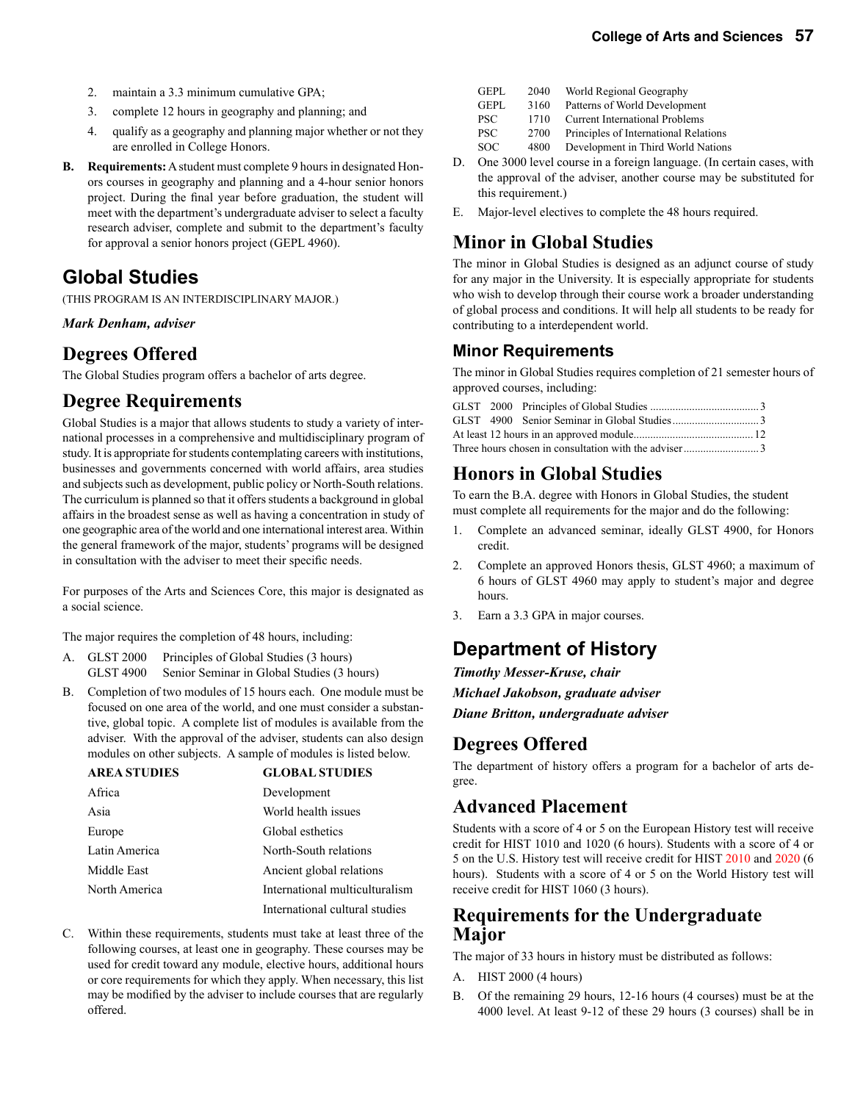- 2. maintain a 3.3 minimum cumulative GPA;
- 3. complete 12 hours in geography and planning; and
- 4. qualify as a geography and planning major whether or not they are enrolled in College Honors.
- **B. Requirements:** A student must complete 9 hours in designated Honors courses in geography and planning and a 4-hour senior honors project. During the final year before graduation, the student will meet with the department's undergraduate adviser to select a faculty research adviser, complete and submit to the department's faculty for approval a senior honors project (GEPL 4960).

# **Global Studies**

(THIS PROGRAM IS AN INTERDISCIPLINARY MAJOR.)

*Mark Denham, adviser*

### **Degrees Offered**

The Global Studies program offers a bachelor of arts degree.

# **Degree Requirements**

Global Studies is a major that allows students to study a variety of international processes in a comprehensive and multidisciplinary program of study. It is appropriate for students contemplating careers with institutions, businesses and governments concerned with world affairs, area studies and subjects such as development, public policy or North-South relations. The curriculum is planned so that it offers students a background in global affairs in the broadest sense as well as having a concentration in study of one geographic area of the world and one international interest area. Within the general framework of the major, students' programs will be designed in consultation with the adviser to meet their specific needs.

For purposes of the Arts and Sciences Core, this major is designated as a social science.

The major requires the completion of 48 hours, including:

- A. GLST 2000 Principles of Global Studies (3 hours) GLST 4900 Senior Seminar in Global Studies (3 hours)
- B. Completion of two modules of 15 hours each. One module must be focused on one area of the world, and one must consider a substantive, global topic. A complete list of modules is available from the adviser. With the approval of the adviser, students can also design modules on other subjects. A sample of modules is listed below.

| <b>AREA STUDIES</b> | <b>GLOBAL STUDIES</b>          |
|---------------------|--------------------------------|
| Africa              | Development                    |
| Asia                | World health issues            |
| Europe              | Global esthetics               |
| Latin America       | North-South relations          |
| Middle East         | Ancient global relations       |
| North America       | International multiculturalism |
|                     | International cultural studies |

C. Within these requirements, students must take at least three of the following courses, at least one in geography. These courses may be used for credit toward any module, elective hours, additional hours or core requirements for which they apply. When necessary, this list may be modified by the adviser to include courses that are regularly offered.

| GEPL | 2040 | World Regional Geography |
|------|------|--------------------------|
|------|------|--------------------------|

- GEPL 3160 Patterns of World Development
- PSC 1710 Current International Problems
- PSC 2700 Principles of International Relations
- SOC 4800 Development in Third World Nations
- D. One 3000 level course in a foreign language. (In certain cases, with the approval of the adviser, another course may be substituted for this requirement.)
- E. Major-level electives to complete the 48 hours required.

# **Minor in Global Studies**

The minor in Global Studies is designed as an adjunct course of study for any major in the University. It is especially appropriate for students who wish to develop through their course work a broader understanding of global process and conditions. It will help all students to be ready for contributing to a interdependent world.

### **Minor Requirements**

The minor in Global Studies requires completion of 21 semester hours of approved courses, including:

# **Honors in Global Studies**

To earn the B.A. degree with Honors in Global Studies, the student must complete all requirements for the major and do the following:

- 1. Complete an advanced seminar, ideally GLST 4900, for Honors credit.
- 2. Complete an approved Honors thesis, GLST 4960; a maximum of 6 hours of GLST 4960 may apply to student's major and degree hours.
- 3. Earn a 3.3 GPA in major courses.

# **Department of History**

*Timothy Messer-Kruse, chair*

*Michael Jakobson, graduate adviser*

*Diane Britton, undergraduate adviser*

### **Degrees Offered**

The department of history offers a program for a bachelor of arts degree.

### **Advanced Placement**

Students with a score of 4 or 5 on the European History test will receive credit for HIST 1010 and 1020 (6 hours). Students with a score of 4 or 5 on the U.S. History test will receive credit for HIST 2010 and 2020 (6 hours). Students with a score of 4 or 5 on the World History test will receive credit for HIST 1060 (3 hours).

### **Requirements for the Undergraduate Major**

The major of 33 hours in history must be distributed as follows:

- A. HIST 2000 (4 hours)
- B. Of the remaining 29 hours, 12-16 hours (4 courses) must be at the 4000 level. At least 9-12 of these 29 hours (3 courses) shall be in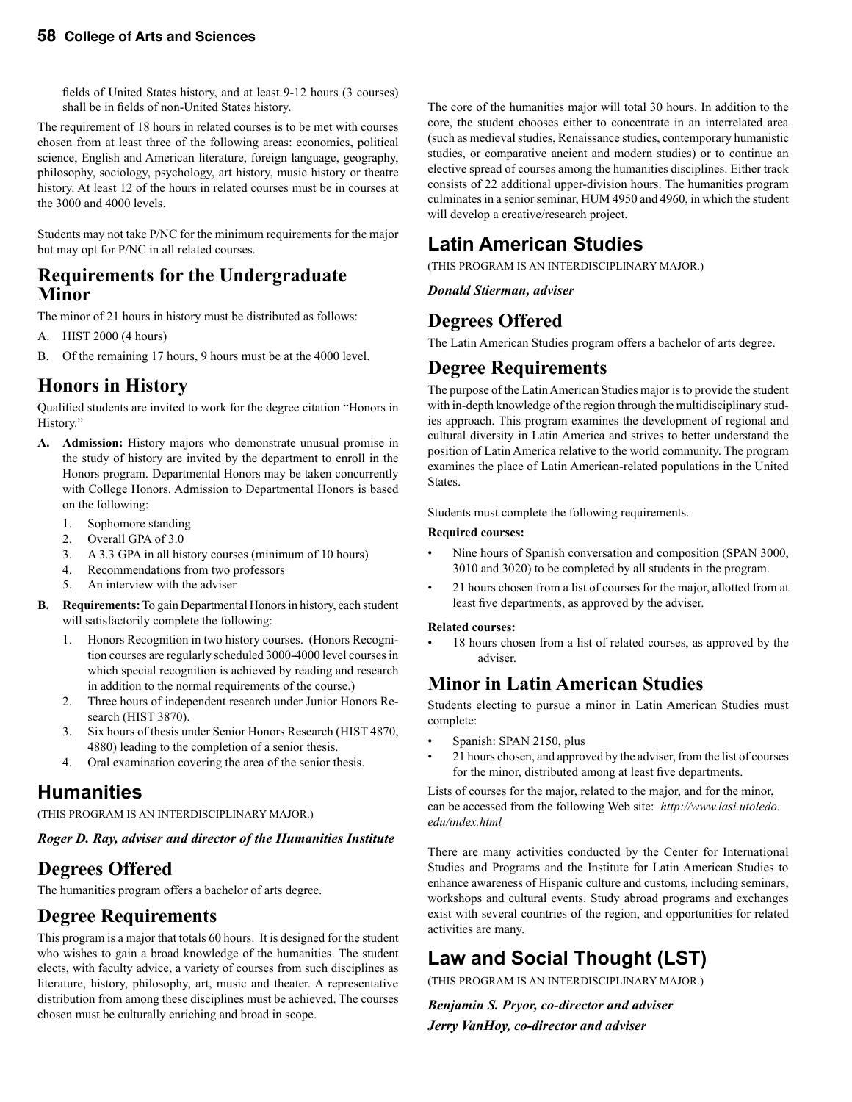fields of United States history, and at least 9-12 hours (3 courses) shall be in fields of non-United States history.

The requirement of 18 hours in related courses is to be met with courses chosen from at least three of the following areas: economics, political science, English and American literature, foreign language, geography, philosophy, sociology, psychology, art history, music history or theatre history. At least 12 of the hours in related courses must be in courses at the 3000 and 4000 levels.

Students may not take P/NC for the minimum requirements for the major but may opt for P/NC in all related courses.

### **Requirements for the Undergraduate Minor**

The minor of 21 hours in history must be distributed as follows:

- A. HIST 2000 (4 hours)
- B. Of the remaining 17 hours, 9 hours must be at the 4000 level.

### **Honors in History**

Qualified students are invited to work for the degree citation "Honors in History."

- **A. Admission:** History majors who demonstrate unusual promise in the study of history are invited by the department to enroll in the Honors program. Departmental Honors may be taken concurrently with College Honors. Admission to Departmental Honors is based on the following:
	- 1. Sophomore standing
	- 2. Overall GPA of 3.0
	- 3. A 3.3 GPA in all history courses (minimum of 10 hours)
	- 4. Recommendations from two professors
	- 5. An interview with the adviser
- **B. Requirements:** To gain Departmental Honors in history, each student will satisfactorily complete the following:
	- 1. Honors Recognition in two history courses. (Honors Recognition courses are regularly scheduled 3000-4000 level courses in which special recognition is achieved by reading and research in addition to the normal requirements of the course.)
	- 2. Three hours of independent research under Junior Honors Research (HIST 3870).
	- 3. Six hours of thesis under Senior Honors Research (HIST 4870, 4880) leading to the completion of a senior thesis.
	- 4. Oral examination covering the area of the senior thesis.

# **Humanities**

(THIS PROGRAM IS AN INTERDISCIPLINARY MAJOR.)

#### *Roger D. Ray, adviser and director of the Humanities Institute*

# **Degrees Offered**

The humanities program offers a bachelor of arts degree.

# **Degree Requirements**

This program is a major that totals 60 hours.It is designed for the student who wishes to gain a broad knowledge of the humanities. The student elects, with faculty advice, a variety of courses from such disciplines as literature, history, philosophy, art, music and theater. A representative distribution from among these disciplines must be achieved. The courses chosen must be culturally enriching and broad in scope.

The core of the humanities major will total 30 hours. In addition to the core, the student chooses either to concentrate in an interrelated area (such as medieval studies, Renaissance studies, contemporary humanistic studies, or comparative ancient and modern studies) or to continue an elective spread of courses among the humanities disciplines. Either track consists of 22 additional upper-division hours. The humanities program culminates in a senior seminar, HUM 4950 and 4960, in which the student will develop a creative/research project.

# **Latin American Studies**

(THIS PROGRAM IS AN INTERDISCIPLINARY MAJOR.)

*Donald Stierman, adviser*

# **Degrees Offered**

The Latin American Studies program offers a bachelor of arts degree.

### **Degree Requirements**

The purpose of the Latin American Studies major is to provide the student with in-depth knowledge of the region through the multidisciplinary studies approach. This program examines the development of regional and cultural diversity in Latin America and strives to better understand the position of Latin America relative to the world community. The program examines the place of Latin American-related populations in the United States.

Students must complete the following requirements.

#### **Required courses:**

- Nine hours of Spanish conversation and composition (SPAN 3000, 3010 and 3020) to be completed by all students in the program.
- 21 hours chosen from a list of courses for the major, allotted from at least five departments, as approved by the adviser.

#### **Related courses:**

18 hours chosen from a list of related courses, as approved by the adviser.

# **Minor in Latin American Studies**

Students electing to pursue a minor in Latin American Studies must complete:

- Spanish: SPAN 2150, plus
- 21 hours chosen, and approved by the adviser, from the list of courses for the minor, distributed among at least five departments.

Lists of courses for the major, related to the major, and for the minor, can be accessed from the following Web site: *http://www.lasi.utoledo. edu/index.html*

There are many activities conducted by the Center for International Studies and Programs and the Institute for Latin American Studies to enhance awareness of Hispanic culture and customs, including seminars, workshops and cultural events. Study abroad programs and exchanges exist with several countries of the region, and opportunities for related activities are many.

# **Law and Social Thought (LST)**

(THIS PROGRAM IS AN INTERDISCIPLINARY MAJOR.)

*Benjamin S. Pryor, co-director and adviser Jerry VanHoy, co-director and adviser*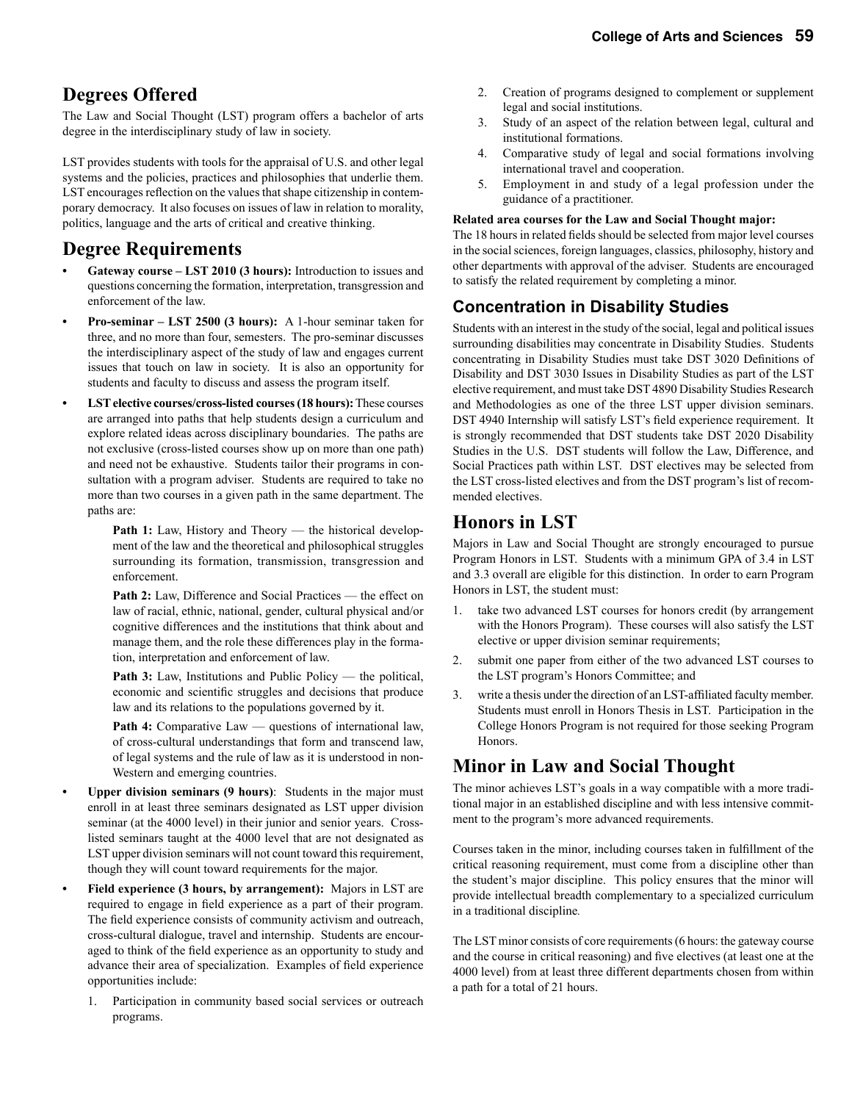# **Degrees Offered**

The Law and Social Thought (LST) program offers a bachelor of arts degree in the interdisciplinary study of law in society.

LST provides students with tools for the appraisal of U.S. and other legal systems and the policies, practices and philosophies that underlie them. LST encourages reflection on the values that shape citizenship in contemporary democracy. It also focuses on issues of law in relation to morality, politics, language and the arts of critical and creative thinking.

### **Degree Requirements**

- **Gateway course LST 2010 (3 hours):** Introduction to issues and questions concerning the formation, interpretation, transgression and enforcement of the law.
- **Pro-seminar LST 2500 (3 hours):** A 1-hour seminar taken for three, and no more than four, semesters. The pro-seminar discusses the interdisciplinary aspect of the study of law and engages current issues that touch on law in society. It is also an opportunity for students and faculty to discuss and assess the program itself.
- **• LST elective courses/cross-listed courses (18 hours):** These courses are arranged into paths that help students design a curriculum and explore related ideas across disciplinary boundaries. The paths are not exclusive (cross-listed courses show up on more than one path) and need not be exhaustive. Students tailor their programs in consultation with a program adviser. Students are required to take no more than two courses in a given path in the same department. The paths are:
	- Path 1: Law, History and Theory the historical development of the law and the theoretical and philosophical struggles surrounding its formation, transmission, transgression and enforcement.
	- **Path 2:** Law, Difference and Social Practices the effect on law of racial, ethnic, national, gender, cultural physical and/or cognitive differences and the institutions that think about and manage them, and the role these differences play in the formation, interpretation and enforcement of law.
	- Path 3: Law, Institutions and Public Policy the political, economic and scientific struggles and decisions that produce law and its relations to the populations governed by it.
	- Path 4: Comparative Law questions of international law, of cross-cultural understandings that form and transcend law, of legal systems and the rule of law as it is understood in non-Western and emerging countries.
- **Upper division seminars (9 hours)**: Students in the major must enroll in at least three seminars designated as LST upper division seminar (at the 4000 level) in their junior and senior years. Crosslisted seminars taught at the 4000 level that are not designated as LST upper division seminars will not count toward this requirement, though they will count toward requirements for the major.
- **• Field experience (3 hours, by arrangement):** Majors in LST are required to engage in field experience as a part of their program. The field experience consists of community activism and outreach, cross-cultural dialogue, travel and internship. Students are encouraged to think of the field experience as an opportunity to study and advance their area of specialization. Examples of field experience opportunities include:
	- 1. Participation in community based social services or outreach programs.
- 2. Creation of programs designed to complement or supplement legal and social institutions.
- 3. Study of an aspect of the relation between legal, cultural and institutional formations.
- 4. Comparative study of legal and social formations involving international travel and cooperation.
- 5. Employment in and study of a legal profession under the guidance of a practitioner.

#### **Related area courses for the Law and Social Thought major:**

The 18 hours in related fields should be selected from major level courses in the social sciences, foreign languages, classics, philosophy, history and other departments with approval of the adviser. Students are encouraged to satisfy the related requirement by completing a minor.

### **Concentration in Disability Studies**

Students with an interest in the study of the social, legal and political issues surrounding disabilities may concentrate in Disability Studies. Students concentrating in Disability Studies must take DST 3020 Definitions of Disability and DST 3030 Issues in Disability Studies as part of the LST elective requirement, and must take DST 4890 Disability Studies Research and Methodologies as one of the three LST upper division seminars. DST 4940 Internship will satisfy LST's field experience requirement. It is strongly recommended that DST students take DST 2020 Disability Studies in the U.S. DST students will follow the Law, Difference, and Social Practices path within LST. DST electives may be selected from the LST cross-listed electives and from the DST program's list of recommended electives.

# **Honors in LST**

Majors in Law and Social Thought are strongly encouraged to pursue Program Honors in LST. Students with a minimum GPA of 3.4 in LST and 3.3 overall are eligible for this distinction. In order to earn Program Honors in LST, the student must:

- 1. take two advanced LST courses for honors credit (by arrangement with the Honors Program). These courses will also satisfy the LST elective or upper division seminar requirements;
- 2. submit one paper from either of the two advanced LST courses to the LST program's Honors Committee; and
- 3. write a thesis under the direction of an LST-affiliated faculty member. Students must enroll in Honors Thesis in LST. Participation in the College Honors Program is not required for those seeking Program Honors.

# **Minor in Law and Social Thought**

The minor achieves LST's goals in a way compatible with a more traditional major in an established discipline and with less intensive commitment to the program's more advanced requirements.

Courses taken in the minor, including courses taken in fulfillment of the critical reasoning requirement, must come from a discipline other than the student's major discipline. This policy ensures that the minor will provide intellectual breadth complementary to a specialized curriculum in a traditional discipline*.*

The LST minor consists of core requirements (6 hours: the gateway course and the course in critical reasoning) and five electives (at least one at the 4000 level) from at least three different departments chosen from within a path for a total of 21 hours.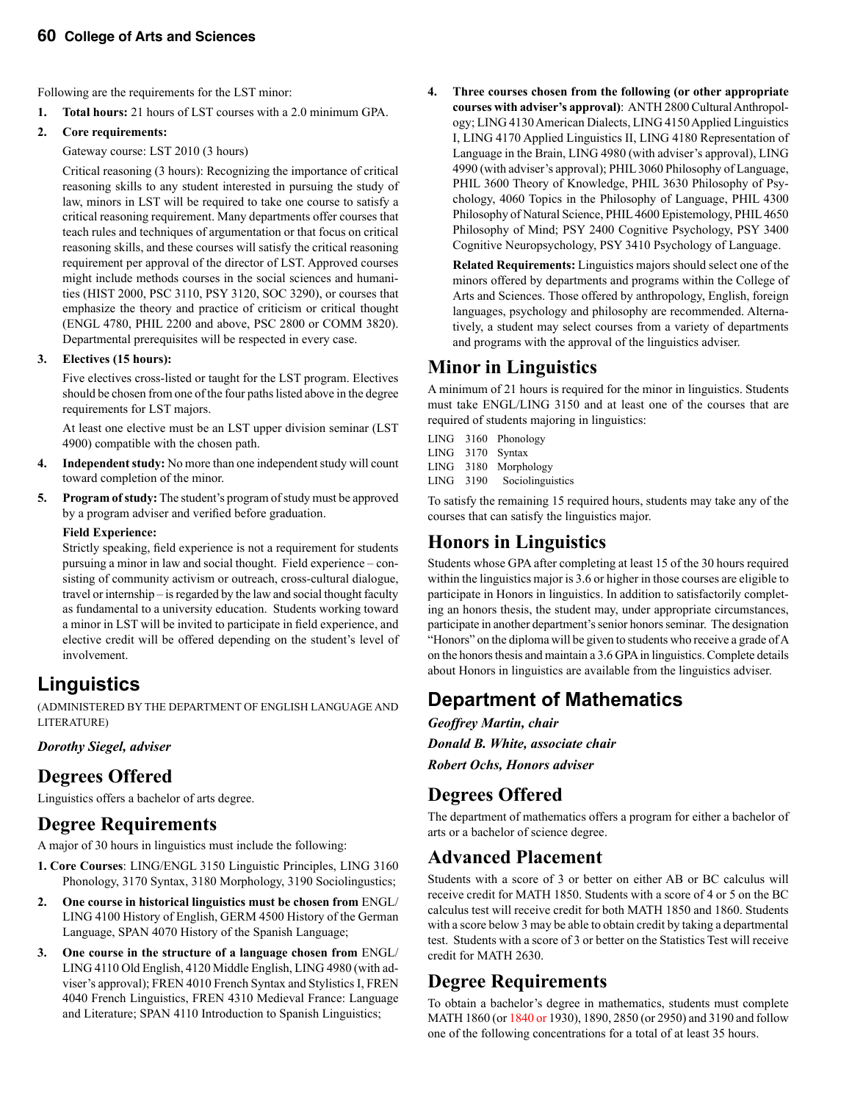Following are the requirements for the LST minor:

**1. Total hours:** 21 hours of LST courses with a 2.0 minimum GPA.

#### **2. Core requirements:**

Gateway course: LST 2010 (3 hours)

 Critical reasoning (3 hours): Recognizing the importance of critical reasoning skills to any student interested in pursuing the study of law, minors in LST will be required to take one course to satisfy a critical reasoning requirement. Many departments offer courses that teach rules and techniques of argumentation or that focus on critical reasoning skills, and these courses will satisfy the critical reasoning requirement per approval of the director of LST. Approved courses might include methods courses in the social sciences and humanities (HIST 2000, PSC 3110, PSY 3120, SOC 3290), or courses that emphasize the theory and practice of criticism or critical thought (ENGL 4780, PHIL 2200 and above, PSC 2800 or COMM 3820). Departmental prerequisites will be respected in every case.

#### **3. Electives (15 hours):**

 Five electives cross-listed or taught for the LST program. Electives should be chosen from one of the four paths listed above in the degree requirements for LST majors.

 At least one elective must be an LST upper division seminar (LST 4900) compatible with the chosen path.

- **4. Independent study:** No more than one independent study will count toward completion of the minor.
- **5. Program of study:** The student's program of study must be approved by a program adviser and verified before graduation.

#### **Field Experience:**

Strictly speaking, field experience is not a requirement for students pursuing a minor in law and social thought. Field experience – consisting of community activism or outreach, cross-cultural dialogue, travel or internship – is regarded by the law and social thought faculty as fundamental to a university education. Students working toward a minor in LST will be invited to participate in field experience, and elective credit will be offered depending on the student's level of involvement.

# **Linguistics**

(ADMINISTERED BY THE DEPARTMENT OF ENGLISH LANGUAGE AND LITERATURE)

### *Dorothy Siegel, adviser*

# **Degrees Offered**

Linguistics offers a bachelor of arts degree.

### **Degree Requirements**

A major of 30 hours in linguistics must include the following:

- **1. Core Courses**: LING/ENGL 3150 Linguistic Principles, LING 3160 Phonology, 3170 Syntax, 3180 Morphology, 3190 Sociolingustics;
- **2. One course in historical linguistics must be chosen from** ENGL/ LING 4100 History of English, GERM 4500 History of the German Language, SPAN 4070 History of the Spanish Language;
- **3. One course in the structure of a language chosen from** ENGL/ LING 4110 Old English, 4120 Middle English, LING 4980 (with adviser's approval); FREN 4010 French Syntax and Stylistics I, FREN 4040 French Linguistics, FREN 4310 Medieval France: Language and Literature; SPAN 4110 Introduction to Spanish Linguistics;

**4. Three courses chosen from the following (or other appropriate courses with adviser's approval)**: ANTH 2800 Cultural Anthropology; LING 4130 American Dialects, LING 4150 Applied Linguistics I, LING 4170 Applied Linguistics II, LING 4180 Representation of Language in the Brain, LING 4980 (with adviser's approval), LING 4990 (with adviser's approval); PHIL 3060 Philosophy of Language, PHIL 3600 Theory of Knowledge, PHIL 3630 Philosophy of Psychology, 4060 Topics in the Philosophy of Language, PHIL 4300 Philosophy of Natural Science, PHIL 4600 Epistemology, PHIL 4650 Philosophy of Mind; PSY 2400 Cognitive Psychology, PSY 3400 Cognitive Neuropsychology, PSY 3410 Psychology of Language.

 **Related Requirements:** Linguistics majors should select one of the minors offered by departments and programs within the College of Arts and Sciences. Those offered by anthropology, English, foreign languages, psychology and philosophy are recommended. Alternatively, a student may select courses from a variety of departments and programs with the approval of the linguistics adviser.

# **Minor in Linguistics**

A minimum of 21 hours is required for the minor in linguistics. Students must take ENGL/LING 3150 and at least one of the courses that are required of students majoring in linguistics:

- LING 3160 Phonology
- LING 3170 Syntax
- LING 3180 Morphology
- LING 3190 Sociolinguistics

To satisfy the remaining 15 required hours, students may take any of the courses that can satisfy the linguistics major.

# **Honors in Linguistics**

Students whose GPA after completing at least 15 of the 30 hours required within the linguistics major is 3.6 or higher in those courses are eligible to participate in Honors in linguistics. In addition to satisfactorily completing an honors thesis, the student may, under appropriate circumstances, participate in another department's senior honors seminar. The designation "Honors" on the diploma will be given to students who receive a grade of A on the honors thesis and maintain a 3.6 GPA in linguistics. Complete details about Honors in linguistics are available from the linguistics adviser.

# **Department of Mathematics**

*Geoffrey Martin, chair Donald B. White, associate chair Robert Ochs, Honors adviser*

# **Degrees Offered**

The department of mathematics offers a program for either a bachelor of arts or a bachelor of science degree.

# **Advanced Placement**

Students with a score of 3 or better on either AB or BC calculus will receive credit for MATH 1850. Students with a score of 4 or 5 on the BC calculus test will receive credit for both MATH 1850 and 1860. Students with a score below 3 may be able to obtain credit by taking a departmental test. Students with a score of 3 or better on the Statistics Test will receive credit for MATH 2630.

# **Degree Requirements**

To obtain a bachelor's degree in mathematics, students must complete MATH 1860 (or 1840 or 1930), 1890, 2850 (or 2950) and 3190 and follow one of the following concentrations for a total of at least 35 hours.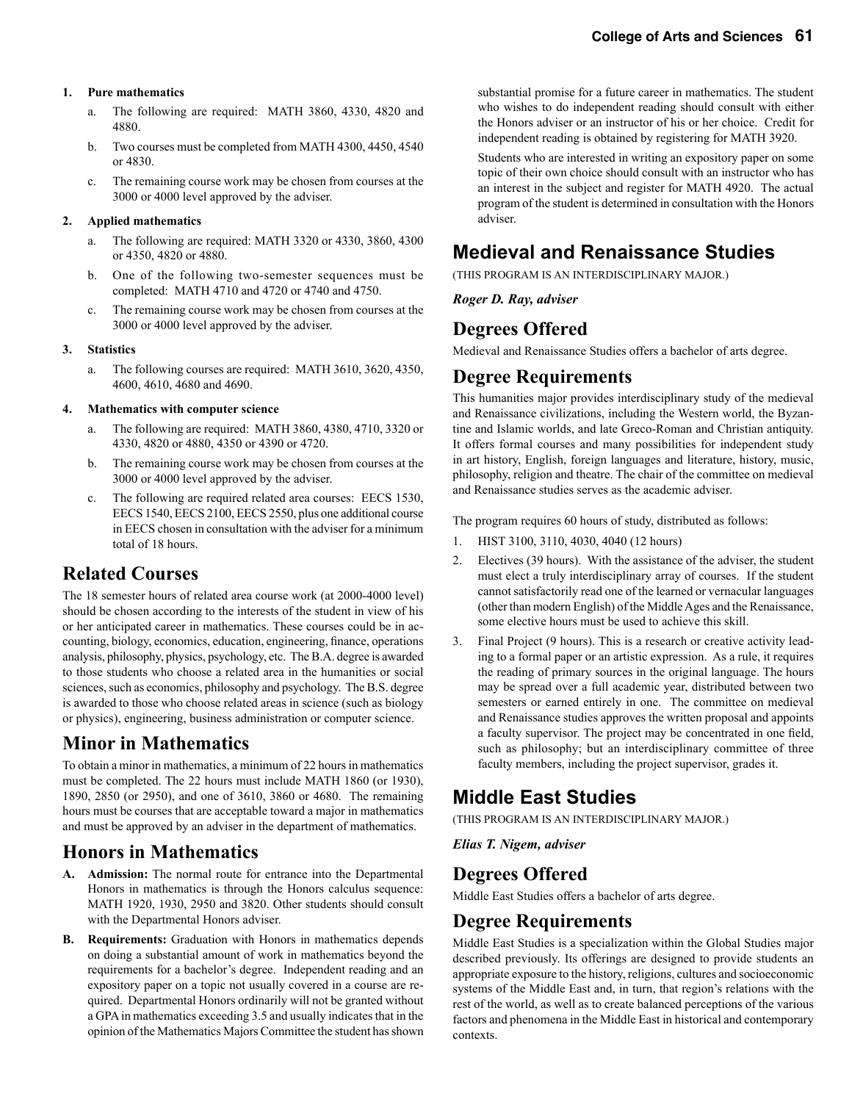#### **1. Pure mathematics**

- a. The following are required: MATH 3860, 4330, 4820 and 4880.
- b. Two courses must be completed from MATH 4300, 4450, 4540 or 4830.
- c. The remaining course work may be chosen from courses at the 3000 or 4000 level approved by the adviser.

#### **2. Applied mathematics**

- a. The following are required: MATH 3320 or 4330, 3860, 4300 or 4350, 4820 or 4880.
- b. One of the following two-semester sequences must be completed: MATH 4710 and 4720 or 4740 and 4750.
- c. The remaining course work may be chosen from courses at the 3000 or 4000 level approved by the adviser.

#### **3. Statistics**

 a. The following courses are required: MATH 3610, 3620, 4350, 4600, 4610, 4680 and 4690.

#### **4. Mathematics with computer science**

- a. The following are required: MATH 3860, 4380, 4710, 3320 or 4330, 4820 or 4880, 4350 or 4390 or 4720.
- b. The remaining course work may be chosen from courses at the 3000 or 4000 level approved by the adviser.
- c. The following are required related area courses: EECS 1530, EECS 1540, EECS 2100, EECS 2550, plus one additional course in EECS chosen in consultation with the adviser for a minimum total of 18 hours.

# **Related Courses**

The 18 semester hours of related area course work (at 2000-4000 level) should be chosen according to the interests of the student in view of his or her anticipated career in mathematics. These courses could be in accounting, biology, economics, education, engineering, finance, operations analysis, philosophy, physics, psychology, etc. The B.A. degree is awarded to those students who choose a related area in the humanities or social sciences, such as economics, philosophy and psychology. The B.S. degree is awarded to those who choose related areas in science (such as biology or physics), engineering, business administration or computer science.

# **Minor in Mathematics**

To obtain a minor in mathematics, a minimum of 22 hours in mathematics must be completed. The 22 hours must include MATH 1860 (or 1930), 1890, 2850 (or 2950), and one of 3610, 3860 or 4680. The remaining hours must be courses that are acceptable toward a major in mathematics and must be approved by an adviser in the department of mathematics.

# **Honors in Mathematics**

- **A. Admission:** The normal route for entrance into the Departmental Honors in mathematics is through the Honors calculus sequence: MATH 1920, 1930, 2950 and 3820. Other students should consult with the Departmental Honors adviser.
- **B. Requirements:** Graduation with Honors in mathematics depends on doing a substantial amount of work in mathematics beyond the requirements for a bachelor's degree. Independent reading and an expository paper on a topic not usually covered in a course are required. Departmental Honors ordinarily will not be granted without a GPA in mathematics exceeding 3.5 and usually indicates that in the opinion of the Mathematics Majors Committee the student has shown

substantial promise for a future career in mathematics. The student who wishes to do independent reading should consult with either the Honors adviser or an instructor of his or her choice. Credit for independent reading is obtained by registering for MATH 3920.

 Students who are interested in writing an expository paper on some topic of their own choice should consult with an instructor who has an interest in the subject and register for MATH 4920. The actual program of the student is determined in consultation with the Honors adviser.

# **Medieval and Renaissance Studies**

(THIS PROGRAM IS AN INTERDISCIPLINARY MAJOR.)

*Roger D. Ray, adviser*

# **Degrees Offered**

Medieval and Renaissance Studies offers a bachelor of arts degree.

### **Degree Requirements**

This humanities major provides interdisciplinary study of the medieval and Renaissance civilizations, including the Western world, the Byzantine and Islamic worlds, and late Greco-Roman and Christian antiquity. It offers formal courses and many possibilities for independent study in art history, English, foreign languages and literature, history, music, philosophy, religion and theatre. The chair of the committee on medieval and Renaissance studies serves as the academic adviser.

The program requires 60 hours of study, distributed as follows:

- 1. HIST 3100, 3110, 4030, 4040 (12 hours)
- 2. Electives (39 hours). With the assistance of the adviser, the student must elect a truly interdisciplinary array of courses. If the student cannot satisfactorily read one of the learned or vernacular languages (other than modern English) of the Middle Ages and the Renaissance, some elective hours must be used to achieve this skill.
- 3. Final Project (9 hours). This is a research or creative activity leading to a formal paper or an artistic expression. As a rule, it requires the reading of primary sources in the original language. The hours may be spread over a full academic year, distributed between two semesters or earned entirely in one. The committee on medieval and Renaissance studies approves the written proposal and appoints a faculty supervisor. The project may be concentrated in one field, such as philosophy; but an interdisciplinary committee of three faculty members, including the project supervisor, grades it.

# **Middle East Studies**

(THIS PROGRAM IS AN INTERDISCIPLINARY MAJOR.)

*Elias T. Nigem, adviser*

### **Degrees Offered**

Middle East Studies offers a bachelor of arts degree.

# **Degree Requirements**

Middle East Studies is a specialization within the Global Studies major described previously. Its offerings are designed to provide students an appropriate exposure to the history, religions, cultures and socioeconomic systems of the Middle East and, in turn, that region's relations with the rest of the world, as well as to create balanced perceptions of the various factors and phenomena in the Middle East in historical and contemporary contexts.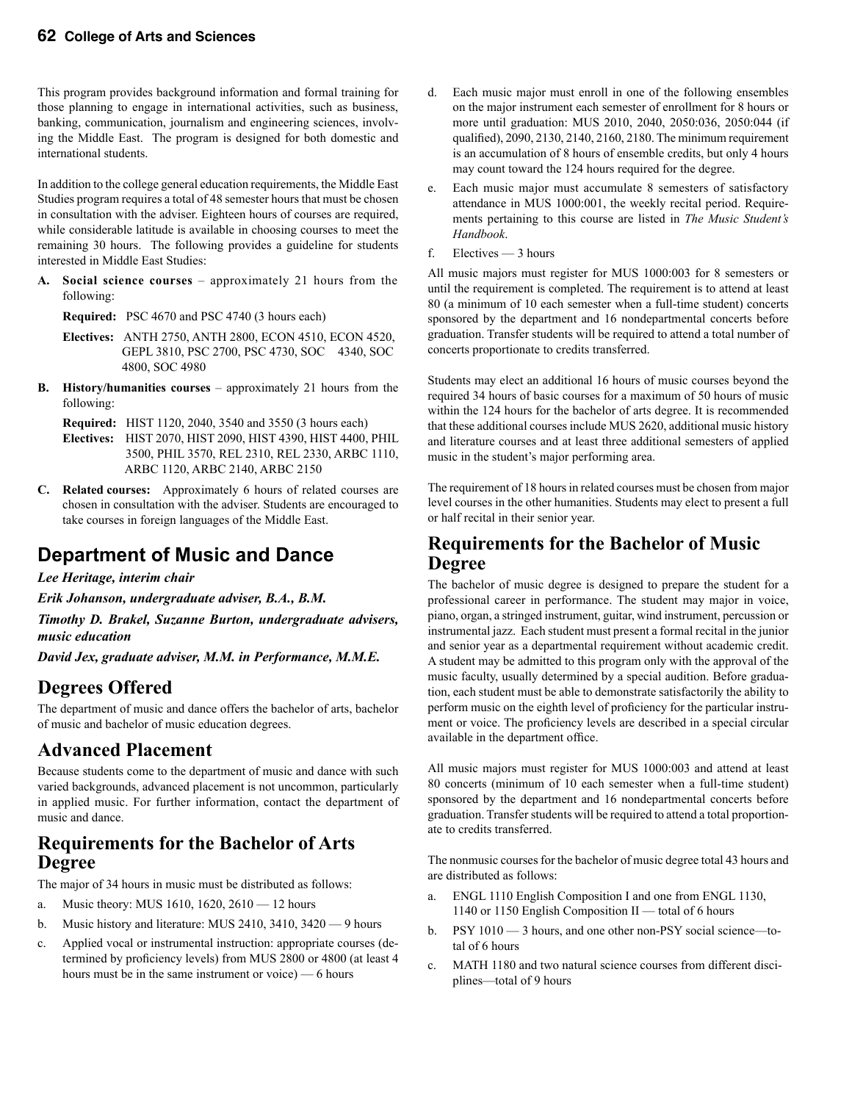This program provides background information and formal training for those planning to engage in international activities, such as business, banking, communication, journalism and engineering sciences, involving the Middle East. The program is designed for both domestic and international students.

In addition to the college general education requirements, the Middle East Studies program requires a total of 48 semester hours that must be chosen in consultation with the adviser. Eighteen hours of courses are required, while considerable latitude is available in choosing courses to meet the remaining 30 hours. The following provides a guideline for students interested in Middle East Studies:

**A. Social science courses** – approximately 21 hours from the following:

 **Required:** PSC 4670 and PSC 4740 (3 hours each)

- **Electives:** ANTH 2750, ANTH 2800, ECON 4510, ECON 4520, GEPL 3810, PSC 2700, PSC 4730, SOC 4340, SOC 4800, SOC 4980
- **B. History/humanities courses** approximately 21 hours from the following:

 **Required:** HIST 1120, 2040, 3540 and 3550 (3 hours each)

- **Electives:** HIST 2070, HIST 2090, HIST 4390, HIST 4400, PHIL 3500, PHIL 3570, REL 2310, REL 2330, ARBC 1110, ARBC 1120, ARBC 2140, ARBC 2150
- **C. Related courses:** Approximately 6 hours of related courses are chosen in consultation with the adviser. Students are encouraged to take courses in foreign languages of the Middle East.

# **Department of Music and Dance**

*Lee Heritage, interim chair*

*Erik Johanson, undergraduate adviser, B.A., B.M.*

*Timothy D. Brakel, Suzanne Burton, undergraduate advisers, music education*

*David Jex, graduate adviser, M.M. in Performance, M.M.E.*

# **Degrees Offered**

The department of music and dance offers the bachelor of arts, bachelor of music and bachelor of music education degrees.

### **Advanced Placement**

Because students come to the department of music and dance with such varied backgrounds, advanced placement is not uncommon, particularly in applied music. For further information, contact the department of music and dance.

### **Requirements for the Bachelor of Arts Degree**

The major of 34 hours in music must be distributed as follows:

- a. Music theory: MUS 1610, 1620, 2610 12 hours
- b. Music history and literature: MUS 2410, 3410, 3420 9 hours
- c. Applied vocal or instrumental instruction: appropriate courses (determined by proficiency levels) from MUS 2800 or 4800 (at least 4 hours must be in the same instrument or voice) — 6 hours
- d. Each music major must enroll in one of the following ensembles on the major instrument each semester of enrollment for 8 hours or more until graduation: MUS 2010, 2040, 2050:036, 2050:044 (if qualified), 2090, 2130, 2140, 2160, 2180. The minimum requirement is an accumulation of 8 hours of ensemble credits, but only 4 hours may count toward the 124 hours required for the degree.
- e. Each music major must accumulate 8 semesters of satisfactory attendance in MUS 1000:001, the weekly recital period. Requirements pertaining to this course are listed in *The Music Student's Handbook*.
- f. Electives 3 hours

All music majors must register for MUS 1000:003 for 8 semesters or until the requirement is completed. The requirement is to attend at least 80 (a minimum of 10 each semester when a full-time student) concerts sponsored by the department and 16 nondepartmental concerts before graduation. Transfer students will be required to attend a total number of concerts proportionate to credits transferred.

Students may elect an additional 16 hours of music courses beyond the required 34 hours of basic courses for a maximum of 50 hours of music within the 124 hours for the bachelor of arts degree. It is recommended that these additional courses include MUS 2620, additional music history and literature courses and at least three additional semesters of applied music in the student's major performing area.

The requirement of 18 hours in related courses must be chosen from major level courses in the other humanities. Students may elect to present a full or half recital in their senior year.

### **Requirements for the Bachelor of Music Degree**

The bachelor of music degree is designed to prepare the student for a professional career in performance. The student may major in voice, piano, organ, a stringed instrument, guitar, wind instrument, percussion or instrumental jazz. Each student must present a formal recital in the junior and senior year as a departmental requirement without academic credit. A student may be admitted to this program only with the approval of the music faculty, usually determined by a special audition. Before graduation, each student must be able to demonstrate satisfactorily the ability to perform music on the eighth level of proficiency for the particular instrument or voice. The proficiency levels are described in a special circular available in the department office.

All music majors must register for MUS 1000:003 and attend at least 80 concerts (minimum of 10 each semester when a full-time student) sponsored by the department and 16 nondepartmental concerts before graduation. Transfer students will be required to attend a total proportionate to credits transferred.

The nonmusic courses for the bachelor of music degree total 43 hours and are distributed as follows:

- a. ENGL 1110 English Composition I and one from ENGL 1130, 1140 or 1150 English Composition II — total of 6 hours
- b. PSY 1010 3 hours, and one other non-PSY social science—total of 6 hours
- c. MATH 1180 and two natural science courses from different disciplines—total of 9 hours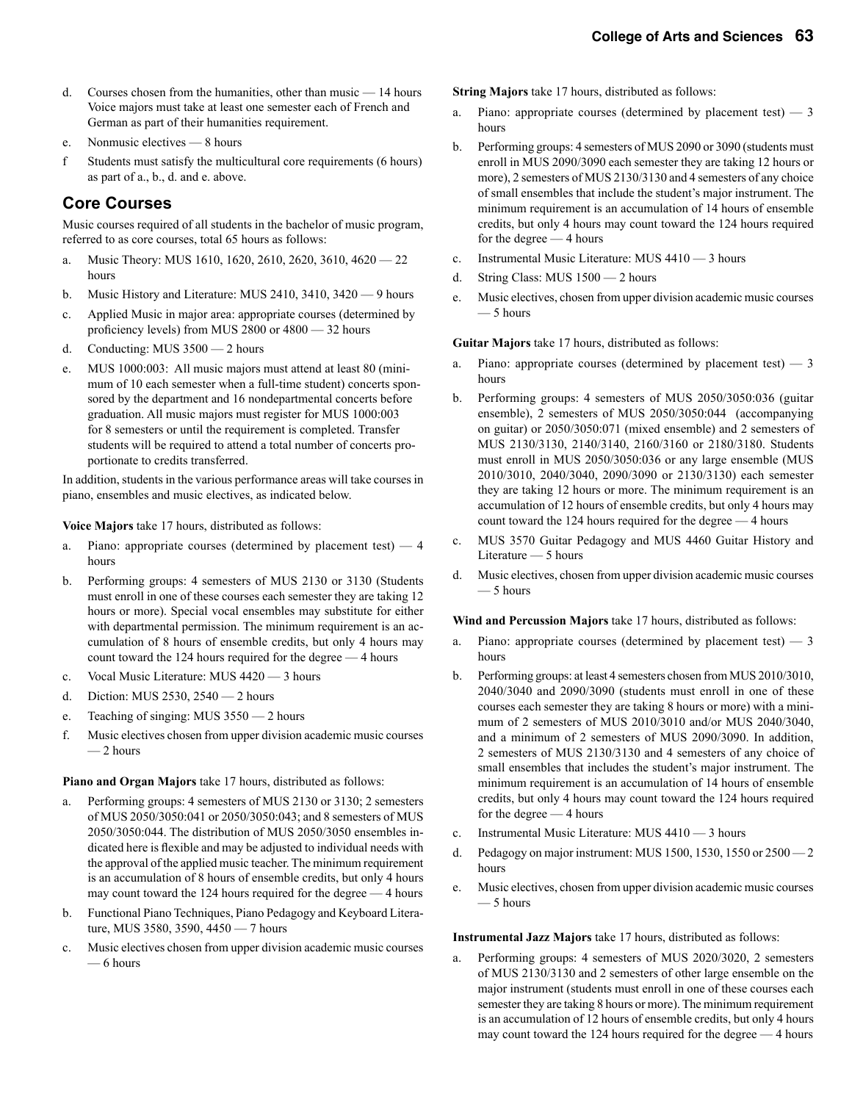- d. Courses chosen from the humanities, other than music 14 hours Voice majors must take at least one semester each of French and German as part of their humanities requirement.
- e. Nonmusic electives 8 hours
- f Students must satisfy the multicultural core requirements (6 hours) as part of a., b., d. and e. above.

### **Core Courses**

Music courses required of all students in the bachelor of music program, referred to as core courses, total 65 hours as follows:

- a. Music Theory: MUS 1610, 1620, 2610, 2620, 3610, 4620 22 hours
- b. Music History and Literature: MUS 2410, 3410, 3420 9 hours
- c. Applied Music in major area: appropriate courses (determined by proficiency levels) from MUS 2800 or 4800 — 32 hours
- d. Conducting: MUS 3500 2 hours
- e. MUS 1000:003: All music majors must attend at least 80 (minimum of 10 each semester when a full-time student) concerts sponsored by the department and 16 nondepartmental concerts before graduation. All music majors must register for MUS 1000:003 for 8 semesters or until the requirement is completed. Transfer students will be required to attend a total number of concerts proportionate to credits transferred.

In addition, students in the various performance areas will take courses in piano, ensembles and music electives, as indicated below.

**Voice Majors** take 17 hours, distributed as follows:

- a. Piano: appropriate courses (determined by placement test)  $-4$ hours
- b. Performing groups: 4 semesters of MUS 2130 or 3130 (Students must enroll in one of these courses each semester they are taking 12 hours or more). Special vocal ensembles may substitute for either with departmental permission. The minimum requirement is an accumulation of 8 hours of ensemble credits, but only 4 hours may count toward the 124 hours required for the degree — 4 hours
- c. Vocal Music Literature: MUS 4420 3 hours
- d. Diction: MUS 2530, 2540 2 hours
- e. Teaching of singing: MUS 3550 2 hours
- f. Music electives chosen from upper division academic music courses  $-2$  hours

**Piano and Organ Majors** take 17 hours, distributed as follows:

- a. Performing groups: 4 semesters of MUS 2130 or 3130; 2 semesters of MUS 2050/3050:041 or 2050/3050:043; and 8 semesters of MUS 2050/3050:044. The distribution of MUS 2050/3050 ensembles indicated here is flexible and may be adjusted to individual needs with the approval of the applied music teacher. The minimum requirement is an accumulation of 8 hours of ensemble credits, but only 4 hours may count toward the 124 hours required for the degree — 4 hours
- b. Functional Piano Techniques, Piano Pedagogy and Keyboard Literature, MUS 3580, 3590, 4450 — 7 hours
- c. Music electives chosen from upper division academic music courses — 6 hours

**String Majors** take 17 hours, distributed as follows:

- a. Piano: appropriate courses (determined by placement test) 3 hours
- b. Performing groups: 4 semesters of MUS 2090 or 3090 (students must enroll in MUS 2090/3090 each semester they are taking 12 hours or more), 2 semesters of MUS 2130/3130 and 4 semesters of any choice of small ensembles that include the student's major instrument. The minimum requirement is an accumulation of 14 hours of ensemble credits, but only 4 hours may count toward the 124 hours required for the degree — 4 hours
- c. Instrumental Music Literature: MUS 4410 3 hours
- d. String Class: MUS 1500 2 hours
- e. Music electives, chosen from upper division academic music courses — 5 hours

**Guitar Majors** take 17 hours, distributed as follows:

- Piano: appropriate courses (determined by placement test)  $-3$ hours
- b. Performing groups: 4 semesters of MUS 2050/3050:036 (guitar ensemble), 2 semesters of MUS 2050/3050:044 (accompanying on guitar) or 2050/3050:071 (mixed ensemble) and 2 semesters of MUS 2130/3130, 2140/3140, 2160/3160 or 2180/3180. Students must enroll in MUS 2050/3050:036 or any large ensemble (MUS 2010/3010, 2040/3040, 2090/3090 or 2130/3130) each semester they are taking 12 hours or more. The minimum requirement is an accumulation of 12 hours of ensemble credits, but only 4 hours may count toward the 124 hours required for the degree — 4 hours
- c. MUS 3570 Guitar Pedagogy and MUS 4460 Guitar History and Literature — 5 hours
- d. Music electives, chosen from upper division academic music courses — 5 hours

**Wind and Percussion Majors** take 17 hours, distributed as follows:

- a. Piano: appropriate courses (determined by placement test)  $-3$ hours
- b. Performing groups: at least 4 semesters chosen from MUS 2010/3010, 2040/3040 and 2090/3090 (students must enroll in one of these courses each semester they are taking 8 hours or more) with a minimum of 2 semesters of MUS 2010/3010 and/or MUS 2040/3040, and a minimum of 2 semesters of MUS 2090/3090. In addition, 2 semesters of MUS 2130/3130 and 4 semesters of any choice of small ensembles that includes the student's major instrument. The minimum requirement is an accumulation of 14 hours of ensemble credits, but only 4 hours may count toward the 124 hours required for the degree — 4 hours
- c. Instrumental Music Literature: MUS 4410 3 hours
- d. Pedagogy on major instrument: MUS 1500, 1530, 1550 or  $2500 2$ hours
- e. Music electives, chosen from upper division academic music courses — 5 hours

**Instrumental Jazz Majors** take 17 hours, distributed as follows:

Performing groups: 4 semesters of MUS 2020/3020, 2 semesters of MUS 2130/3130 and 2 semesters of other large ensemble on the major instrument (students must enroll in one of these courses each semester they are taking 8 hours or more). The minimum requirement is an accumulation of 12 hours of ensemble credits, but only 4 hours may count toward the 124 hours required for the degree — 4 hours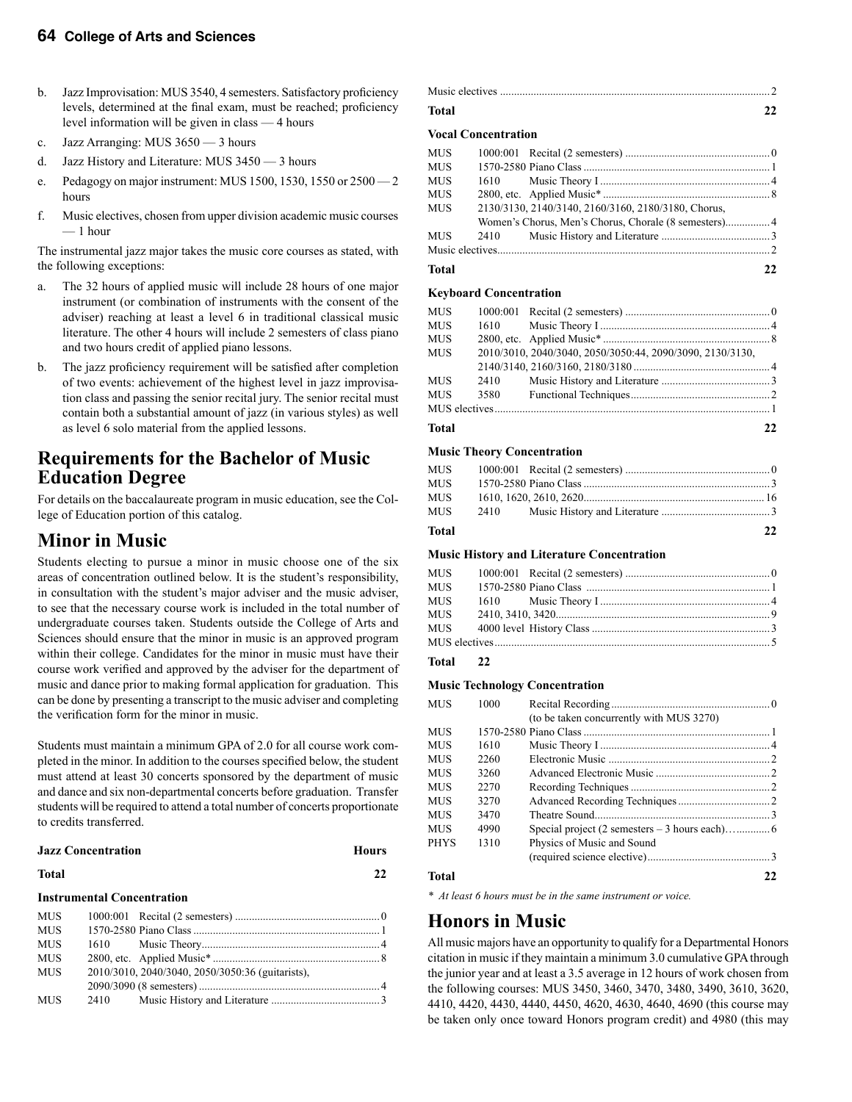- b. Jazz Improvisation: MUS 3540, 4 semesters. Satisfactory proficiency levels, determined at the final exam, must be reached; proficiency level information will be given in class — 4 hours
- c. Jazz Arranging: MUS 3650 3 hours
- d. Jazz History and Literature: MUS 3450 3 hours
- e. Pedagogy on major instrument: MUS 1500, 1530, 1550 or 2500 2 hours
- f. Music electives, chosen from upper division academic music courses — 1 hour

The instrumental jazz major takes the music core courses as stated, with the following exceptions:

- a. The 32 hours of applied music will include 28 hours of one major instrument (or combination of instruments with the consent of the adviser) reaching at least a level 6 in traditional classical music literature. The other 4 hours will include 2 semesters of class piano and two hours credit of applied piano lessons.
- b. The jazz proficiency requirement will be satisfied after completion of two events: achievement of the highest level in jazz improvisation class and passing the senior recital jury. The senior recital must contain both a substantial amount of jazz (in various styles) as well as level 6 solo material from the applied lessons.

### **Requirements for the Bachelor of Music Education Degree**

For details on the baccalaureate program in music education, see the College of Education portion of this catalog.

### **Minor in Music**

Students electing to pursue a minor in music choose one of the six areas of concentration outlined below. It is the student's responsibility, in consultation with the student's major adviser and the music adviser, to see that the necessary course work is included in the total number of undergraduate courses taken. Students outside the College of Arts and Sciences should ensure that the minor in music is an approved program within their college. Candidates for the minor in music must have their course work verified and approved by the adviser for the department of music and dance prior to making formal application for graduation. This can be done by presenting a transcript to the music adviser and completing the verification form for the minor in music.

Students must maintain a minimum GPA of 2.0 for all course work completed in the minor. In addition to the courses specified below, the student must attend at least 30 concerts sponsored by the department of music and dance and six non-departmental concerts before graduation. Transfer students will be required to attend a total number of concerts proportionate to credits transferred.

|              | <b>Jazz Concentration</b>         |                                                  | <b>Hours</b> |
|--------------|-----------------------------------|--------------------------------------------------|--------------|
| <b>Total</b> |                                   |                                                  | 22           |
|              | <b>Instrumental Concentration</b> |                                                  |              |
| <b>MUS</b>   |                                   |                                                  |              |
| <b>MUS</b>   |                                   |                                                  |              |
| <b>MUS</b>   |                                   |                                                  |              |
| <b>MUS</b>   |                                   |                                                  |              |
| <b>MUS</b>   |                                   | 2010/3010, 2040/3040, 2050/3050:36 (guitarists), |              |
|              |                                   |                                                  |              |
| <b>MUS</b>   | 2410                              |                                                  |              |

| <b>Total</b> | 22. |
|--------------|-----|

#### **Vocal Concentration**

| Total      |                                                     | 22 |
|------------|-----------------------------------------------------|----|
|            |                                                     |    |
| MUS        |                                                     |    |
|            |                                                     |    |
| <b>MUS</b> | 2130/3130, 2140/3140, 2160/3160, 2180/3180, Chorus, |    |
| <b>MUS</b> |                                                     |    |
| MUS        |                                                     |    |
| <b>MUS</b> |                                                     |    |
| <b>MUS</b> |                                                     |    |
|            |                                                     |    |

#### **Keyboard Concentration**

| <b>MUS</b> |      |                                                           |    |
|------------|------|-----------------------------------------------------------|----|
| <b>MUS</b> |      |                                                           |    |
| MUS        |      |                                                           |    |
| <b>MUS</b> |      | 2010/3010, 2040/3040, 2050/3050:44, 2090/3090, 2130/3130, |    |
|            |      |                                                           |    |
| <b>MUS</b> | 2410 |                                                           |    |
| <b>MUS</b> | 3580 |                                                           |    |
|            |      |                                                           |    |
| Total      |      |                                                           | 22 |

#### **Music Theory Concentration**

| Total |  | 22 |
|-------|--|----|
| MUS   |  |    |
| MUS   |  |    |
| MUS   |  |    |
| MUS   |  |    |
|       |  |    |

#### **Music History and Literature Concentration**

| <b>MUS</b> |  |  |
|------------|--|--|
|            |  |  |
| <b>MUS</b> |  |  |
|            |  |  |
|            |  |  |
|            |  |  |
|            |  |  |

#### **Total 22**

#### **Music Technology Concentration**

| MUS         | 1000 |                                          |    |
|-------------|------|------------------------------------------|----|
|             |      | (to be taken concurrently with MUS 3270) |    |
| MUS         |      |                                          |    |
| MUS         | 1610 |                                          |    |
| MUS         | 2260 |                                          |    |
| MUS         | 3260 |                                          |    |
| MUS         | 2270 |                                          |    |
| MUS         | 3270 |                                          |    |
| MUS         | 3470 |                                          |    |
| MUS         | 4990 |                                          |    |
| <b>PHYS</b> | 1310 | Physics of Music and Sound               |    |
|             |      |                                          |    |
| Total       |      |                                          | 22 |

*\* At least 6 hours must be in the same instrument or voice.*

### **Honors in Music**

All music majors have an opportunity to qualify for a Departmental Honors citation in music if they maintain a minimum 3.0 cumulative GPA through the junior year and at least a 3.5 average in 12 hours of work chosen from the following courses: MUS 3450, 3460, 3470, 3480, 3490, 3610, 3620, 4410, 4420, 4430, 4440, 4450, 4620, 4630, 4640, 4690 (this course may be taken only once toward Honors program credit) and 4980 (this may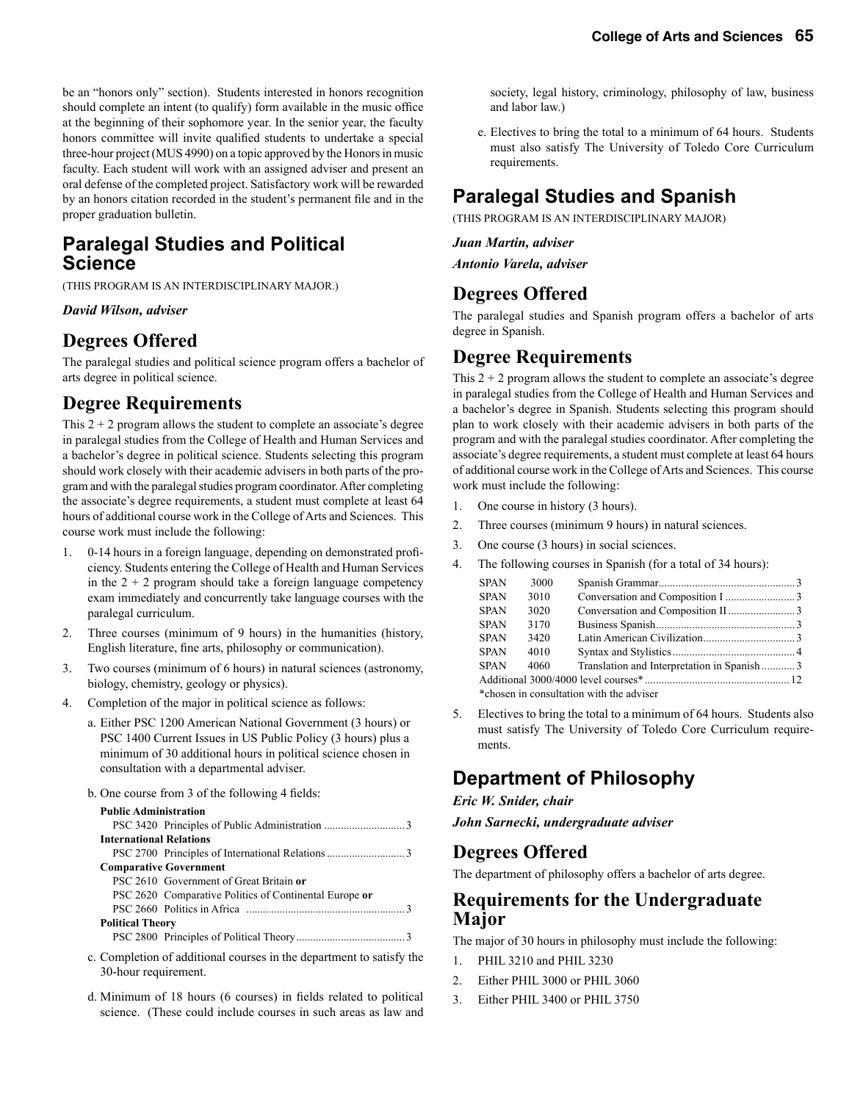be an "honors only" section). Students interested in honors recognition should complete an intent (to qualify) form available in the music office at the beginning of their sophomore year. In the senior year, the faculty honors committee will invite qualified students to undertake a special three-hour project (MUS 4990) on a topic approved by the Honors in music faculty. Each student will work with an assigned adviser and present an oral defense of the completed project. Satisfactory work will be rewarded by an honors citation recorded in the student's permanent file and in the proper graduation bulletin.

### **Paralegal Studies and Political Science**

(THIS PROGRAM IS AN INTERDISCIPLINARY MAJOR.)

#### *David Wilson, adviser*

### **Degrees Offered**

The paralegal studies and political science program offers a bachelor of arts degree in political science.

### **Degree Requirements**

This  $2 + 2$  program allows the student to complete an associate's degree in paralegal studies from the College of Health and Human Services and a bachelor's degree in political science. Students selecting this program should work closely with their academic advisers in both parts of the program and with the paralegal studies program coordinator. After completing the associate's degree requirements, a student must complete at least 64 hours of additional course work in the College of Arts and Sciences. This course work must include the following:

- 1. 0-14 hours in a foreign language, depending on demonstrated proficiency. Students entering the College of Health and Human Services in the  $2 + 2$  program should take a foreign language competency exam immediately and concurrently take language courses with the paralegal curriculum.
- 2. Three courses (minimum of 9 hours) in the humanities (history, English literature, fine arts, philosophy or communication).
- 3. Two courses (minimum of 6 hours) in natural sciences (astronomy, biology, chemistry, geology or physics).
- 4. Completion of the major in political science as follows:
	- a. Either PSC 1200 American National Government (3 hours) or PSC 1400 Current Issues in US Public Policy (3 hours) plus a minimum of 30 additional hours in political science chosen in consultation with a departmental adviser.
	- b. One course from 3 of the following 4 fields:

| <b>Public Administration</b>   |                                                        |
|--------------------------------|--------------------------------------------------------|
|                                |                                                        |
| <b>International Relations</b> |                                                        |
|                                |                                                        |
|                                | <b>Comparative Government</b>                          |
|                                | PSC 2610 Government of Great Britain or                |
|                                | PSC 2620 Comparative Politics of Continental Europe or |
|                                |                                                        |
| <b>Political Theory</b>        |                                                        |
|                                |                                                        |

- c. Completion of additional courses in the department to satisfy the 30-hour requirement.
- d. Minimum of 18 hours (6 courses) in fields related to political science. (These could include courses in such areas as law and

 society, legal history, criminology, philosophy of law, business and labor law.)

 e. Electives to bring the total to a minimum of 64 hours. Students must also satisfy The University of Toledo Core Curriculum requirements.

# **Paralegal Studies and Spanish**

(THIS PROGRAM IS AN INTERDISCIPLINARY MAJOR)

#### *Juan Martin, adviser*

*Antonio Varela, adviser*

### **Degrees Offered**

The paralegal studies and Spanish program offers a bachelor of arts degree in Spanish.

### **Degree Requirements**

This  $2 + 2$  program allows the student to complete an associate's degree in paralegal studies from the College of Health and Human Services and a bachelor's degree in Spanish. Students selecting this program should plan to work closely with their academic advisers in both parts of the program and with the paralegal studies coordinator. After completing the associate's degree requirements, a student must complete at least 64 hours of additional course work in the College of Arts and Sciences. This course work must include the following:

- 1. One course in history (3 hours).
- 2. Three courses (minimum 9 hours) in natural sciences.
- 3. One course (3 hours) in social sciences.
- 4. The following courses in Spanish (for a total of 34 hours):

| <b>SPAN</b>                              | 3000 |                                            |  |
|------------------------------------------|------|--------------------------------------------|--|
| <b>SPAN</b>                              | 3010 |                                            |  |
| <b>SPAN</b>                              | 3020 |                                            |  |
| <b>SPAN</b>                              | 3170 |                                            |  |
| <b>SPAN</b>                              | 3420 |                                            |  |
| <b>SPAN</b>                              | 4010 |                                            |  |
| <b>SPAN</b>                              | 4060 | Translation and Interpretation in Spanish3 |  |
|                                          |      |                                            |  |
| *chosen in consultation with the adviser |      |                                            |  |

5. Electives to bring the total to a minimum of 64 hours. Students also must satisfy The University of Toledo Core Curriculum requirements.

# **Department of Philosophy**

#### *Eric W. Snider, chair*

*John Sarnecki, undergraduate adviser*

#### **Degrees Offered**

The department of philosophy offers a bachelor of arts degree.

### **Requirements for the Undergraduate Major**

The major of 30 hours in philosophy must include the following:

- 1. PHIL 3210 and PHIL 3230
- 2. Either PHIL 3000 or PHIL 3060
- 3. Either PHIL 3400 or PHIL 3750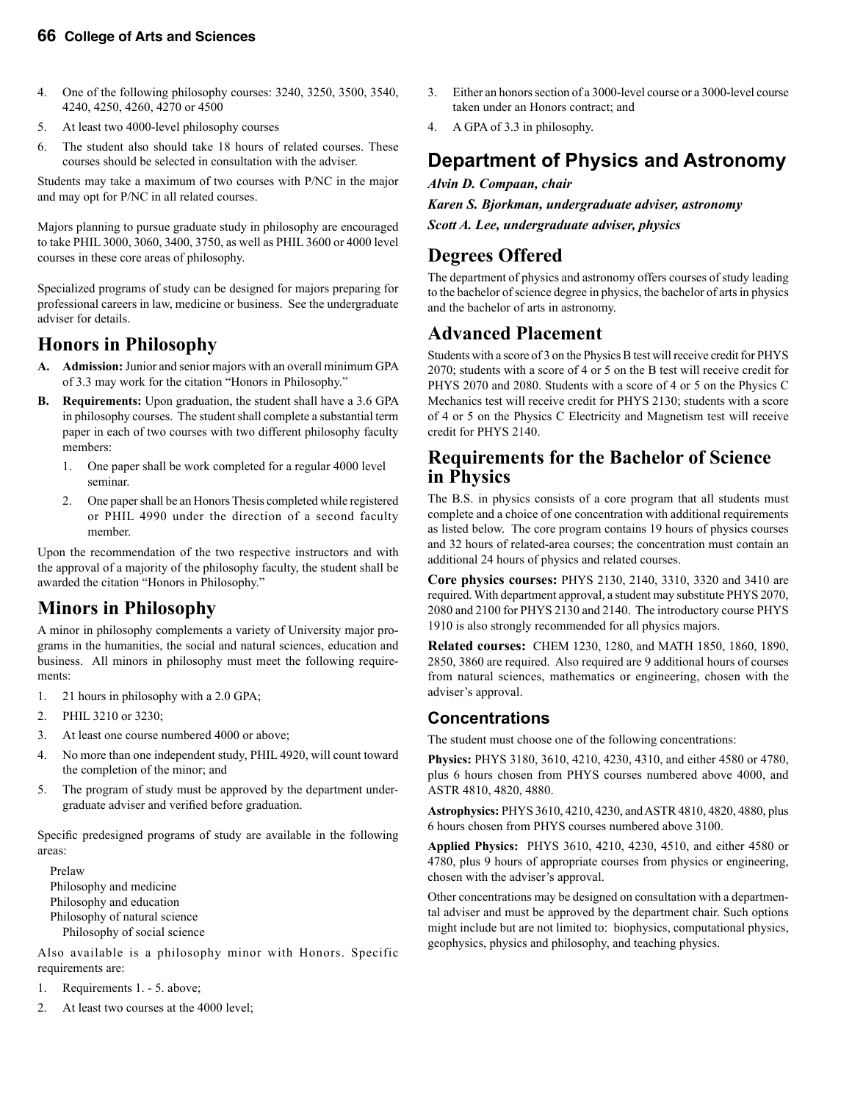- 4. One of the following philosophy courses: 3240, 3250, 3500, 3540, 4240, 4250, 4260, 4270 or 4500
- 5. At least two 4000-level philosophy courses
- 6. The student also should take 18 hours of related courses. These courses should be selected in consultation with the adviser.

Students may take a maximum of two courses with P/NC in the major and may opt for P/NC in all related courses.

Majors planning to pursue graduate study in philosophy are encouraged to take PHIL 3000, 3060, 3400, 3750, as well as PHIL 3600 or 4000 level courses in these core areas of philosophy.

Specialized programs of study can be designed for majors preparing for professional careers in law, medicine or business. See the undergraduate adviser for details.

### **Honors in Philosophy**

- **A. Admission:** Junior and senior majors with an overall minimum GPA of 3.3 may work for the citation "Honors in Philosophy."
- **B. Requirements:** Upon graduation, the student shall have a 3.6 GPA in philosophy courses. The student shall complete a substantial term paper in each of two courses with two different philosophy faculty members:
	- 1. One paper shall be work completed for a regular 4000 level seminar.
	- 2. One paper shall be an Honors Thesis completed while registered or PHIL 4990 under the direction of a second faculty member.

Upon the recommendation of the two respective instructors and with the approval of a majority of the philosophy faculty, the student shall be awarded the citation "Honors in Philosophy."

# **Minors in Philosophy**

A minor in philosophy complements a variety of University major programs in the humanities, the social and natural sciences, education and business. All minors in philosophy must meet the following requirements:

- 1. 21 hours in philosophy with a 2.0 GPA;
- 2. PHIL 3210 or 3230;
- 3. At least one course numbered 4000 or above;
- 4. No more than one independent study, PHIL 4920, will count toward the completion of the minor; and
- 5. The program of study must be approved by the department undergraduate adviser and verified before graduation.

Specific predesigned programs of study are available in the following areas:

 Prelaw Philosophy and medicine Philosophy and education Philosophy of natural science Philosophy of social science

Also available is a philosophy minor with Honors. Specific requirements are:

- 1. Requirements 1. 5. above;
- 2. At least two courses at the 4000 level;
- 3. Either an honors section of a 3000-level course or a 3000-level course taken under an Honors contract; and
- 4. A GPA of 3.3 in philosophy.

# **Department of Physics and Astronomy**

*Alvin D. Compaan, chair*

*Karen S. Bjorkman, undergraduate adviser, astronomy Scott A. Lee, undergraduate adviser, physics*

### **Degrees Offered**

The department of physics and astronomy offers courses of study leading to the bachelor of science degree in physics, the bachelor of arts in physics and the bachelor of arts in astronomy.

### **Advanced Placement**

Students with a score of 3 on the Physics B test will receive credit for PHYS 2070; students with a score of 4 or 5 on the B test will receive credit for PHYS 2070 and 2080. Students with a score of 4 or 5 on the Physics C Mechanics test will receive credit for PHYS 2130; students with a score of 4 or 5 on the Physics C Electricity and Magnetism test will receive credit for PHYS 2140.

### **Requirements for the Bachelor of Science in Physics**

The B.S. in physics consists of a core program that all students must complete and a choice of one concentration with additional requirements as listed below. The core program contains 19 hours of physics courses and 32 hours of related-area courses; the concentration must contain an additional 24 hours of physics and related courses.

**Core physics courses:** PHYS 2130, 2140, 3310, 3320 and 3410 are required. With department approval, a student may substitute PHYS 2070, 2080 and 2100 for PHYS 2130 and 2140. The introductory course PHYS 1910 is also strongly recommended for all physics majors.

**Related courses:** CHEM 1230, 1280, and MATH 1850, 1860, 1890, 2850, 3860 are required. Also required are 9 additional hours of courses from natural sciences, mathematics or engineering, chosen with the adviser's approval.

### **Concentrations**

The student must choose one of the following concentrations:

**Physics:** PHYS 3180, 3610, 4210, 4230, 4310, and either 4580 or 4780, plus 6 hours chosen from PHYS courses numbered above 4000, and ASTR 4810, 4820, 4880.

**Astrophysics:** PHYS 3610, 4210, 4230, and ASTR 4810, 4820, 4880, plus 6 hours chosen from PHYS courses numbered above 3100.

**Applied Physics:** PHYS 3610, 4210, 4230, 4510, and either 4580 or 4780, plus 9 hours of appropriate courses from physics or engineering, chosen with the adviser's approval.

Other concentrations may be designed on consultation with a departmental adviser and must be approved by the department chair. Such options might include but are not limited to: biophysics, computational physics, geophysics, physics and philosophy, and teaching physics.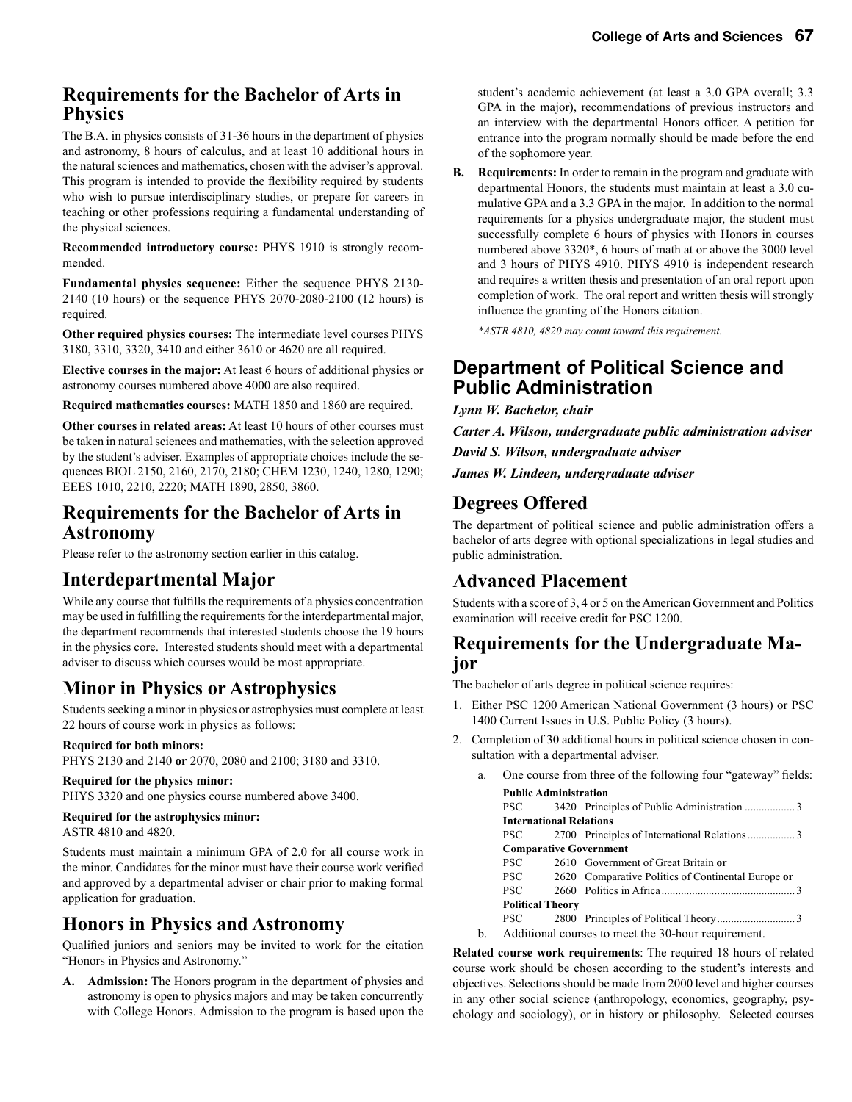# **Requirements for the Bachelor of Arts in Physics**

The B.A. in physics consists of 31-36 hours in the department of physics and astronomy, 8 hours of calculus, and at least 10 additional hours in the natural sciences and mathematics, chosen with the adviser's approval. This program is intended to provide the flexibility required by students who wish to pursue interdisciplinary studies, or prepare for careers in teaching or other professions requiring a fundamental understanding of the physical sciences.

**Recommended introductory course:** PHYS 1910 is strongly recommended.

**Fundamental physics sequence:** Either the sequence PHYS 2130- 2140 (10 hours) or the sequence PHYS 2070-2080-2100 (12 hours) is required.

**Other required physics courses:** The intermediate level courses PHYS 3180, 3310, 3320, 3410 and either 3610 or 4620 are all required.

**Elective courses in the major:** At least 6 hours of additional physics or astronomy courses numbered above 4000 are also required.

**Required mathematics courses:** MATH 1850 and 1860 are required.

**Other courses in related areas:** At least 10 hours of other courses must be taken in natural sciences and mathematics, with the selection approved by the student's adviser. Examples of appropriate choices include the sequences BIOL 2150, 2160, 2170, 2180; CHEM 1230, 1240, 1280, 1290; EEES 1010, 2210, 2220; MATH 1890, 2850, 3860.

### **Requirements for the Bachelor of Arts in Astronomy**

Please refer to the astronomy section earlier in this catalog.

# **Interdepartmental Major**

While any course that fulfills the requirements of a physics concentration may be used in fulfilling the requirements for the interdepartmental major, the department recommends that interested students choose the 19 hours in the physics core. Interested students should meet with a departmental adviser to discuss which courses would be most appropriate.

# **Minor in Physics or Astrophysics**

Students seeking a minor in physics or astrophysics must complete at least 22 hours of course work in physics as follows:

#### **Required for both minors:**

PHYS 2130 and 2140 **or** 2070, 2080 and 2100; 3180 and 3310.

#### **Required for the physics minor:**

PHYS 3320 and one physics course numbered above 3400.

#### **Required for the astrophysics minor:**

ASTR 4810 and 4820.

Students must maintain a minimum GPA of 2.0 for all course work in the minor. Candidates for the minor must have their course work verified and approved by a departmental adviser or chair prior to making formal application for graduation.

# **Honors in Physics and Astronomy**

Qualified juniors and seniors may be invited to work for the citation "Honors in Physics and Astronomy."

**A. Admission:** The Honors program in the department of physics and astronomy is open to physics majors and may be taken concurrently with College Honors. Admission to the program is based upon the student's academic achievement (at least a 3.0 GPA overall; 3.3 GPA in the major), recommendations of previous instructors and an interview with the departmental Honors officer. A petition for entrance into the program normally should be made before the end of the sophomore year.

**B. Requirements:** In order to remain in the program and graduate with departmental Honors, the students must maintain at least a 3.0 cumulative GPA and a 3.3 GPA in the major. In addition to the normal requirements for a physics undergraduate major, the student must successfully complete 6 hours of physics with Honors in courses numbered above 3320\*, 6 hours of math at or above the 3000 level and 3 hours of PHYS 4910. PHYS 4910 is independent research and requires a written thesis and presentation of an oral report upon completion of work. The oral report and written thesis will strongly influence the granting of the Honors citation.

 *\*ASTR 4810, 4820 may count toward this requirement.*

# **Department of Political Science and Public Administration**

*Lynn W. Bachelor, chair*

*Carter A. Wilson, undergraduate public administration adviser* 

*David S. Wilson, undergraduate adviser*

*James W. Lindeen, undergraduate adviser*

# **Degrees Offered**

The department of political science and public administration offers a bachelor of arts degree with optional specializations in legal studies and public administration.

# **Advanced Placement**

Students with a score of 3, 4 or 5 on the American Government and Politics examination will receive credit for PSC 1200.

### **Requirements for the Undergraduate Major**

The bachelor of arts degree in political science requires:

- 1. Either PSC 1200 American National Government (3 hours) or PSC 1400 Current Issues in U.S. Public Policy (3 hours).
- 2. Completion of 30 additional hours in political science chosen in consultation with a departmental adviser.

|  | a. |                               |                                | One course from three of the following four "gateway" fields: |  |
|--|----|-------------------------------|--------------------------------|---------------------------------------------------------------|--|
|  |    | <b>Public Administration</b>  |                                |                                                               |  |
|  |    | <b>PSC</b>                    |                                |                                                               |  |
|  |    |                               | <b>International Relations</b> |                                                               |  |
|  |    | <b>PSC</b>                    |                                |                                                               |  |
|  |    | <b>Comparative Government</b> |                                |                                                               |  |
|  |    | PSC.                          |                                | 2610 Government of Great Britain or                           |  |
|  |    | PSC -                         |                                | 2620 Comparative Politics of Continental Europe or            |  |
|  |    | PSC.                          |                                |                                                               |  |
|  |    |                               | <b>Political Theory</b>        |                                                               |  |
|  |    | PSC-                          |                                |                                                               |  |
|  | b. |                               |                                | Additional courses to meet the 30-hour requirement.           |  |

**Related course work requirements**: The required 18 hours of related course work should be chosen according to the student's interests and objectives. Selections should be made from 2000 level and higher courses in any other social science (anthropology, economics, geography, psychology and sociology), or in history or philosophy. Selected courses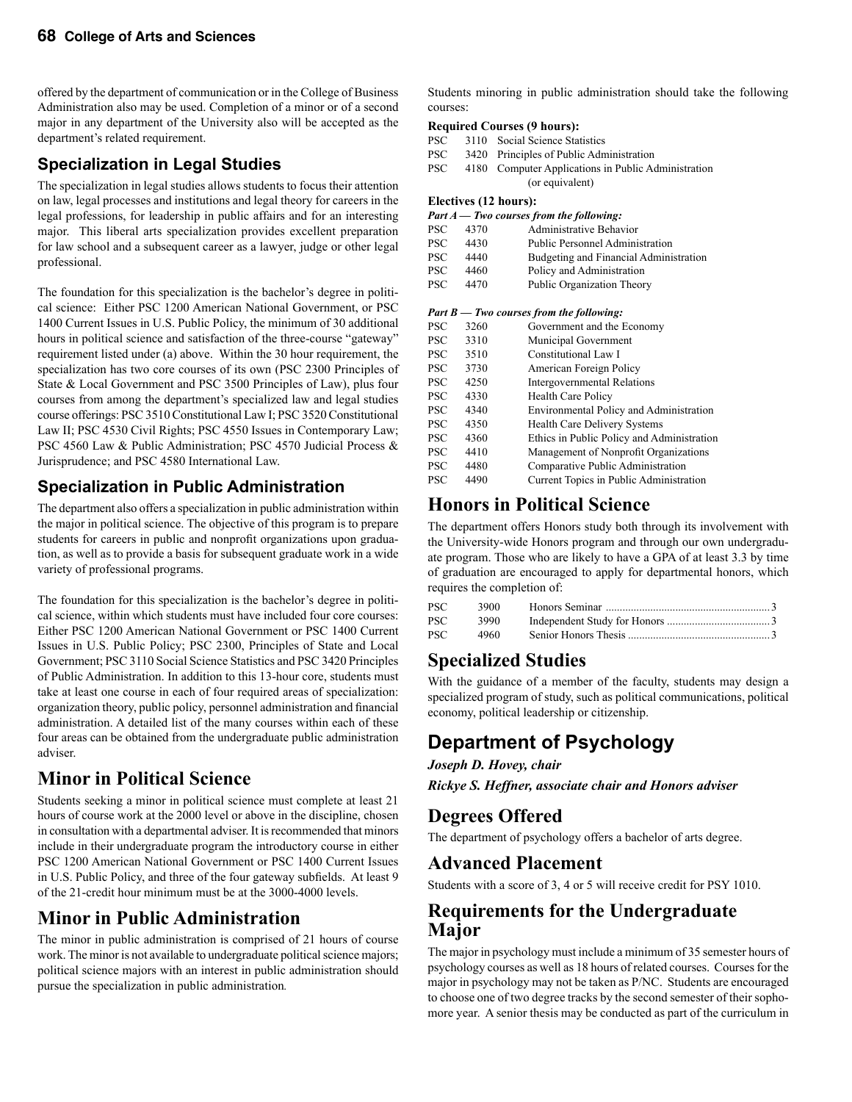offered by the department of communication or in the College of Business Administration also may be used. Completion of a minor or of a second major in any department of the University also will be accepted as the department's related requirement.

### **Speci***a***lization in Legal Studies**

The specialization in legal studies allows students to focus their attention on law, legal processes and institutions and legal theory for careers in the legal professions, for leadership in public affairs and for an interesting major. This liberal arts specialization provides excellent preparation for law school and a subsequent career as a lawyer, judge or other legal professional.

The foundation for this specialization is the bachelor's degree in political science: Either PSC 1200 American National Government, or PSC 1400 Current Issues in U.S. Public Policy, the minimum of 30 additional hours in political science and satisfaction of the three-course "gateway" requirement listed under (a) above. Within the 30 hour requirement, the specialization has two core courses of its own (PSC 2300 Principles of State & Local Government and PSC 3500 Principles of Law), plus four courses from among the department's specialized law and legal studies course offerings: PSC 3510 Constitutional Law I; PSC 3520 Constitutional Law II; PSC 4530 Civil Rights; PSC 4550 Issues in Contemporary Law; PSC 4560 Law & Public Administration; PSC 4570 Judicial Process & Jurisprudence; and PSC 4580 International Law.

### **Specialization in Public Administration**

The department also offers a specialization in public administration within the major in political science. The objective of this program is to prepare students for careers in public and nonprofit organizations upon graduation, as well as to provide a basis for subsequent graduate work in a wide variety of professional programs.

The foundation for this specialization is the bachelor's degree in political science, within which students must have included four core courses: Either PSC 1200 American National Government or PSC 1400 Current Issues in U.S. Public Policy; PSC 2300, Principles of State and Local Government; PSC 3110 Social Science Statistics and PSC 3420 Principles of Public Administration. In addition to this 13-hour core, students must take at least one course in each of four required areas of specialization: organization theory, public policy, personnel administration and financial administration. A detailed list of the many courses within each of these four areas can be obtained from the undergraduate public administration adviser.

# **Minor in Political Science**

Students seeking a minor in political science must complete at least 21 hours of course work at the 2000 level or above in the discipline, chosen in consultation with a departmental adviser. It is recommended that minors include in their undergraduate program the introductory course in either PSC 1200 American National Government or PSC 1400 Current Issues in U.S. Public Policy, and three of the four gateway subfields. At least 9 of the 21-credit hour minimum must be at the 3000-4000 levels.

# **Minor in Public Administration**

The minor in public administration is comprised of 21 hours of course work. The minor is not available to undergraduate political science majors; political science majors with an interest in public administration should pursue the specialization in public administration*.*

Students minoring in public administration should take the following courses:

#### **Required Courses (9 hours):**

PSC 3110 Social Science Statistics

- PSC 3420 Principles of Public Administration
- PSC 4180 Computer Applications in Public Administration (or equivalent)

#### **Electives (12 hours):**

#### *Part A — Two courses from the following:*

| PSC.       | 4370 | Administrative Behavior                |
|------------|------|----------------------------------------|
| <b>PSC</b> | 4430 | <b>Public Personnel Administration</b> |
| <b>PSC</b> | 4440 | Budgeting and Financial Administration |
| <b>PSC</b> | 4460 | Policy and Administration              |
| <b>PSC</b> | 4470 | Public Organization Theory             |
|            |      |                                        |

#### *Part B — Two courses from the following:*

| <b>PSC</b> | 3260 | Government and the Economy                 |
|------------|------|--------------------------------------------|
| <b>PSC</b> | 3310 | Municipal Government                       |
| <b>PSC</b> | 3510 | Constitutional Law I                       |
| <b>PSC</b> | 3730 | American Foreign Policy                    |
| <b>PSC</b> | 4250 | Intergovernmental Relations                |
| <b>PSC</b> | 4330 | <b>Health Care Policy</b>                  |
| <b>PSC</b> | 4340 | Environmental Policy and Administration    |
| <b>PSC</b> | 4350 | Health Care Delivery Systems               |
| <b>PSC</b> | 4360 | Ethics in Public Policy and Administration |
| <b>PSC</b> | 4410 | Management of Nonprofit Organizations      |
| <b>PSC</b> | 4480 | Comparative Public Administration          |
| <b>PSC</b> | 4490 | Current Topics in Public Administration    |

### **Honors in Political Science**

The department offers Honors study both through its involvement with the University-wide Honors program and through our own undergraduate program. Those who are likely to have a GPA of at least 3.3 by time of graduation are encouraged to apply for departmental honors, which requires the completion of:

| PSC  | 3900 |  |
|------|------|--|
| PSC- | 3990 |  |
| PSC- | 4960 |  |

### **Specialized Studies**

With the guidance of a member of the faculty, students may design a specialized program of study, such as political communications, political economy, political leadership or citizenship.

# **Department of Psychology**

*Joseph D. Hovey, chair*

*Rickye S. Heffner, associate chair and Honors adviser*

# **Degrees Offered**

The department of psychology offers a bachelor of arts degree.

### **Advanced Placement**

Students with a score of 3, 4 or 5 will receive credit for PSY 1010.

### **Requirements for the Undergraduate Major**

The major in psychology must include a minimum of 35 semester hours of psychology courses as well as 18 hours of related courses. Courses for the major in psychology may not be taken as P/NC. Students are encouraged to choose one of two degree tracks by the second semester of their sophomore year. A senior thesis may be conducted as part of the curriculum in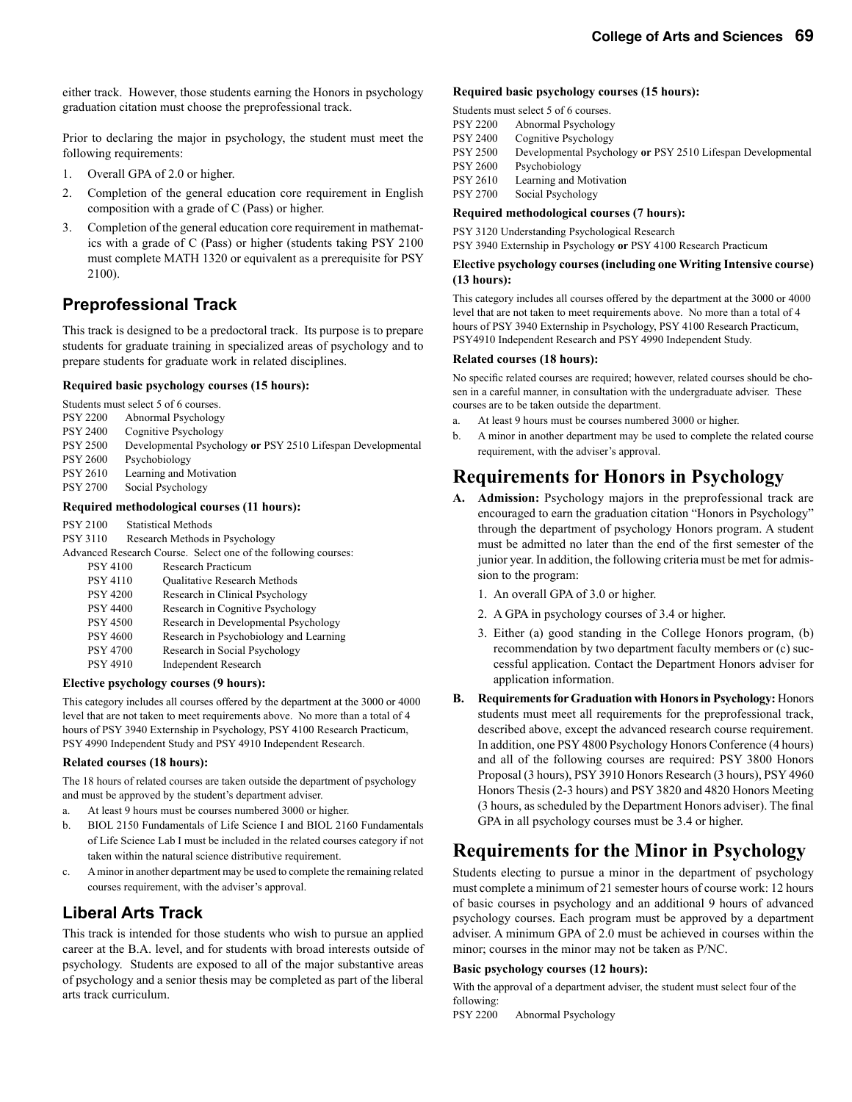either track. However, those students earning the Honors in psychology graduation citation must choose the preprofessional track.

Prior to declaring the major in psychology, the student must meet the following requirements:

- 1. Overall GPA of 2.0 or higher.
- 2. Completion of the general education core requirement in English composition with a grade of C (Pass) or higher.
- 3. Completion of the general education core requirement in mathematics with a grade of C (Pass) or higher (students taking PSY 2100 must complete MATH 1320 or equivalent as a prerequisite for PSY 2100).

### **Preprofessional Track**

This track is designed to be a predoctoral track. Its purpose is to prepare students for graduate training in specialized areas of psychology and to prepare students for graduate work in related disciplines.

#### **Required basic psychology courses (15 hours):**

|                 | Students must select 5 of 6 courses.                        |
|-----------------|-------------------------------------------------------------|
| <b>PSY 2200</b> | Abnormal Psychology                                         |
| <b>PSY 2400</b> | Cognitive Psychology                                        |
| <b>PSY 2500</b> | Developmental Psychology or PSY 2510 Lifespan Developmental |
| <b>PSY 2600</b> | Psychobiology                                               |
| <b>PSY 2610</b> | Learning and Motivation                                     |
| <b>PSY 2700</b> | Social Psychology                                           |
|                 |                                                             |

#### **Required methodological courses (11 hours):**

| <b>PSY 2100</b> | <b>Statistical Methods</b>                                     |
|-----------------|----------------------------------------------------------------|
| PSY 3110        | Research Methods in Psychology                                 |
|                 | Advanced Research Course. Select one of the following courses: |
| <b>PSY 4100</b> | Research Practicum                                             |
| <b>PSY 4110</b> | <b>Oualitative Research Methods</b>                            |
| <b>PSY 4200</b> | Research in Clinical Psychology                                |
| <b>PSY 4400</b> | Research in Cognitive Psychology                               |
| <b>PSY 4500</b> | Research in Developmental Psychology                           |
| <b>PSY 4600</b> | Research in Psychobiology and Learning                         |
| <b>PSY 4700</b> | Research in Social Psychology                                  |
| <b>PSY 4910</b> | <b>Independent Research</b>                                    |
|                 |                                                                |

#### **Elective psychology courses (9 hours):**

This category includes all courses offered by the department at the 3000 or 4000 level that are not taken to meet requirements above. No more than a total of 4 hours of PSY 3940 Externship in Psychology, PSY 4100 Research Practicum, PSY 4990 Independent Study and PSY 4910 Independent Research.

#### **Related courses (18 hours):**

The 18 hours of related courses are taken outside the department of psychology and must be approved by the student's department adviser.

- a. At least 9 hours must be courses numbered 3000 or higher.
- b. BIOL 2150 Fundamentals of Life Science I and BIOL 2160 Fundamentals of Life Science Lab I must be included in the related courses category if not taken within the natural science distributive requirement.
- c. A minor in another department may be used to complete the remaining related courses requirement, with the adviser's approval.

### **Liberal Arts Track**

This track is intended for those students who wish to pursue an applied career at the B.A. level, and for students with broad interests outside of psychology. Students are exposed to all of the major substantive areas of psychology and a senior thesis may be completed as part of the liberal arts track curriculum.

#### **Required basic psychology courses (15 hours):**

|                 | Students must select 5 of 6 courses.                        |
|-----------------|-------------------------------------------------------------|
| <b>PSY 2200</b> | Abnormal Psychology                                         |
| <b>PSY 2400</b> | Cognitive Psychology                                        |
| <b>PSY 2500</b> | Developmental Psychology or PSY 2510 Lifespan Developmental |
| <b>PSY 2600</b> | Psychobiology                                               |
| <b>PSY 2610</b> | Learning and Motivation                                     |
| <b>PSY 2700</b> | Social Psychology                                           |

#### **Required methodological courses (7 hours):**

PSY 3120 Understanding Psychological Research

PSY 3940 Externship in Psychology **or** PSY 4100 Research Practicum

#### **Elective psychology courses (including one Writing Intensive course) (13 hours):**

This category includes all courses offered by the department at the 3000 or 4000 level that are not taken to meet requirements above. No more than a total of 4 hours of PSY 3940 Externship in Psychology, PSY 4100 Research Practicum, PSY4910 Independent Research and PSY 4990 Independent Study.

#### **Related courses (18 hours):**

No specific related courses are required; however, related courses should be chosen in a careful manner, in consultation with the undergraduate adviser. These courses are to be taken outside the department.

- a. At least 9 hours must be courses numbered 3000 or higher.
- b. A minor in another department may be used to complete the related course requirement, with the adviser's approval.

# **Requirements for Honors in Psychology**

- **A. Admission:** Psychology majors in the preprofessional track are encouraged to earn the graduation citation "Honors in Psychology" through the department of psychology Honors program. A student must be admitted no later than the end of the first semester of the junior year. In addition, the following criteria must be met for admission to the program:
	- 1. An overall GPA of 3.0 or higher.
	- 2. A GPA in psychology courses of 3.4 or higher.
	- 3. Either (a) good standing in the College Honors program, (b) recommendation by two department faculty members or (c) successful application. Contact the Department Honors adviser for application information.
- **B. Requirements for Graduation with Honors in Psychology:** Honors students must meet all requirements for the preprofessional track, described above, except the advanced research course requirement. In addition, one PSY 4800 Psychology Honors Conference (4 hours) and all of the following courses are required: PSY 3800 Honors Proposal (3 hours), PSY 3910 Honors Research (3 hours), PSY 4960 Honors Thesis (2-3 hours) and PSY 3820 and 4820 Honors Meeting (3 hours, as scheduled by the Department Honors adviser). The final GPA in all psychology courses must be 3.4 or higher.

# **Requirements for the Minor in Psychology**

Students electing to pursue a minor in the department of psychology must complete a minimum of 21 semester hours of course work: 12 hours of basic courses in psychology and an additional 9 hours of advanced psychology courses. Each program must be approved by a department adviser. A minimum GPA of 2.0 must be achieved in courses within the minor; courses in the minor may not be taken as P/NC.

#### **Basic psychology courses (12 hours):**

With the approval of a department adviser, the student must select four of the following:

PSY 2200 Abnormal Psychology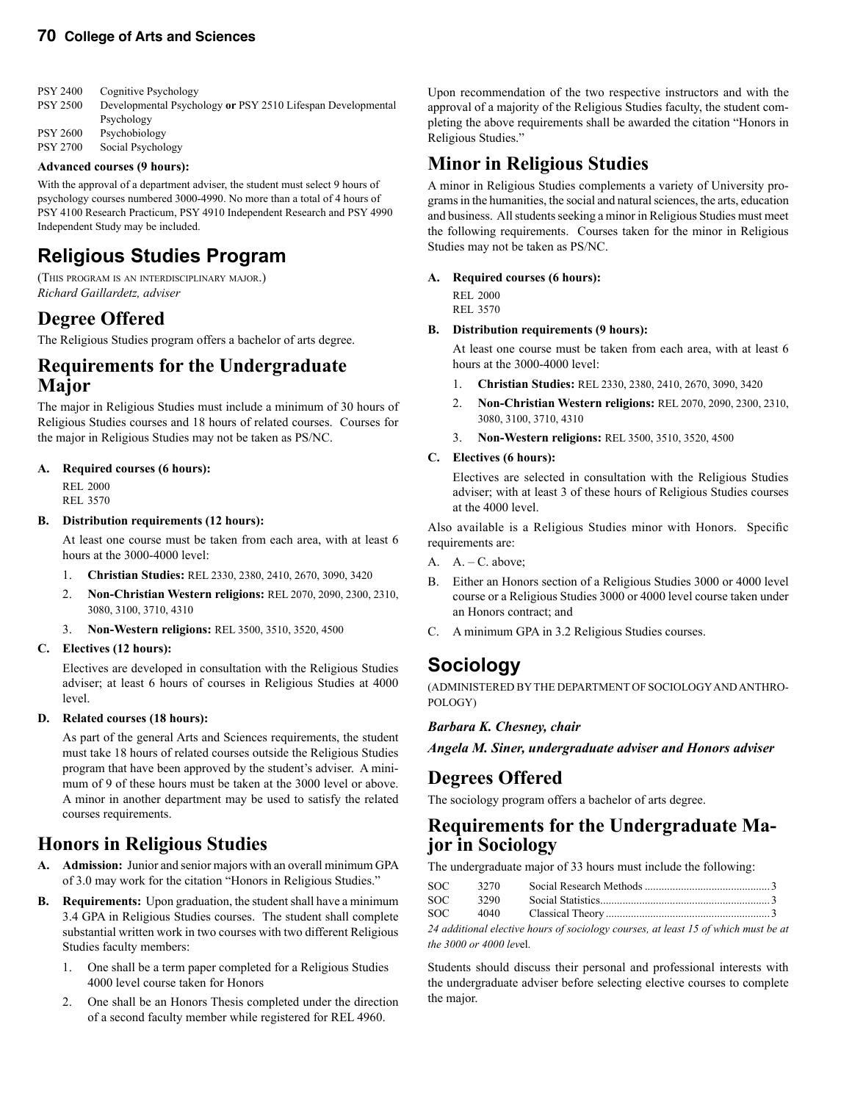| <b>PSY 2400</b> | Cognitive Psychology                                        |
|-----------------|-------------------------------------------------------------|
| <b>PSY 2500</b> | Developmental Psychology or PSY 2510 Lifespan Developmental |
|                 | Psychology                                                  |
| <b>PSY 2600</b> | Psychobiology                                               |
| <b>PSY 2700</b> | Social Psychology                                           |

#### **Advanced courses (9 hours):**

With the approval of a department adviser, the student must select 9 hours of psychology courses numbered 3000-4990. No more than a total of 4 hours of PSY 4100 Research Practicum, PSY 4910 Independent Research and PSY 4990 Independent Study may be included.

# **Religious Studies Program**

(THIS PROGRAM IS AN INTERDISCIPLINARY MAJOR.) *Richard Gaillardetz, adviser*

### **Degree Offered**

The Religious Studies program offers a bachelor of arts degree.

### **Requirements for the Undergraduate Major**

The major in Religious Studies must include a minimum of 30 hours of Religious Studies courses and 18 hours of related courses. Courses for the major in Religious Studies may not be taken as PS/NC.

#### **A. Required courses (6 hours):**

 REL 2000 REL 3570

#### **B. Distribution requirements (12 hours):**

 At least one course must be taken from each area, with at least 6 hours at the 3000-4000 level:

- 1. **Christian Studies:** REL 2330, 2380, 2410, 2670, 3090, 3420
- 2. **Non-Christian Western religions:** REL 2070, 2090, 2300, 2310, 3080, 3100, 3710, 4310
- 3. **Non-Western religions:** REL 3500, 3510, 3520, 4500

#### **C. Electives (12 hours):**

 Electives are developed in consultation with the Religious Studies adviser; at least 6 hours of courses in Religious Studies at 4000 level.

#### **D. Related courses (18 hours):**

 As part of the general Arts and Sciences requirements, the student must take 18 hours of related courses outside the Religious Studies program that have been approved by the student's adviser. A minimum of 9 of these hours must be taken at the 3000 level or above. A minor in another department may be used to satisfy the related courses requirements.

### **Honors in Religious Studies**

- **A. Admission:** Junior and senior majors with an overall minimum GPA of 3.0 may work for the citation "Honors in Religious Studies."
- **B. Requirements:** Upon graduation, the student shall have a minimum 3.4 GPA in Religious Studies courses. The student shall complete substantial written work in two courses with two different Religious Studies faculty members:
	- 1. One shall be a term paper completed for a Religious Studies 4000 level course taken for Honors
	- 2. One shall be an Honors Thesis completed under the direction of a second faculty member while registered for REL 4960.

Upon recommendation of the two respective instructors and with the approval of a majority of the Religious Studies faculty, the student completing the above requirements shall be awarded the citation "Honors in Religious Studies."

### **Minor in Religious Studies**

A minor in Religious Studies complements a variety of University programs in the humanities, the social and natural sciences, the arts, education and business. All students seeking a minor in Religious Studies must meet the following requirements. Courses taken for the minor in Religious Studies may not be taken as PS/NC.

#### **A. Required courses (6 hours):**

 REL 2000 REL 3570

#### **B. Distribution requirements (9 hours):**

 At least one course must be taken from each area, with at least 6 hours at the 3000-4000 level:

- 1. **Christian Studies:** REL 2330, 2380, 2410, 2670, 3090, 3420
- 2. **Non-Christian Western religions:** REL 2070, 2090, 2300, 2310, 3080, 3100, 3710, 4310
- 3. **Non-Western religions:** REL 3500, 3510, 3520, 4500
- **C. Electives (6 hours):**

 Electives are selected in consultation with the Religious Studies adviser; with at least 3 of these hours of Religious Studies courses at the 4000 level.

Also available is a Religious Studies minor with Honors. Specific requirements are:

- A.  $A. C. above;$
- B. Either an Honors section of a Religious Studies 3000 or 4000 level course or a Religious Studies 3000 or 4000 level course taken under an Honors contract; and
- C. A minimum GPA in 3.2 Religious Studies courses.

### **Sociology**

(ADMINISTERED BY THE DEPARTMENT OF SOCIOLOGY AND ANTHRO-POLOGY)

#### *Barbara K. Chesney, chair*

*Angela M. Siner, undergraduate adviser and Honors adviser* 

### **Degrees Offered**

The sociology program offers a bachelor of arts degree.

# **Requirements for the Undergraduate Ma- jor in Sociology**

The undergraduate major of 33 hours must include the following:

|       | SOC 3270 |  |
|-------|----------|--|
|       |          |  |
| SOC – | 4040     |  |

*24 additional elective hours of sociology courses, at least 15 of which must be at the 3000 or 4000 lev*el.

Students should discuss their personal and professional interests with the undergraduate adviser before selecting elective courses to complete the major.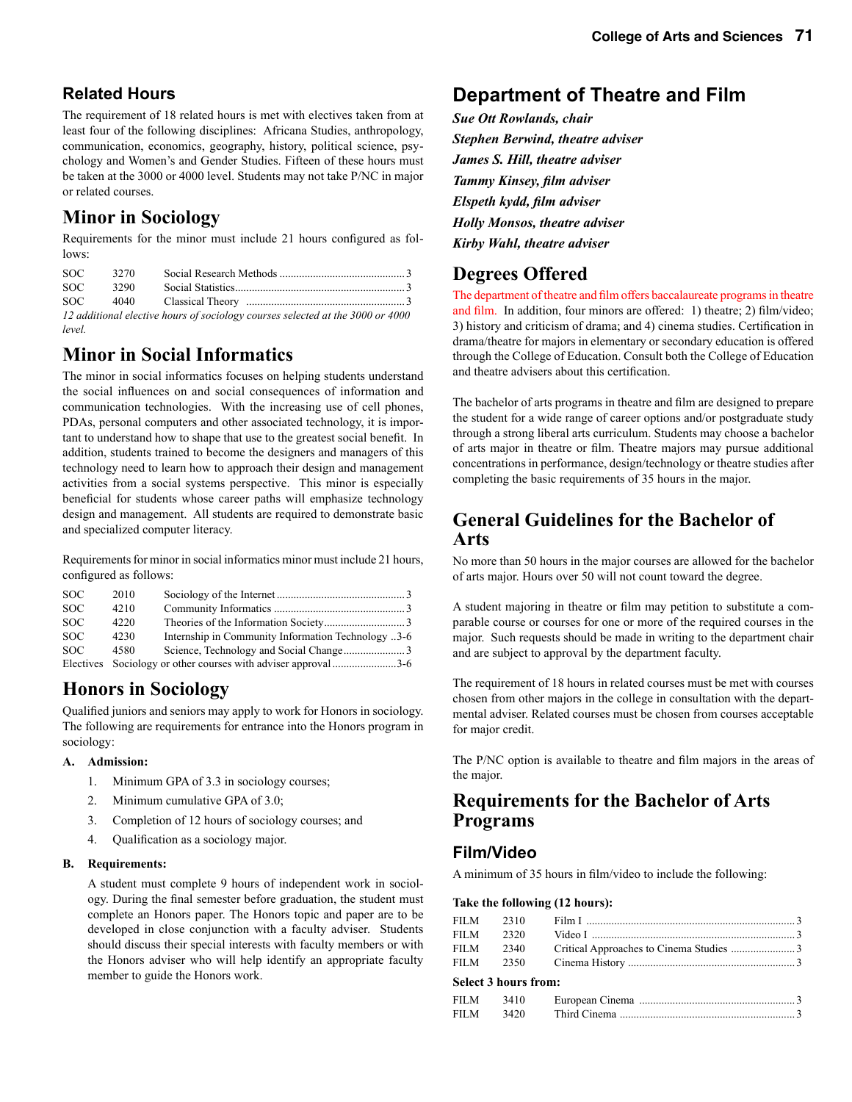### **Related Hours**

The requirement of 18 related hours is met with electives taken from at least four of the following disciplines: Africana Studies, anthropology, communication, economics, geography, history, political science, psychology and Women's and Gender Studies. Fifteen of these hours must be taken at the 3000 or 4000 level. Students may not take P/NC in major or related courses.

# **Minor in Sociology**

Requirements for the minor must include 21 hours configured as follows:

| SOC-  | 3270 |                                                                                |
|-------|------|--------------------------------------------------------------------------------|
| SOC-  | 3290 |                                                                                |
| SOC – |      |                                                                                |
|       |      | 12 additional elective hours of sociology courses selected at the 3000 or 4000 |

*level.*

# **Minor in Social Informatics**

The minor in social informatics focuses on helping students understand the social influences on and social consequences of information and communication technologies. With the increasing use of cell phones, PDAs, personal computers and other associated technology, it is important to understand how to shape that use to the greatest social benefit. In addition, students trained to become the designers and managers of this technology need to learn how to approach their design and management activities from a social systems perspective. This minor is especially beneficial for students whose career paths will emphasize technology design and management. All students are required to demonstrate basic and specialized computer literacy.

Requirements for minor in social informatics minor must include 21 hours, configured as follows:

| SOC. | 2010 |                                                                |  |
|------|------|----------------------------------------------------------------|--|
| SOC. | 4210 |                                                                |  |
| SOC. | 4220 |                                                                |  |
| SOC. | 4230 | Internship in Community Information Technology 3-6             |  |
| SOC. | 4580 |                                                                |  |
|      |      | Electives Sociology or other courses with adviser approval 3-6 |  |

### **Honors in Sociology**

Qualified juniors and seniors may apply to work for Honors in sociology. The following are requirements for entrance into the Honors program in sociology:

#### **A. Admission:**

- 1. Minimum GPA of 3.3 in sociology courses;
- 2. Minimum cumulative GPA of 3.0;
- 3. Completion of 12 hours of sociology courses; and
- 4. Qualification as a sociology major.

#### **B. Requirements:**

A student must complete 9 hours of independent work in sociology. During the final semester before graduation, the student must complete an Honors paper. The Honors topic and paper are to be developed in close conjunction with a faculty adviser. Students should discuss their special interests with faculty members or with the Honors adviser who will help identify an appropriate faculty member to guide the Honors work.

### **Department of Theatre and Film**

*Sue Ott Rowlands, chair Stephen Berwind, theatre adviser James S. Hill, theatre adviser Tammy Kinsey, film adviser Elspeth kydd, film adviser Holly Monsos, theatre adviser Kirby Wahl, theatre adviser*

### **Degrees Offered**

The department of theatre and film offers baccalaureate programs in theatre and film. In addition, four minors are offered: 1) theatre; 2) film/video; 3) history and criticism of drama; and 4) cinema studies. Certification in drama/theatre for majors in elementary or secondary education is offered through the College of Education. Consult both the College of Education and theatre advisers about this certification.

The bachelor of arts programs in theatre and film are designed to prepare the student for a wide range of career options and/or postgraduate study through a strong liberal arts curriculum. Students may choose a bachelor of arts major in theatre or film. Theatre majors may pursue additional concentrations in performance, design/technology or theatre studies after completing the basic requirements of 35 hours in the major.

### **General Guidelines for the Bachelor of Arts**

No more than 50 hours in the major courses are allowed for the bachelor of arts major. Hours over 50 will not count toward the degree.

A student majoring in theatre or film may petition to substitute a comparable course or courses for one or more of the required courses in the major. Such requests should be made in writing to the department chair and are subject to approval by the department faculty.

The requirement of 18 hours in related courses must be met with courses chosen from other majors in the college in consultation with the departmental adviser. Related courses must be chosen from courses acceptable for major credit.

The P/NC option is available to theatre and film majors in the areas of the major.

### **Requirements for the Bachelor of Arts Programs**

### **Film/Video**

A minimum of 35 hours in film/video to include the following:

#### **Take the following (12 hours):**

| FILM        | 2310                 |  |
|-------------|----------------------|--|
| <b>FILM</b> | 2320                 |  |
| <b>FILM</b> | 2340                 |  |
| <b>FILM</b> | 2350                 |  |
|             | Select 3 hours from: |  |
| FILM.       | 3410                 |  |
| FILM.       | 3420                 |  |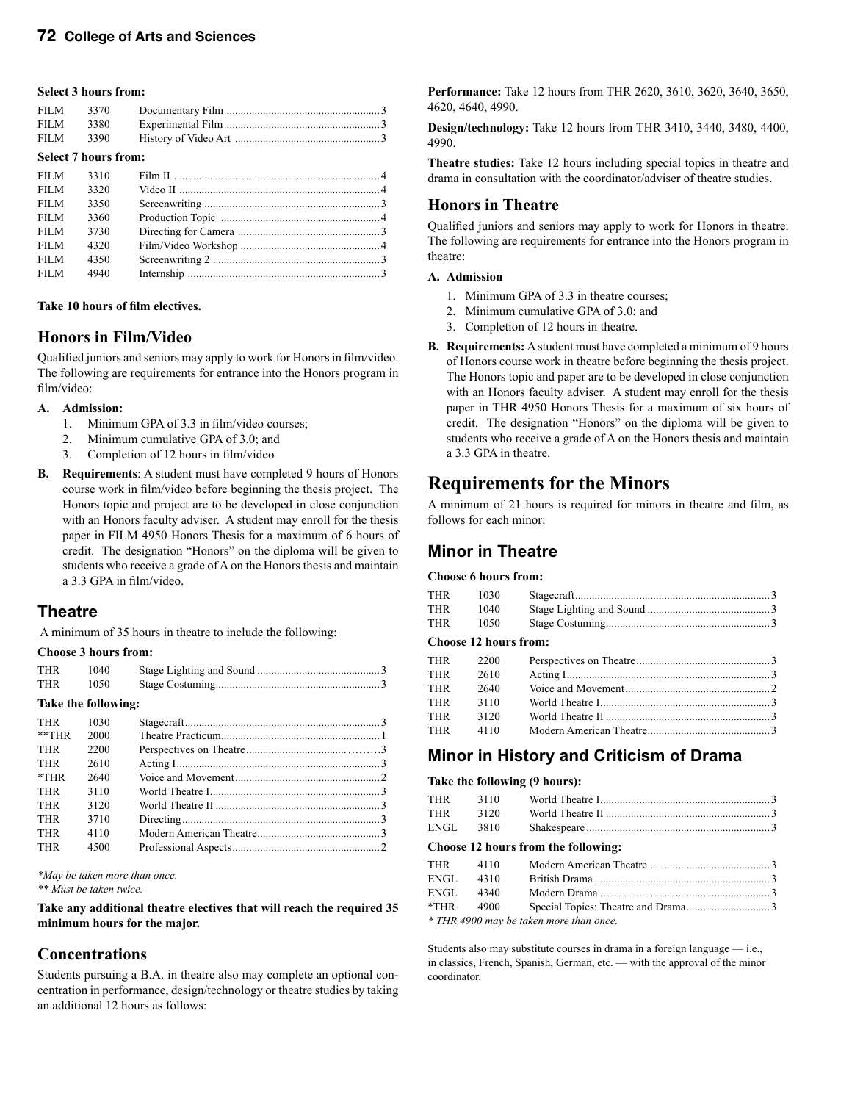#### **Select 3 hours from:**

| FILM 3370 |  |
|-----------|--|
| FILM 3380 |  |
| FILM 3390 |  |

#### **Select 7 hours from:**

| 3310 |  |
|------|--|
| 3320 |  |
| 3350 |  |
| 3360 |  |
| 3730 |  |
| 4320 |  |
| 4350 |  |
| 4940 |  |
|      |  |

#### **Take 10 hours of film electives.**

#### **Honors in Film/Video**

Qualified juniors and seniors may apply to work for Honors in film/video. The following are requirements for entrance into the Honors program in film/video:

#### **A. Admission:**

- 1. Minimum GPA of 3.3 in film/video courses;
- 2. Minimum cumulative GPA of 3.0; and
- 3. Completion of 12 hours in film/video
- **B. Requirements**: A student must have completed 9 hours of Honors course work in film/video before beginning the thesis project. The Honors topic and project are to be developed in close conjunction with an Honors faculty adviser. A student may enroll for the thesis paper in FILM 4950 Honors Thesis for a maximum of 6 hours of credit. The designation "Honors" on the diploma will be given to students who receive a grade of A on the Honors thesis and maintain a 3.3 GPA in film/video.

### **Theatre**

A minimum of 35 hours in theatre to include the following:

#### **Choose 3 hours from:**

| <b>THR</b> | 1040                |  |
|------------|---------------------|--|
| <b>THR</b> | 1050                |  |
|            | Take the following: |  |
| THR        | 1030                |  |
| $**THR$    | 2000                |  |
| THR        | 2200                |  |
| <b>THR</b> | 2610                |  |
| $*$ THR    | 2640                |  |
| <b>THR</b> | 3110                |  |
| <b>THR</b> | 3120                |  |

THR 3710 Directing .......................................................................3 THR 4110 Modern American Theatre ............................................3 THR 4500 Professional Aspects ..................................................... 2

*\*May be taken more than once.*

*\*\* Must be taken twice.*

**Take any additional theatre electives that will reach the required 35 minimum hours for the major.**

### **Concentrations**

Students pursuing a B.A. in theatre also may complete an optional concentration in performance, design/technology or theatre studies by taking an additional 12 hours as follows:

**Performance:** Take 12 hours from THR 2620, 3610, 3620, 3640, 3650, 4620, 4640, 4990.

**Design/technology:** Take 12 hours from THR 3410, 3440, 3480, 4400, 4990.

**Theatre studies:** Take 12 hours including special topics in theatre and drama in consultation with the coordinator/adviser of theatre studies.

#### **Honors in Theatre**

Qualified juniors and seniors may apply to work for Honors in theatre. The following are requirements for entrance into the Honors program in theatre:

#### **A. Admission**

- 1. Minimum GPA of 3.3 in theatre courses;
- 2. Minimum cumulative GPA of 3.0; and
- 3. Completion of 12 hours in theatre.
- **B. Requirements:** A student must have completed a minimum of 9 hours of Honors course work in theatre before beginning the thesis project. The Honors topic and paper are to be developed in close conjunction with an Honors faculty adviser. A student may enroll for the thesis paper in THR 4950 Honors Thesis for a maximum of six hours of credit. The designation "Honors" on the diploma will be given to students who receive a grade of A on the Honors thesis and maintain a 3.3 GPA in theatre.

### **Requirements for the Minors**

A minimum of 21 hours is required for minors in theatre and film, as follows for each minor:

### **Minor in Theatre**

#### **Choose 6 hours from:**

| THR | 1030 |  |
|-----|------|--|
| THR | 1040 |  |
| THR | 1050 |  |

#### **Choose 12 hours from:**

| THR | 2200 |  |
|-----|------|--|
| THR | 2610 |  |
| THR | 2640 |  |
| THR | 3110 |  |
| THR | 3120 |  |
| THR | 4110 |  |
|     |      |  |

### **Minor in History and Criticism of Drama**

#### **Take the following (9 hours):**

| THR                                 |      |  |  |  |  |
|-------------------------------------|------|--|--|--|--|
| THR                                 | 3120 |  |  |  |  |
|                                     |      |  |  |  |  |
| Choose 12 hours from the following: |      |  |  |  |  |
|                                     |      |  |  |  |  |

|                                         |           | $11111$ $1110$ $10000111$ $\mu$ $11110110$ $\mu$ $1110010$ $\ldots$ $\ldots$ $\ldots$ $\ldots$ $\ldots$ $\ldots$ |  |
|-----------------------------------------|-----------|------------------------------------------------------------------------------------------------------------------|--|
|                                         | ENGL 4310 |                                                                                                                  |  |
|                                         | ENGL 4340 |                                                                                                                  |  |
|                                         | *THR 4900 |                                                                                                                  |  |
| * THR 4900 may be taken more than once. |           |                                                                                                                  |  |

*\* THR 4900 may be taken more than once.*

Students also may substitute courses in drama in a foreign language — i.e., in classics, French, Spanish, German, etc. — with the approval of the minor coordinator.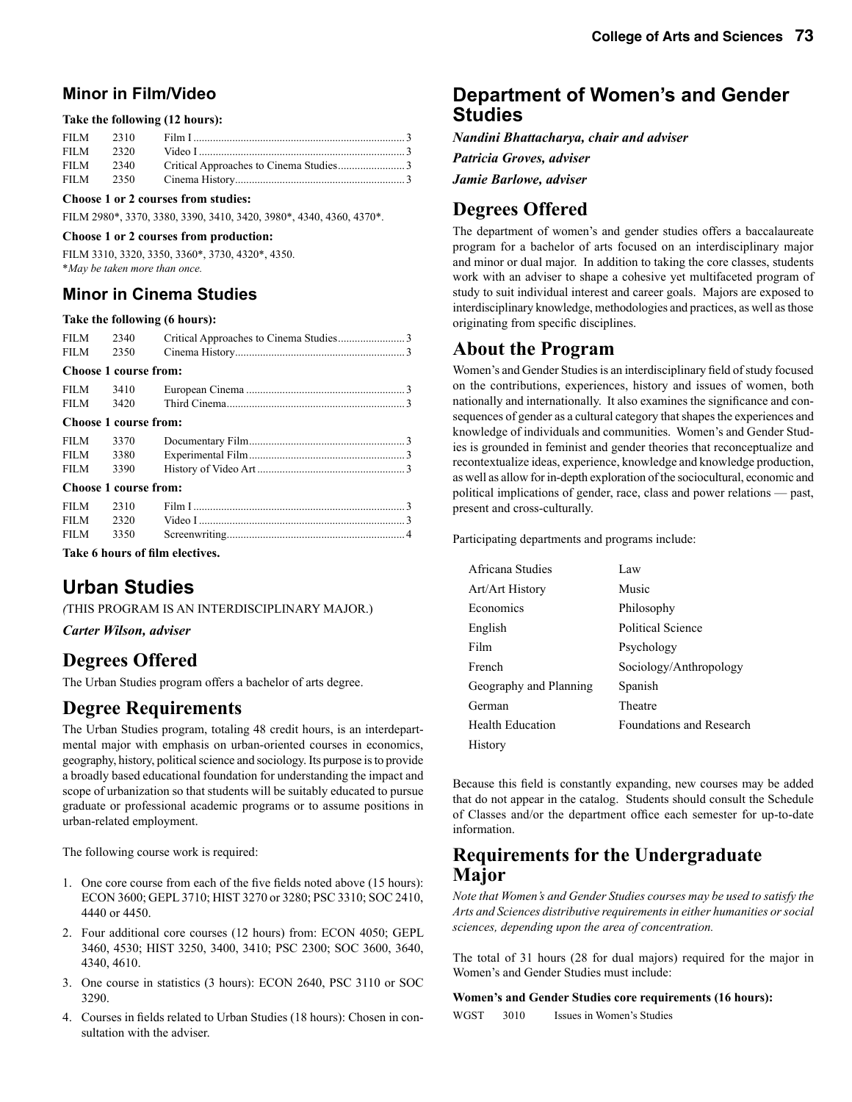### **Minor in Film/Video**

#### **Take the following (12 hours):**

#### **Choose 1 or 2 courses from studies:**

FILM 2980\*, 3370, 3380, 3390, 3410, 3420, 3980\*, 4340, 4360, 4370\*.

#### **Choose 1 or 2 courses from production:**

FILM 3310, 3320, 3350, 3360\*, 3730, 4320\*, 4350. \**May be taken more than once.*

### **Minor in Cinema Studies**

#### **Take the following (6 hours):**

| Choose 1 course from: |  |      |  |
|-----------------------|--|------|--|
|                       |  |      |  |
|                       |  |      |  |
|                       |  | 2340 |  |

| FILM 3410 |  |  |
|-----------|--|--|
| FILM 3420 |  |  |

#### **Choose 1 course from:**

| Chasse 1 service from: |  |  |
|------------------------|--|--|
|                        |  |  |
|                        |  |  |
|                        |  |  |
|                        |  |  |

#### **Choose 1 course from:**

**Take 6 hours of film electives.** 

# **Urban Studies**

*(*THIS PROGRAM IS AN INTERDISCIPLINARY MAJOR.)

*Carter Wilson, adviser*

# **Degrees Offered**

The Urban Studies program offers a bachelor of arts degree.

### **Degree Requirements**

The Urban Studies program, totaling 48 credit hours, is an interdepartmental major with emphasis on urban-oriented courses in economics, geography, history, political science and sociology. Its purpose is to provide a broadly based educational foundation for understanding the impact and scope of urbanization so that students will be suitably educated to pursue graduate or professional academic programs or to assume positions in urban-related employment.

The following course work is required:

- 1. One core course from each of the five fields noted above (15 hours): ECON 3600; GEPL 3710; HIST 3270 or 3280; PSC 3310; SOC 2410, 4440 or 4450.
- 2. Four additional core courses (12 hours) from: ECON 4050; GEPL 3460, 4530; HIST 3250, 3400, 3410; PSC 2300; SOC 3600, 3640, 4340, 4610.
- 3. One course in statistics (3 hours): ECON 2640, PSC 3110 or SOC 3290.
- 4. Courses in fields related to Urban Studies (18 hours): Chosen in consultation with the adviser.

### **Department of Women's and Gender Studies**

*Nandini Bhattacharya, chair and adviser*

*Patricia Groves, adviser*

*Jamie Barlowe, adviser*

# **Degrees Offered**

The department of women's and gender studies offers a baccalaureate program for a bachelor of arts focused on an interdisciplinary major and minor or dual major. In addition to taking the core classes, students work with an adviser to shape a cohesive yet multifaceted program of study to suit individual interest and career goals. Majors are exposed to interdisciplinary knowledge, methodologies and practices, as well as those originating from specific disciplines.

### **About the Program**

Women's and Gender Studies is an interdisciplinary field of study focused on the contributions, experiences, history and issues of women, both nationally and internationally. It also examines the significance and consequences of gender as a cultural category that shapes the experiences and knowledge of individuals and communities. Women's and Gender Studies is grounded in feminist and gender theories that reconceptualize and recontextualize ideas, experience, knowledge and knowledge production, as well as allow for in-depth exploration of the sociocultural, economic and political implications of gender, race, class and power relations — past, present and cross-culturally.

Participating departments and programs include:

| Africana Studies        | Law                             |
|-------------------------|---------------------------------|
| Art/Art History         | Music                           |
| Economics               | Philosophy                      |
| English                 | <b>Political Science</b>        |
| Film                    | Psychology                      |
| French                  | Sociology/Anthropology          |
| Geography and Planning  | Spanish                         |
| German                  | Theatre                         |
| <b>Health Education</b> | <b>Foundations and Research</b> |
| History                 |                                 |

Because this field is constantly expanding, new courses may be added that do not appear in the catalog. Students should consult the Schedule of Classes and/or the department office each semester for up-to-date information.

### **Requirements for the Undergraduate Major**

*Note that Women's and Gender Studies courses may be used to satisfy the Arts and Sciences distributive requirements in either humanities or social sciences, depending upon the area of concentration.*

The total of 31 hours (28 for dual majors) required for the major in Women's and Gender Studies must include:

#### **Women's and Gender Studies core requirements (16 hours):**

WGST 3010 Issues in Women's Studies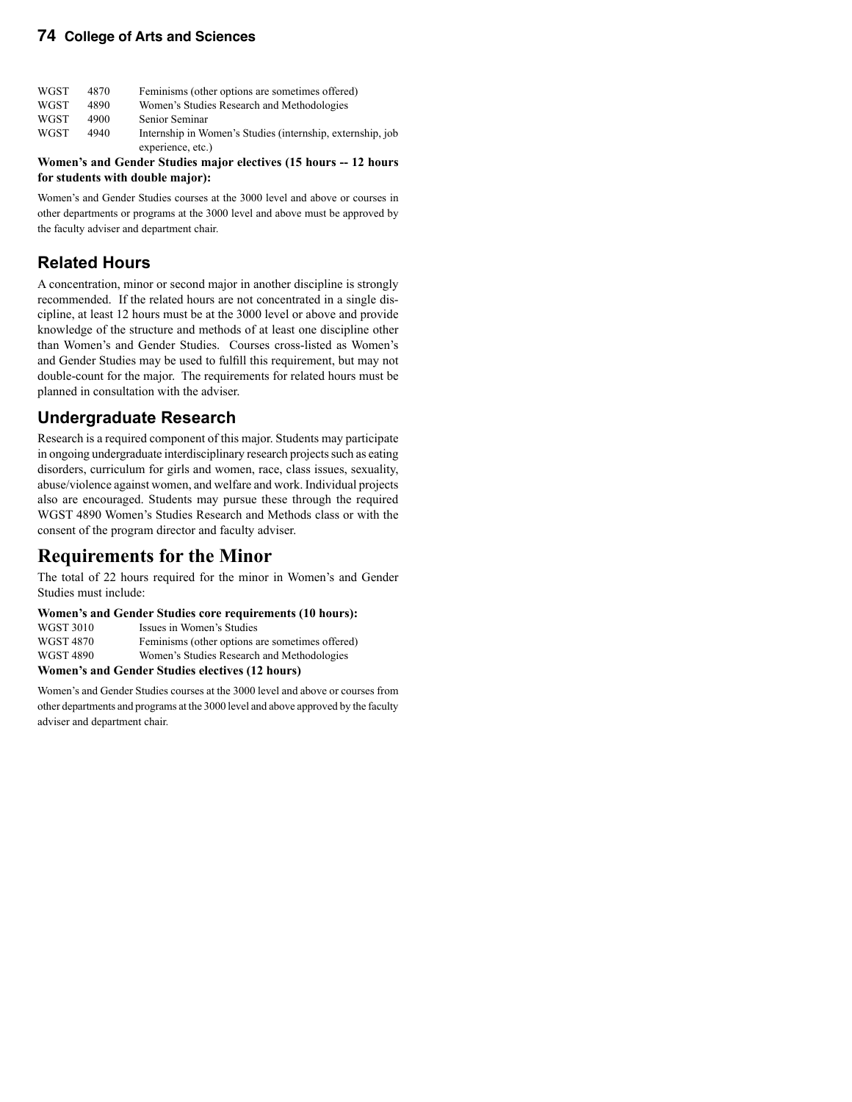| <b>WGST</b> | 4870 | Feminisms (other options are sometimes offered)            |
|-------------|------|------------------------------------------------------------|
| <b>WGST</b> | 4890 | Women's Studies Research and Methodologies                 |
| <b>WGST</b> | 4900 | Senior Seminar                                             |
| <b>WGST</b> | 4940 | Internship in Women's Studies (internship, externship, job |
|             |      | experience, etc.)                                          |

**Women's and Gender Studies major electives (15 hours -- 12 hours for students with double major):**

Women's and Gender Studies courses at the 3000 level and above or courses in other departments or programs at the 3000 level and above must be approved by the faculty adviser and department chair.

### **Related Hours**

A concentration, minor or second major in another discipline is strongly recommended. If the related hours are not concentrated in a single discipline, at least 12 hours must be at the 3000 level or above and provide knowledge of the structure and methods of at least one discipline other than Women's and Gender Studies. Courses cross-listed as Women's and Gender Studies may be used to fulfill this requirement, but may not double-count for the major. The requirements for related hours must be planned in consultation with the adviser.

### **Undergraduate Research**

Research is a required component of this major. Students may participate in ongoing undergraduate interdisciplinary research projects such as eating disorders, curriculum for girls and women, race, class issues, sexuality, abuse/violence against women, and welfare and work. Individual projects also are encouraged. Students may pursue these through the required WGST 4890 Women's Studies Research and Methods class or with the consent of the program director and faculty adviser.

### **Requirements for the Minor**

The total of 22 hours required for the minor in Women's and Gender Studies must include:

#### **Women's and Gender Studies core requirements (10 hours):**

| WGST 3010 | Issues in Women's Studies                       |
|-----------|-------------------------------------------------|
| WGST 4870 | Feminisms (other options are sometimes offered) |
| WGST 4890 | Women's Studies Research and Methodologies      |
|           |                                                 |

#### **Women's and Gender Studies electives (12 hours)**

Women's and Gender Studies courses at the 3000 level and above or courses from other departments and programs at the 3000 level and above approved by the faculty adviser and department chair.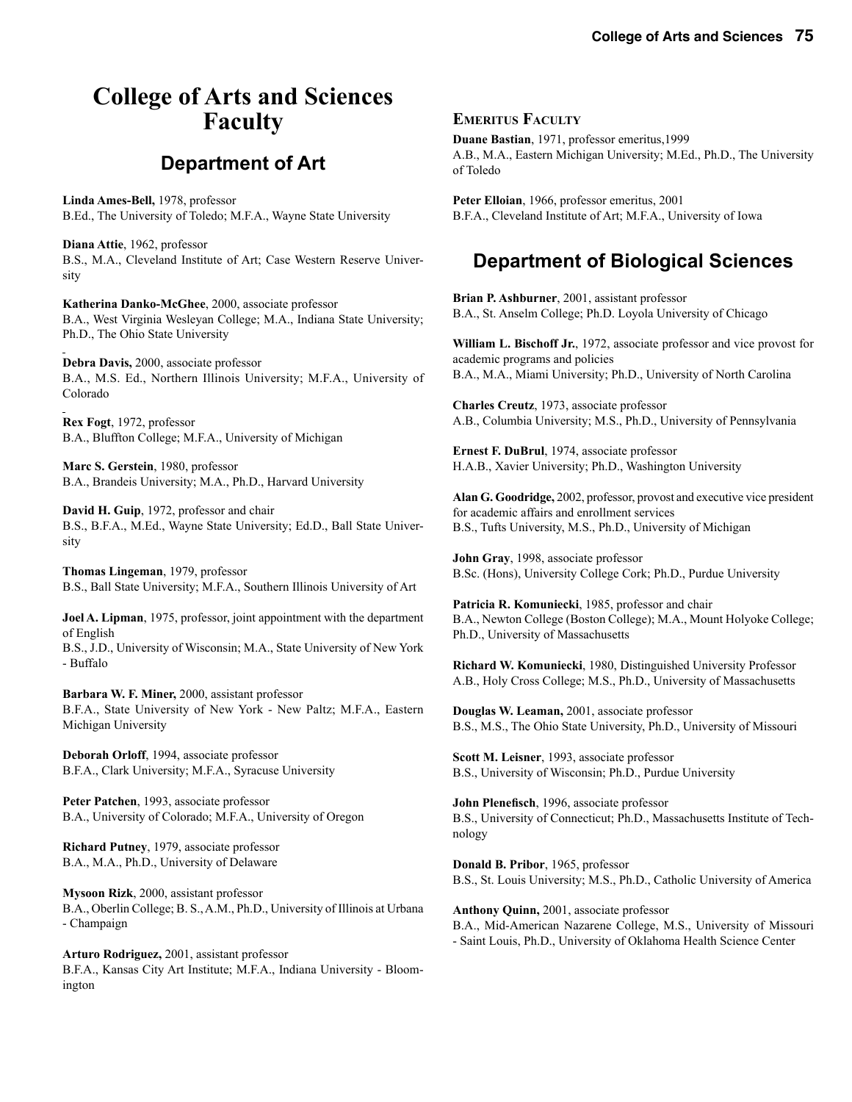# **College of Arts and Sciences Faculty**

# **Department of Art**

**Linda Ames-Bell,** 1978, professor B.Ed., The University of Toledo; M.F.A., Wayne State University

**Diana Attie**, 1962, professor B.S., M.A., Cleveland Institute of Art; Case Western Reserve University

**Katherina Danko-McGhee**, 2000, associate professor B.A., West Virginia Wesleyan College; M.A., Indiana State University; Ph.D., The Ohio State University

**Debra Davis,** 2000, associate professor B.A., M.S. Ed., Northern Illinois University; M.F.A., University of Colorado

**Rex Fogt**, 1972, professor B.A., Bluffton College; M.F.A., University of Michigan

**Marc S. Gerstein**, 1980, professor B.A., Brandeis University; M.A., Ph.D., Harvard University

**David H. Guip**, 1972, professor and chair B.S., B.F.A., M.Ed., Wayne State University; Ed.D., Ball State University

**Thomas Lingeman**, 1979, professor B.S., Ball State University; M.F.A., Southern Illinois University of Art

**Joel A. Lipman**, 1975, professor, joint appointment with the department of English B.S., J.D., University of Wisconsin; M.A., State University of New York

**Barbara W. F. Miner,** 2000, assistant professor B.F.A., State University of New York - New Paltz; M.F.A., Eastern Michigan University

**Deborah Orloff**, 1994, associate professor B.F.A., Clark University; M.F.A., Syracuse University

**Peter Patchen**, 1993, associate professor B.A., University of Colorado; M.F.A., University of Oregon

**Richard Putney**, 1979, associate professor B.A., M.A., Ph.D., University of Delaware

- Buffalo

**Mysoon Rizk**, 2000, assistant professor B.A., Oberlin College; B. S., A.M., Ph.D., University of Illinois at Urbana - Champaign

**Arturo Rodriguez,** 2001, assistant professor B.F.A., Kansas City Art Institute; M.F.A., Indiana University - Bloomington

#### **EMERITUS FACULTY**

**Duane Bastian**, 1971, professor emeritus,1999 A.B., M.A., Eastern Michigan University; M.Ed., Ph.D., The University of Toledo

**Peter Elloian**, 1966, professor emeritus, 2001 B.F.A., Cleveland Institute of Art; M.F.A., University of Iowa

# **Department of Biological Sciences**

**Brian P. Ashburner**, 2001, assistant professor B.A., St. Anselm College; Ph.D. Loyola University of Chicago

**William L. Bischoff Jr.**, 1972, associate professor and vice provost for academic programs and policies B.A., M.A., Miami University; Ph.D., University of North Carolina

**Charles Creutz**, 1973, associate professor A.B., Columbia University; M.S., Ph.D., University of Pennsylvania

**Ernest F. DuBrul**, 1974, associate professor H.A.B., Xavier University; Ph.D., Washington University

**Alan G. Goodridge,** 2002, professor, provost and executive vice president for academic affairs and enrollment services B.S., Tufts University, M.S., Ph.D., University of Michigan

**John Gray**, 1998, associate professor B.Sc. (Hons), University College Cork; Ph.D., Purdue University

**Patricia R. Komuniecki**, 1985, professor and chair B.A., Newton College (Boston College); M.A., Mount Holyoke College; Ph.D., University of Massachusetts

**Richard W. Komuniecki**, 1980, Distinguished University Professor A.B., Holy Cross College; M.S., Ph.D., University of Massachusetts

**Douglas W. Leaman,** 2001, associate professor B.S., M.S., The Ohio State University, Ph.D., University of Missouri

**Scott M. Leisner**, 1993, associate professor B.S., University of Wisconsin; Ph.D., Purdue University

**John Plenefisch**, 1996, associate professor B.S., University of Connecticut; Ph.D., Massachusetts Institute of Technology

**Donald B. Pribor**, 1965, professor B.S., St. Louis University; M.S., Ph.D., Catholic University of America

**Anthony Quinn,** 2001, associate professor B.A., Mid-American Nazarene College, M.S., University of Missouri - Saint Louis, Ph.D., University of Oklahoma Health Science Center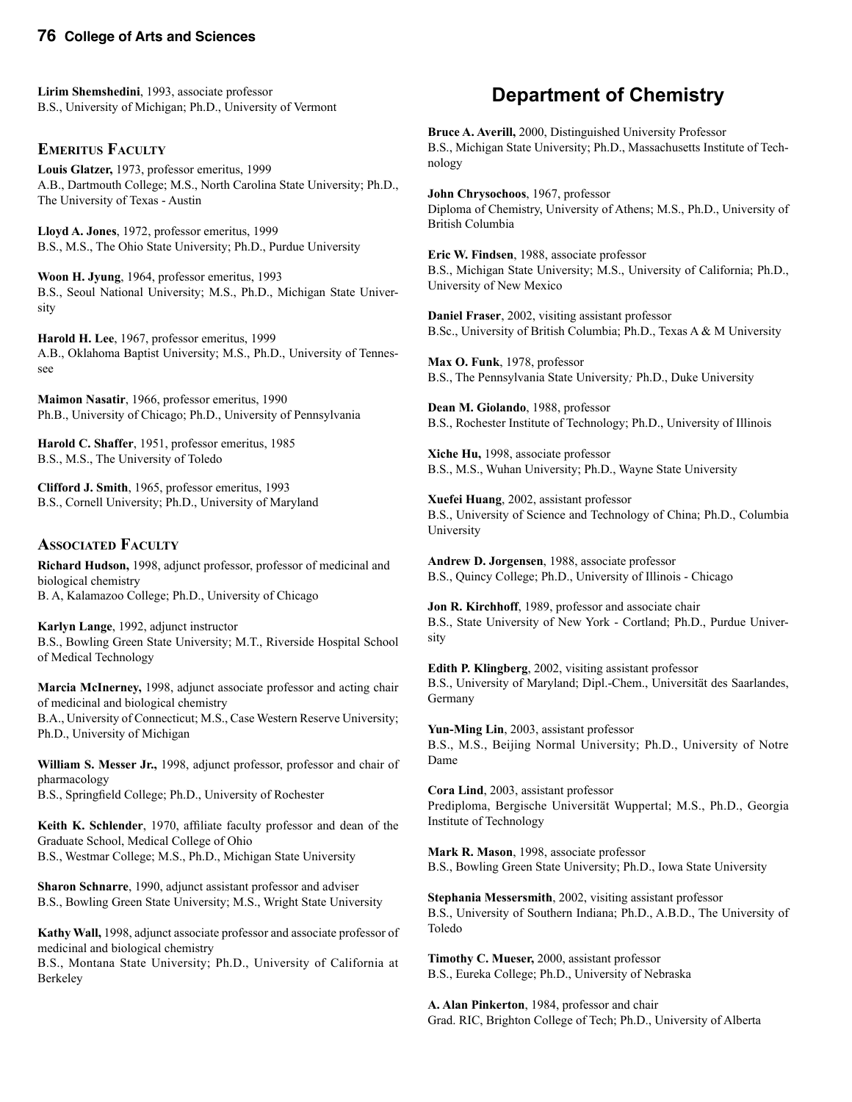**Lirim Shemshedini**, 1993, associate professor B.S., University of Michigan; Ph.D., University of Vermont

#### **EMERITUS FACULTY**

**Louis Glatzer,** 1973, professor emeritus, 1999 A.B., Dartmouth College; M.S., North Carolina State University; Ph.D., The University of Texas - Austin

**Lloyd A. Jones**, 1972, professor emeritus, 1999 B.S., M.S., The Ohio State University; Ph.D., Purdue University

**Woon H. Jyung**, 1964, professor emeritus, 1993 B.S., Seoul National University; M.S., Ph.D., Michigan State University

**Harold H. Lee**, 1967, professor emeritus, 1999 A.B., Oklahoma Baptist University; M.S., Ph.D., University of Tennessee

**Maimon Nasatir**, 1966, professor emeritus, 1990 Ph.B., University of Chicago; Ph.D., University of Pennsylvania

**Harold C. Shaffer**, 1951, professor emeritus, 1985 B.S., M.S., The University of Toledo

**Clifford J. Smith**, 1965, professor emeritus, 1993 B.S., Cornell University; Ph.D., University of Maryland

#### **ASSOCIATED FACULTY**

**Richard Hudson,** 1998, adjunct professor, professor of medicinal and biological chemistry B. A, Kalamazoo College; Ph.D., University of Chicago

**Karlyn Lange**, 1992, adjunct instructor B.S., Bowling Green State University; M.T., Riverside Hospital School of Medical Technology

**Marcia McInerney,** 1998, adjunct associate professor and acting chair of medicinal and biological chemistry

B.A., University of Connecticut; M.S., Case Western Reserve University; Ph.D., University of Michigan

**William S. Messer Jr.,** 1998, adjunct professor, professor and chair of pharmacology B.S., Springfield College; Ph.D., University of Rochester

**Keith K. Schlender**, 1970, affiliate faculty professor and dean of the Graduate School, Medical College of Ohio B.S., Westmar College; M.S., Ph.D., Michigan State University

**Sharon Schnarre**, 1990, adjunct assistant professor and adviser B.S., Bowling Green State University; M.S., Wright State University

**Kathy Wall,** 1998, adjunct associate professor and associate professor of medicinal and biological chemistry

B.S., Montana State University; Ph.D., University of California at Berkeley

# **Department of Chemistry**

**Bruce A. Averill,** 2000, Distinguished University Professor B.S., Michigan State University; Ph.D., Massachusetts Institute of Technology

**John Chrysochoos**, 1967, professor Diploma of Chemistry, University of Athens; M.S., Ph.D., University of British Columbia

**Eric W. Findsen**, 1988, associate professor B.S., Michigan State University; M.S., University of California; Ph.D., University of New Mexico

**Daniel Fraser**, 2002, visiting assistant professor B.Sc., University of British Columbia; Ph.D., Texas A & M University

**Max O. Funk**, 1978, professor B.S., The Pennsylvania State University*;* Ph.D., Duke University

**Dean M. Giolando**, 1988, professor B.S., Rochester Institute of Technology; Ph.D., University of Illinois

**Xiche Hu,** 1998, associate professor B.S., M.S., Wuhan University; Ph.D., Wayne State University

**Xuefei Huang**, 2002, assistant professor B.S., University of Science and Technology of China; Ph.D., Columbia University

**Andrew D. Jorgensen**, 1988, associate professor B.S., Quincy College; Ph.D., University of Illinois - Chicago

**Jon R. Kirchhoff**, 1989, professor and associate chair B.S., State University of New York - Cortland; Ph.D., Purdue University

**Edith P. Klingberg**, 2002, visiting assistant professor B.S., University of Maryland; Dipl.-Chem., Universität des Saarlandes, Germany

**Yun-Ming Lin**, 2003, assistant professor B.S., M.S., Beijing Normal University; Ph.D., University of Notre Dame

**Cora Lind**, 2003, assistant professor Prediploma, Bergische Universität Wuppertal; M.S., Ph.D., Georgia Institute of Technology

**Mark R. Mason**, 1998, associate professor B.S., Bowling Green State University; Ph.D., Iowa State University

**Stephania Messersmith**, 2002, visiting assistant professor B.S., University of Southern Indiana; Ph.D., A.B.D., The University of Toledo

**Timothy C. Mueser,** 2000, assistant professor B.S., Eureka College; Ph.D., University of Nebraska

**A. Alan Pinkerton**, 1984, professor and chair Grad. RIC, Brighton College of Tech; Ph.D., University of Alberta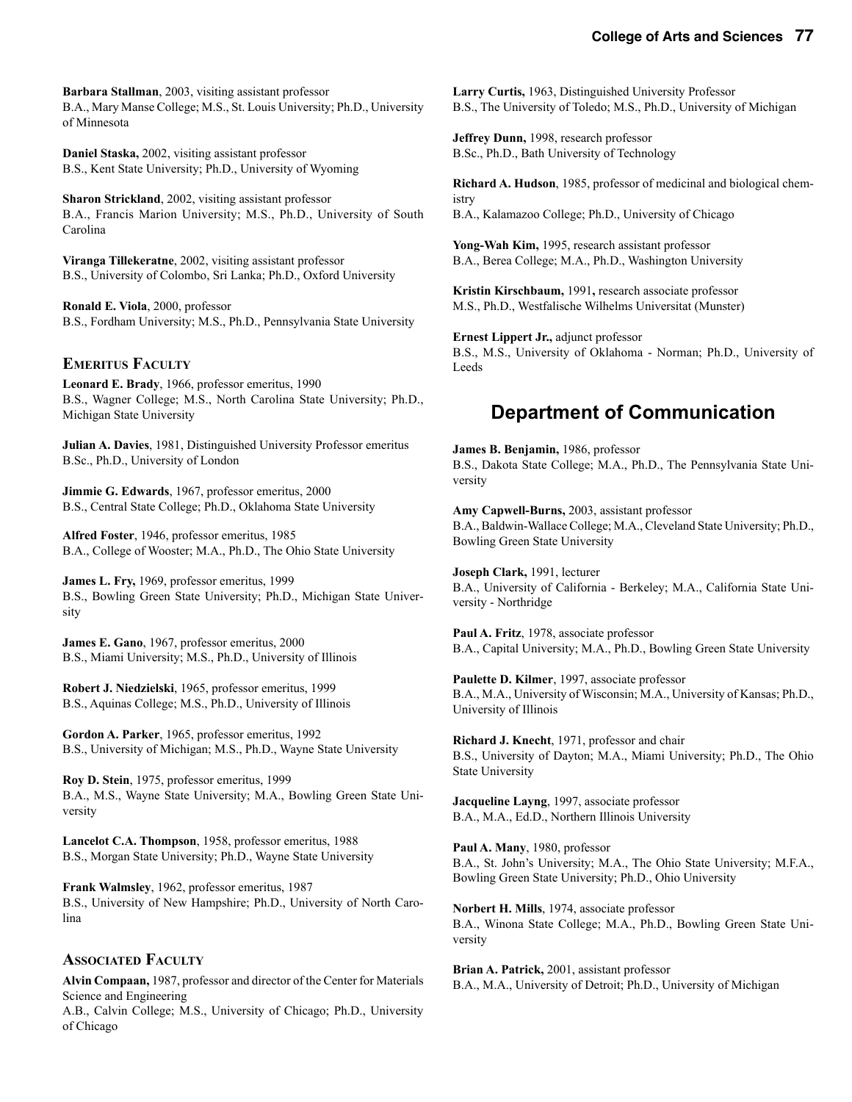**Barbara Stallman**, 2003, visiting assistant professor B.A., Mary Manse College; M.S., St. Louis University; Ph.D., University of Minnesota

**Daniel Staska,** 2002, visiting assistant professor B.S., Kent State University; Ph.D., University of Wyoming

**Sharon Strickland**, 2002, visiting assistant professor B.A., Francis Marion University; M.S., Ph.D., University of South Carolina

**Viranga Tillekeratne**, 2002, visiting assistant professor B.S., University of Colombo, Sri Lanka; Ph.D., Oxford University

**Ronald E. Viola**, 2000, professor B.S., Fordham University; M.S., Ph.D., Pennsylvania State University

#### **EMERITUS FACULTY**

**Leonard E. Brady**, 1966, professor emeritus, 1990 B.S., Wagner College; M.S., North Carolina State University; Ph.D., Michigan State University

**Julian A. Davies**, 1981, Distinguished University Professor emeritus B.Sc., Ph.D., University of London

**Jimmie G. Edwards**, 1967, professor emeritus, 2000 B.S., Central State College; Ph.D., Oklahoma State University

**Alfred Foster**, 1946, professor emeritus, 1985 B.A., College of Wooster; M.A., Ph.D., The Ohio State University

**James L. Fry,** 1969, professor emeritus, 1999 B.S., Bowling Green State University; Ph.D., Michigan State University

**James E. Gano**, 1967, professor emeritus, 2000 B.S., Miami University; M.S., Ph.D., University of Illinois

**Robert J. Niedzielski**, 1965, professor emeritus, 1999 B.S., Aquinas College; M.S., Ph.D., University of Illinois

**Gordon A. Parker**, 1965, professor emeritus, 1992 B.S., University of Michigan; M.S., Ph.D., Wayne State University

**Roy D. Stein**, 1975, professor emeritus, 1999 B.A., M.S., Wayne State University; M.A., Bowling Green State University

**Lancelot C.A. Thompson**, 1958, professor emeritus, 1988 B.S., Morgan State University; Ph.D., Wayne State University

**Frank Walmsley**, 1962, professor emeritus, 1987 B.S., University of New Hampshire; Ph.D., University of North Carolina

#### **ASSOCIATED FACULTY**

**Alvin Compaan,** 1987, professor and director of the Center for Materials Science and Engineering A.B., Calvin College; M.S., University of Chicago; Ph.D., University of Chicago

**Larry Curtis,** 1963, Distinguished University Professor B.S., The University of Toledo; M.S., Ph.D., University of Michigan

**Jeffrey Dunn,** 1998, research professor B.Sc., Ph.D., Bath University of Technology

**Richard A. Hudson**, 1985, professor of medicinal and biological chemistry B.A., Kalamazoo College; Ph.D., University of Chicago

**Yong-Wah Kim,** 1995, research assistant professor B.A., Berea College; M.A., Ph.D., Washington University

**Kristin Kirschbaum,** 1991**,** research associate professor M.S., Ph.D., Westfalische Wilhelms Universitat (Munster)

**Ernest Lippert Jr.,** adjunct professor B.S., M.S., University of Oklahoma - Norman; Ph.D., University of Leeds

# **Department of Communication**

**James B. Benjamin,** 1986, professor B.S., Dakota State College; M.A., Ph.D., The Pennsylvania State University

**Amy Capwell-Burns,** 2003, assistant professor B.A., Baldwin-Wallace College; M.A., Cleveland State University; Ph.D., Bowling Green State University

**Joseph Clark,** 1991, lecturer B.A., University of California - Berkeley; M.A., California State University - Northridge

**Paul A. Fritz**, 1978, associate professor B.A., Capital University; M.A., Ph.D., Bowling Green State University

**Paulette D. Kilmer**, 1997, associate professor B.A., M.A., University of Wisconsin; M.A., University of Kansas; Ph.D., University of Illinois

**Richard J. Knecht**, 1971, professor and chair B.S., University of Dayton; M.A., Miami University; Ph.D., The Ohio State University

**Jacqueline Layng**, 1997, associate professor B.A., M.A., Ed.D., Northern Illinois University

**Paul A. Many**, 1980, professor B.A., St. John's University; M.A., The Ohio State University; M.F.A., Bowling Green State University; Ph.D., Ohio University

**Norbert H. Mills**, 1974, associate professor B.A., Winona State College; M.A., Ph.D., Bowling Green State University

**Brian A. Patrick,** 2001, assistant professor B.A., M.A., University of Detroit; Ph.D., University of Michigan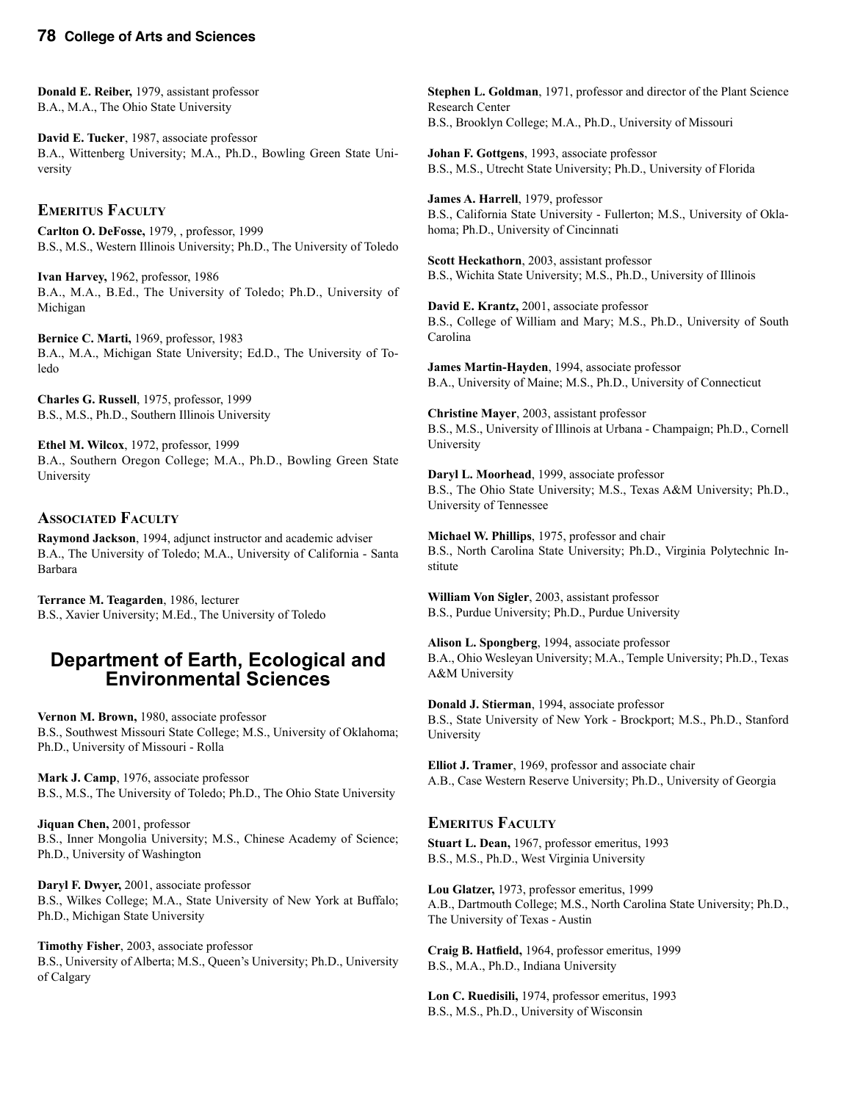**Donald E. Reiber,** 1979, assistant professor B.A., M.A., The Ohio State University

**David E. Tucker**, 1987, associate professor B.A., Wittenberg University; M.A., Ph.D., Bowling Green State University

#### **EMERITUS FACULTY**

**Carlton O. DeFosse,** 1979, , professor, 1999 B.S., M.S., Western Illinois University; Ph.D., The University of Toledo

**Ivan Harvey,** 1962, professor, 1986 B.A., M.A., B.Ed., The University of Toledo; Ph.D., University of Michigan

**Bernice C. Marti,** 1969, professor, 1983 B.A., M.A., Michigan State University; Ed.D., The University of Toledo

**Charles G. Russell**, 1975, professor, 1999 B.S., M.S., Ph.D., Southern Illinois University

**Ethel M. Wilcox**, 1972, professor, 1999 B.A., Southern Oregon College; M.A., Ph.D., Bowling Green State University

#### **ASSOCIATED FACULTY**

**Raymond Jackson**, 1994, adjunct instructor and academic adviser B.A., The University of Toledo; M.A., University of California - Santa Barbara

**Terrance M. Teagarden**, 1986, lecturer B.S., Xavier University; M.Ed., The University of Toledo

### **Department of Earth, Ecological and Environmental Sciences**

**Vernon M. Brown,** 1980, associate professor B.S., Southwest Missouri State College; M.S., University of Oklahoma; Ph.D., University of Missouri - Rolla

**Mark J. Camp**, 1976, associate professor B.S., M.S., The University of Toledo; Ph.D., The Ohio State University

**Jiquan Chen,** 2001, professor B.S., Inner Mongolia University; M.S., Chinese Academy of Science; Ph.D., University of Washington

**Daryl F. Dwyer,** 2001, associate professor B.S., Wilkes College; M.A., State University of New York at Buffalo; Ph.D., Michigan State University

**Timothy Fisher**, 2003, associate professor B.S., University of Alberta; M.S., Queen's University; Ph.D., University of Calgary

**Stephen L. Goldman**, 1971, professor and director of the Plant Science Research Center B.S., Brooklyn College; M.A., Ph.D., University of Missouri

**Johan F. Gottgens**, 1993, associate professor B.S., M.S., Utrecht State University; Ph.D., University of Florida

**James A. Harrell**, 1979, professor B.S., California State University - Fullerton; M.S., University of Oklahoma; Ph.D., University of Cincinnati

**Scott Heckathorn**, 2003, assistant professor B.S., Wichita State University; M.S., Ph.D., University of Illinois

**David E. Krantz,** 2001, associate professor B.S., College of William and Mary; M.S., Ph.D., University of South Carolina

**James Martin-Hayden**, 1994, associate professor B.A., University of Maine; M.S., Ph.D., University of Connecticut

**Christine Mayer**, 2003, assistant professor B.S., M.S., University of Illinois at Urbana - Champaign; Ph.D., Cornell University

**Daryl L. Moorhead**, 1999, associate professor B.S., The Ohio State University; M.S., Texas A&M University; Ph.D., University of Tennessee

**Michael W. Phillips**, 1975, professor and chair B.S., North Carolina State University; Ph.D., Virginia Polytechnic Institute

**William Von Sigler**, 2003, assistant professor B.S., Purdue University; Ph.D., Purdue University

**Alison L. Spongberg**, 1994, associate professor B.A., Ohio Wesleyan University; M.A., Temple University; Ph.D., Texas A&M University

**Donald J. Stierman**, 1994, associate professor B.S., State University of New York - Brockport; M.S., Ph.D., Stanford University

**Elliot J. Tramer**, 1969, professor and associate chair A.B., Case Western Reserve University; Ph.D., University of Georgia

#### **EMERITUS FACULTY**

**Stuart L. Dean,** 1967, professor emeritus, 1993 B.S., M.S., Ph.D., West Virginia University

**Lou Glatzer,** 1973, professor emeritus, 1999 A.B., Dartmouth College; M.S., North Carolina State University; Ph.D., The University of Texas - Austin

**Craig B. Hatfield,** 1964, professor emeritus, 1999 B.S., M.A., Ph.D., Indiana University

**Lon C. Ruedisili,** 1974, professor emeritus, 1993 B.S., M.S., Ph.D., University of Wisconsin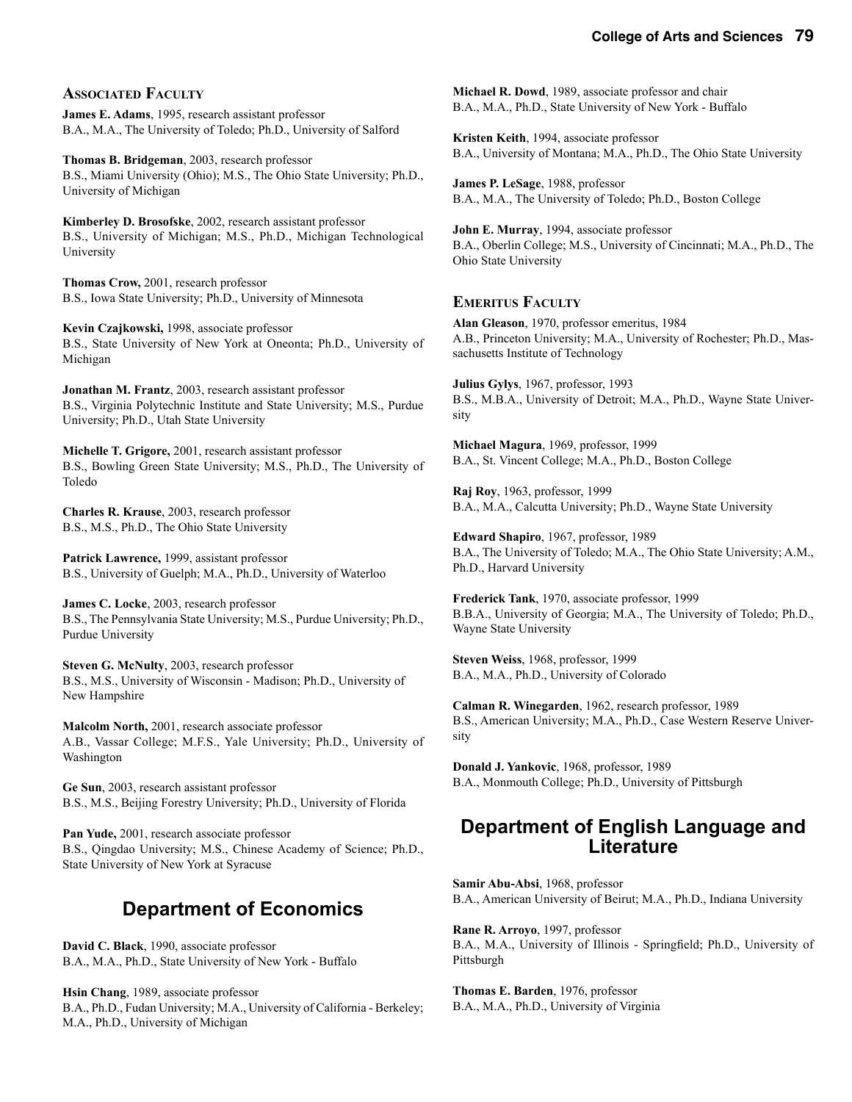#### **ASSOCIATED FACULTY**

**James E. Adams**, 1995, research assistant professor B.A., M.A., The University of Toledo; Ph.D., University of Salford

**Thomas B. Bridgeman**, 2003, research professor B.S., Miami University (Ohio); M.S., The Ohio State University; Ph.D., University of Michigan

**Kimberley D. Brosofske**, 2002, research assistant professor B.S., University of Michigan; M.S., Ph.D., Michigan Technological University

**Thomas Crow,** 2001, research professor B.S., Iowa State University; Ph.D., University of Minnesota

**Kevin Czajkowski,** 1998, associate professor B.S., State University of New York at Oneonta; Ph.D., University of Michigan

**Jonathan M. Frantz**, 2003, research assistant professor B.S., Virginia Polytechnic Institute and State University; M.S., Purdue University; Ph.D., Utah State University

**Michelle T. Grigore,** 2001, research assistant professor B.S., Bowling Green State University; M.S., Ph.D., The University of Toledo

**Charles R. Krause**, 2003, research professor B.S., M.S., Ph.D., The Ohio State University

**Patrick Lawrence,** 1999, assistant professor B.S., University of Guelph; M.A., Ph.D., University of Waterloo

**James C. Locke**, 2003, research professor B.S., The Pennsylvania State University; M.S., Purdue University; Ph.D., Purdue University

**Steven G. McNulty**, 2003, research professor B.S., M.S., University of Wisconsin - Madison; Ph.D., University of New Hampshire

**Malcolm North,** 2001, research associate professor A.B., Vassar College; M.F.S., Yale University; Ph.D., University of Washington

**Ge Sun**, 2003, research assistant professor B.S., M.S., Beijing Forestry University; Ph.D., University of Florida

**Pan Yude,** 2001, research associate professor B.S., Qingdao University; M.S., Chinese Academy of Science; Ph.D., State University of New York at Syracuse

# **Department of Economics**

**David C. Black**, 1990, associate professor B.A., M.A., Ph.D., State University of New York - Buffalo

**Hsin Chang**, 1989, associate professor B.A., Ph.D., Fudan University; M.A., University of California - Berkeley; M.A., Ph.D., University of Michigan

**Michael R. Dowd**, 1989, associate professor and chair B.A., M.A., Ph.D., State University of New York - Buffalo

**Kristen Keith**, 1994, associate professor B.A., University of Montana; M.A., Ph.D., The Ohio State University

**James P. LeSage**, 1988, professor B.A., M.A., The University of Toledo; Ph.D., Boston College

**John E. Murray**, 1994, associate professor B.A., Oberlin College; M.S., University of Cincinnati; M.A., Ph.D., The Ohio State University

#### **EMERITUS FACULTY**

**Alan Gleason**, 1970, professor emeritus, 1984 A.B., Princeton University; M.A., University of Rochester; Ph.D., Massachusetts Institute of Technology

**Julius Gylys**, 1967, professor, 1993 B.S., M.B.A., University of Detroit; M.A., Ph.D., Wayne State University

**Michael Magura**, 1969, professor, 1999 B.A., St. Vincent College; M.A., Ph.D., Boston College

**Raj Roy**, 1963, professor, 1999 B.A., M.A., Calcutta University; Ph.D., Wayne State University

**Edward Shapiro**, 1967, professor, 1989 B.A., The University of Toledo; M.A., The Ohio State University; A.M., Ph.D., Harvard University

**Frederick Tank**, 1970, associate professor, 1999 B.B.A., University of Georgia; M.A., The University of Toledo; Ph.D., Wayne State University

**Steven Weiss**, 1968, professor, 1999 B.A., M.A., Ph.D., University of Colorado

**Calman R. Winegarden**, 1962, research professor, 1989 B.S., American University; M.A., Ph.D., Case Western Reserve University

**Donald J. Yankovic**, 1968, professor, 1989 B.A., Monmouth College; Ph.D., University of Pittsburgh

### **Department of English Language and Literature**

**Samir Abu-Absi**, 1968, professor B.A., American University of Beirut; M.A., Ph.D., Indiana University

**Rane R. Arroyo**, 1997, professor B.A., M.A., University of Illinois - Springfield; Ph.D., University of Pittsburgh

**Thomas E. Barden**, 1976, professor B.A., M.A., Ph.D., University of Virginia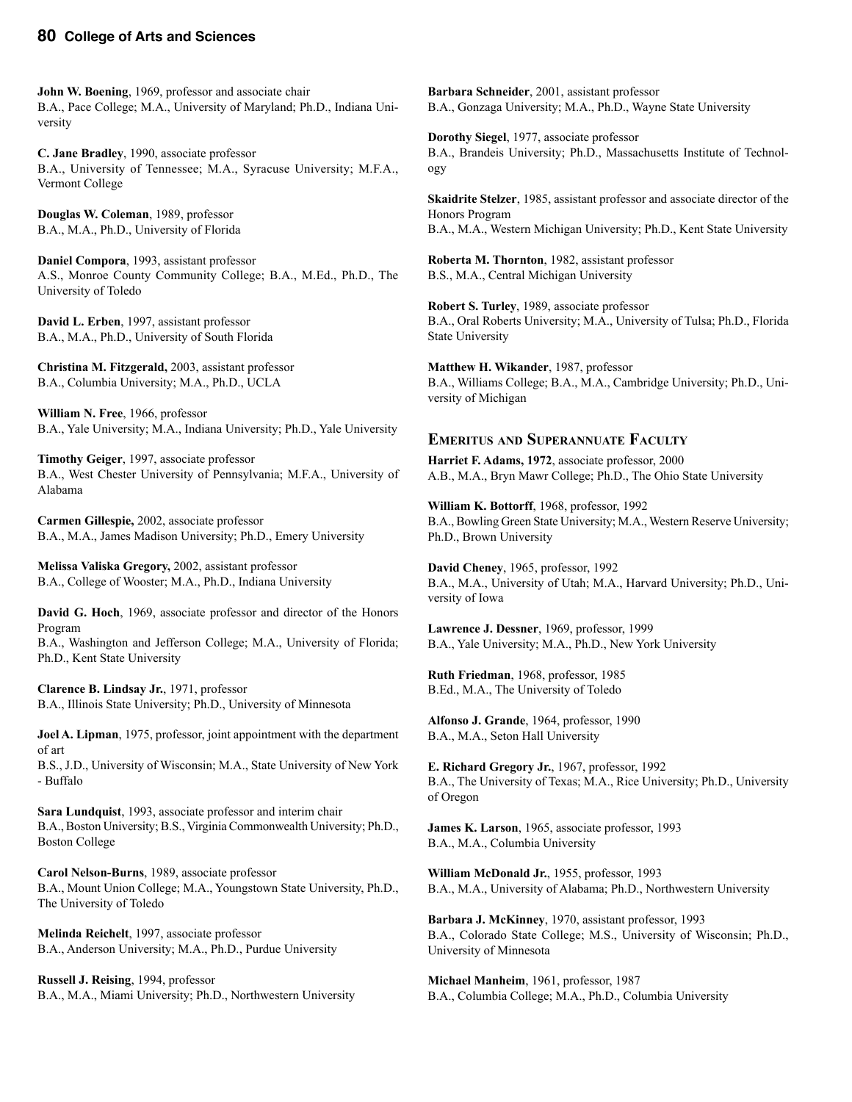**John W. Boening**, 1969, professor and associate chair B.A., Pace College; M.A., University of Maryland; Ph.D., Indiana University

**C. Jane Bradley**, 1990, associate professor B.A., University of Tennessee; M.A., Syracuse University; M.F.A., Vermont College

**Douglas W. Coleman**, 1989, professor B.A., M.A., Ph.D., University of Florida

**Daniel Compora**, 1993, assistant professor A.S., Monroe County Community College; B.A., M.Ed., Ph.D., The University of Toledo

**David L. Erben**, 1997, assistant professor B.A., M.A., Ph.D., University of South Florida

**Christina M. Fitzgerald,** 2003, assistant professor B.A., Columbia University; M.A., Ph.D., UCLA

**William N. Free**, 1966, professor B.A., Yale University; M.A., Indiana University; Ph.D., Yale University

**Timothy Geiger**, 1997, associate professor B.A., West Chester University of Pennsylvania; M.F.A., University of Alabama

**Carmen Gillespie,** 2002, associate professor B.A., M.A., James Madison University; Ph.D., Emery University

**Melissa Valiska Gregory,** 2002, assistant professor B.A., College of Wooster; M.A., Ph.D., Indiana University

**David G. Hoch**, 1969, associate professor and director of the Honors Program

B.A., Washington and Jefferson College; M.A., University of Florida; Ph.D., Kent State University

**Clarence B. Lindsay Jr.**, 1971, professor B.A., Illinois State University; Ph.D., University of Minnesota

**Joel A. Lipman**, 1975, professor, joint appointment with the department of art

B.S., J.D., University of Wisconsin; M.A., State University of New York - Buffalo

**Sara Lundquist**, 1993, associate professor and interim chair B.A., Boston University; B.S., Virginia Commonwealth University; Ph.D., Boston College

**Carol Nelson-Burns**, 1989, associate professor B.A., Mount Union College; M.A., Youngstown State University, Ph.D., The University of Toledo

**Melinda Reichelt**, 1997, associate professor B.A., Anderson University; M.A., Ph.D., Purdue University

**Russell J. Reising**, 1994, professor B.A., M.A., Miami University; Ph.D., Northwestern University

**Barbara Schneider**, 2001, assistant professor B.A., Gonzaga University; M.A., Ph.D., Wayne State University

**Dorothy Siegel**, 1977, associate professor B.A., Brandeis University; Ph.D., Massachusetts Institute of Technology

**Skaidrite Stelzer**, 1985, assistant professor and associate director of the Honors Program B.A., M.A., Western Michigan University; Ph.D., Kent State University

**Roberta M. Thornton**, 1982, assistant professor B.S., M.A., Central Michigan University

**Robert S. Turley**, 1989, associate professor B.A., Oral Roberts University; M.A., University of Tulsa; Ph.D., Florida State University

**Matthew H. Wikander**, 1987, professor B.A., Williams College; B.A., M.A., Cambridge University; Ph.D., University of Michigan

#### **EMERITUS AND SUPERANNUATE FACULTY**

**Harriet F. Adams, 1972**, associate professor, 2000 A.B., M.A., Bryn Mawr College; Ph.D., The Ohio State University

**William K. Bottorff**, 1968, professor, 1992 B.A., Bowling Green State University; M.A., Western Reserve University; Ph.D., Brown University

**David Cheney**, 1965, professor, 1992 B.A., M.A., University of Utah; M.A., Harvard University; Ph.D., University of Iowa

**Lawrence J. Dessner**, 1969, professor, 1999 B.A., Yale University; M.A., Ph.D., New York University

**Ruth Friedman**, 1968, professor, 1985 B.Ed., M.A., The University of Toledo

**Alfonso J. Grande**, 1964, professor, 1990 B.A., M.A., Seton Hall University

**E. Richard Gregory Jr.**, 1967, professor, 1992 B.A., The University of Texas; M.A., Rice University; Ph.D., University of Oregon

**James K. Larson**, 1965, associate professor, 1993 B.A., M.A., Columbia University

**William McDonald Jr.**, 1955, professor, 1993 B.A., M.A., University of Alabama; Ph.D., Northwestern University

**Barbara J. McKinney**, 1970, assistant professor, 1993 B.A., Colorado State College; M.S., University of Wisconsin; Ph.D., University of Minnesota

**Michael Manheim**, 1961, professor, 1987 B.A., Columbia College; M.A., Ph.D., Columbia University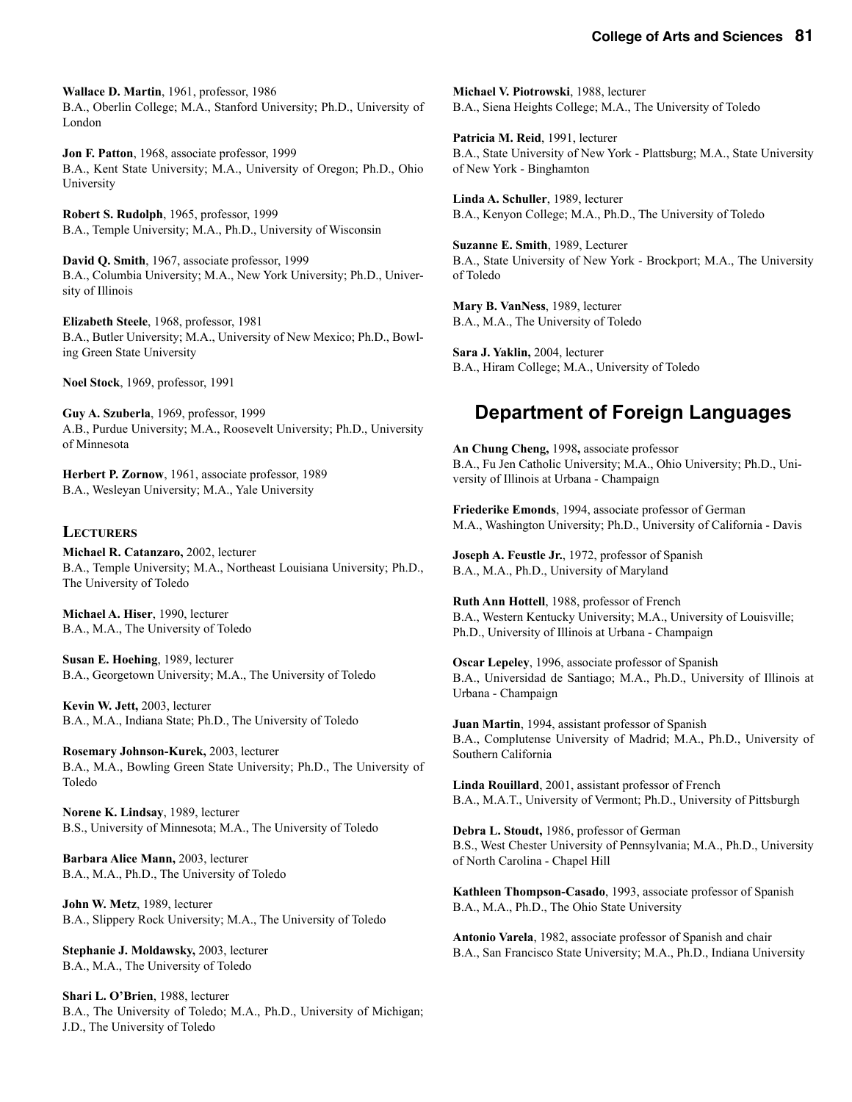**Wallace D. Martin**, 1961, professor, 1986 B.A., Oberlin College; M.A., Stanford University; Ph.D., University of London

**Jon F. Patton**, 1968, associate professor, 1999 B.A., Kent State University; M.A., University of Oregon; Ph.D., Ohio University

**Robert S. Rudolph**, 1965, professor, 1999 B.A., Temple University; M.A., Ph.D., University of Wisconsin

**David Q. Smith**, 1967, associate professor, 1999 B.A., Columbia University; M.A., New York University; Ph.D., University of Illinois

**Elizabeth Steele**, 1968, professor, 1981 B.A., Butler University; M.A., University of New Mexico; Ph.D., Bowling Green State University

**Noel Stock**, 1969, professor, 1991

**Guy A. Szuberla**, 1969, professor, 1999 A.B., Purdue University; M.A., Roosevelt University; Ph.D., University of Minnesota

**Herbert P. Zornow**, 1961, associate professor, 1989 B.A., Wesleyan University; M.A., Yale University

#### **LECTURERS**

**Michael R. Catanzaro,** 2002, lecturer B.A., Temple University; M.A., Northeast Louisiana University; Ph.D., The University of Toledo

**Michael A. Hiser**, 1990, lecturer B.A., M.A., The University of Toledo

**Susan E. Hoehing**, 1989, lecturer B.A., Georgetown University; M.A., The University of Toledo

**Kevin W. Jett,** 2003, lecturer B.A., M.A., Indiana State; Ph.D., The University of Toledo

**Rosemary Johnson-Kurek,** 2003, lecturer B.A., M.A., Bowling Green State University; Ph.D., The University of Toledo

**Norene K. Lindsay**, 1989, lecturer B.S., University of Minnesota; M.A., The University of Toledo

**Barbara Alice Mann,** 2003, lecturer B.A., M.A., Ph.D., The University of Toledo

**John W. Metz**, 1989, lecturer B.A., Slippery Rock University; M.A., The University of Toledo

**Stephanie J. Moldawsky,** 2003, lecturer B.A., M.A., The University of Toledo

**Shari L. O'Brien**, 1988, lecturer B.A., The University of Toledo; M.A., Ph.D., University of Michigan; J.D., The University of Toledo

**Michael V. Piotrowski**, 1988, lecturer B.A., Siena Heights College; M.A., The University of Toledo

**Patricia M. Reid**, 1991, lecturer B.A., State University of New York - Plattsburg; M.A., State University of New York - Binghamton

**Linda A. Schuller**, 1989, lecturer B.A., Kenyon College; M.A., Ph.D., The University of Toledo

**Suzanne E. Smith**, 1989, Lecturer B.A., State University of New York - Brockport; M.A., The University of Toledo

**Mary B. VanNess**, 1989, lecturer B.A., M.A., The University of Toledo

**Sara J. Yaklin,** 2004, lecturer B.A., Hiram College; M.A., University of Toledo

# **Department of Foreign Languages**

**An Chung Cheng,** 1998**,** associate professor B.A., Fu Jen Catholic University; M.A., Ohio University; Ph.D., University of Illinois at Urbana - Champaign

**Friederike Emonds**, 1994, associate professor of German M.A., Washington University; Ph.D., University of California - Davis

**Joseph A. Feustle Jr.**, 1972, professor of Spanish B.A., M.A., Ph.D., University of Maryland

**Ruth Ann Hottell**, 1988, professor of French B.A., Western Kentucky University; M.A., University of Louisville; Ph.D., University of Illinois at Urbana - Champaign

**Oscar Lepeley**, 1996, associate professor of Spanish B.A., Universidad de Santiago; M.A., Ph.D., University of Illinois at Urbana - Champaign

**Juan Martin**, 1994, assistant professor of Spanish B.A., Complutense University of Madrid; M.A., Ph.D., University of Southern California

**Linda Rouillard**, 2001, assistant professor of French B.A., M.A.T., University of Vermont; Ph.D., University of Pittsburgh

**Debra L. Stoudt,** 1986, professor of German B.S., West Chester University of Pennsylvania; M.A., Ph.D., University of North Carolina - Chapel Hill

**Kathleen Thompson-Casado**, 1993, associate professor of Spanish B.A., M.A., Ph.D., The Ohio State University

**Antonio Varela**, 1982, associate professor of Spanish and chair B.A., San Francisco State University; M.A., Ph.D., Indiana University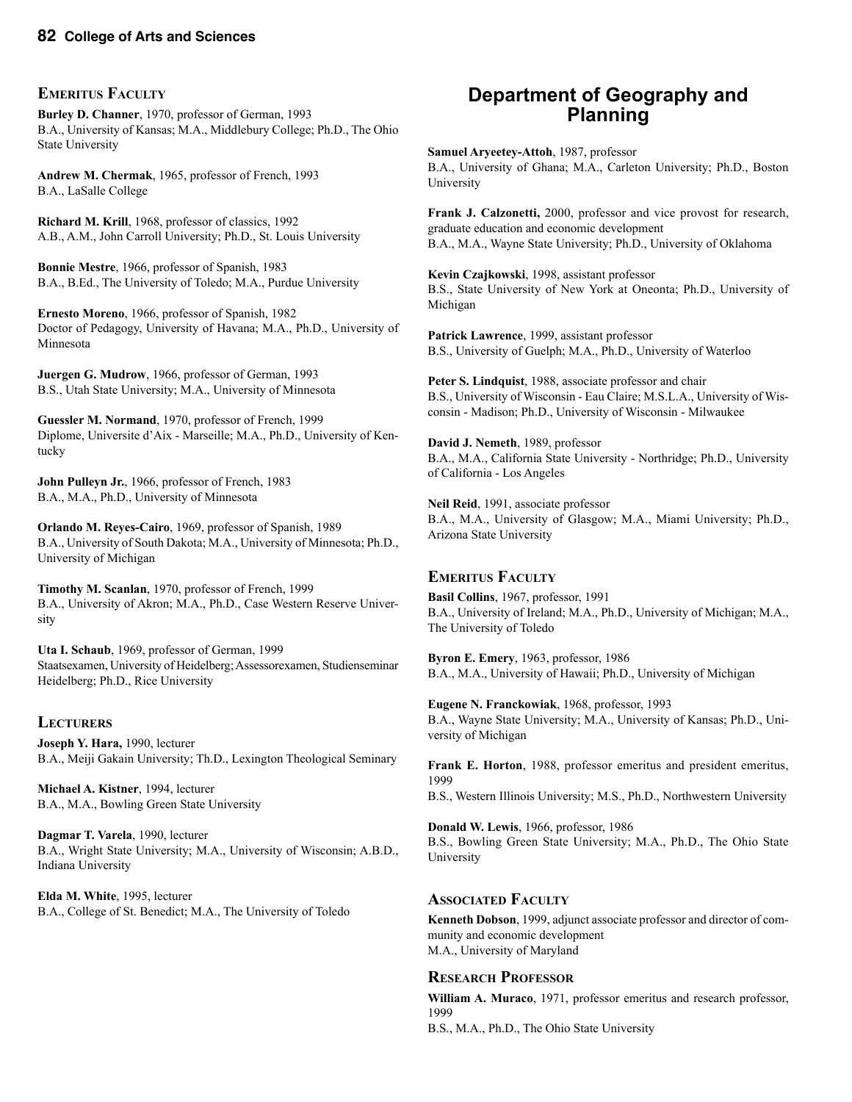#### **EMERITUS FACULTY**

**Burley D. Channer**, 1970, professor of German, 1993 B.A., University of Kansas; M.A., Middlebury College; Ph.D., The Ohio State University

**Andrew M. Chermak**, 1965, professor of French, 1993 B.A., LaSalle College

**Richard M. Krill**, 1968, professor of classics, 1992 A.B., A.M., John Carroll University; Ph.D., St. Louis University

**Bonnie Mestre**, 1966, professor of Spanish, 1983 B.A., B.Ed., The University of Toledo; M.A., Purdue University

**Ernesto Moreno**, 1966, professor of Spanish, 1982 Doctor of Pedagogy, University of Havana; M.A., Ph.D., University of Minnesota

**Juergen G. Mudrow**, 1966, professor of German, 1993 B.S., Utah State University; M.A., University of Minnesota

**Guessler M. Normand**, 1970, professor of French, 1999 Diplome, Universite d'Aix - Marseille; M.A., Ph.D., University of Kentucky

**John Pulleyn Jr.**, 1966, professor of French, 1983 B.A., M.A., Ph.D., University of Minnesota

**Orlando M. Reyes-Cairo**, 1969, professor of Spanish, 1989 B.A., University of South Dakota; M.A., University of Minnesota; Ph.D., University of Michigan

**Timothy M. Scanlan**, 1970, professor of French, 1999 B.A., University of Akron; M.A., Ph.D., Case Western Reserve University

**Uta I. Schaub**, 1969, professor of German, 1999 Staatsexamen, University of Heidelberg; Assessorexamen, Studienseminar Heidelberg; Ph.D., Rice University

#### **LECTURERS**

**Joseph Y. Hara,** 1990, lecturer B.A., Meiji Gakain University; Th.D., Lexington Theological Seminary

**Michael A. Kistner**, 1994, lecturer B.A., M.A., Bowling Green State University

**Dagmar T. Varela**, 1990, lecturer B.A., Wright State University; M.A., University of Wisconsin; A.B.D., Indiana University

**Elda M. White**, 1995, lecturer B.A., College of St. Benedict; M.A., The University of Toledo

# **Department of Geography and Planning**

**Samuel Aryeetey-Attoh**, 1987, professor B.A., University of Ghana; M.A., Carleton University; Ph.D., Boston University

**Frank J. Calzonetti,** 2000, professor and vice provost for research, graduate education and economic development B.A., M.A., Wayne State University; Ph.D., University of Oklahoma

**Kevin Czajkowski**, 1998, assistant professor B.S., State University of New York at Oneonta; Ph.D., University of Michigan

**Patrick Lawrence**, 1999, assistant professor B.S., University of Guelph; M.A., Ph.D., University of Waterloo

**Peter S. Lindquist**, 1988, associate professor and chair B.S., University of Wisconsin - Eau Claire; M.S.L.A., University of Wisconsin - Madison; Ph.D., University of Wisconsin - Milwaukee

**David J. Nemeth**, 1989, professor B.A., M.A., California State University - Northridge; Ph.D., University of California - Los Angeles

**Neil Reid**, 1991, associate professor B.A., M.A., University of Glasgow; M.A., Miami University; Ph.D., Arizona State University

#### **EMERITUS FACULTY**

**Basil Collins**, 1967, professor, 1991 B.A., University of Ireland; M.A., Ph.D., University of Michigan; M.A., The University of Toledo

**Byron E. Emery**, 1963, professor, 1986 B.A., M.A., University of Hawaii; Ph.D., University of Michigan

**Eugene N. Franckowiak**, 1968, professor, 1993 B.A., Wayne State University; M.A., University of Kansas; Ph.D., University of Michigan

**Frank E. Horton**, 1988, professor emeritus and president emeritus, 1999

B.S., Western Illinois University; M.S., Ph.D., Northwestern University

**Donald W. Lewis**, 1966, professor, 1986 B.S., Bowling Green State University; M.A., Ph.D., The Ohio State University

#### **ASSOCIATED FACULTY**

**Kenneth Dobson**, 1999, adjunct associate professor and director of community and economic development M.A., University of Maryland

#### **RESEARCH PROFESSOR**

**William A. Muraco**, 1971, professor emeritus and research professor, 1999 B.S., M.A., Ph.D., The Ohio State University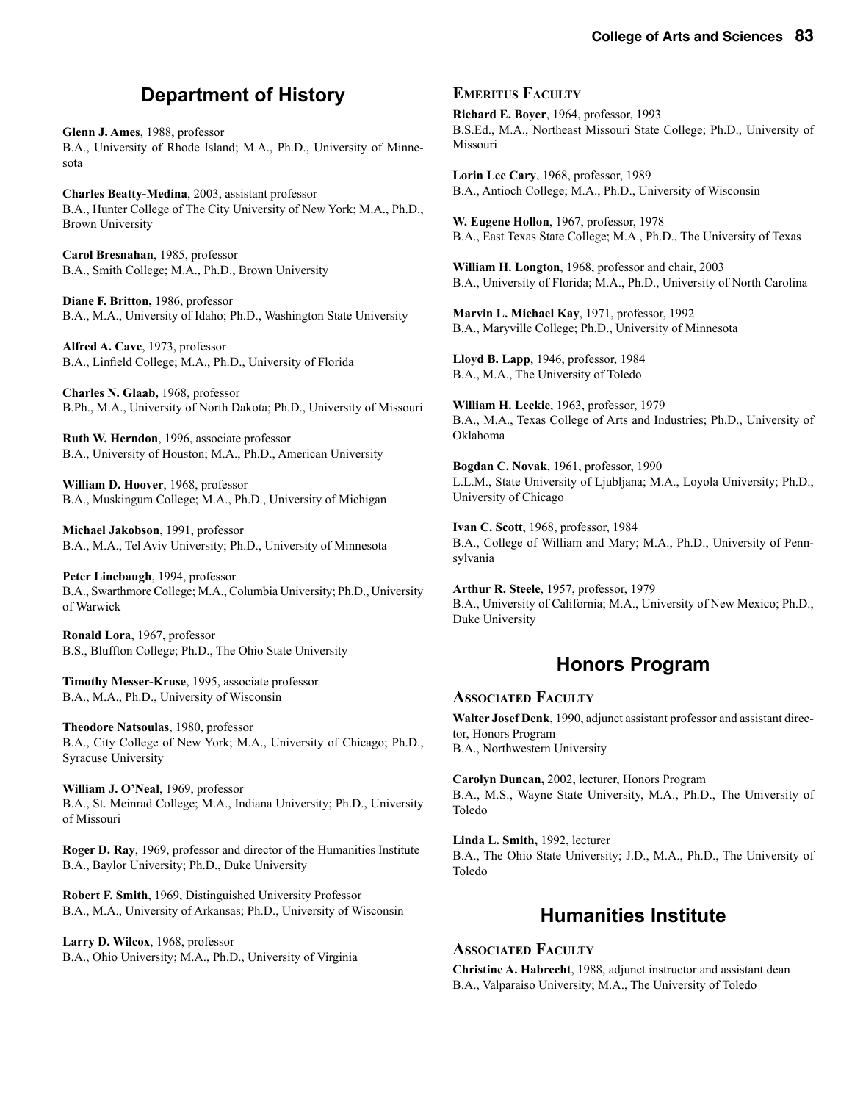# **Department of History**

**Glenn J. Ames**, 1988, professor B.A., University of Rhode Island; M.A., Ph.D., University of Minnesota

**Charles Beatty-Medina**, 2003, assistant professor B.A., Hunter College of The City University of New York; M.A., Ph.D., Brown University

**Carol Bresnahan**, 1985, professor B.A., Smith College; M.A., Ph.D., Brown University

**Diane F. Britton,** 1986, professor B.A., M.A., University of Idaho; Ph.D., Washington State University

**Alfred A. Cave**, 1973, professor B.A., Linfield College; M.A., Ph.D., University of Florida

**Charles N. Glaab,** 1968, professor B.Ph., M.A., University of North Dakota; Ph.D., University of Missouri

**Ruth W. Herndon**, 1996, associate professor B.A., University of Houston; M.A., Ph.D., American University

**William D. Hoover**, 1968, professor B.A., Muskingum College; M.A., Ph.D., University of Michigan

**Michael Jakobson**, 1991, professor B.A., M.A., Tel Aviv University; Ph.D., University of Minnesota

**Peter Linebaugh**, 1994, professor B.A., Swarthmore College; M.A., Columbia University; Ph.D., University of Warwick

**Ronald Lora**, 1967, professor B.S., Bluffton College; Ph.D., The Ohio State University

**Timothy Messer-Kruse**, 1995, associate professor B.A., M.A., Ph.D., University of Wisconsin

**Theodore Natsoulas**, 1980, professor B.A., City College of New York; M.A., University of Chicago; Ph.D., Syracuse University

**William J. O'Neal**, 1969, professor B.A., St. Meinrad College; M.A., Indiana University; Ph.D., University of Missouri

**Roger D. Ray**, 1969, professor and director of the Humanities Institute B.A., Baylor University; Ph.D., Duke University

**Robert F. Smith**, 1969, Distinguished University Professor B.A., M.A., University of Arkansas; Ph.D., University of Wisconsin

**Larry D. Wilcox**, 1968, professor B.A., Ohio University; M.A., Ph.D., University of Virginia

#### **EMERITUS FACULTY**

**Richard E. Boyer**, 1964, professor, 1993 B.S.Ed., M.A., Northeast Missouri State College; Ph.D., University of Missouri

**Lorin Lee Cary**, 1968, professor, 1989 B.A., Antioch College; M.A., Ph.D., University of Wisconsin

**W. Eugene Hollon**, 1967, professor, 1978 B.A., East Texas State College; M.A., Ph.D., The University of Texas

**William H. Longton**, 1968, professor and chair, 2003 B.A., University of Florida; M.A., Ph.D., University of North Carolina

**Marvin L. Michael Kay**, 1971, professor, 1992 B.A., Maryville College; Ph.D., University of Minnesota

**Lloyd B. Lapp**, 1946, professor, 1984 B.A., M.A., The University of Toledo

**William H. Leckie**, 1963, professor, 1979 B.A., M.A., Texas College of Arts and Industries; Ph.D., University of Oklahoma

**Bogdan C. Novak**, 1961, professor, 1990 L.L.M., State University of Ljubljana; M.A., Loyola University; Ph.D., University of Chicago

**Ivan C. Scott**, 1968, professor, 1984 B.A., College of William and Mary; M.A., Ph.D., University of Pennsylvania

**Arthur R. Steele**, 1957, professor, 1979 B.A., University of California; M.A., University of New Mexico; Ph.D., Duke University

# **Honors Program**

#### **ASSOCIATED FACULTY Walter Josef Denk**, 1990, adjunct assistant professor and assistant director, Honors Program B.A., Northwestern University

**Carolyn Duncan,** 2002, lecturer, Honors Program B.A., M.S., Wayne State University, M.A., Ph.D., The University of Toledo

**Linda L. Smith,** 1992, lecturer B.A., The Ohio State University; J.D., M.A., Ph.D., The University of Toledo

# **Humanities Institute**

#### **ASSOCIATED FACULTY**

**Christine A. Habrecht**, 1988, adjunct instructor and assistant dean B.A., Valparaiso University; M.A., The University of Toledo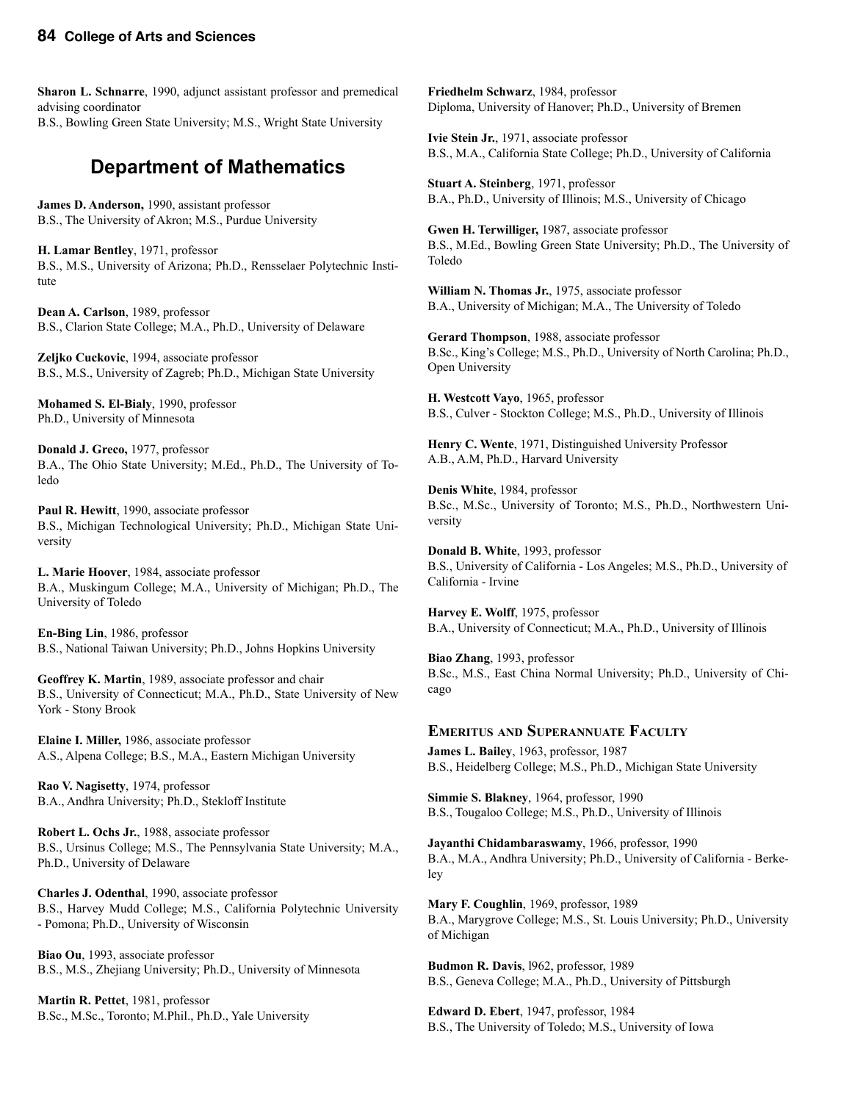**Sharon L. Schnarre**, 1990, adjunct assistant professor and premedical advising coordinator B.S., Bowling Green State University; M.S., Wright State University

# **Department of Mathematics**

**James D. Anderson,** 1990, assistant professor B.S., The University of Akron; M.S., Purdue University

**H. Lamar Bentley**, 1971, professor B.S., M.S., University of Arizona; Ph.D., Rensselaer Polytechnic Institute

**Dean A. Carlson**, 1989, professor B.S., Clarion State College; M.A., Ph.D., University of Delaware

**Zeljko Cuckovic**, 1994, associate professor B.S., M.S., University of Zagreb; Ph.D., Michigan State University

**Mohamed S. El-Bialy**, 1990, professor Ph.D., University of Minnesota

**Donald J. Greco,** 1977, professor B.A., The Ohio State University; M.Ed., Ph.D., The University of Toledo

**Paul R. Hewitt**, 1990, associate professor B.S., Michigan Technological University; Ph.D., Michigan State University

**L. Marie Hoover**, 1984, associate professor B.A., Muskingum College; M.A., University of Michigan; Ph.D., The University of Toledo

**En-Bing Lin**, 1986, professor B.S., National Taiwan University; Ph.D., Johns Hopkins University

**Geoffrey K. Martin**, 1989, associate professor and chair B.S., University of Connecticut; M.A., Ph.D., State University of New York - Stony Brook

**Elaine I. Miller,** 1986, associate professor A.S., Alpena College; B.S., M.A., Eastern Michigan University

**Rao V. Nagisetty**, 1974, professor B.A., Andhra University; Ph.D., Stekloff Institute

**Robert L. Ochs Jr.**, 1988, associate professor B.S., Ursinus College; M.S., The Pennsylvania State University; M.A., Ph.D., University of Delaware

**Charles J. Odenthal**, 1990, associate professor B.S., Harvey Mudd College; M.S., California Polytechnic University - Pomona; Ph.D., University of Wisconsin

**Biao Ou**, 1993, associate professor B.S., M.S., Zhejiang University; Ph.D., University of Minnesota

**Martin R. Pettet**, 1981, professor B.Sc., M.Sc., Toronto; M.Phil., Ph.D., Yale University **Friedhelm Schwarz**, 1984, professor Diploma, University of Hanover; Ph.D., University of Bremen

**Ivie Stein Jr.**, 1971, associate professor B.S., M.A., California State College; Ph.D., University of California

**Stuart A. Steinberg**, 1971, professor B.A., Ph.D., University of Illinois; M.S., University of Chicago

**Gwen H. Terwilliger,** 1987, associate professor B.S., M.Ed., Bowling Green State University; Ph.D., The University of Toledo

**William N. Thomas Jr.**, 1975, associate professor B.A., University of Michigan; M.A., The University of Toledo

**Gerard Thompson**, 1988, associate professor B.Sc., King's College; M.S., Ph.D., University of North Carolina; Ph.D., Open University

**H. Westcott Vayo**, 1965, professor B.S., Culver - Stockton College; M.S., Ph.D., University of Illinois

**Henry C. Wente**, 1971, Distinguished University Professor A.B., A.M, Ph.D., Harvard University

**Denis White**, 1984, professor B.Sc., M.Sc., University of Toronto; M.S., Ph.D., Northwestern University

**Donald B. White**, 1993, professor B.S., University of California - Los Angeles; M.S., Ph.D., University of California - Irvine

**Harvey E. Wolff**, 1975, professor B.A., University of Connecticut; M.A., Ph.D., University of Illinois

**Biao Zhang**, 1993, professor B.Sc., M.S., East China Normal University; Ph.D., University of Chicago

#### **EMERITUS AND SUPERANNUATE FACULTY**

**James L. Bailey**, 1963, professor, 1987 B.S., Heidelberg College; M.S., Ph.D., Michigan State University

**Simmie S. Blakney**, 1964, professor, 1990 B.S., Tougaloo College; M.S., Ph.D., University of Illinois

**Jayanthi Chidambaraswamy**, 1966, professor, 1990 B.A., M.A., Andhra University; Ph.D., University of California - Berkeley

**Mary F. Coughlin**, 1969, professor, 1989 B.A., Marygrove College; M.S., St. Louis University; Ph.D., University of Michigan

**Budmon R. Davis**, l962, professor, 1989 B.S., Geneva College; M.A., Ph.D., University of Pittsburgh

**Edward D. Ebert**, 1947, professor, 1984 B.S., The University of Toledo; M.S., University of Iowa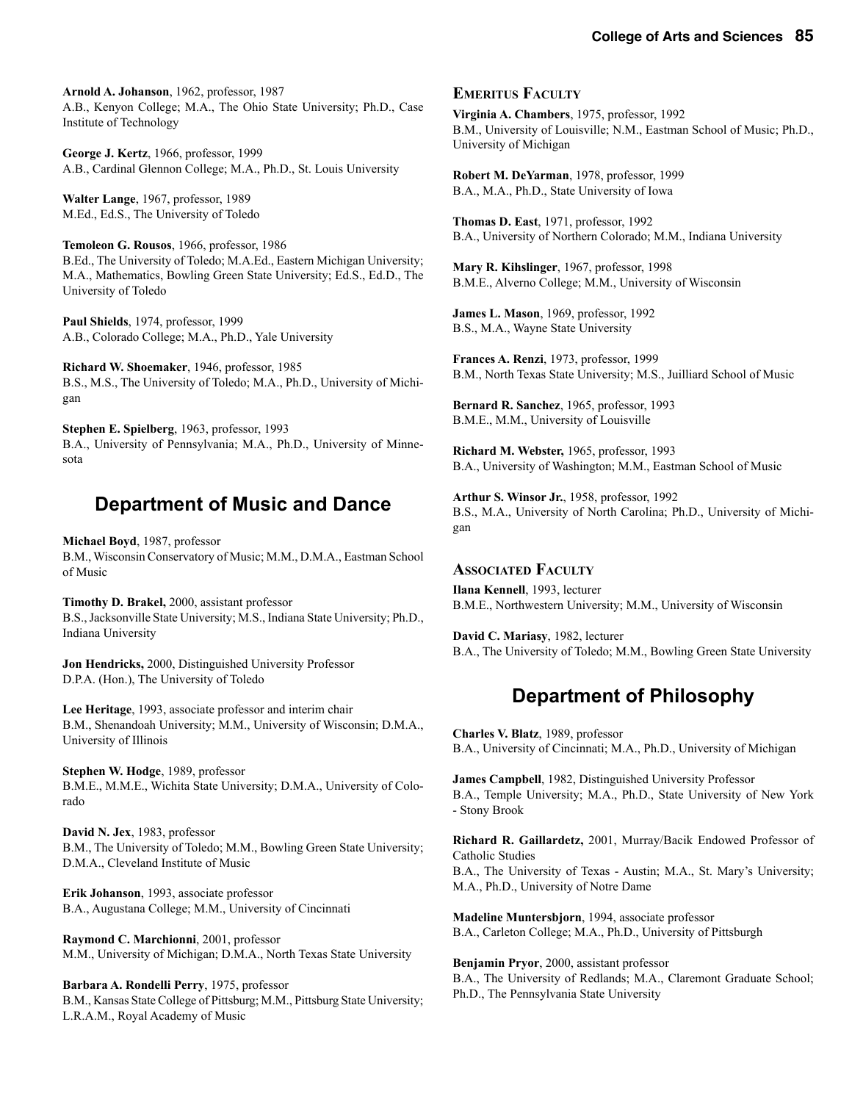**Arnold A. Johanson**, 1962, professor, 1987 A.B., Kenyon College; M.A., The Ohio State University; Ph.D., Case Institute of Technology

**George J. Kertz**, 1966, professor, 1999 A.B., Cardinal Glennon College; M.A., Ph.D., St. Louis University

**Walter Lange**, 1967, professor, 1989 M.Ed., Ed.S., The University of Toledo

**Temoleon G. Rousos**, 1966, professor, 1986 B.Ed., The University of Toledo; M.A.Ed., Eastern Michigan University; M.A., Mathematics, Bowling Green State University; Ed.S., Ed.D., The University of Toledo

**Paul Shields**, 1974, professor, 1999 A.B., Colorado College; M.A., Ph.D., Yale University

**Richard W. Shoemaker**, 1946, professor, 1985 B.S., M.S., The University of Toledo; M.A., Ph.D., University of Michigan

**Stephen E. Spielberg**, 1963, professor, 1993 B.A., University of Pennsylvania; M.A., Ph.D., University of Minnesota

# **Department of Music and Dance**

**Michael Boyd**, 1987, professor B.M., Wisconsin Conservatory of Music; M.M., D.M.A., Eastman School of Music

**Timothy D. Brakel,** 2000, assistant professor B.S., Jacksonville State University; M.S., Indiana State University; Ph.D., Indiana University

**Jon Hendricks,** 2000, Distinguished University Professor D.P.A. (Hon.), The University of Toledo

**Lee Heritage**, 1993, associate professor and interim chair B.M., Shenandoah University; M.M., University of Wisconsin; D.M.A., University of Illinois

**Stephen W. Hodge**, 1989, professor B.M.E., M.M.E., Wichita State University; D.M.A., University of Colorado

**David N. Jex**, 1983, professor B.M., The University of Toledo; M.M., Bowling Green State University; D.M.A., Cleveland Institute of Music

**Erik Johanson**, 1993, associate professor B.A., Augustana College; M.M., University of Cincinnati

**Raymond C. Marchionni**, 2001, professor M.M., University of Michigan; D.M.A., North Texas State University

**Barbara A. Rondelli Perry**, 1975, professor B.M., Kansas State College of Pittsburg; M.M., Pittsburg State University; L.R.A.M., Royal Academy of Music

#### **EMERITUS FACULTY**

**Virginia A. Chambers**, 1975, professor, 1992 B.M., University of Louisville; N.M., Eastman School of Music; Ph.D., University of Michigan

**Robert M. DeYarman**, 1978, professor, 1999 B.A., M.A., Ph.D., State University of Iowa

**Thomas D. East**, 1971, professor, 1992 B.A., University of Northern Colorado; M.M., Indiana University

**Mary R. Kihslinger**, 1967, professor, 1998 B.M.E., Alverno College; M.M., University of Wisconsin

**James L. Mason**, 1969, professor, 1992 B.S., M.A., Wayne State University

**Frances A. Renzi**, 1973, professor, 1999 B.M., North Texas State University; M.S., Juilliard School of Music

**Bernard R. Sanchez**, 1965, professor, 1993 B.M.E., M.M., University of Louisville

**Richard M. Webster,** 1965, professor, 1993 B.A., University of Washington; M.M., Eastman School of Music

**Arthur S. Winsor Jr.**, 1958, professor, 1992 B.S., M.A., University of North Carolina; Ph.D., University of Michigan

#### **ASSOCIATED FACULTY**

**Ilana Kennell**, 1993, lecturer B.M.E., Northwestern University; M.M., University of Wisconsin

**David C. Mariasy**, 1982, lecturer B.A., The University of Toledo; M.M., Bowling Green State University

# **Department of Philosophy**

**Charles V. Blatz**, 1989, professor B.A., University of Cincinnati; M.A., Ph.D., University of Michigan

**James Campbell**, 1982, Distinguished University Professor B.A., Temple University; M.A., Ph.D., State University of New York - Stony Brook

**Richard R. Gaillardetz,** 2001, Murray/Bacik Endowed Professor of Catholic Studies B.A., The University of Texas - Austin; M.A., St. Mary's University; M.A., Ph.D., University of Notre Dame

**Madeline Muntersbjorn**, 1994, associate professor B.A., Carleton College; M.A., Ph.D., University of Pittsburgh

**Benjamin Pryor**, 2000, assistant professor B.A., The University of Redlands; M.A., Claremont Graduate School; Ph.D., The Pennsylvania State University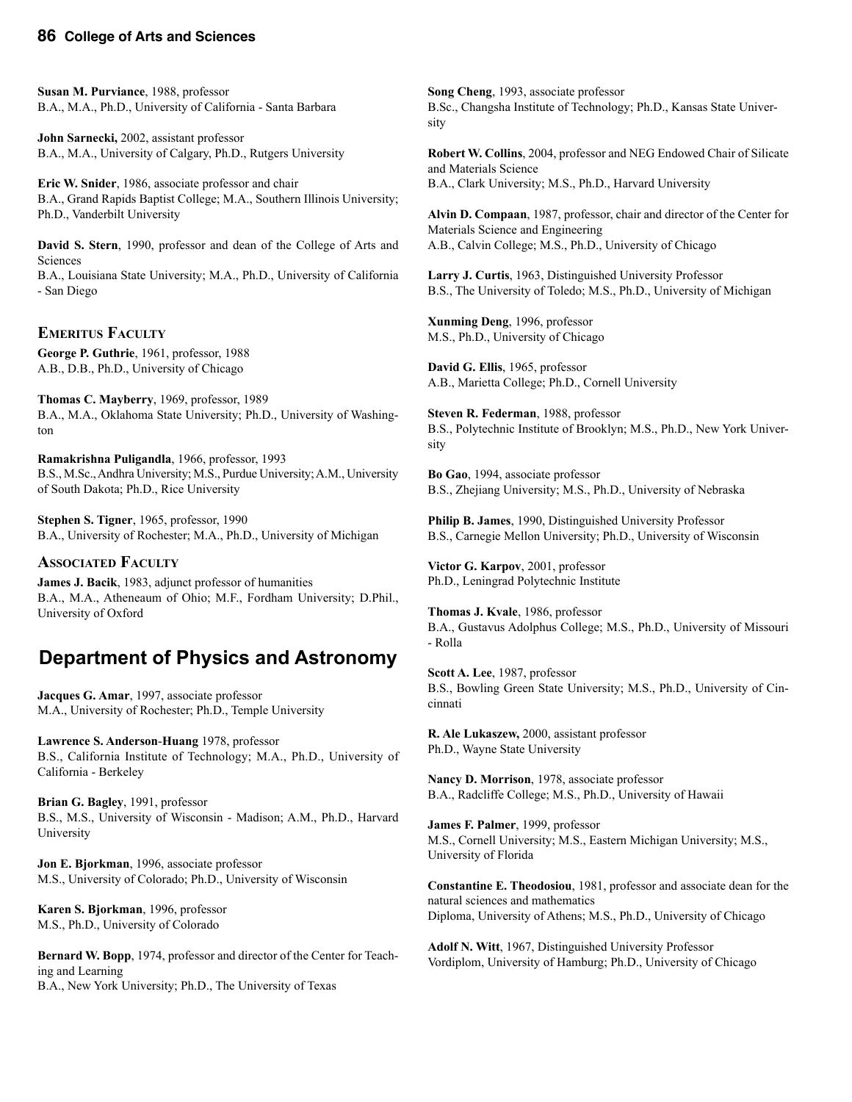**Susan M. Purviance**, 1988, professor B.A., M.A., Ph.D., University of California - Santa Barbara

**John Sarnecki,** 2002, assistant professor B.A., M.A., University of Calgary, Ph.D., Rutgers University

**Eric W. Snider**, 1986, associate professor and chair B.A., Grand Rapids Baptist College; M.A., Southern Illinois University; Ph.D., Vanderbilt University

**David S. Stern**, 1990, professor and dean of the College of Arts and Sciences

B.A., Louisiana State University; M.A., Ph.D., University of California - San Diego

#### **EMERITUS FACULTY**

**George P. Guthrie**, 1961, professor, 1988 A.B., D.B., Ph.D., University of Chicago

**Thomas C. Mayberry**, 1969, professor, 1989 B.A., M.A., Oklahoma State University; Ph.D., University of Washington

**Ramakrishna Puligandla**, 1966, professor, 1993 B.S., M.Sc., Andhra University; M.S., Purdue University; A.M., University of South Dakota; Ph.D., Rice University

**Stephen S. Tigner**, 1965, professor, 1990 B.A., University of Rochester; M.A., Ph.D., University of Michigan

#### **ASSOCIATED FACULTY**

**James J. Bacik**, 1983, adjunct professor of humanities B.A., M.A., Atheneaum of Ohio; M.F., Fordham University; D.Phil., University of Oxford

# **Department of Physics and Astronomy**

**Jacques G. Amar**, 1997, associate professor M.A., University of Rochester; Ph.D., Temple University

**Lawrence S. Anderson**-**Huang** 1978, professor B.S., California Institute of Technology; M.A., Ph.D., University of California - Berkeley

**Brian G. Bagley**, 1991, professor B.S., M.S., University of Wisconsin - Madison; A.M., Ph.D., Harvard University

**Jon E. Bjorkman**, 1996, associate professor M.S., University of Colorado; Ph.D., University of Wisconsin

**Karen S. Bjorkman**, 1996, professor M.S., Ph.D., University of Colorado

**Bernard W. Bopp**, 1974, professor and director of the Center for Teaching and Learning B.A., New York University; Ph.D., The University of Texas

**Song Cheng**, 1993, associate professor B.Sc., Changsha Institute of Technology; Ph.D., Kansas State University

**Robert W. Collins**, 2004, professor and NEG Endowed Chair of Silicate and Materials Science B.A., Clark University; M.S., Ph.D., Harvard University

**Alvin D. Compaan**, 1987, professor, chair and director of the Center for Materials Science and Engineering A.B., Calvin College; M.S., Ph.D., University of Chicago

**Larry J. Curtis**, 1963, Distinguished University Professor B.S., The University of Toledo; M.S., Ph.D., University of Michigan

**Xunming Deng**, 1996, professor M.S., Ph.D., University of Chicago

**David G. Ellis**, 1965, professor A.B., Marietta College; Ph.D., Cornell University

**Steven R. Federman**, 1988, professor B.S., Polytechnic Institute of Brooklyn; M.S., Ph.D., New York University

**Bo Gao**, 1994, associate professor B.S., Zhejiang University; M.S., Ph.D., University of Nebraska

**Philip B. James**, 1990, Distinguished University Professor B.S., Carnegie Mellon University; Ph.D., University of Wisconsin

**Victor G. Karpov**, 2001, professor Ph.D., Leningrad Polytechnic Institute

**Thomas J. Kvale**, 1986, professor B.A., Gustavus Adolphus College; M.S., Ph.D., University of Missouri - Rolla

**Scott A. Lee**, 1987, professor B.S., Bowling Green State University; M.S., Ph.D., University of Cincinnati

**R. Ale Lukaszew,** 2000, assistant professor Ph.D., Wayne State University

**Nancy D. Morrison**, 1978, associate professor B.A., Radcliffe College; M.S., Ph.D., University of Hawaii

**James F. Palmer**, 1999, professor M.S., Cornell University; M.S., Eastern Michigan University; M.S., University of Florida

**Constantine E. Theodosiou**, 1981, professor and associate dean for the natural sciences and mathematics Diploma, University of Athens; M.S., Ph.D., University of Chicago

**Adolf N. Witt**, 1967, Distinguished University Professor Vordiplom, University of Hamburg; Ph.D., University of Chicago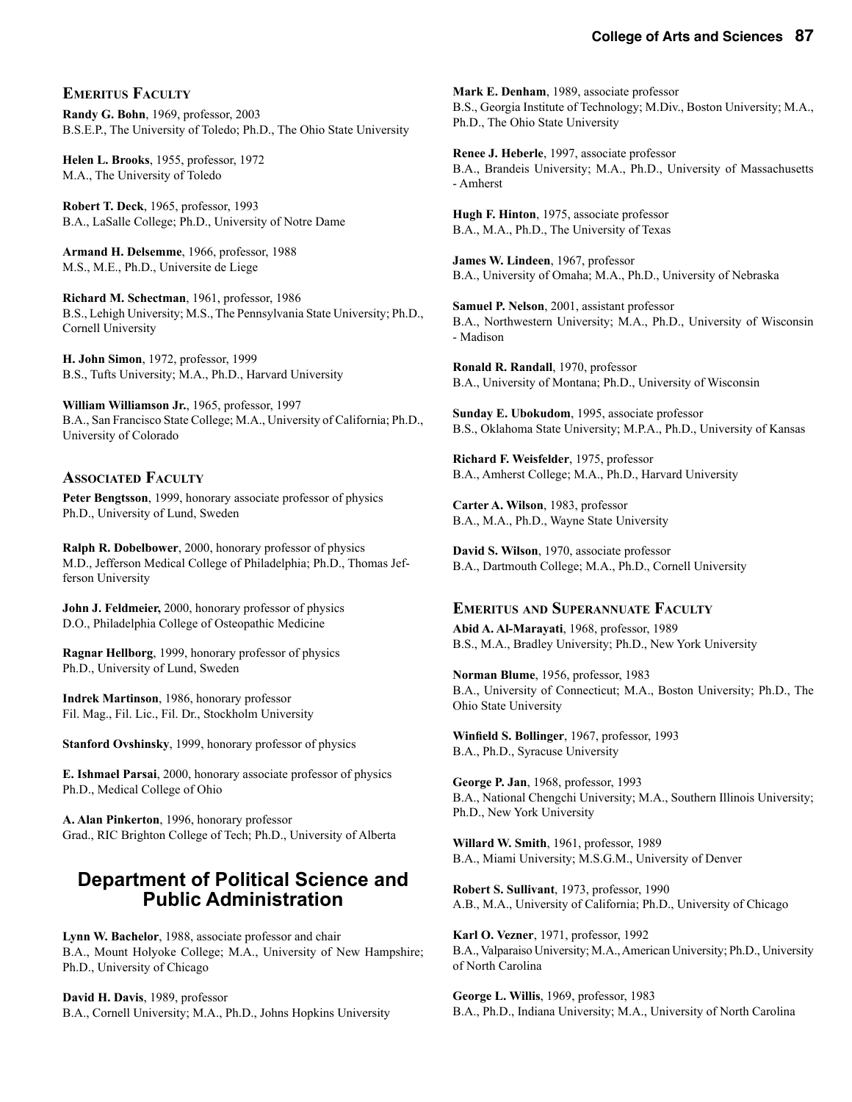#### **EMERITUS FACULTY**

**Randy G. Bohn**, 1969, professor, 2003 B.S.E.P., The University of Toledo; Ph.D., The Ohio State University

**Helen L. Brooks**, 1955, professor, 1972 M.A., The University of Toledo

**Robert T. Deck**, 1965, professor, 1993 B.A., LaSalle College; Ph.D., University of Notre Dame

**Armand H. Delsemme**, 1966, professor, 1988 M.S., M.E., Ph.D., Universite de Liege

**Richard M. Schectman**, 1961, professor, 1986 B.S., Lehigh University; M.S., The Pennsylvania State University; Ph.D., Cornell University

**H. John Simon**, 1972, professor, 1999 B.S., Tufts University; M.A., Ph.D., Harvard University

**William Williamson Jr.**, 1965, professor, 1997 B.A., San Francisco State College; M.A., University of California; Ph.D., University of Colorado

#### **ASSOCIATED FACULTY**

**Peter Bengtsson**, 1999, honorary associate professor of physics Ph.D., University of Lund, Sweden

**Ralph R. Dobelbower**, 2000, honorary professor of physics M.D., Jefferson Medical College of Philadelphia; Ph.D., Thomas Jefferson University

**John J. Feldmeier,** 2000, honorary professor of physics D.O., Philadelphia College of Osteopathic Medicine

**Ragnar Hellborg**, 1999, honorary professor of physics Ph.D., University of Lund, Sweden

**Indrek Martinson**, 1986, honorary professor Fil. Mag., Fil. Lic., Fil. Dr., Stockholm University

**Stanford Ovshinsky**, 1999, honorary professor of physics

**E. Ishmael Parsai**, 2000, honorary associate professor of physics Ph.D., Medical College of Ohio

**A. Alan Pinkerton**, 1996, honorary professor Grad., RIC Brighton College of Tech; Ph.D., University of Alberta

### **Department of Political Science and Public Administration**

**Lynn W. Bachelor**, 1988, associate professor and chair B.A., Mount Holyoke College; M.A., University of New Hampshire; Ph.D., University of Chicago

**David H. Davis**, 1989, professor B.A., Cornell University; M.A., Ph.D., Johns Hopkins University **Mark E. Denham**, 1989, associate professor B.S., Georgia Institute of Technology; M.Div., Boston University; M.A., Ph.D., The Ohio State University

**Renee J. Heberle**, 1997, associate professor B.A., Brandeis University; M.A., Ph.D., University of Massachusetts - Amherst

**Hugh F. Hinton**, 1975, associate professor B.A., M.A., Ph.D., The University of Texas

**James W. Lindeen**, 1967, professor B.A., University of Omaha; M.A., Ph.D., University of Nebraska

**Samuel P. Nelson**, 2001, assistant professor B.A., Northwestern University; M.A., Ph.D., University of Wisconsin - Madison

**Ronald R. Randall**, 1970, professor B.A., University of Montana; Ph.D., University of Wisconsin

**Sunday E. Ubokudom**, 1995, associate professor B.S., Oklahoma State University; M.P.A., Ph.D., University of Kansas

**Richard F. Weisfelder**, 1975, professor B.A., Amherst College; M.A., Ph.D., Harvard University

**Carter A. Wilson**, 1983, professor B.A., M.A., Ph.D., Wayne State University

**David S. Wilson**, 1970, associate professor B.A., Dartmouth College; M.A., Ph.D., Cornell University

#### **EMERITUS AND SUPERANNUATE FACULTY**

**Abid A. Al-Marayati**, 1968, professor, 1989 B.S., M.A., Bradley University; Ph.D., New York University

**Norman Blume**, 1956, professor, 1983 B.A., University of Connecticut; M.A., Boston University; Ph.D., The Ohio State University

**Winfield S. Bollinger**, 1967, professor, 1993 B.A., Ph.D., Syracuse University

**George P. Jan**, 1968, professor, 1993 B.A., National Chengchi University; M.A., Southern Illinois University; Ph.D., New York University

**Willard W. Smith**, 1961, professor, 1989 B.A., Miami University; M.S.G.M., University of Denver

**Robert S. Sullivant**, 1973, professor, 1990 A.B., M.A., University of California; Ph.D., University of Chicago

**Karl O. Vezner**, 1971, professor, 1992 B.A., Valparaiso University; M.A., American University; Ph.D., University of North Carolina

**George L. Willis**, 1969, professor, 1983 B.A., Ph.D., Indiana University; M.A., University of North Carolina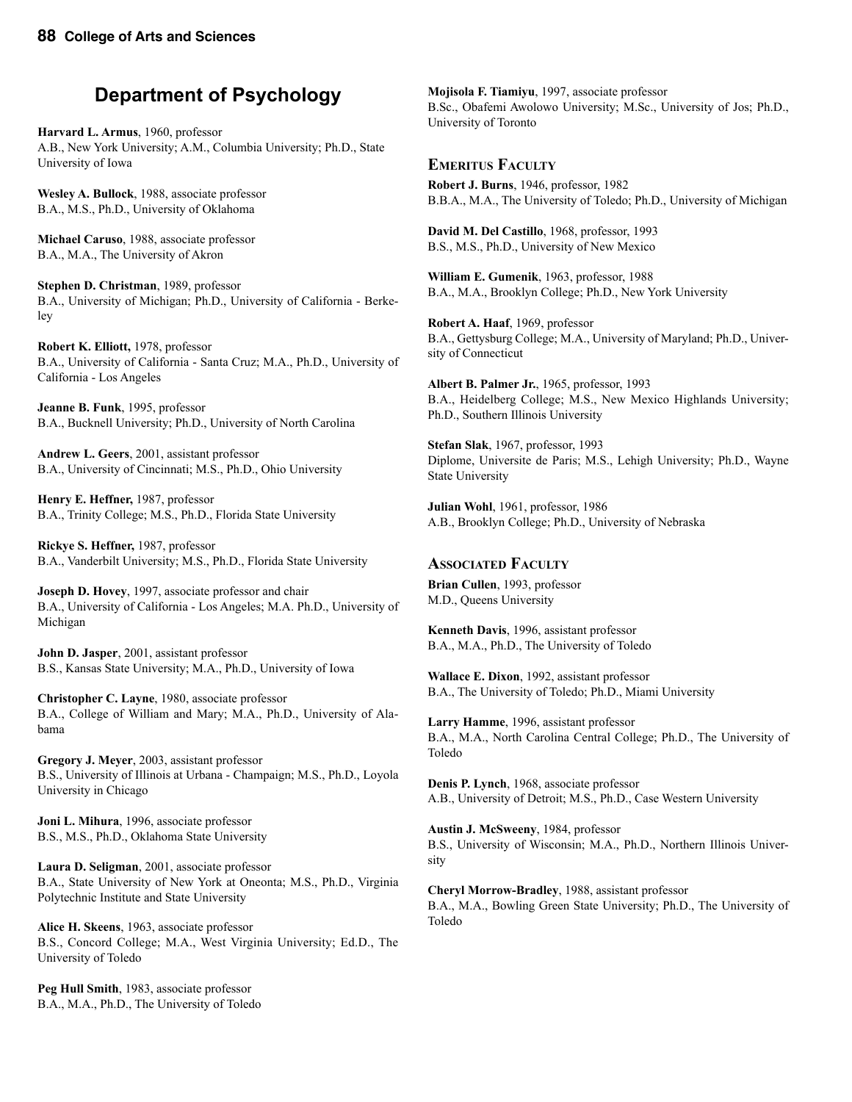# **Department of Psychology**

**Harvard L. Armus**, 1960, professor A.B., New York University; A.M., Columbia University; Ph.D., State University of Iowa

**Wesley A. Bullock**, 1988, associate professor B.A., M.S., Ph.D., University of Oklahoma

**Michael Caruso**, 1988, associate professor B.A., M.A., The University of Akron

**Stephen D. Christman**, 1989, professor B.A., University of Michigan; Ph.D., University of California - Berkeley

**Robert K. Elliott,** 1978, professor B.A., University of California - Santa Cruz; M.A., Ph.D., University of California - Los Angeles

**Jeanne B. Funk**, 1995, professor B.A., Bucknell University; Ph.D., University of North Carolina

**Andrew L. Geers**, 2001, assistant professor B.A., University of Cincinnati; M.S., Ph.D., Ohio University

**Henry E. Heffner,** 1987, professor B.A., Trinity College; M.S., Ph.D., Florida State University

**Rickye S. Heffner,** 1987, professor B.A., Vanderbilt University; M.S., Ph.D., Florida State University

**Joseph D. Hovey**, 1997, associate professor and chair B.A., University of California - Los Angeles; M.A. Ph.D., University of Michigan

**John D. Jasper**, 2001, assistant professor B.S., Kansas State University; M.A., Ph.D., University of Iowa

**Christopher C. Layne**, 1980, associate professor B.A., College of William and Mary; M.A., Ph.D., University of Alabama

**Gregory J. Meyer**, 2003, assistant professor B.S., University of Illinois at Urbana - Champaign; M.S., Ph.D., Loyola University in Chicago

**Joni L. Mihura**, 1996, associate professor B.S., M.S., Ph.D., Oklahoma State University

**Laura D. Seligman**, 2001, associate professor B.A., State University of New York at Oneonta; M.S., Ph.D., Virginia Polytechnic Institute and State University

**Alice H. Skeens**, 1963, associate professor B.S., Concord College; M.A., West Virginia University; Ed.D., The University of Toledo

**Peg Hull Smith**, 1983, associate professor B.A., M.A., Ph.D., The University of Toledo

**Mojisola F. Tiamiyu**, 1997, associate professor B.Sc., Obafemi Awolowo University; M.Sc., University of Jos; Ph.D., University of Toronto

#### **EMERITUS FACULTY**

**Robert J. Burns**, 1946, professor, 1982 B.B.A., M.A., The University of Toledo; Ph.D., University of Michigan

**David M. Del Castillo**, 1968, professor, 1993 B.S., M.S., Ph.D., University of New Mexico

**William E. Gumenik**, 1963, professor, 1988 B.A., M.A., Brooklyn College; Ph.D., New York University

**Robert A. Haaf**, 1969, professor B.A., Gettysburg College; M.A., University of Maryland; Ph.D., University of Connecticut

**Albert B. Palmer Jr.**, 1965, professor, 1993 B.A., Heidelberg College; M.S., New Mexico Highlands University; Ph.D., Southern Illinois University

**Stefan Slak**, 1967, professor, 1993 Diplome, Universite de Paris; M.S., Lehigh University; Ph.D., Wayne State University

**Julian Wohl**, 1961, professor, 1986 A.B., Brooklyn College; Ph.D., University of Nebraska

#### **ASSOCIATED FACULTY**

**Brian Cullen**, 1993, professor M.D., Queens University

**Kenneth Davis**, 1996, assistant professor B.A., M.A., Ph.D., The University of Toledo

**Wallace E. Dixon**, 1992, assistant professor B.A., The University of Toledo; Ph.D., Miami University

**Larry Hamme**, 1996, assistant professor B.A., M.A., North Carolina Central College; Ph.D., The University of Toledo

**Denis P. Lynch**, 1968, associate professor A.B., University of Detroit; M.S., Ph.D., Case Western University

**Austin J. McSweeny**, 1984, professor B.S., University of Wisconsin; M.A., Ph.D., Northern Illinois University

**Cheryl Morrow-Bradley**, 1988, assistant professor B.A., M.A., Bowling Green State University; Ph.D., The University of Toledo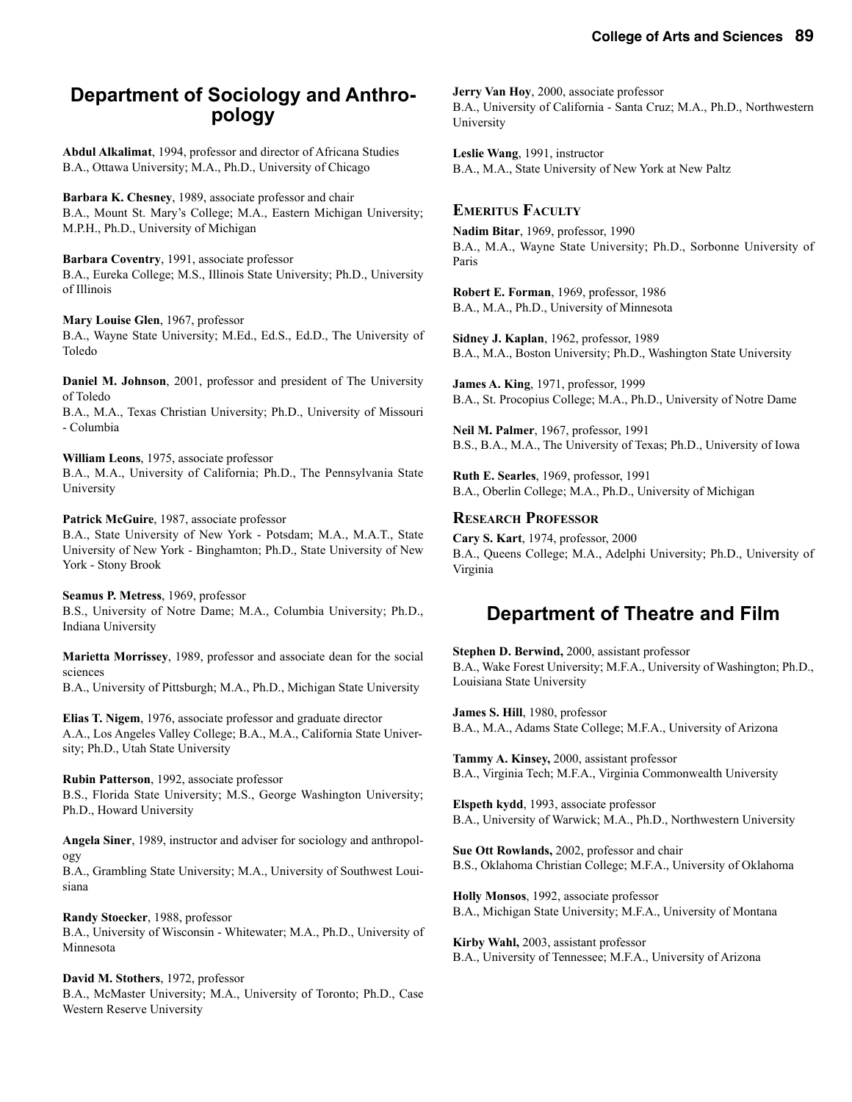# **Department of Sociology and Anthro- pology**

**Abdul Alkalimat**, 1994, professor and director of Africana Studies B.A., Ottawa University; M.A., Ph.D., University of Chicago

**Barbara K. Chesney**, 1989, associate professor and chair B.A., Mount St. Mary's College; M.A., Eastern Michigan University; M.P.H., Ph.D., University of Michigan

**Barbara Coventry**, 1991, associate professor B.A., Eureka College; M.S., Illinois State University; Ph.D., University of Illinois

**Mary Louise Glen**, 1967, professor B.A., Wayne State University; M.Ed., Ed.S., Ed.D., The University of Toledo

**Daniel M. Johnson**, 2001, professor and president of The University of Toledo

B.A., M.A., Texas Christian University; Ph.D., University of Missouri - Columbia

**William Leons**, 1975, associate professor

B.A., M.A., University of California; Ph.D., The Pennsylvania State University

**Patrick McGuire**, 1987, associate professor

B.A., State University of New York - Potsdam; M.A., M.A.T., State University of New York - Binghamton; Ph.D., State University of New York - Stony Brook

**Seamus P. Metress**, 1969, professor B.S., University of Notre Dame; M.A., Columbia University; Ph.D., Indiana University

**Marietta Morrissey**, 1989, professor and associate dean for the social sciences

B.A., University of Pittsburgh; M.A., Ph.D., Michigan State University

**Elias T. Nigem**, 1976, associate professor and graduate director A.A., Los Angeles Valley College; B.A., M.A., California State University; Ph.D., Utah State University

**Rubin Patterson**, 1992, associate professor B.S., Florida State University; M.S., George Washington University; Ph.D., Howard University

**Angela Siner**, 1989, instructor and adviser for sociology and anthropology

B.A., Grambling State University; M.A., University of Southwest Louisiana

**Randy Stoecker**, 1988, professor B.A., University of Wisconsin - Whitewater; M.A., Ph.D., University of Minnesota

**David M. Stothers**, 1972, professor B.A., McMaster University; M.A., University of Toronto; Ph.D., Case Western Reserve University

**Jerry Van Hoy**, 2000, associate professor B.A., University of California - Santa Cruz; M.A., Ph.D., Northwestern University

**Leslie Wang**, 1991, instructor B.A., M.A., State University of New York at New Paltz

**EMERITUS FACULTY Nadim Bitar**, 1969, professor, 1990 B.A., M.A., Wayne State University; Ph.D., Sorbonne University of Paris

**Robert E. Forman**, 1969, professor, 1986 B.A., M.A., Ph.D., University of Minnesota

**Sidney J. Kaplan**, 1962, professor, 1989 B.A., M.A., Boston University; Ph.D., Washington State University

**James A. King**, 1971, professor, 1999 B.A., St. Procopius College; M.A., Ph.D., University of Notre Dame

**Neil M. Palmer**, 1967, professor, 1991 B.S., B.A., M.A., The University of Texas; Ph.D., University of Iowa

**Ruth E. Searles**, 1969, professor, 1991 B.A., Oberlin College; M.A., Ph.D., University of Michigan

#### **RESEARCH PROFESSOR**

**Cary S. Kart**, 1974, professor, 2000 B.A., Queens College; M.A., Adelphi University; Ph.D., University of Virginia

# **Department of Theatre and Film**

**Stephen D. Berwind,** 2000, assistant professor B.A., Wake Forest University; M.F.A., University of Washington; Ph.D., Louisiana State University

**James S. Hill**, 1980, professor B.A., M.A., Adams State College; M.F.A., University of Arizona

**Tammy A. Kinsey,** 2000, assistant professor B.A., Virginia Tech; M.F.A., Virginia Commonwealth University

**Elspeth kydd**, 1993, associate professor B.A., University of Warwick; M.A., Ph.D., Northwestern University

**Sue Ott Rowlands,** 2002, professor and chair B.S., Oklahoma Christian College; M.F.A., University of Oklahoma

**Holly Monsos**, 1992, associate professor B.A., Michigan State University; M.F.A., University of Montana

**Kirby Wahl,** 2003, assistant professor B.A., University of Tennessee; M.F.A., University of Arizona